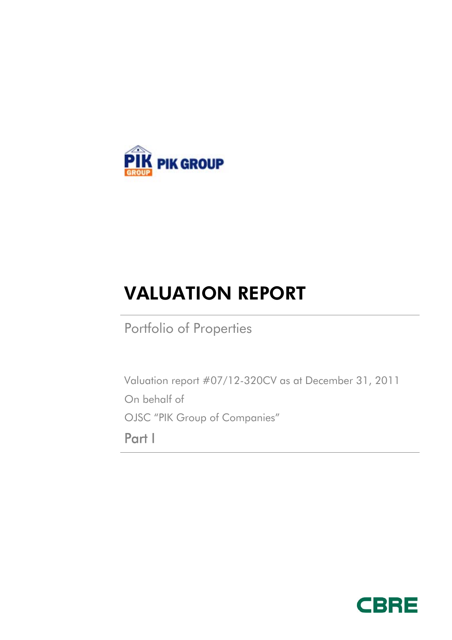

# VALUATION REPORT

Portfolio of Properties

Valuation report #07/12-320CV as at December 31, 2011 On behalf of OJSC "PIK Group of Companies" Part I

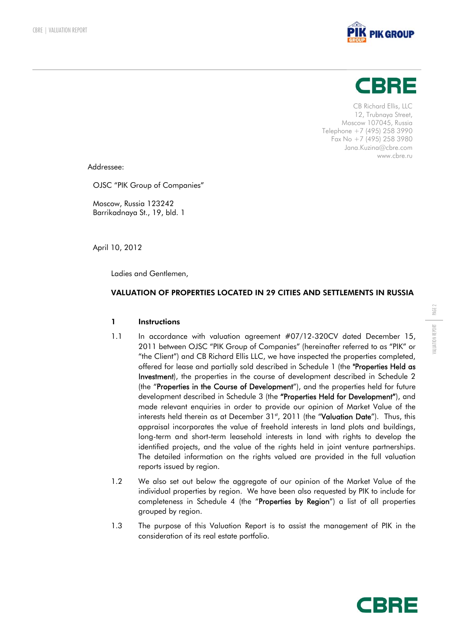



CB Richard Ellis, LLC 12, Trubnaya Street, Moscow 107045, Russia Telephone +7 (495) 258 3990 Fax No  $+7$  (495) 258 3980 Jana.Kuzina@cbre.com www.cbre.ru

Addressee:

OJSC "PIK Group of Companies"

Moscow, Russia 123242 Barrikadnaya St., 19, bld. 1

April 10, 2012

Ladies and Gentlemen,

# VALUATION OF PROPERTIES LOCATED IN 29 CITIES AND SETTLEMENTS IN RUSSIA

# 1 Instructions

- 1.1 In accordance with valuation agreement #07/12-320CV dated December 15, 2011 between OJSC "PIK Group of Companies" (hereinafter referred to as "PIK" or "the Client") and CB Richard Ellis LLC, we have inspected the properties completed, offered for lease and partially sold described in Schedule 1 (the "Properties Held as Investment), the properties in the course of development described in Schedule 2 (the "Properties in the Course of Development"), and the properties held for future development described in Schedule 3 (the "Properties Held for Development"), and made relevant enquiries in order to provide our opinion of Market Value of the interests held therein as at December 31st, 2011 (the "Valuation Date"). Thus, this appraisal incorporates the value of freehold interests in land plots and buildings, long-term and short-term leasehold interests in land with rights to develop the identified projects, and the value of the rights held in joint venture partnerships. The detailed information on the rights valued are provided in the full valuation reports issued by region.
- 1.2 We also set out below the aggregate of our opinion of the Market Value of the individual properties by region. We have been also requested by PIK to include for completeness in Schedule 4 (the "Properties by Region") a list of all properties grouped by region.
- 1.3 The purpose of this Valuation Report is to assist the management of PIK in the consideration of its real estate portfolio.

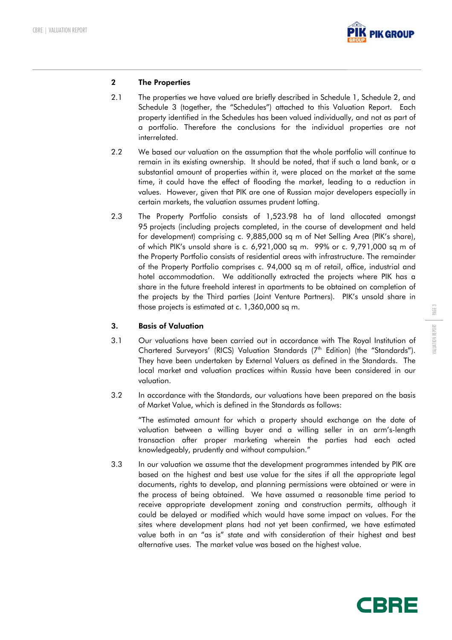

# 2 The Properties

- 2.1 The properties we have valued are briefly described in Schedule 1, Schedule 2, and Schedule 3 (together, the "Schedules") attached to this Valuation Report. Each property identified in the Schedules has been valued individually, and not as part of a portfolio. Therefore the conclusions for the individual properties are not interrelated.
- 2.2 We based our valuation on the assumption that the whole portfolio will continue to remain in its existing ownership. It should be noted, that if such a land bank, or a substantial amount of properties within it, were placed on the market at the same time, it could have the effect of flooding the market, leading to a reduction in values. However, given that PIK are one of Russian major developers especially in certain markets, the valuation assumes prudent lotting.
- 2.3 The Property Portfolio consists of 1,523.98 ha of land allocated amongst 95 projects (including projects completed, in the course of development and held for development) comprising c. 9,885,000 sq m of Net Selling Area (PIK's share), of which PIK's unsold share is c. 6,921,000 sq m. 99% or c. 9,791,000 sq m of the Property Portfolio consists of residential areas with infrastructure. The remainder of the Property Portfolio comprises c. 94,000 sq m of retail, office, industrial and hotel accommodation. We additionally extracted the projects where PIK has a share in the future freehold interest in apartments to be obtained on completion of the projects by the Third parties (Joint Venture Partners). PIK's unsold share in those projects is estimated at c. 1,360,000 sq m.

# 3. Basis of Valuation

- 3.1 Our valuations have been carried out in accordance with The Royal Institution of Chartered Surveyors' (RICS) Valuation Standards (7<sup>th</sup> Edition) (the "Standards"). They have been undertaken by External Valuers as defined in the Standards. The local market and valuation practices within Russia have been considered in our valuation.
- 3.2 In accordance with the Standards, our valuations have been prepared on the basis of Market Value, which is defined in the Standards as follows:

"The estimated amount for which a property should exchange on the date of valuation between a willing buyer and a willing seller in an arm's-length transaction after proper marketing wherein the parties had each acted knowledgeably, prudently and without compulsion."

3.3 In our valuation we assume that the development programmes intended by PIK are based on the highest and best use value for the sites if all the appropriate legal documents, rights to develop, and planning permissions were obtained or were in the process of being obtained. We have assumed a reasonable time period to receive appropriate development zoning and construction permits, although it could be delayed or modified which would have some impact on values. For the sites where development plans had not yet been confirmed, we have estimated value both in an "as is" state and with consideration of their highest and best alternative uses. The market value was based on the highest value.

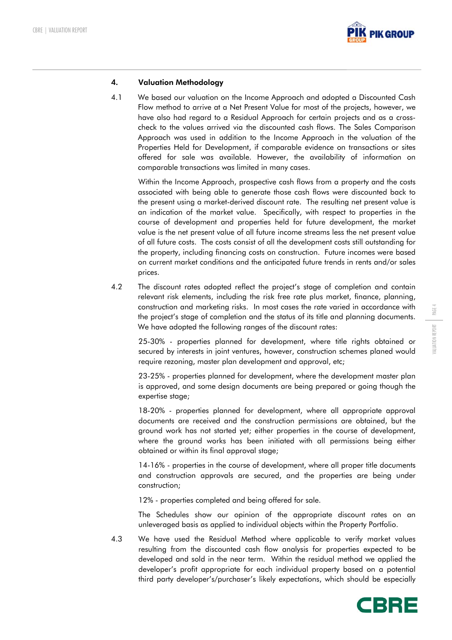

# 4. Valuation Methodology

4.1 We based our valuation on the Income Approach and adopted a Discounted Cash Flow method to arrive at a Net Present Value for most of the projects, however, we have also had regard to a Residual Approach for certain projects and as a crosscheck to the values arrived via the discounted cash flows. The Sales Comparison Approach was used in addition to the Income Approach in the valuation of the Properties Held for Development, if comparable evidence on transactions or sites offered for sale was available. However, the availability of information on comparable transactions was limited in many cases.

Within the Income Approach, prospective cash flows from a property and the costs associated with being able to generate those cash flows were discounted back to the present using a market-derived discount rate. The resulting net present value is an indication of the market value. Specifically, with respect to properties in the course of development and properties held for future development, the market value is the net present value of all future income streams less the net present value of all future costs. The costs consist of all the development costs still outstanding for the property, including financing costs on construction. Future incomes were based on current market conditions and the anticipated future trends in rents and/or sales prices.

4.2 The discount rates adopted reflect the project's stage of completion and contain relevant risk elements, including the risk free rate plus market, finance, planning, construction and marketing risks. In most cases the rate varied in accordance with the project's stage of completion and the status of its title and planning documents. We have adopted the following ranges of the discount rates:

25-30% - properties planned for development, where title rights obtained or secured by interests in joint ventures, however, construction schemes planed would require rezoning, master plan development and approval, etc;

23-25% - properties planned for development, where the development master plan is approved, and some design documents are being prepared or going though the expertise stage;

18-20% - properties planned for development, where all appropriate approval documents are received and the construction permissions are obtained, but the ground work has not started yet; either properties in the course of development, where the ground works has been initiated with all permissions being either obtained or within its final approval stage;

14-16% - properties in the course of development, where all proper title documents and construction approvals are secured, and the properties are being under construction;

12% - properties completed and being offered for sale.

The Schedules show our opinion of the appropriate discount rates on an unleveraged basis as applied to individual objects within the Property Portfolio.

4.3 We have used the Residual Method where applicable to verify market values resulting from the discounted cash flow analysis for properties expected to be developed and sold in the near term. Within the residual method we applied the developer's profit appropriate for each individual property based on a potential third party developer's/purchaser's likely expectations, which should be especially



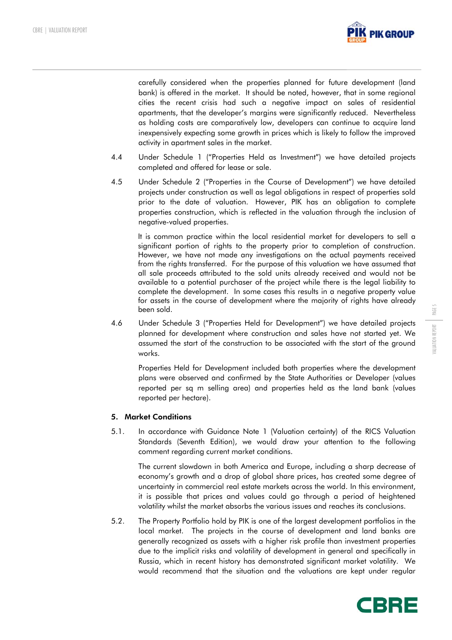

carefully considered when the properties planned for future development (land bank) is offered in the market. It should be noted, however, that in some regional cities the recent crisis had such a negative impact on sales of residential apartments, that the developer's margins were significantly reduced. Nevertheless as holding costs are comparatively low, developers can continue to acquire land inexpensively expecting some growth in prices which is likely to follow the improved activity in apartment sales in the market.

- 4.4 Under Schedule 1 ("Properties Held as Investment") we have detailed projects completed and offered for lease or sale.
- 4.5 Under Schedule 2 ("Properties in the Course of Development") we have detailed projects under construction as well as legal obligations in respect of properties sold prior to the date of valuation. However, PIK has an obligation to complete properties construction, which is reflected in the valuation through the inclusion of negative-valued properties.

It is common practice within the local residential market for developers to sell a significant portion of rights to the property prior to completion of construction. However, we have not made any investigations on the actual payments received from the rights transferred. For the purpose of this valuation we have assumed that all sale proceeds attributed to the sold units already received and would not be available to a potential purchaser of the project while there is the legal liability to complete the development. In some cases this results in a negative property value for assets in the course of development where the majority of rights have already been sold.

4.6 Under Schedule 3 ("Properties Held for Development") we have detailed projects planned for development where construction and sales have not started yet. We assumed the start of the construction to be associated with the start of the ground works.

Properties Held for Development included both properties where the development plans were observed and confirmed by the State Authorities or Developer (values reported per sq m selling area) and properties held as the land bank (values reported per hectare).

# 5. Market Conditions

5.1. In accordance with Guidance Note 1 (Valuation certainty) of the RICS Valuation Standards (Seventh Edition), we would draw your attention to the following comment regarding current market conditions.

The current slowdown in both America and Europe, including a sharp decrease of economy's growth and a drop of global share prices, has created some degree of uncertainty in commercial real estate markets across the world. In this environment, it is possible that prices and values could go through a period of heightened volatility whilst the market absorbs the various issues and reaches its conclusions.

5.2. The Property Portfolio hold by PIK is one of the largest development portfolios in the local market. The projects in the course of development and land banks are generally recognized as assets with a higher risk profile than investment properties due to the implicit risks and volatility of development in general and specifically in Russia, which in recent history has demonstrated significant market volatility. We would recommend that the situation and the valuations are kept under regular

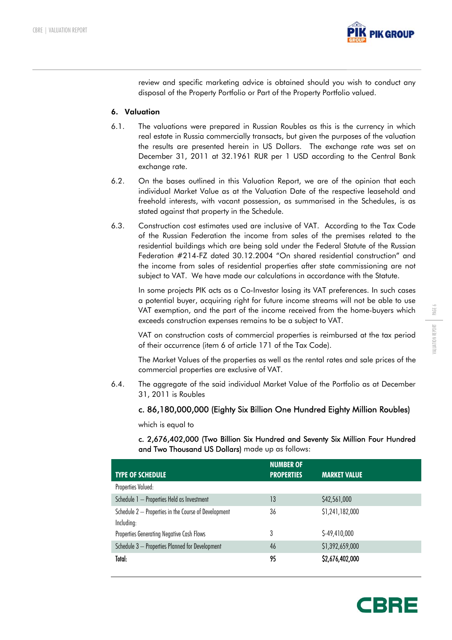

review and specific marketing advice is obtained should you wish to conduct any disposal of the Property Portfolio or Part of the Property Portfolio valued.

#### 6. Valuation

- 6.1. The valuations were prepared in Russian Roubles as this is the currency in which real estate in Russia commercially transacts, but given the purposes of the valuation the results are presented herein in US Dollars. The exchange rate was set on December 31, 2011 at 32.1961 RUR per 1 USD according to the Central Bank exchange rate.
- 6.2. On the bases outlined in this Valuation Report, we are of the opinion that each individual Market Value as at the Valuation Date of the respective leasehold and freehold interests, with vacant possession, as summarised in the Schedules, is as stated against that property in the Schedule.
- 6.3. Construction cost estimates used are inclusive of VAT. According to the Tax Code of the Russian Federation the income from sales of the premises related to the residential buildings which are being sold under the Federal Statute of the Russian Federation #214-FZ dated 30.12.2004 "On shared residential construction" and the income from sales of residential properties after state commissioning are not subject to VAT. We have made our calculations in accordance with the Statute.

In some projects PIK acts as a Co-Investor losing its VAT preferences. In such cases a potential buyer, acquiring right for future income streams will not be able to use VAT exemption, and the part of the income received from the home-buyers which exceeds construction expenses remains to be a subject to VAT.

VAT on construction costs of commercial properties is reimbursed at the tax period of their occurrence (item 6 of article 171 of the Tax Code).

The Market Values of the properties as well as the rental rates and sale prices of the commercial properties are exclusive of VAT.

6.4. The aggregate of the said individual Market Value of the Portfolio as at December 31, 2011 is Roubles

# c. 86,180,000,000 (Eighty Six Billion One Hundred Eighty Million Roubles)

which is equal to

c. 2,676,402,000 (Two Billion Six Hundred and Seventy Six Million Four Hundred and Two Thousand US Dollars) made up as follows:

| <b>TYPE OF SCHEDULE</b>                              | <b>NUMBER OF</b><br><b>PROPERTIES</b> | <b>MARKET VALUE</b> |
|------------------------------------------------------|---------------------------------------|---------------------|
| Properties Valued:                                   |                                       |                     |
| Schedule 1 - Properties Held as Investment           | 13                                    | \$42,561,000        |
| Schedule 2 - Properties in the Course of Development | 36                                    | \$1,241,182,000     |
| Including:                                           |                                       |                     |
| Properties Generating Negative Cash Flows            | 3                                     | $$-49,410,000$      |
| Schedule 3 - Properties Planned for Development      | 46                                    | \$1,392,659,000     |
| Total:                                               | 95                                    | \$2,676,402,000     |



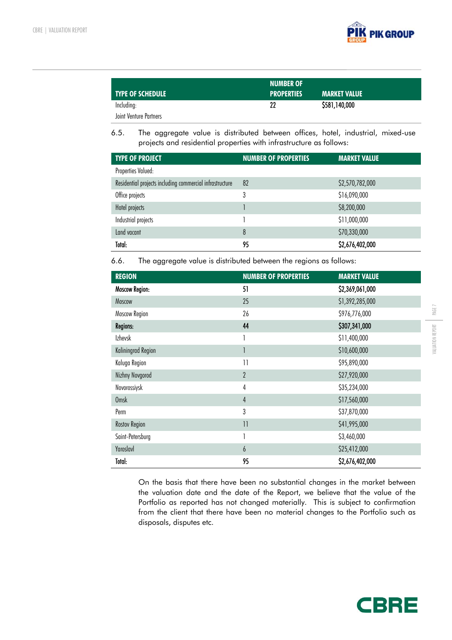

| <b>TYPE OF SCHEDULE</b> | <b>NUMBER OF</b><br><b>PROPERTIES</b> | <b>MARKET VALUE</b> |
|-------------------------|---------------------------------------|---------------------|
| Including:              | 22                                    | \$581,140,000       |
| Joint Venture Partners  |                                       |                     |

6.5. The aggregate value is distributed between offices, hotel, industrial, mixed-use projects and residential properties with infrastructure as follows:

| <b>TYPE OF PROJECT</b>                                   | <b>NUMBER OF PROPERTIES</b> | <b>MARKET VALUE</b> |
|----------------------------------------------------------|-----------------------------|---------------------|
| Properties Valued:                                       |                             |                     |
| Residential projects including commercial infrastructure | 82                          | \$2,570,782,000     |
| Office projects                                          | 3                           | \$16,090,000        |
| Hotel projects                                           |                             | \$8,200,000         |
| Industrial projects                                      |                             | \$11,000,000        |
| Land vacant                                              | 8                           | \$70,330,000        |
| Total:                                                   | 95                          | \$2,676,402,000     |

6.6. The aggregate value is distributed between the regions as follows:

| <b>REGION</b>         | <b>NUMBER OF PROPERTIES</b> | <b>MARKET VALUE</b> |
|-----------------------|-----------------------------|---------------------|
| <b>Moscow Region:</b> | 51                          | \$2,369,061,000     |
| Moscow                | 25                          | \$1,392,285,000     |
| Moscow Region         | 26                          | \$976,776,000       |
| <b>Regions:</b>       | 44                          | \$307,341,000       |
| <b>Izhevsk</b>        |                             | \$11,400,000        |
| Kaliningrad Region    |                             | \$10,600,000        |
| Kaluga Region         | $\overline{1}$              | \$95,890,000        |
| Nizhny Novgorod       | $\overline{2}$              | \$27,920,000        |
| Novorossiysk          | $\overline{4}$              | \$35,234,000        |
| <b>Omsk</b>           | $\overline{4}$              | \$17,560,000        |
| Perm                  | 3                           | \$37,870,000        |
| <b>Rostov Region</b>  | $\overline{11}$             | \$41,995,000        |
| Saint-Petersburg      | 1                           | \$3,460,000         |
| Yaroslavl             | 6                           | \$25,412,000        |
| Total:                | 95                          | \$2,676,402,000     |

On the basis that there have been no substantial changes in the market between the valuation date and the date of the Report, we believe that the value of the Portfolio as reported has not changed materially. This is subject to confirmation from the client that there have been no material changes to the Portfolio such as disposals, disputes etc.

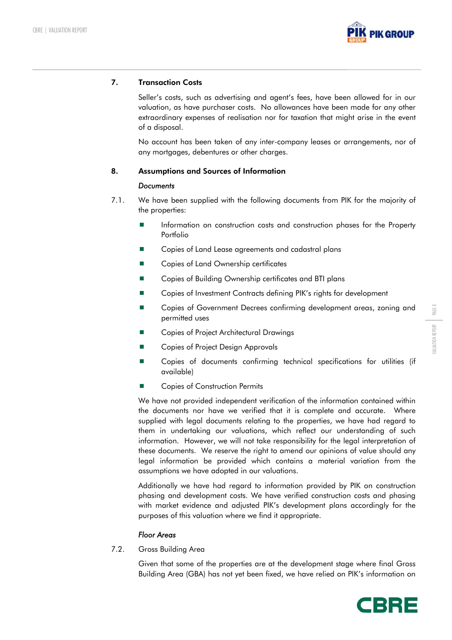

# 7. Transaction Costs

Seller's costs, such as advertising and agent's fees, have been allowed for in our valuation, as have purchaser costs. No allowances have been made for any other extraordinary expenses of realisation nor for taxation that might arise in the event of a disposal.

No account has been taken of any inter-company leases or arrangements, nor of any mortgages, debentures or other charges.

# 8. Assumptions and Sources of Information

#### *Documents*

- 7.1. We have been supplied with the following documents from PIK for the majority of the properties:
	- **Information on construction costs and construction phases for the Property** Portfolio
	- Copies of Land Lease agreements and cadastral plans
	- Copies of Land Ownership certificates
	- Copies of Building Ownership certificates and BTI plans
	- Copies of Investment Contracts defining PIK's rights for development
	- Copies of Government Decrees confirming development areas, zoning and permitted uses
	- Copies of Project Architectural Drawings
	- Copies of Project Design Approvals
	- Copies of documents confirming technical specifications for utilities (if available)
	- Copies of Construction Permits

We have not provided independent verification of the information contained within the documents nor have we verified that it is complete and accurate. Where supplied with legal documents relating to the properties, we have had regard to them in undertaking our valuations, which reflect our understanding of such information. However, we will not take responsibility for the legal interpretation of these documents. We reserve the right to amend our opinions of value should any legal information be provided which contains a material variation from the assumptions we have adopted in our valuations.

Additionally we have had regard to information provided by PIK on construction phasing and development costs. We have verified construction costs and phasing with market evidence and adjusted PIK's development plans accordingly for the purposes of this valuation where we find it appropriate.

# *Floor Areas*

7.2. Gross Building Area

Given that some of the properties are at the development stage where final Gross Building Area (GBA) has not yet been fixed, we have relied on PIK's information on



PAGE 8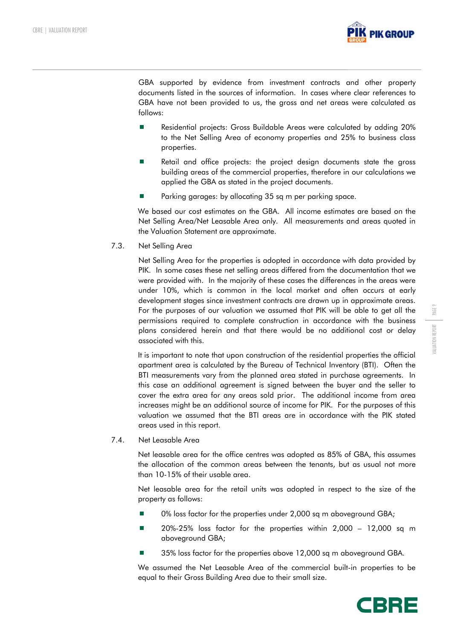

GBA supported by evidence from investment contracts and other property documents listed in the sources of information. In cases where clear references to GBA have not been provided to us, the gross and net areas were calculated as follows:

- **Residential projects: Gross Buildable Areas were calculated by adding 20%** to the Net Selling Area of economy properties and 25% to business class properties.
- Retail and office projects: the project design documents state the gross building areas of the commercial properties, therefore in our calculations we applied the GBA as stated in the project documents.
- Parking garages: by allocating 35 sq m per parking space.

We based our cost estimates on the GBA. All income estimates are based on the Net Selling Area/Net Leasable Area only. All measurements and areas quoted in the Valuation Statement are approximate.

7.3. Net Selling Area

Net Selling Area for the properties is adopted in accordance with data provided by PIK. In some cases these net selling areas differed from the documentation that we were provided with. In the majority of these cases the differences in the areas were under 10%, which is common in the local market and often occurs at early development stages since investment contracts are drawn up in approximate areas. For the purposes of our valuation we assumed that PIK will be able to get all the permissions required to complete construction in accordance with the business plans considered herein and that there would be no additional cost or delay associated with this.

It is important to note that upon construction of the residential properties the official apartment area is calculated by the Bureau of Technical Inventory (BTI). Often the BTI measurements vary from the planned area stated in purchase agreements. In this case an additional agreement is signed between the buyer and the seller to cover the extra area for any areas sold prior. The additional income from area increases might be an additional source of income for PIK. For the purposes of this valuation we assumed that the BTI areas are in accordance with the PIK stated areas used in this report.

7.4. Net Leasable Area

Net leasable area for the office centres was adopted as 85% of GBA, this assumes the allocation of the common areas between the tenants, but as usual not more than 10-15% of their usable area.

Net leasable area for the retail units was adopted in respect to the size of the property as follows:

- 0% loss factor for the properties under 2,000 sq m aboveground GBA;
- 20%-25% loss factor for the properties within 2,000 12,000 sq m aboveground GBA;
- 35% loss factor for the properties above 12,000 sq m aboveground GBA.

We assumed the Net Leasable Area of the commercial built-in properties to be equal to their Gross Building Area due to their small size.

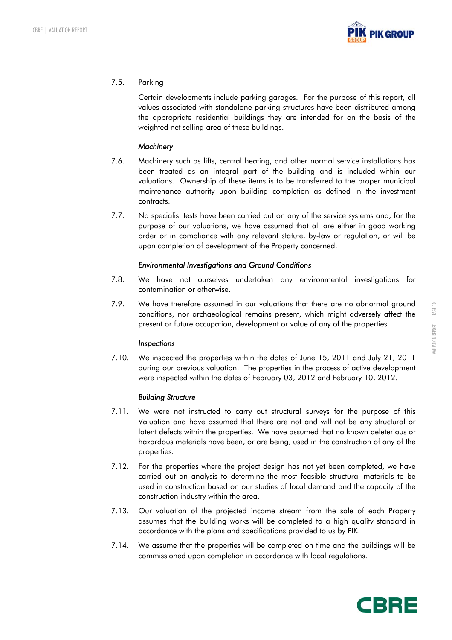

# 7.5. Parking

Certain developments include parking garages. For the purpose of this report, all values associated with standalone parking structures have been distributed among the appropriate residential buildings they are intended for on the basis of the weighted net selling area of these buildings.

# *Machinery*

- 7.6. Machinery such as lifts, central heating, and other normal service installations has been treated as an integral part of the building and is included within our valuations. Ownership of these items is to be transferred to the proper municipal maintenance authority upon building completion as defined in the investment contracts.
- 7.7. No specialist tests have been carried out on any of the service systems and, for the purpose of our valuations, we have assumed that all are either in good working order or in compliance with any relevant statute, by-law or regulation, or will be upon completion of development of the Property concerned.

# *Environmental Investigations and Ground Conditions*

- 7.8. We have not ourselves undertaken any environmental investigations for contamination or otherwise.
- 7.9. We have therefore assumed in our valuations that there are no abnormal ground conditions, nor archaeological remains present, which might adversely affect the present or future occupation, development or value of any of the properties.

# *Inspections*

7.10. We inspected the properties within the dates of June 15, 2011 and July 21, 2011 during our previous valuation. The properties in the process of active development were inspected within the dates of February 03, 2012 and February 10, 2012.

# *Building Structure*

- 7.11. We were not instructed to carry out structural surveys for the purpose of this Valuation and have assumed that there are not and will not be any structural or latent defects within the properties. We have assumed that no known deleterious or hazardous materials have been, or are being, used in the construction of any of the properties.
- 7.12. For the properties where the project design has not yet been completed, we have carried out an analysis to determine the most feasible structural materials to be used in construction based on our studies of local demand and the capacity of the construction industry within the area.
- 7.13. Our valuation of the projected income stream from the sale of each Property assumes that the building works will be completed to a high quality standard in accordance with the plans and specifications provided to us by PIK.
- 7.14. We assume that the properties will be completed on time and the buildings will be commissioned upon completion in accordance with local regulations.

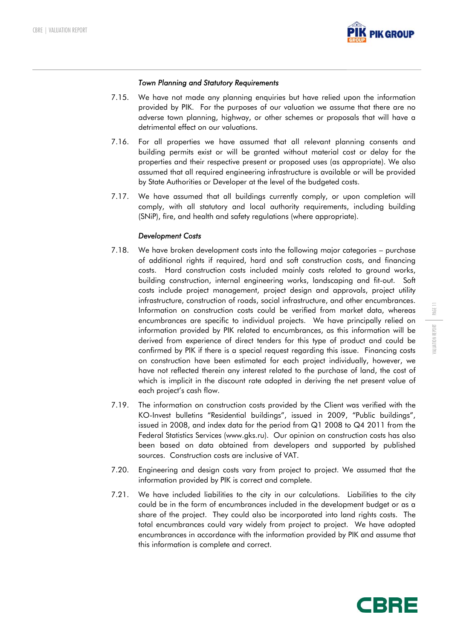

#### *Town Planning and Statutory Requirements*

- 7.15. We have not made any planning enquiries but have relied upon the information provided by PIK. For the purposes of our valuation we assume that there are no adverse town planning, highway, or other schemes or proposals that will have a detrimental effect on our valuations.
- 7.16. For all properties we have assumed that all relevant planning consents and building permits exist or will be granted without material cost or delay for the properties and their respective present or proposed uses (as appropriate). We also assumed that all required engineering infrastructure is available or will be provided by State Authorities or Developer at the level of the budgeted costs.
- 7.17. We have assumed that all buildings currently comply, or upon completion will comply, with all statutory and local authority requirements, including building (SNiP), fire, and health and safety regulations (where appropriate).

#### *Development Costs*

- 7.18. We have broken development costs into the following major categories purchase of additional rights if required, hard and soft construction costs, and financing costs. Hard construction costs included mainly costs related to ground works, building construction, internal engineering works, landscaping and fit-out. Soft costs include project management, project design and approvals, project utility infrastructure, construction of roads, social infrastructure, and other encumbrances. Information on construction costs could be verified from market data, whereas encumbrances are specific to individual projects. We have principally relied on information provided by PIK related to encumbrances, as this information will be derived from experience of direct tenders for this type of product and could be confirmed by PIK if there is a special request regarding this issue. Financing costs on construction have been estimated for each project individually, however, we have not reflected therein any interest related to the purchase of land, the cost of which is implicit in the discount rate adopted in deriving the net present value of each project's cash flow.
- 7.19. The information on construction costs provided by the Client was verified with the KO-Invest bulletins "Residential buildings", issued in 2009, "Public buildings", issued in 2008, and index data for the period from Q1 2008 to Q4 2011 from the Federal Statistics Services (www.gks.ru). Our opinion on construction costs has also been based on data obtained from developers and supported by published sources. Construction costs are inclusive of VAT.
- 7.20. Engineering and design costs vary from project to project. We assumed that the information provided by PIK is correct and complete.
- 7.21. We have included liabilities to the city in our calculations. Liabilities to the city could be in the form of encumbrances included in the development budget or as a share of the project. They could also be incorporated into land rights costs. The total encumbrances could vary widely from project to project. We have adopted encumbrances in accordance with the information provided by PIK and assume that this information is complete and correct.

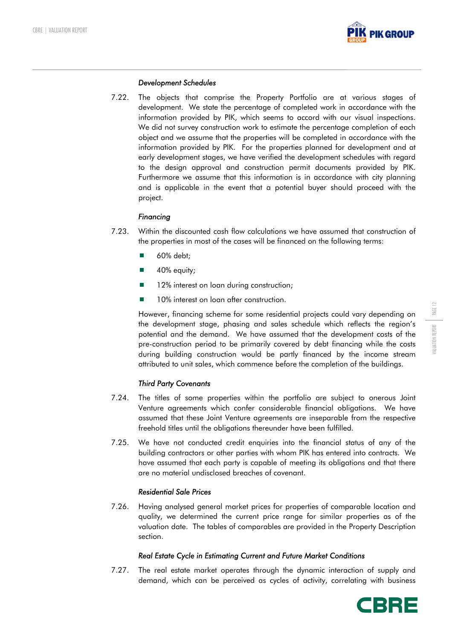

#### *Development Schedules*

7.22. The objects that comprise the Property Portfolio are at various stages of development. We state the percentage of completed work in accordance with the information provided by PIK, which seems to accord with our visual inspections. We did not survey construction work to estimate the percentage completion of each object and we assume that the properties will be completed in accordance with the information provided by PIK. For the properties planned for development and at early development stages, we have verified the development schedules with regard to the design approval and construction permit documents provided by PIK. Furthermore we assume that this information is in accordance with city planning and is applicable in the event that a potential buyer should proceed with the project.

# *Financing*

- 7.23. Within the discounted cash flow calculations we have assumed that construction of the properties in most of the cases will be financed on the following terms:
	- 60% debt:
	- 40% equity;
	- 12% interest on loan during construction;
	- 10% interest on loan after construction.

However, financing scheme for some residential projects could vary depending on the development stage, phasing and sales schedule which reflects the region's potential and the demand. We have assumed that the development costs of the pre-construction period to be primarily covered by debt financing while the costs during building construction would be partly financed by the income stream attributed to unit sales, which commence before the completion of the buildings.

# *Third Party Covenants*

- 7.24. The titles of some properties within the portfolio are subject to onerous Joint Venture agreements which confer considerable financial obligations. We have assumed that these Joint Venture agreements are inseparable from the respective freehold titles until the obligations thereunder have been fulfilled.
- 7.25. We have not conducted credit enquiries into the financial status of any of the building contractors or other parties with whom PIK has entered into contracts. We have assumed that each party is capable of meeting its obligations and that there are no material undisclosed breaches of covenant.

# *Residential Sale Prices*

7.26. Having analysed general market prices for properties of comparable location and quality, we determined the current price range for similar properties as of the valuation date. The tables of comparables are provided in the Property Description section.

# *Real Estate Cycle in Estimating Current and Future Market Conditions*

7.27. The real estate market operates through the dynamic interaction of supply and demand, which can be perceived as cycles of activity, correlating with business



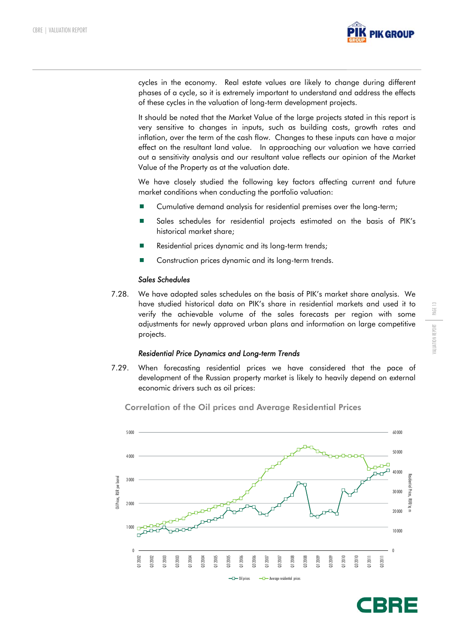

cycles in the economy. Real estate values are likely to change during different phases of a cycle, so it is extremely important to understand and address the effects of these cycles in the valuation of long-term development projects.

It should be noted that the Market Value of the large projects stated in this report is very sensitive to changes in inputs, such as building costs, growth rates and inflation, over the term of the cash flow. Changes to these inputs can have a major effect on the resultant land value. In approaching our valuation we have carried out a sensitivity analysis and our resultant value reflects our opinion of the Market Value of the Property as at the valuation date.

We have closely studied the following key factors affecting current and future market conditions when conducting the portfolio valuation:

- Cumulative demand analysis for residential premises over the long-term;
- **Sales schedules for residential projects estimated on the basis of PIK's** historical market share;
- Residential prices dynamic and its long-term trends;
- Construction prices dynamic and its long-term trends.

#### *Sales Schedules*

7.28. We have adopted sales schedules on the basis of PIK's market share analysis. We have studied historical data on PIK's share in residential markets and used it to verify the achievable volume of the sales forecasts per region with some adjustments for newly approved urban plans and information on large competitive projects.

#### *Residential Price Dynamics and Long-term Trends*

7.29. When forecasting residential prices we have considered that the pace of development of the Russian property market is likely to heavily depend on external economic drivers such as oil prices:



Correlation of the Oil prices and Average Residential Prices

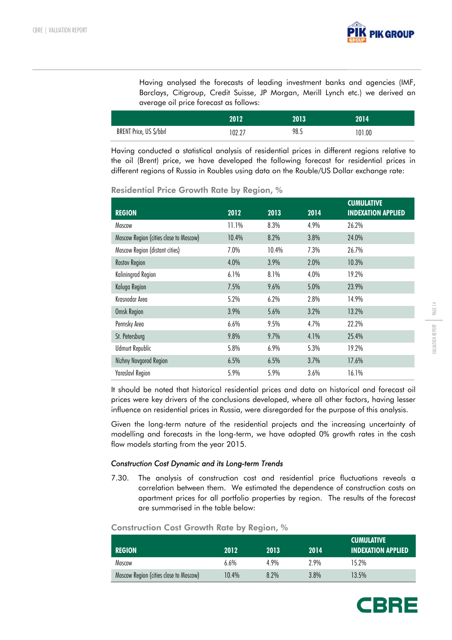

Having analysed the forecasts of leading investment banks and agencies (IMF, Barclays, Citigroup, Credit Suisse, JP Morgan, Merill Lynch etc.) we derived an average oil price forecast as follows:

|                         | 2012   | 2013 | 2014   |
|-------------------------|--------|------|--------|
| BRENT Price, US \$/bbrl | 102.27 | 98.5 | 101.00 |

Having conducted a statistical analysis of residential prices in different regions relative to the oil (Brent) price, we have developed the following forecast for residential prices in different regions of Russia in Roubles using data on the Rouble/US Dollar exchange rate:

| <b>REGION</b>                          | 2012  | 2013  | 2014 | <b>CUMULATIVE</b><br><b>INDEXATION APPLIED</b> |
|----------------------------------------|-------|-------|------|------------------------------------------------|
| Moscow                                 | 11.1% | 8.3%  | 4.9% | 26.2%                                          |
| Moscow Region (cities close to Moscow) | 10.4% | 8.2%  | 3.8% | 24.0%                                          |
| Moscow Region (distant cities)         | 7.0%  | 10.4% | 7.3% | 26.7%                                          |
| <b>Rostov Region</b>                   | 4.0%  | 3.9%  | 2.0% | 10.3%                                          |
| Kaliningrad Region                     | 6.1%  | 8.1%  | 4.0% | 19.2%                                          |
| Kaluga Region                          | 7.5%  | 9.6%  | 5.0% | 23.9%                                          |
| Krasnodar Area                         | 5.2%  | 6.2%  | 2.8% | 14.9%                                          |
| Omsk Region                            | 3.9%  | 5.6%  | 3.2% | 13.2%                                          |
| Permsky Area                           | 6.6%  | 9.5%  | 4.7% | 22.2%                                          |
| St. Petersburg                         | 9.8%  | 9.7%  | 4.1% | 25.4%                                          |
| <b>Udmurt Republic</b>                 | 5.8%  | 6.9%  | 5.3% | 19.2%                                          |
| Nizhny Novgorod Region                 | 6.5%  | 6.5%  | 3.7% | 17.6%                                          |
| <b>Yaroslavl Region</b>                | 5.9%  | 5.9%  | 3.6% | 16.1%                                          |

Residential Price Growth Rate by Region, %

It should be noted that historical residential prices and data on historical and forecast oil prices were key drivers of the conclusions developed, where all other factors, having lesser influence on residential prices in Russia, were disregarded for the purpose of this analysis.

Given the long-term nature of the residential projects and the increasing uncertainty of modelling and forecasts in the long-term, we have adopted 0% growth rates in the cash flow models starting from the year 2015.

#### *Construction Cost Dynamic and its Long-term Trends*

7.30. The analysis of construction cost and residential price fluctuations reveals a correlation between them. We estimated the dependence of construction costs on apartment prices for all portfolio properties by region. The results of the forecast are summarised in the table below:

REGION 2012 2013 2014 **CUMULATIVE** INDEXATION APPLIED Moscow 6.6% 4.9% 2.9% 15.2% Moscow Region (cities close to Moscow) 10.4% 8.2% 3.8% 13.5%

#### Construction Cost Growth Rate by Region, %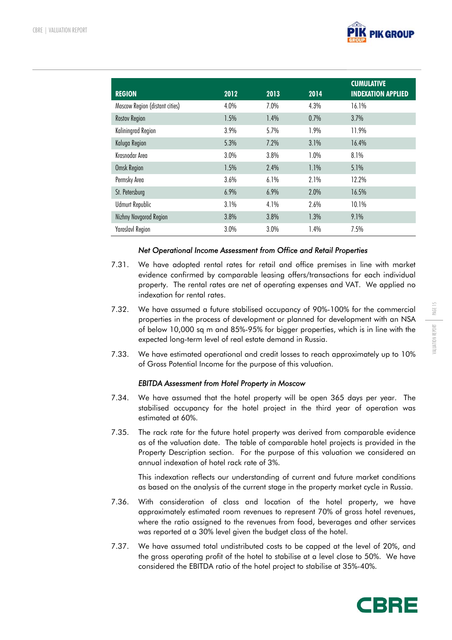

| <b>REGION</b>                  | 2012 | 2013 | 2014 | <b>CUMULATIVE</b><br><b>INDEXATION APPLIED</b> |
|--------------------------------|------|------|------|------------------------------------------------|
| Moscow Region (distant cities) | 4.0% | 7.0% | 4.3% | 16.1%                                          |
| <b>Rostov Region</b>           | 1.5% | 1.4% | 0.7% | 3.7%                                           |
| Kaliningrad Region             | 3.9% | 5.7% | 1.9% | 11.9%                                          |
| Kaluga Region                  | 5.3% | 7.2% | 3.1% | 16.4%                                          |
| Krasnodar Area                 | 3.0% | 3.8% | 1.0% | 8.1%                                           |
| Omsk Region                    | 1.5% | 2.4% | 1.1% | 5.1%                                           |
| Permsky Area                   | 3.6% | 6.1% | 2.1% | 12.2%                                          |
| St. Petersburg                 | 6.9% | 6.9% | 2.0% | 16.5%                                          |
| <b>Udmurt Republic</b>         | 3.1% | 4.1% | 2.6% | 10.1%                                          |
| Nizhny Novgorod Region         | 3.8% | 3.8% | 1.3% | 9.1%                                           |
| <b>Yaroslavl Region</b>        | 3.0% | 3.0% | 1.4% | 7.5%                                           |

#### *Net Operational Income Assessment from Office and Retail Properties*

- 7.31. We have adopted rental rates for retail and office premises in line with market evidence confirmed by comparable leasing offers/transactions for each individual property. The rental rates are net of operating expenses and VAT. We applied no indexation for rental rates.
- 7.32. We have assumed a future stabilised occupancy of 90%-100% for the commercial properties in the process of development or planned for development with an NSA of below 10,000 sq m and 85%-95% for bigger properties, which is in line with the expected long-term level of real estate demand in Russia.
- 7.33. We have estimated operational and credit losses to reach approximately up to 10% of Gross Potential Income for the purpose of this valuation.

# *EBITDA Assessment from Hotel Property in Moscow*

- 7.34. We have assumed that the hotel property will be open 365 days per year. The stabilised occupancy for the hotel project in the third year of operation was estimated at 60%.
- 7.35. The rack rate for the future hotel property was derived from comparable evidence as of the valuation date. The table of comparable hotel projects is provided in the Property Description section. For the purpose of this valuation we considered an annual indexation of hotel rack rate of 3%.

This indexation reflects our understanding of current and future market conditions as based on the analysis of the current stage in the property market cycle in Russia.

- 7.36. With consideration of class and location of the hotel property, we have approximately estimated room revenues to represent 70% of gross hotel revenues, where the ratio assigned to the revenues from food, beverages and other services was reported at a 30% level given the budget class of the hotel.
- 7.37. We have assumed total undistributed costs to be capped at the level of 20%, and the gross operating profit of the hotel to stabilise at a level close to 50%. We have considered the EBITDA ratio of the hotel project to stabilise at 35%-40%.

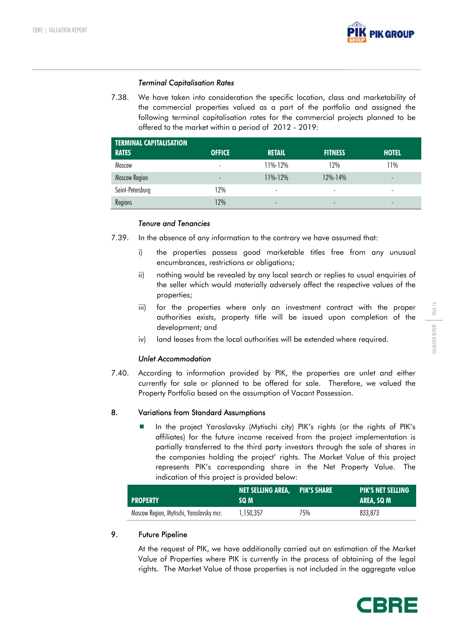

#### *Terminal Capitalisation Rates*

7.38. We have taken into consideration the specific location, class and marketability of the commercial properties valued as a part of the portfolio and assigned the following terminal capitalisation rates for the commercial projects planned to be offered to the market within a period of 2012 - 2019:

| <b>TERMINAL CAPITALISATION</b> |                          |               |                |              |
|--------------------------------|--------------------------|---------------|----------------|--------------|
| <b>RATES</b>                   | <b>OFFICE</b>            | <b>RETAIL</b> | <b>FITNESS</b> | <b>HOTEL</b> |
| Moscow                         | $\overline{\phantom{a}}$ | 11%-12%       | 12%            | 11%          |
| Moscow Region                  | $\qquad \qquad -$        | $11\% - 12\%$ | $12\% - 14\%$  | -            |
| Saint-Petersburg               | 12%                      | -             |                |              |
| Regions                        | 12%                      | -             |                |              |

#### *Tenure and Tenancies*

7.39. In the absence of any information to the contrary we have assumed that:

- i) the properties possess good marketable titles free from any unusual encumbrances, restrictions or obligations;
- ii) nothing would be revealed by any local search or replies to usual enquiries of the seller which would materially adversely affect the respective values of the properties;
- iii) for the properties where only an investment contract with the proper authorities exists, property title will be issued upon completion of the development; and
- iv) land leases from the local authorities will be extended where required.

# *Unlet Accommodation*

7.40. According to information provided by PIK, the properties are unlet and either currently for sale or planned to be offered for sale. Therefore, we valued the Property Portfolio based on the assumption of Vacant Possession.

# 8. Variations from Standard Assumptions

 In the project Yaroslavsky (Mytischi city) PIK's rights (or the rights of PIK's affiliates) for the future income received from the project implementation is partially transferred to the third party investors through the sale of shares in the companies holding the project' rights. The Market Value of this project represents PIK's corresponding share in the Net Property Value. The indication of this project is provided below:

| <b>PROPERTY</b>                           | <b>NET SELLING AREA, PIK'S SHARE</b><br>SQ M |     | <b>PIK'S NET SELLING</b><br><b>TAREA, SQ M</b> |
|-------------------------------------------|----------------------------------------------|-----|------------------------------------------------|
| Moscow Region, Mytischi, Yaroslavsky mcr. | 1.150.357                                    | 75% | 833.873                                        |

# 9. Future Pipeline

At the request of PIK, we have additionally carried out an estimation of the Market Value of Properties where PIK is currently in the process of obtaining of the legal rights. The Market Value of those properties is not included in the aggregate value

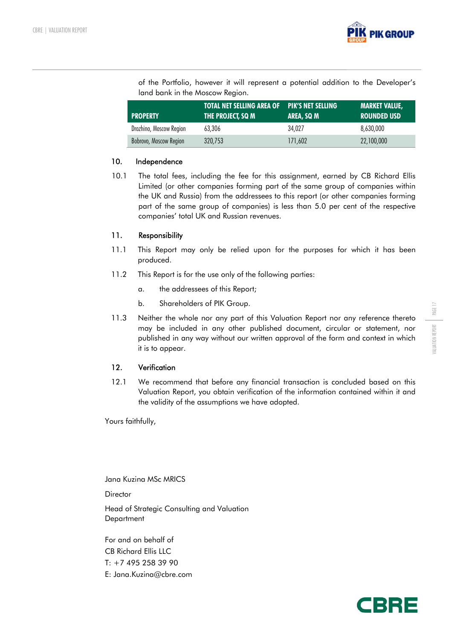

of the Portfolio, however it will represent a potential addition to the Developer's land bank in the Moscow Region.

| <b>PROPERTY</b>         | <b>TOTAL NET SELLING AREA OF PIK'S NET SELLING</b><br>THE PROJECT, SQ M | AREA, SQ M | <b>MARKET VALUE,</b><br>I ROUNDED USD |
|-------------------------|-------------------------------------------------------------------------|------------|---------------------------------------|
| Drozhino, Moscow Region | 63.306                                                                  | 34.027     | 8.630.000                             |
| Bobrovo, Moscow Region  | 320.753                                                                 | 171.602    | 22,100,000                            |

#### 10. Independence

10.1 The total fees, including the fee for this assignment, earned by CB Richard Ellis Limited (or other companies forming part of the same group of companies within the UK and Russia) from the addressees to this report (or other companies forming part of the same group of companies) is less than 5.0 per cent of the respective companies' total UK and Russian revenues.

#### 11. Responsibility

- 11.1 This Report may only be relied upon for the purposes for which it has been produced.
- 11.2 This Report is for the use only of the following parties:
	- a. the addressees of this Report;
	- b. Shareholders of PIK Group.
- 11.3 Neither the whole nor any part of this Valuation Report nor any reference thereto may be included in any other published document, circular or statement, nor published in any way without our written approval of the form and context in which it is to appear.

# 12. Verification

12.1 We recommend that before any financial transaction is concluded based on this Valuation Report, you obtain verification of the information contained within it and the validity of the assumptions we have adopted.

Yours faithfully,

Jana Kuzina MSc MRICS

**Director** 

Head of Strategic Consulting and Valuation **Department** 

For and on behalf of CB Richard Ellis LLC  $T: +74952583990$ E: Jana.Kuzina@cbre.com



PAGE 17

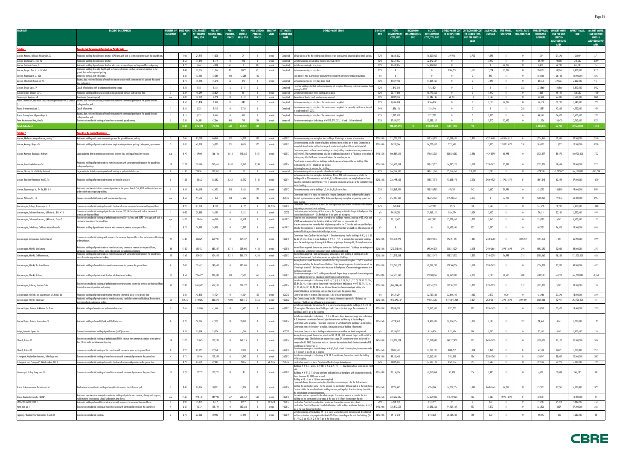| <b>AREA</b><br><b>AREA</b><br><u>roperties Held for Investment (Completed and Partially Sold)</u><br>1.03<br>24,972<br>14,378<br>$\overline{0}$<br>79<br>16,805,002<br>16,507,052<br>3,772<br>4,999<br>1,714<br>53,000<br>671<br>Moscow, Konkovo, Miklukho-Maklava St., 33<br>Residential building of prefabricated structure KOPE series with built-in commercial premises on the ground floors.<br>$\mathbf{0}$<br>on sale<br>Completed<br>All five sections of the the building were delivered. State permissioning acts are in place for all sections.<br>12%<br>297,950<br>$\overline{0}$<br>$\overline{0}$<br>21,696<br>3,359<br>0.66<br>11,844<br>8,172<br>223<br>State Comissioning Act is in place (received on 30.06.2011)<br>22,672,537<br>22,672,537<br>3,440<br>$\overline{0}$<br>749,000<br>Moscow, Lipetskaya St., own. 46<br>Residential building of prefabricated structure<br>$\mathbf{0}$<br>$\mathbf{0}$<br>on sale<br>Completed<br>12%<br>$\overline{0}$<br>$\overline{0}$<br>24,102<br>108.081<br>0.72<br>17,432,067<br>17,432,067<br>26,997<br>751<br>Moscow, Orekhoviy Proezd, 41<br>8,464<br>5,804<br>10<br>12%<br>8,470<br>24,200<br>263,000<br>Residential building of prefabricated structure with some commercial space on the ground floor and parking<br>63<br>$\overline{0}$<br>on sale<br>Completed<br>State Commissioning Act is in place.<br>$\overline{\phantom{0}}$<br>$\overline{\phantom{a}}$<br>$\overline{0}$<br>Residential building of variable heights with cast reinforced concrete structure, commercial premises on the<br>2,072<br>0.40<br>12,605<br>11,776<br>88<br>42<br>12%<br>3,304,937<br>1,595<br>3,894<br>63,992<br>208,987<br>3,132<br>Moscow, Prospect Mira St., vl. 165-169<br>on sale<br>$\mathbf{0}$<br>$\overline{0}$<br>100,862<br>6,490,000<br>Completed<br>State commissioning act is in place.<br><u>around floor and underground pai</u><br>895<br>Moscow, Ryabinovaya, St., 22A<br>3.85<br>12,285<br>12,285<br>$100 -$<br>12,285<br>100<br>Land parcel is Held as Investment and currently occupied with warehouse/ industrial buildings<br>$\overline{0}$<br>$\overline{0}$<br>$\overline{0}$<br>893<br>$\overline{0}$<br>$\overline{0}$<br>353,166<br>28,748<br>11,000,000<br>Warehouse premises with office space.<br>n/a<br>$\mathbf{0}$<br>Business class residential building of monolithic concrete structure with some commercial space on the ground<br>Moscow, Shmitovsky Proezd, vl. 20<br>0.73<br>15,240<br>15,240<br>70<br>373<br>12%<br>41,819,460<br>41,819,460<br>$\overline{0}$<br>7,699<br>229,367<br>2,660,000<br>7,131<br>$\overline{\phantom{0}}$<br>on sale<br>Completed<br>$\mathbf{0}$<br>$\overline{0}$<br>85,554<br>State commissioning act is in place dated 2008<br>$\mathbf{0}$<br>loor and parking.<br>The office building is finished, state commissioning act is in place. Ownership certificate is received dated<br>0.23<br>2,181<br>2,181<br>2,181<br>12%<br>360<br>3,902<br>7,342,824<br>7,342,824<br>$\overline{0}$<br>$\overline{0}$<br>$\mathbf{0}$<br>273,860<br>125,566<br>8,510,000<br>Class B office building with an underground parking garage.<br>6<br>- 6<br>$\mathbf{0}$<br>Moscow, Zhukov Lane, 29<br>Completed<br>uarv 26 2012<br>3.89<br>38,829<br>50,777,856<br>50,777,856<br>1,400<br>Moscow Region, Dmitrov, DZFS<br>Residential buildings of brick structure with some commercial premises on the ground floor<br>46,599<br>$\overline{0}$<br>90<br>$\mathbf{0}$<br>completed<br>State Commissioning Acts for all buildings are in place.<br>12%<br>$\overline{0}$<br>$\mathbf{0}$<br>1,440<br>$\overline{0}$<br>$\overline{0}$<br>4,061<br>45,122<br>126,000<br>- 3<br>on sale<br>9,494<br>2,107<br>14,042,145<br>28,221<br>850<br>Novorossiysk, Myskhako vill.<br>ownhouses (sandwich panel)<br>n/a<br>3.89<br>12,659<br>$\overline{0}$<br>$\overline{0}$<br>on sale<br>Completed    Qwnership certificates for all townhouses are obtained<br>12%<br>14,070,366<br>13<br>1,040<br>$\overline{0}$<br>$\overline{0}$<br>57,584<br>27,330<br>1,790,000<br>Rostov, Telmana St., Zhuravleva Lane, Grecheskogo Goroda Volos St. (Phase  Business class residential building of monolith structure with commercial premises on the ground floor and<br>1,952<br>0.59<br>15,414<br>7,380<br>16<br>840<br>26,997<br>62,707<br>12%<br>8,526,894<br>8,526,894<br>$\overline{0}$<br>$\mathbf{0}$<br>1,830<br>$\overline{0}$<br>52,674<br>1,640,000<br>on sale<br>Completed<br>State commissioning act is in place. The construction is completed.<br>nderground car park<br>State commissioning act is in place. The construction is completed. The ownership certificate is planned<br>1,479<br>0.24<br>4,735<br>2,785<br>2,785<br>14%<br>Class B office centre<br>$\overline{0}$<br>$\overline{\phantom{0}}$<br>Completed<br>1,316,146<br>1,316,146<br>$\overline{0}$<br>$\overline{0}$<br>$\overline{0}$<br>280<br>132,581<br>47,605<br>4,120,000<br>Rostov, Krasnoarmeyskaya St.<br>$\mathbf{0}$<br>be obtained in H1 2012.<br>Business class residential building of monolith structure with commercial premises on the ground floor and<br>0.16<br>5,112<br>1,606<br>819<br>12%<br>2,217,329<br>2,217,329<br>1,790<br>54,879<br>1,400,000<br>1,709<br>$\overline{0}$<br>$\overline{0}$<br>on sale<br>Completed<br>State commissioning act is in place. The construction is completed.<br>$\overline{0}$<br>44,946<br>Rostov, Gazetny Lane, Ul'yanovskaya St<br>derground car pa<br>57,555,112<br>$\overline{0}$<br>121,136<br>5,229<br>2.43<br>54,481<br>47,366<br>300<br>719<br>244<br>57,555,112<br>$\mathbf{0}$<br>1,510<br>12,422<br>$\overline{0}$<br>168,478<br>3,760,000<br>Perm, Kosmonavtov Hwy., Mira St.<br>Economy class residential buildings of monolith structure and ground parking.<br>on sale<br>completed<br>State Commissioning Acts for buildings $##215, 217, 213, 136$ and 136A are obtained.<br>12%<br>otal, Schedule 1<br>3,631,108<br>18.82<br>226,591<br>177,296<br>643<br>24,573<br>240,535,593<br>240,209,422<br>93<br>1,368,835<br>55,705<br>42,561,000<br>1,732<br>409<br>Schedule 2<br><u>roperties in the Course of Development</u><br>83,099<br>80,868<br>40295-43116<br>2,160<br>2.06<br>892<br>14,908<br>301<br>40 20 12<br>212,096,328<br>168,543,837<br>43,552,491<br>2,921<br>4299-4600<br>$\overline{0}$<br>1,036,966<br>69,558<br>32,200,000<br>Moscow, Akademika Vinogradova str., owning J<br>Residential buildings with some commercial space on the ground floor and parking.<br>on sale<br>State commissioning acts are in place for 4 buildings. 1 building is in process of construction<br>12%-23%<br>State Comissioning Acts for residential building and stand alone parking are in place. Kindergarten is<br>49,359<br>5.82<br>34,925<br>871<br>4,893<br>370<br>20 20 12<br>12%-14%<br>86,947,144<br>84,709,467<br>2,237,677<br>3,730<br>22497-25872<br>350<br>119,923<br>3,720<br>Moscow, Krasnogo Mayaka St.<br>Residential buildings of prefabricated sturcture, single standing multilevel parking, kindergarten, sports centre.<br>on sale<br>586,785<br>18,200,000<br>completed. A sport centre is at the final stage of construction: façade and fit-out works have left.<br>Construction permit certificate for one building is in place (building is under construction, works are now<br>1,102<br>169,055<br>1,818<br>4429-5199<br>0.95<br>166,126<br>145,885<br>1,451<br>40 20 17<br>on 31st level). The investment contract provides for additional construction of 7 buildings on the place of 14%-25%<br>506,587,021<br>171,656,739<br>334,930,282<br>2,296<br>60,993<br>5,175,217<br>35,475<br>160,700,000<br>Moscow, Kuntsevo, Rublevskoe Highway<br>Large residential district comprising economy and business class buildings of monolith structure.<br>n/a<br>on sale<br>existing ones, after the Moscow Government finishes the relocation process.<br>Project design is approved for two buildings, and in the process of approval for one building. State<br>Residential buildings of prefabricated and monolith structure with some commercial space on the ground floor,<br>21.22<br>211,888<br>1,633<br>33,769<br>23,997<br>2,132<br>210,616<br>1,240<br>363,458,734<br>3190-3413<br>2,317,706<br>Moscow, Novo-Peredelkino mcr.14<br>10 20 14<br>12%-25%<br>308,478,515<br>54,980,221<br>1,628<br>68,634<br>72,000,000<br>on sale<br>commissioning acts for 13 buildings are in place.<br>underground parkings.<br><u>State compliance act is obtained for 1 building.</u><br>-7,242,879<br>$-225,234$<br>Moscow, Okskaya Str. - Volzhsky Boulevard<br>Large residential district comprising reisdential buildings of prefabricated structure<br>228,367<br>228,367<br>107<br>267,964,300<br>242,411,846<br>25,552,453<br>238,808<br>$-24,100,000$<br>8<br>17.86<br>$\overline{0}$<br>$\overline{0}$<br>on sale<br>completed State comissioning Acts are in place for all residential buildings<br>12%<br>3,600<br>$\overline{0}$<br>$\overline{0}$<br>-774,988<br>State commissioning acts are in place for buildings 41 and 40A, state commissioning acts for the<br>buildings 40B in 17th microdistrict and $\# \# 1,2,3$ in 18th microdistrict are ready but have not been<br>11.35<br>133,632<br>88,052<br>1,264<br>30,742<br>1,132<br>10 20 14<br>12%-23%<br>226,498,185<br>128,872,715<br>97,625,473<br>3,176<br>3900-4129<br>31596-35171<br>1,851,545<br>60,229<br>57,500,000<br>1,870<br>$\overline{0}$<br>Moscow, Southern Chertanovo, mcr.17, 18<br>Residential buildings of prefabricated structure and monolith structure<br>on sale<br>ued yet. Construction permit for bld. 40 is in place and construction works are at the foundation stage<br>Residential complex with built-in commercial premises on the ground floor of P3M, KOPE prefabricated structure<br>4.39<br>543<br>3,368<br>277<br>5,879<br>86,628<br>62,472<br>10 20 12<br>155,869,951<br>155,393,180<br>476,769<br>142<br>3,600<br>29,996<br>188,858<br>19,800,000<br>Moscow, Zapovednaya St., 14-16, Bld. 1-9<br>12%<br>636,073<br>on sale<br>State commissioning acts for buildings 1,2,3,4,5,6,7,8,9 are in place.<br>$\overline{\phantom{0}}$<br>nd monolith concrete parking facilities.<br>nstruction permit is in place, but needs to be renewed. Construction works on frameworks is nearly<br>17,232<br>3,964<br>99,556<br>71,872<br>834<br>740<br>257,880,348<br>145,858,069<br>117,788,075<br>6,835<br>77,991<br>68,300,000<br>4.58<br>302012<br>2,200,121<br>127,676<br>Moscow, Mytnaya Str., 13<br>Business-class residential buildings with an underground parking.<br>n/a<br>on sale<br>finished, façade works are at about 60%. Underground parking is complete, engineering systems are<br>Construction Permit Certificate is in place. The building is under construction. Installation of the internal<br>0.97<br>20 20 12<br>1,810<br>21,778<br>4,139<br>4,139<br>10 20 12<br>14%<br>1,772,064<br>139,752<br>1,940<br>$\overline{0}$<br>1,632,312<br>34<br>$\overline{0}$<br>$\overline{0}$<br>241,258<br>58,289<br>7,490,000<br>Moscow region, Lobnya, Batareynaya St., 5<br>Economy class residential building of monolith structure with some commercial premises on the ground floor<br>nomy class residential building of prefabricated structure KOPE-M-Parus type with built-in commercial<br>Construction permit for building $\#10$ is in place. The Property is at the final stage of development. The<br>40.92<br>29,888<br>16,199<br>2,322<br>102012<br>24,595,285<br>1,134<br>999<br>Moscow region, Solntsevo-Park mcr., Pykhtino vil., Bld. #10<br>$\overline{0}$<br>on sale<br>21,961,111<br>2,634,174<br>2,430<br>$\mathbf{0}$<br>$\overline{0}$<br>74,611<br>32,132<br>2,320,000<br>n/a<br><u>nstruction of building # 10 is finished and fit out works are in progress</u><br>nises on the ground tl<br>onomy class residential buildings of prefabricated structure KOPE-M-Parus and KOPE-Tower types with built-in [<br>There has been no construction permits received for the buildings. However, buildings $\#23$ , $\#26$ and<br>14.98<br>103,426<br>46,370<br>43,611<br>81,119,489<br>6,017,827<br>2,260<br>6,347<br>8,600,000<br>197<br>Moscow region, Solntsevo-Park mcr., Pykhtino vil., Phase 2<br>$\overline{0}$<br>$\overline{\phantom{0}}$<br>on sale<br>Q1 2013<br>n/a<br>75,101,662<br>1,722<br>$\mathbf{0}$<br>$\overline{0}$<br>276,815<br>n/a<br>$\#26$ A are under construction. Buildings $\#24$ and $\#25$ have not been started yet<br><u>mmercial premises on the ground floor.</u><br>As at the valuation date, ownership had only been acquired for the 0.7866 ha land site (total land plot<br>0.79<br>24,998<br>24,998<br>22,889<br>Q1 2013<br>903<br>2,500<br>607,121<br>18,900,000<br>826<br>Moscow region, Scherbinka, Chekhova-Industrialnaya St.<br>Residential building of prefabricated structure with commercial premises on the ground floor.<br>$\overline{0}$<br>on sale<br>20,675,446<br>$\overline{0}$<br>26,525<br>$\mathbf{0}$<br>intended for development in accordance with the Investment Contract is 0.9266 ha). The construction of<br>n/a<br><u>isidential building has been started without permission.</u><br>Construction Permit Certificate for building $\#$ 1. State Comissioning Acts for buildings $\# \# 2$ , 4, 6, 31,<br>Economy class residential buildings with commercial premises on the ground floor, detached commercial buildings<br>157,047<br>29<br>64.81<br>446,825<br>351,941<br>2400-2700<br>35,900,000<br>229<br>$\overline{0}$<br>$\overline{\phantom{0}}$<br>40 2018<br>$32, 33, 35, 35$ a, $38$ are in place; Buildings $\# \# 9$ , 11, 52, 16, and detached commercial buildings<br>12%-23%<br>522,376,498<br>226,924,943<br>295,451,557<br>1,881<br>$\overline{\phantom{0}}$<br>300-350<br>1,154,972<br>7,354<br>Moscow region, Dolgoprudny, Tsentral District<br>on sale<br>and townhouses<br>are at the pre-design stage. Building $## 18$ is on project stage. Building $#8,17$ started construction.<br>Residential buildings of prefabricated and monolith structure, commercial premises on the ground floors,<br>Master Plan is approved. Construction permits for 6 buildings are received. 7 buildings are in the process<br>81.00<br>835,413<br>831,237<br>4,710<br>239,305<br>4,158<br>12%-23%<br>1,213,513,604<br>2490-2664<br>16998-18698<br>390<br>12,085<br>89,800,000<br>375<br>Moscow region, Khimki, Novokurkino<br>38<br>on sale<br>40 2018<br>692,201,375<br>521,312,229<br>2,178<br>2,892,090<br>standalone shopping centres, fitness centre, aboveground and underground parking.<br>construction. State Commissioning Acts for 20 buildings are obtained<br>Residential buildings of prefabricated and monolith structure with some commercial space on the ground floors,<br>Master Plan is approved. State commissioning act is in place for 1 building. 5 buildings are in the<br>568<br>25<br>41.67<br>404,425<br>404,425<br>4,210<br>301,272<br>4,210<br>40 2017<br>12%-23%<br>711,715,583<br>455, 378, 172<br>2140-2290<br>16,998<br>310<br>18,283<br>171,100,000<br>Moscow region, Khimki, Sovkhoznaya str., 11<br>on sale<br>256,337,411<br>1,512<br>5,508,160<br><u>stand alone shopping centres and parking.</u><br><u>urse of development. Construction permits are in place for 4 buildin</u><br>Master plan is approved. Investment contract with the city government is in place (195,351 sqm of net<br>[fing area excluding the share of interest holders). Project design is approved. Construction permit for<br>Moscow region, Khimki, The Star of Russia<br>7.09<br>201,612<br>140,609<br>108,685<br>40 20 16<br>12%-23%<br>220,566,327<br>49,057,793<br>171,508,534<br>1,578<br>2280-2439<br>1,514,709<br>13,937<br>47,000,000<br>432<br>Residential buildings of monolith structure with some commercial space on the ground floors.<br>$\overline{0}$<br>$\mathbf{0}$<br>on sale<br>building is obtained. 1 buildings are in the course of development. ${\sf Commission}$ permissions for 4 $\,$<br><u>uildinas are obtained.</u><br>State Commissioning Acts for 12 buildings are obtained. Project design is approved. Construction permits<br>16<br>8.54<br>276,429<br>218,430<br>930<br>19,739<br>550<br>30 20 13<br>12%-20%<br>362,750,946<br>276,084,942<br>86,666,002<br>4,391<br>2,880<br>18,698<br>400<br>$-801,249$<br>$-40,592$<br>$-24,900,000$<br>$-1,261$<br>Moscow region, Khimki, Ubileiniy<br>Residential buildings of prefabricated structure, retail centre and parking<br>on sale<br>3 buildings are received. 4 buildings are in the process of construction.<br>State Commissioning Acts for buildings ##1,1a, 2, 3, 4, 5, 6, 12, 17, 21, 22, 23, 24, 25, 31, 31a,<br>Economy class residential buildings of prefabricated structure with some commercial premises on the ground floor,<br>32, 34, 36, 45, 46 are in place; Construction Permit Certificates for buildings ##7, 13, 14, 15, 16,<br>55<br>29.80<br>1,063,683<br>666,252<br>359,877<br>40 2016<br>12%-23%<br>1,046,844,648<br>416,542,038<br>630, 302, 612<br>1,751<br>2120-2270<br>210<br>1,215,201<br>3,377<br>37,700,000<br>105<br>$\overline{0}$<br>on sale<br>Moscow region, Lubertsy, Krasnaya Gorka<br>$\overline{\mathbf{0}}$<br>$\overline{\phantom{0}}$<br>18, 19, 20, 26, 37, 38, 43, 44, 47 are obtained. Project has been re-developed, adding a lot<br>detached commercial premises, and parking.<br>residential buildings and removing parkings. New project is on the approval stage.<br>32,157,533<br>2,570<br>Moscow region, Mytischi, 3rd Krestyanskaya str., bld.60-62<br>Residential buildings of prefabricated structure with some commercial space on the ground floor<br>2.30<br>42,820<br>15,724<br>15,724<br>152<br>402012<br>Construction permit is obtained. The building is in the course of development.<br>54,672,254<br>22,514,720<br>1,432<br>2,570<br>$\overline{0}$<br>435,486<br>27,696<br>13,500,000<br>859<br>$\overline{0}$<br>on sale<br>n/a<br>esidential buildings of prefabricated and monolith structure, stand alone commercial buildings, fitness centre,<br>ate Commissioning Acts for 14 buildings are obtained. Construction permits for 4 buildings are<br>58<br>7,603<br>Moscow region, Mytishi, Yaroslavsky<br>114.25<br>1,150,357<br>833,873<br>632,415<br>7,516<br>on sale<br>40 20 22<br>12%-23%<br>1,943,699,247<br>472,052,780<br>1,471,646,464<br>2,327<br>2520-2814<br>16198-18598<br>200-400<br>8,168,963<br>12,917<br>253,700,000<br>401<br>ained. 7 buildings are in the course of development.<br>oveground and underground parking<br>State Commissioning Act for building #3 is in place. Construction permits for buildings ##4, 8, 13<br>17,493<br>111,880<br>41,664<br>35,838,118<br>31,860,382<br>3,977,735<br>227<br>1350-1490<br>624,060<br>35,675<br>1,109<br>Moscow Region, Dmitrov, Makhalina, 1st Phase<br>Residential builings of monolith and prefabricated structure<br>2.66<br>$\overline{0}$<br>on sale<br>40 2013<br>12%-18%<br>$\overline{0}$<br>$\overline{0}$<br>19,400,000<br>$\overline{\phantom{0}}$<br>15 are in place. The construction of buildings 4 and 13 are at the final stage. The construction of<br>dinas 8 and 15 are at the beainning<br>State Commissioning Acts for buildings 1, 2, 3, 9, 10 are in place. Masterplan is approved for buildings<br>4, 5. Investment contract with Dmitrov Region Administration and Ministry of Moscow Region<br>54,626<br>47,782<br>20,666<br>20 20 14<br>55,242,478<br>30,430,403<br>24,812,075<br>1,201<br>1,380<br>327<br>4,571<br>2,930,000<br>142<br>Moscow Region, Dmitrov, Vnukovskaya St.<br>Residential buildings of monolith/brick and SMKD structure<br>3.78<br>on sale<br>12%-25%<br>$\mathbf{0}$<br>94,460<br>$\mathbf{0}$<br>$\mathbf{0}$<br>Construction Sector is in place. Favourable conclusions of State Expertise for buildings 4,5 are in place.<br>Construction permit for building 4 is in place. Construction works of building 4 has started.<br>13,354<br>4Q2012 Consturction Permit is in place. Building is under construction with first two levels being erected<br>3,126,836<br>9,781,676<br>253<br>Kaluga, Generala Popova Str.<br>conomy Class residential building of prefabricated (SMKD) structure<br>0.93<br>13,354<br>11,066<br>12,908,512<br>884<br>1,300<br>$\overline{\mathbf{0}}$<br>90,182<br>8,149<br>2,800,000<br>$\overline{0}$<br>$\mathbf{0}$<br>on sale<br>n/a<br>$\overline{0}$<br>Master plan is approved. Construction permits for bld. 1A, 2A,1B,2B received. Project for 1V and 2V is<br>Economy class residential buildings of prefabricated (SMKD) structure with commercial premises on the ground<br>on the design stage. Other building are on pre-design stage. 2A is under construction and should be<br>171,065<br>162,715<br>14<br>13.50<br>169,208<br>10 20 16<br>14%-23%<br>159,229,294<br>13,251,838<br>145,977,458<br>897<br>1410-1490<br>1,810,506<br>11,127<br>56,200,000<br>345<br>$\overline{0}$<br>on sale<br>$\overline{0}$<br>$\overline{0}$<br>Obninsk, District 55<br>$\overline{\phantom{0}}$<br>floor, fitness centre and aboveground parking<br>ompleted in Q2 2012. Construction works of 1A are on the foundation level. Construction works of 1B<br>anuld begin in February 2012.<br>State Commissioning Acts for the buildings ##4,5,7,8,9,10 and 11 are in place; Constructions works<br>2.27<br>82,297<br>7,383<br>12%-16%<br>70,887,781<br>82,170<br>40 20 12<br>61,998,791<br>8,888,989<br>1,204<br>1,460<br>$\mathbf{0}$<br>63,534<br>8,605<br>267<br>Economy class residential buildings of brick structure with commercial space on the ground floors<br>$\overline{0}$<br>on sale<br>$\overline{0}$<br>1,970,000<br>Obninsk, District 38<br>$\mathbf{0}$<br>7-8 storeys of bld#6 are in progress.<br>State Commissioning Acts for buildings #2A, 3A, B are obtained; Construction permits the building<br>3.71<br>106,956<br>101,395<br>19,143<br>20 20 12<br>12%-14%<br>95,353,450<br>92,360,431<br>2,993,018<br>156<br>1300-1360<br>670,141<br>35,007<br>1,087<br>$\overline{0}$<br>$\mathbf{0}$<br>on sale<br>$\mathbf{0}$<br>$\overline{0}$<br>20,800,000<br>N.Novgorod, Mezherskoe Ozero mcr., Volzhskaya emb.<br>Economy class residential buildings of monolith structure with commercial premises on the ground floor<br>#1A is in place.<br>23,919<br>20,825,263<br>3,522,137<br>722<br>Economy class residential building of monolith structure with commercial premises on the ground floor.<br>0.79<br>22,013<br>9,855<br>20 20 12<br>202012<br>Construction permit is in place. Property is at the final stage of development.<br>17,303,126<br>357<br>1,200<br>$\overline{0}$<br>229,384<br>23,276<br>7,120,000<br>N.Novgorod, mcr. "Sotsgorod", Oktyabrya Ave., bld. 1<br>$\overline{0}$<br>$\mathbf{0}$<br>16%<br>$\overline{0}$<br>Buildings $\# \# 1$ , 3 (sector 7-8, 9-10), 2, 4, 5, 6, 9, 10, 11 - have been put into operation and mostly<br>5.70<br>102,239<br>100,271<br>141<br>77,106,124<br>77,059,054<br>47,070<br>334<br>1,400<br>32,894<br>144,000<br>1,021<br>Novorossiysk, Yuzhny Bereg, mcr. 15<br>Economy class residential buildings of monolith structure with commercial premises on the ground floors<br>$\mathbf{1}$<br>$\overline{0}$<br>on sale<br>40 20 12<br>12%-14%<br>$\overline{0}$<br>4.638<br>$\overline{\phantom{0}}$<br>Buildings $\# \#$ 11, 3 (1-6) were completed and Certificates of compliance with construction standards<br>dated December 30, 2011 were received;<br>$t$ iuilding $#13 = 9$ out of 16 floors were completed<br>There are following documents are in place: the state commissioning act - for the first residential<br>building, the construction permit - for the car park. The construction of the car park is at the final stages.<br>0.42<br>26,116<br>18,281<br>13,134<br>68<br>40 20 14<br>12%-25%<br>20,941,449<br>1,140<br>1640-1740<br>26,997<br>372<br>Rostov, Sokolova Avenue, Varfolomeeva St.<br>Two business class residential buildings of monolith structure and stand alone car park.<br>68<br>5,964,224<br>14,977,225<br>157,191<br>11,968<br>4,880,000<br>on sale<br>$\overline{0}$<br>The land plot for the second residential building is vacant, and legally is close to obtaining clean title;<br>e proiect design is under development.<br>Residential complex with economy class residential buildings of prefabricated structure, aboveground car parks,<br>The master plan was approved for the whole complex. Construction permit is in place for the first<br>15.67<br>278,178<br>244,908<br>557<br>533<br>40 2018<br>12%-25%<br>234,222,805<br>17,654,086<br>1,180<br>10999-14898<br>430,781<br>13,400,000<br>Rostov, Residential Complex "NORD"<br>236,652<br>on sale<br>216,739,126<br>916<br>$\overline{0}$<br>-57<br>n/a<br>ultifunctional leisure centre, school, kindergarten, and church.<br>ding and the construction is in progress at the level of 2-8 floors depending on the unit.<br>10 2013<br>10 2013<br>14,814<br>6,019<br>3,478,444<br>145,767<br>4,530,000<br>753<br>6.03<br>6,019<br>20%<br>3,478,444<br>970<br>24,218<br>Omsk, mcr.Crystal, phase II<br>Residential buildings of monolith concrete structure with commercial premises on the ground floors<br>$\overline{0}$<br>$\overline{0}$<br>onstruction Permit for the whole district is obtained. Construction resumes after a break.<br>$\overline{0}$<br>$\overline{0}$<br>$\overline{0}$<br>Construction Permit Certificate for 9 residential buildings and 2 parkings is obtained. Buildings $\#3,4,5$<br>115,724<br>115,724<br>102,683<br>40 20 17<br>14%-20%<br>125,510,554<br>31,343,366<br>94,167,189<br>917<br>1,370<br>8,539<br>265<br>Perm, mcr. Iva-1<br>conomy class residential buildings of monolith structure with commercial premises on the ground floor.<br>6.42<br>$\overline{0}$<br>$\mathbf{0}$<br>on sale<br>$\overline{0}$<br>$\overline{0}$<br>876,806<br>27,200,000<br>re at the final stage of construction.<br>State Comissioning Act for building VA-1 is in place. Construction permit for building VA-3 is obtained<br>3.78<br>32,630<br>30,953<br>27,599<br>16%-23%<br>29,147,318<br>8,443,075<br>750<br>870<br>1,613<br>1,380,000<br>50<br>Taganrog, "Russkoe Pole" microdistrict, S.Shilo St.<br>$\overline{0}$<br>$\mathbf{0}$<br>40 2015<br>20,704,243<br>$\overline{0}$<br>$\overline{0}$<br>44,505<br>Economy class residential buildings.<br>on sale<br>and the construction is in progress at the level of 7-8 floors depending on the unit. Five buildings (VA- | <b>PROJECT DESCRIPTION</b> | <b>BUILDINGS</b> | <b>HA</b> | NUMBER OF LAND PLOT, TOTAL PROJECT<br>AREA, SQM | <b>PIK'S NET</b><br>NET SELLING SELLING AREA.<br>som | <b>PIK'S</b><br><b>PARKING,</b> | PIK'S<br><b>UNSOLD</b><br>SPACES AREA, SQM | <b>PIK'S UNSOLD START OF</b><br><b>PARKING.</b><br><b>SPACES</b> | <b>SALES</b> | <b>ESTIMATED</b><br><b>COMPLETION</b><br><b>DATE</b> | <b>DEVELOPMENT STAGE</b>                                    | <b>RATE</b> | TOTAL<br>INCLUDING<br><b>DEVELOPMENT</b><br><b>ENCUMBRANCES.</b><br><b>USD</b><br><b>COST. USD</b> | <b>ACTUAL</b><br><b>DEVELOPMENT</b><br>COST, YTD, USD | DEVELOPMENT COST DEVELOPMENT COST SALE PRICES. SALE PRICES.<br>TO COMPLETION.<br><b>USD</b> | TO COMPLETION,<br><b>USD PER UNSOLD</b><br><b>AREA</b> | USD/SQM | USD/SPACE | <b>RENTAL RATE,</b><br>USD/SQM/YEAR | <b>MARKET VALUE,</b><br><b>THOUSAND</b><br><b>ROUBLES</b> | <b>MARKET VALUE,</b><br><b>RUR PER SQM</b><br><b>UNSOLD</b><br><b>ABOVEGROUND</b> | <b>MARKET VALUE</b><br><b>USD</b> | MARKET VALUI<br><b>USD PER SQN</b><br><b>UNSOLD</b><br><b>ABOVEGROUND</b> |
|-----------------------------------------------------------------------------------------------------------------------------------------------------------------------------------------------------------------------------------------------------------------------------------------------------------------------------------------------------------------------------------------------------------------------------------------------------------------------------------------------------------------------------------------------------------------------------------------------------------------------------------------------------------------------------------------------------------------------------------------------------------------------------------------------------------------------------------------------------------------------------------------------------------------------------------------------------------------------------------------------------------------------------------------------------------------------------------------------------------------------------------------------------------------------------------------------------------------------------------------------------------------------------------------------------------------------------------------------------------------------------------------------------------------------------------------------------------------------------------------------------------------------------------------------------------------------------------------------------------------------------------------------------------------------------------------------------------------------------------------------------------------------------------------------------------------------------------------------------------------------------------------------------------------------------------------------------------------------------------------------------------------------------------------------------------------------------------------------------------------------------------------------------------------------------------------------------------------------------------------------------------------------------------------------------------------------------------------------------------------------------------------------------------------------------------------------------------------------------------------------------------------------------------------------------------------------------------------------------------------------------------------------------------------------------------------------------------------------------------------------------------------------------------------------------------------------------------------------------------------------------------------------------------------------------------------------------------------------------------------------------------------------------------------------------------------------------------------------------------------------------------------------------------------------------------------------------------------------------------------------------------------------------------------------------------------------------------------------------------------------------------------------------------------------------------------------------------------------------------------------------------------------------------------------------------------------------------------------------------------------------------------------------------------------------------------------------------------------------------------------------------------------------------------------------------------------------------------------------------------------------------------------------------------------------------------------------------------------------------------------------------------------------------------------------------------------------------------------------------------------------------------------------------------------------------------------------------------------------------------------------------------------------------------------------------------------------------------------------------------------------------------------------------------------------------------------------------------------------------------------------------------------------------------------------------------------------------------------------------------------------------------------------------------------------------------------------------------------------------------------------------------------------------------------------------------------------------------------------------------------------------------------------------------------------------------------------------------------------------------------------------------------------------------------------------------------------------------------------------------------------------------------------------------------------------------------------------------------------------------------------------------------------------------------------------------------------------------------------------------------------------------------------------------------------------------------------------------------------------------------------------------------------------------------------------------------------------------------------------------------------------------------------------------------------------------------------------------------------------------------------------------------------------------------------------------------------------------------------------------------------------------------------------------------------------------------------------------------------------------------------------------------------------------------------------------------------------------------------------------------------------------------------------------------------------------------------------------------------------------------------------------------------------------------------------------------------------------------------------------------------------------------------------------------------------------------------------------------------------------------------------------------------------------------------------------------------------------------------------------------------------------------------------------------------------------------------------------------------------------------------------------------------------------------------------------------------------------------------------------------------------------------------------------------------------------------------------------------------------------------------------------------------------------------------------------------------------------------------------------------------------------------------------------------------------------------------------------------------------------------------------------------------------------------------------------------------------------------------------------------------------------------------------------------------------------------------------------------------------------------------------------------------------------------------------------------------------------------------------------------------------------------------------------------------------------------------------------------------------------------------------------------------------------------------------------------------------------------------------------------------------------------------------------------------------------------------------------------------------------------------------------------------------------------------------------------------------------------------------------------------------------------------------------------------------------------------------------------------------------------------------------------------------------------------------------------------------------------------------------------------------------------------------------------------------------------------------------------------------------------------------------------------------------------------------------------------------------------------------------------------------------------------------------------------------------------------------------------------------------------------------------------------------------------------------------------------------------------------------------------------------------------------------------------------------------------------------------------------------------------------------------------------------------------------------------------------------------------------------------------------------------------------------------------------------------------------------------------------------------------------------------------------------------------------------------------------------------------------------------------------------------------------------------------------------------------------------------------------------------------------------------------------------------------------------------------------------------------------------------------------------------------------------------------------------------------------------------------------------------------------------------------------------------------------------------------------------------------------------------------------------------------------------------------------------------------------------------------------------------------------------------------------------------------------------------------------------------------------------------------------------------------------------------------------------------------------------------------------------------------------------------------------------------------------------------------------------------------------------------------------------------------------------------------------------------------------------------------------------------------------------------------------------------------------------------------------------------------------------------------------------------------------------------------------------------------------------------------------------------------------------------------------------------------------------------------------------------------------------------------------------------------------------------------------------------------------------------------------------------------------------------------------------------------------------------------------------------------------------------------------------------------------------------------------------------------------------------------------------------------------------------------------------------------------------------------------------------------------------------------------------------------------------------------------------------------------------------------------------------------------------------------------------------------------------------------------------------------------------------------------------------------------------------------------------------------------------------------------------------------------------------------------------------------------------------------------------------------------------------------------------------------------------------------------------------------------------------------------------------------------------------------------------------------------------------------------------------------------------------------------------------------------------------------------------------------------------------------------------------------------------------------------------------------------------------------------------------------------------------------------------------------------------------------------------------------------------------------------------------------------------------------------------------------------------------------------------------------------------------------------------------------------------------------------------------------------------------------------------------------------------------------------------------------------------------------------------------------------------------------------------------------------------------------------------------------------------------------------------------------------------------------------------------------------------------------------------------------------------------------------------------------------------------------------------------------------------------------------------------------------------------------------------------------------------------------------------------------------------------------------------------------------------------------------------------------------------------------------------------------------------------------------------------------------------------------------------------------------------------------------------------------------------------------------------------------------------------------------------------------------------------------------------------------------------------------------------------------------------------------------------------------------------------------------------------------------------------------------------------------------------------------------------------------------------------------------------------------------------------------------------------------------------------------------------------------------------------------------------------------------------------------------------------------------------------------------------------------------------------------------------------------------------------------------------------------------------------------------------------------------------------------------------------------------------------------------------------------------------------------------------------------------------------------------------------------------------------------------------------------------------------------------------------------------------------------------------------------------------------------------------------------------------------------------------------------------------------------------------------------------------------------------------------------------------------------------------------------------------------------------------------------------------------------------------------------------------------------------------------------------------------------------------------------------------------------------------------------------------------------------------------------------------------------------------------------------------------------------------------------------------------------------------------------------------------------------------------------------------------------------------------------------------------------------------------------------------------------------------------------------------------------------------------------------------------------------------------------------------------------------------------------------------------------------------------------------------------------------------------------------------------------------------------------------------------------------------------------------------------------------------------------------------------------------------------------------------------------------------------------------------------------------------------------------------------------------------------------------------------------------------------------------------------------------------------------------------------------------------------------------------------------------------------------------------------------------------------------------------------------------------------------------------------------------------------------------------------------------------------------------------------------------------------------------------------------------------------------------------------------------------------------------------------------------------------------------------------------------------------------------------------------------------------------------------------------------------------------------------------------------------------------------------------------------------------------------------------------------------------------------------------------------------------------------------------------------------------------------------------------------------------------------------------------------------------------------------------------------------------------------------------------------------------------------------------------------------------------------------------------------------------------------------------------------------------------------------------------------------------------------------------------------------------------------------------------------------------------------------------------------------------------------------------------------------------------------------------------------------------------------------------------------------------------------------------------------------------------------------------------------------------------------------------------------------------------------------------------------------------------------------------------------------------------------------------------------------------------------------------------------------------------------------------------------------------------------------------------------------------------------------------------------------------------------------------------------------------------------------------------------------------------------------------------------------------------------------------------------------------------------------------------------------------------------------------------------------------------------------------------------------------------------------------------------------------------------------------------------------------------------------------------------------------------------------------------------------------------------------------------------------------------------------------------------------------------------------------------------------------------------------------------------------------------------------------------------------------------------------------------------------------------------------------------------------------------------------------------------------------------------------------------------------------------------------------------------------------------------------------------------------------------------------------------------------------------------------------------------------------------------------------------------------------------------------------------------------------------------------------------------------------------------------------------------------------------------------------------------------------------------------------------------------------------------------------------------------------------------------------------------------------------------------------------------------------------------------------------------------------------------------------------------------------------------------------------------------------------------------------------------------------------------------------------------------------------------------------------------------------------------------------------------------------------------------------------------------------------------------------------------------------------------------------------------------------------------------------------------------------------------------------------------------------------------------------------------------------------------------------------------------------------------------------------------------------------------------------------------------------------------------------------------------------------------------------------------------------------------------------------------------------------------------------------------------------------------------------------------------------------------------------------------------------------------------------------------------------------------------------------------------------------------------------------------------------------------------------------------------------------------------------------------------------------------------------------------------------------------------------------------------------------------------------------------------------------------------------------------------------------------------------------------------------------------------------------------------------------------------------------------------------------------------------------------------------------------------------------------------------------------------------------------------------------------------------------------------------------------------------------------------------------------------------------------------------------------------------------------------------------------------------------------------------------------------------------------------------------------------------------------------------------------------------------------------------------------------------------------------------------------------------------------------------------------------------------------------------------------------------------------------------------------------------------------------------------------------------------------------------------------------------------------------------------------------------------------------------------------------------------------------------------------------------------------------------------------------------------------------------------------------------------------------------------------------------------------------------------------------------------------------------------------------------------------------------------------------------------------------------------------------------------------------------------------------------------------------------------------------------------------------------------------------------------------------------------------------------------------------------------------------------------------------------------------------------------------------------------------------------------------------------------------------------------------------------------------------------------------------------------------------------------------------------------------------------------------------------------------------------------------------------------------------------------------------------------------------------------------------------------------------------------------------------------------------------------------------------------------------------------------------------------------------------------------------------------------------------------------------------------------------------------------------------------------------------------------------------------------------------------------------------------------------------------------------------------------------------------------------------------------------------------------------------------------------------------------------------------------------------------------------------------------------------------------------------------------------------------------------------------------------------------------------------------------------------------------------------------------------------------------------------------------------------------------------------------------------------------------------------------------------------------------------------------------------------------------------------------------------------------------------------------------------------------------------------------------------------------------------------------------------------------------------------------------------------------------------------------------------------------------------------------------------------------------------------------------------------------------------------------------------------------------------------------------------------------------------------------------------------------------------------------------------------------------------------------------------------------------------------------------------------------------------------------------------------------------------------------------------------------------------------------------------------------------------------------------------------------------------------------------------------------------------------------------------------------------------------------------------------------------------------------------------------------------------------------------------------------------------------------------------------------------------------------------------------------------------------------------------------------------------------------------------------------------------------------------------------------------------------------------------------------------------------------------------------------------------------------------------------------------------------------------------------------------------------------------------------------------------------------------------------------|----------------------------|------------------|-----------|-------------------------------------------------|------------------------------------------------------|---------------------------------|--------------------------------------------|------------------------------------------------------------------|--------------|------------------------------------------------------|-------------------------------------------------------------|-------------|----------------------------------------------------------------------------------------------------|-------------------------------------------------------|---------------------------------------------------------------------------------------------|--------------------------------------------------------|---------|-----------|-------------------------------------|-----------------------------------------------------------|-----------------------------------------------------------------------------------|-----------------------------------|---------------------------------------------------------------------------|
|                                                                                                                                                                                                                                                                                                                                                                                                                                                                                                                                                                                                                                                                                                                                                                                                                                                                                                                                                                                                                                                                                                                                                                                                                                                                                                                                                                                                                                                                                                                                                                                                                                                                                                                                                                                                                                                                                                                                                                                                                                                                                                                                                                                                                                                                                                                                                                                                                                                                                                                                                                                                                                                                                                                                                                                                                                                                                                                                                                                                                                                                                                                                                                                                                                                                                                                                                                                                                                                                                                                                                                                                                                                                                                                                                                                                                                                                                                                                                                                                                                                                                                                                                                                                                                                                                                                                                                                                                                                                                                                                                                                                                                                                                                                                                                                                                                                                                                                                                                                                                                                                                                                                                                                                                                                                                                                                                                                                                                                                                                                                                                                                                                                                                                                                                                                                                                                                                                                                                                                                                                                                                                                                                                                                                                                                                                                                                                                                                                                                                                                                                                                                                                                                                                                                                                                                                                                                                                                                                                                                                                                                                                                                                                                                                                                                                                                                                                                                                                                                                                                                                                                                                                                                                                                                                                                                                                                                                                                                                                                                                                                                                                                                                                                                                                                                                                                                                                                                                                                                                                                                                                                                                                                                                                                                                                                                                                                                                                                                                                                                                                                                                                                                                                                                                                                                                                                                                                                                                                                                                                                                                                                                                                                                                                                                                                                                                                                                                                                                                                                                                                                                                                                                                                                                                                                                                                                                                                                                                                                                                                                                                                                                                                                                                                                                                                                                                                                                                                                                                                                                                                                                                                                                                                                                                                                                                                                                                                                                                                                                                                                                                                                                                                                                                                                                                                                                                                                                                                                                                                                                                                                                                                                                                                                                                                                                                                                                                                                                                                                                                                                                                                                                                                                                                                                                                                                                                                                                                                                                                                                                                                                                                                                                                                                                                                                                                                                                                                                                                                                                                                                                                                                                                                                                                                                                                                                                                                                                                                                                                                                                                                                                                                                                                                                                                                                                                                                                                                                                                                                                                                                                                                                                                                                                                                                                                                                                                                                                                                                                                                                                                                                                                                                                                                                                                                                                                                                                                                                                                                                                                                                                                                                                                                                                                                                                                                                                                                                                                                                                                                                                                                                                                                                                                                                                                                                                                                                                                                                                                                                                                                                                                                                                                                                                                                                                                                                                                                                                                                                                                                                                                                                                                                                                                                                                                                                                                                                                                                                                                                                                                                                                                                                                                                                                                                                                                                                                                                                                                                                                                                                                                                                                                                                                                                                                                                                                                                                                                                                                                                                                                                                                                                                                                                                                                                                                                                                                                                                                                                                                                                                                                                                                                                                                                                                                                                                                                                                                                                                                                                                                                                                                                                                                                                                                                                                                                                                                                                                                                                                                                                                                                                                                                                                                                                                                                                                                                                                                                                                                                                                                                                                                                                                                                                                                                                                                                                                                                                                                                                                                                                                                                                                                                                                                                                                                                                                                                                                                                                                                                                                                                                                                                                                                                                                                                                                                                                                                                                                                                                                                                                                                                                                                                                                                                                                                                                                                                                                                                                                                                                                                                                                                                                                                                                                                                                                                                                                                                                                                                                                                                                                                                                                                                                                                                                                                                                                                                                                                                                                                                                                                                                                                                                                                                                                                                                                                                                                                                                                                                                                                                                                                                                                                                                                                                                                                                                                                                                                                                                                                                                                                                                                                                                                                                                                                                                                                                                                                                                                                                                                                                                                                                                                                                                                                                                                                                                                                                                                                                                                                                                                                                                                                                                                                                                                                                                                                                                                                                                                                                                                                                                                                                                                                                                                                                                                                                                                                                                                                                                                                                                                                                                                                                                                                                                                                                                                                                                       |                            |                  |           |                                                 |                                                      |                                 |                                            |                                                                  |              |                                                      |                                                             |             |                                                                                                    |                                                       |                                                                                             |                                                        |         |           |                                     |                                                           |                                                                                   |                                   |                                                                           |
|                                                                                                                                                                                                                                                                                                                                                                                                                                                                                                                                                                                                                                                                                                                                                                                                                                                                                                                                                                                                                                                                                                                                                                                                                                                                                                                                                                                                                                                                                                                                                                                                                                                                                                                                                                                                                                                                                                                                                                                                                                                                                                                                                                                                                                                                                                                                                                                                                                                                                                                                                                                                                                                                                                                                                                                                                                                                                                                                                                                                                                                                                                                                                                                                                                                                                                                                                                                                                                                                                                                                                                                                                                                                                                                                                                                                                                                                                                                                                                                                                                                                                                                                                                                                                                                                                                                                                                                                                                                                                                                                                                                                                                                                                                                                                                                                                                                                                                                                                                                                                                                                                                                                                                                                                                                                                                                                                                                                                                                                                                                                                                                                                                                                                                                                                                                                                                                                                                                                                                                                                                                                                                                                                                                                                                                                                                                                                                                                                                                                                                                                                                                                                                                                                                                                                                                                                                                                                                                                                                                                                                                                                                                                                                                                                                                                                                                                                                                                                                                                                                                                                                                                                                                                                                                                                                                                                                                                                                                                                                                                                                                                                                                                                                                                                                                                                                                                                                                                                                                                                                                                                                                                                                                                                                                                                                                                                                                                                                                                                                                                                                                                                                                                                                                                                                                                                                                                                                                                                                                                                                                                                                                                                                                                                                                                                                                                                                                                                                                                                                                                                                                                                                                                                                                                                                                                                                                                                                                                                                                                                                                                                                                                                                                                                                                                                                                                                                                                                                                                                                                                                                                                                                                                                                                                                                                                                                                                                                                                                                                                                                                                                                                                                                                                                                                                                                                                                                                                                                                                                                                                                                                                                                                                                                                                                                                                                                                                                                                                                                                                                                                                                                                                                                                                                                                                                                                                                                                                                                                                                                                                                                                                                                                                                                                                                                                                                                                                                                                                                                                                                                                                                                                                                                                                                                                                                                                                                                                                                                                                                                                                                                                                                                                                                                                                                                                                                                                                                                                                                                                                                                                                                                                                                                                                                                                                                                                                                                                                                                                                                                                                                                                                                                                                                                                                                                                                                                                                                                                                                                                                                                                                                                                                                                                                                                                                                                                                                                                                                                                                                                                                                                                                                                                                                                                                                                                                                                                                                                                                                                                                                                                                                                                                                                                                                                                                                                                                                                                                                                                                                                                                                                                                                                                                                                                                                                                                                                                                                                                                                                                                                                                                                                                                                                                                                                                                                                                                                                                                                                                                                                                                                                                                                                                                                                                                                                                                                                                                                                                                                                                                                                                                                                                                                                                                                                                                                                                                                                                                                                                                                                                                                                                                                                                                                                                                                                                                                                                                                                                                                                                                                                                                                                                                                                                                                                                                                                                                                                                                                                                                                                                                                                                                                                                                                                                                                                                                                                                                                                                                                                                                                                                                                                                                                                                                                                                                                                                                                                                                                                                                                                                                                                                                                                                                                                                                                                                                                                                                                                                                                                                                                                                                                                                                                                                                                                                                                                                                                                                                                                                                                                                                                                                                                                                                                                                                                                                                                                                                                                                                                                                                                                                                                                                                                                                                                                                                                                                                                                                                                                                                                                                                                                                                                                                                                                                                                                                                                                                                                                                                                                                                                                                                                                                                                                                                                                                                                                                                                                                                                                                                                                                                                                                                                                                                                                                                                                                                                                                                                                                                                                                                                                                                                                                                                                                                                                                                                                                                                                                                                                                                                                                                                                                                                                                                                                                                                                                                                                                                                                                                                                                                                                                                                                                                                                                                                                                                                                                                                                                                                                                                                                                                                                                                                                                                                                                                                                                                                                                                                                                                                                                                                                                                                                                                                                                                                                                                                                       |                            |                  |           |                                                 |                                                      |                                 |                                            |                                                                  |              |                                                      |                                                             |             |                                                                                                    |                                                       |                                                                                             |                                                        |         |           |                                     |                                                           |                                                                                   |                                   |                                                                           |
|                                                                                                                                                                                                                                                                                                                                                                                                                                                                                                                                                                                                                                                                                                                                                                                                                                                                                                                                                                                                                                                                                                                                                                                                                                                                                                                                                                                                                                                                                                                                                                                                                                                                                                                                                                                                                                                                                                                                                                                                                                                                                                                                                                                                                                                                                                                                                                                                                                                                                                                                                                                                                                                                                                                                                                                                                                                                                                                                                                                                                                                                                                                                                                                                                                                                                                                                                                                                                                                                                                                                                                                                                                                                                                                                                                                                                                                                                                                                                                                                                                                                                                                                                                                                                                                                                                                                                                                                                                                                                                                                                                                                                                                                                                                                                                                                                                                                                                                                                                                                                                                                                                                                                                                                                                                                                                                                                                                                                                                                                                                                                                                                                                                                                                                                                                                                                                                                                                                                                                                                                                                                                                                                                                                                                                                                                                                                                                                                                                                                                                                                                                                                                                                                                                                                                                                                                                                                                                                                                                                                                                                                                                                                                                                                                                                                                                                                                                                                                                                                                                                                                                                                                                                                                                                                                                                                                                                                                                                                                                                                                                                                                                                                                                                                                                                                                                                                                                                                                                                                                                                                                                                                                                                                                                                                                                                                                                                                                                                                                                                                                                                                                                                                                                                                                                                                                                                                                                                                                                                                                                                                                                                                                                                                                                                                                                                                                                                                                                                                                                                                                                                                                                                                                                                                                                                                                                                                                                                                                                                                                                                                                                                                                                                                                                                                                                                                                                                                                                                                                                                                                                                                                                                                                                                                                                                                                                                                                                                                                                                                                                                                                                                                                                                                                                                                                                                                                                                                                                                                                                                                                                                                                                                                                                                                                                                                                                                                                                                                                                                                                                                                                                                                                                                                                                                                                                                                                                                                                                                                                                                                                                                                                                                                                                                                                                                                                                                                                                                                                                                                                                                                                                                                                                                                                                                                                                                                                                                                                                                                                                                                                                                                                                                                                                                                                                                                                                                                                                                                                                                                                                                                                                                                                                                                                                                                                                                                                                                                                                                                                                                                                                                                                                                                                                                                                                                                                                                                                                                                                                                                                                                                                                                                                                                                                                                                                                                                                                                                                                                                                                                                                                                                                                                                                                                                                                                                                                                                                                                                                                                                                                                                                                                                                                                                                                                                                                                                                                                                                                                                                                                                                                                                                                                                                                                                                                                                                                                                                                                                                                                                                                                                                                                                                                                                                                                                                                                                                                                                                                                                                                                                                                                                                                                                                                                                                                                                                                                                                                                                                                                                                                                                                                                                                                                                                                                                                                                                                                                                                                                                                                                                                                                                                                                                                                                                                                                                                                                                                                                                                                                                                                                                                                                                                                                                                                                                                                                                                                                                                                                                                                                                                                                                                                                                                                                                                                                                                                                                                                                                                                                                                                                                                                                                                                                                                                                                                                                                                                                                                                                                                                                                                                                                                                                                                                                                                                                                                                                                                                                                                                                                                                                                                                                                                                                                                                                                                                                                                                                                                                                                                                                                                                                                                                                                                                                                                                                                                                                                                                                                                                                                                                                                                                                                                                                                                                                                                                                                                                                                                                                                                                                                                                                                                                                                                                                                                                                                                                                                                                                                                                                                                                                                                                                                                                                                                                                                                                                                                                                                                                                                                                                                                                                                                                                                                                                                                                                                                                                                                                                                                                                                                                                                                                                                                                                                                                                                                                                                                                                                                                                                                                                                                                                                                                                                                                                                                                                                                                                                                                                                                                                                                                                                                                                                                                                                                                                                                                                                                                                                                                                                                                                                                                                                                                                                                                                                                                                                                                                                                                                                                                                                                                                                                                                                                                                                                                                                                                       |                            |                  |           |                                                 |                                                      |                                 |                                            |                                                                  |              |                                                      |                                                             |             |                                                                                                    |                                                       |                                                                                             |                                                        |         |           |                                     |                                                           |                                                                                   |                                   |                                                                           |
|                                                                                                                                                                                                                                                                                                                                                                                                                                                                                                                                                                                                                                                                                                                                                                                                                                                                                                                                                                                                                                                                                                                                                                                                                                                                                                                                                                                                                                                                                                                                                                                                                                                                                                                                                                                                                                                                                                                                                                                                                                                                                                                                                                                                                                                                                                                                                                                                                                                                                                                                                                                                                                                                                                                                                                                                                                                                                                                                                                                                                                                                                                                                                                                                                                                                                                                                                                                                                                                                                                                                                                                                                                                                                                                                                                                                                                                                                                                                                                                                                                                                                                                                                                                                                                                                                                                                                                                                                                                                                                                                                                                                                                                                                                                                                                                                                                                                                                                                                                                                                                                                                                                                                                                                                                                                                                                                                                                                                                                                                                                                                                                                                                                                                                                                                                                                                                                                                                                                                                                                                                                                                                                                                                                                                                                                                                                                                                                                                                                                                                                                                                                                                                                                                                                                                                                                                                                                                                                                                                                                                                                                                                                                                                                                                                                                                                                                                                                                                                                                                                                                                                                                                                                                                                                                                                                                                                                                                                                                                                                                                                                                                                                                                                                                                                                                                                                                                                                                                                                                                                                                                                                                                                                                                                                                                                                                                                                                                                                                                                                                                                                                                                                                                                                                                                                                                                                                                                                                                                                                                                                                                                                                                                                                                                                                                                                                                                                                                                                                                                                                                                                                                                                                                                                                                                                                                                                                                                                                                                                                                                                                                                                                                                                                                                                                                                                                                                                                                                                                                                                                                                                                                                                                                                                                                                                                                                                                                                                                                                                                                                                                                                                                                                                                                                                                                                                                                                                                                                                                                                                                                                                                                                                                                                                                                                                                                                                                                                                                                                                                                                                                                                                                                                                                                                                                                                                                                                                                                                                                                                                                                                                                                                                                                                                                                                                                                                                                                                                                                                                                                                                                                                                                                                                                                                                                                                                                                                                                                                                                                                                                                                                                                                                                                                                                                                                                                                                                                                                                                                                                                                                                                                                                                                                                                                                                                                                                                                                                                                                                                                                                                                                                                                                                                                                                                                                                                                                                                                                                                                                                                                                                                                                                                                                                                                                                                                                                                                                                                                                                                                                                                                                                                                                                                                                                                                                                                                                                                                                                                                                                                                                                                                                                                                                                                                                                                                                                                                                                                                                                                                                                                                                                                                                                                                                                                                                                                                                                                                                                                                                                                                                                                                                                                                                                                                                                                                                                                                                                                                                                                                                                                                                                                                                                                                                                                                                                                                                                                                                                                                                                                                                                                                                                                                                                                                                                                                                                                                                                                                                                                                                                                                                                                                                                                                                                                                                                                                                                                                                                                                                                                                                                                                                                                                                                                                                                                                                                                                                                                                                                                                                                                                                                                                                                                                                                                                                                                                                                                                                                                                                                                                                                                                                                                                                                                                                                                                                                                                                                                                                                                                                                                                                                                                                                                                                                                                                                                                                                                                                                                                                                                                                                                                                                                                                                                                                                                                                                                                                                                                                                                                                                                                                                                                                                                                                                                                                                                                                                                                                                                                                                                                                                                                                                                                                                                                                                                                                                                                                                                                                                                                                                                                                                                                                                                                                                                                                                                                                                                                                                                                                                                                                                                                                                                                                                                                                                                                                                                                                                                                                                                                                                                                                                                                                                                                                                                                                                                                                                                                                                                                                                                                                                                                                                                                                                                                                                                                                                                                                                                                                                                                                                                                                                                                                                                                                                                                                                                                                                                                                                                                                                                                                                                                                                                                                                                                                                                                                                                                                                                                                                                                                                                                                                                                                                                                                                                                                                                                                                                                                                                                                                                                                                                                                                                                                                                                                                                                       |                            |                  |           |                                                 |                                                      |                                 |                                            |                                                                  |              |                                                      |                                                             |             |                                                                                                    |                                                       |                                                                                             |                                                        |         |           |                                     |                                                           |                                                                                   |                                   |                                                                           |
|                                                                                                                                                                                                                                                                                                                                                                                                                                                                                                                                                                                                                                                                                                                                                                                                                                                                                                                                                                                                                                                                                                                                                                                                                                                                                                                                                                                                                                                                                                                                                                                                                                                                                                                                                                                                                                                                                                                                                                                                                                                                                                                                                                                                                                                                                                                                                                                                                                                                                                                                                                                                                                                                                                                                                                                                                                                                                                                                                                                                                                                                                                                                                                                                                                                                                                                                                                                                                                                                                                                                                                                                                                                                                                                                                                                                                                                                                                                                                                                                                                                                                                                                                                                                                                                                                                                                                                                                                                                                                                                                                                                                                                                                                                                                                                                                                                                                                                                                                                                                                                                                                                                                                                                                                                                                                                                                                                                                                                                                                                                                                                                                                                                                                                                                                                                                                                                                                                                                                                                                                                                                                                                                                                                                                                                                                                                                                                                                                                                                                                                                                                                                                                                                                                                                                                                                                                                                                                                                                                                                                                                                                                                                                                                                                                                                                                                                                                                                                                                                                                                                                                                                                                                                                                                                                                                                                                                                                                                                                                                                                                                                                                                                                                                                                                                                                                                                                                                                                                                                                                                                                                                                                                                                                                                                                                                                                                                                                                                                                                                                                                                                                                                                                                                                                                                                                                                                                                                                                                                                                                                                                                                                                                                                                                                                                                                                                                                                                                                                                                                                                                                                                                                                                                                                                                                                                                                                                                                                                                                                                                                                                                                                                                                                                                                                                                                                                                                                                                                                                                                                                                                                                                                                                                                                                                                                                                                                                                                                                                                                                                                                                                                                                                                                                                                                                                                                                                                                                                                                                                                                                                                                                                                                                                                                                                                                                                                                                                                                                                                                                                                                                                                                                                                                                                                                                                                                                                                                                                                                                                                                                                                                                                                                                                                                                                                                                                                                                                                                                                                                                                                                                                                                                                                                                                                                                                                                                                                                                                                                                                                                                                                                                                                                                                                                                                                                                                                                                                                                                                                                                                                                                                                                                                                                                                                                                                                                                                                                                                                                                                                                                                                                                                                                                                                                                                                                                                                                                                                                                                                                                                                                                                                                                                                                                                                                                                                                                                                                                                                                                                                                                                                                                                                                                                                                                                                                                                                                                                                                                                                                                                                                                                                                                                                                                                                                                                                                                                                                                                                                                                                                                                                                                                                                                                                                                                                                                                                                                                                                                                                                                                                                                                                                                                                                                                                                                                                                                                                                                                                                                                                                                                                                                                                                                                                                                                                                                                                                                                                                                                                                                                                                                                                                                                                                                                                                                                                                                                                                                                                                                                                                                                                                                                                                                                                                                                                                                                                                                                                                                                                                                                                                                                                                                                                                                                                                                                                                                                                                                                                                                                                                                                                                                                                                                                                                                                                                                                                                                                                                                                                                                                                                                                                                                                                                                                                                                                                                                                                                                                                                                                                                                                                                                                                                                                                                                                                                                                                                                                                                                                                                                                                                                                                                                                                                                                                                                                                                                                                                                                                                                                                                                                                                                                                                                                                                                                                                                                                                                                                                                                                                                                                                                                                                                                                                                                                                                                                                                                                                                                                                                                                                                                                                                                                                                                                                                                                                                                                                                                                                                                                                                                                                                                                                                                                                                                                                                                                                                                                                                                                                                                                                                                                                                                                                                                                                                                                                                                                                                                                                                                                                                                                                                                                                                                                                                                                                                                                                                                                                                                                                                                                                                                                                                                                                                                                                                                                                                                                                                                                                                                                                                                                                                                                                                                                                                                                                                                                                                                                                                                                                                                                                                                                                                                                                                                                                                                                                                                                                                                                                                                                                                                                                                                                                                                                                                                                                                                       |                            |                  |           |                                                 |                                                      |                                 |                                            |                                                                  |              |                                                      |                                                             |             |                                                                                                    |                                                       |                                                                                             |                                                        |         |           |                                     |                                                           |                                                                                   |                                   |                                                                           |
|                                                                                                                                                                                                                                                                                                                                                                                                                                                                                                                                                                                                                                                                                                                                                                                                                                                                                                                                                                                                                                                                                                                                                                                                                                                                                                                                                                                                                                                                                                                                                                                                                                                                                                                                                                                                                                                                                                                                                                                                                                                                                                                                                                                                                                                                                                                                                                                                                                                                                                                                                                                                                                                                                                                                                                                                                                                                                                                                                                                                                                                                                                                                                                                                                                                                                                                                                                                                                                                                                                                                                                                                                                                                                                                                                                                                                                                                                                                                                                                                                                                                                                                                                                                                                                                                                                                                                                                                                                                                                                                                                                                                                                                                                                                                                                                                                                                                                                                                                                                                                                                                                                                                                                                                                                                                                                                                                                                                                                                                                                                                                                                                                                                                                                                                                                                                                                                                                                                                                                                                                                                                                                                                                                                                                                                                                                                                                                                                                                                                                                                                                                                                                                                                                                                                                                                                                                                                                                                                                                                                                                                                                                                                                                                                                                                                                                                                                                                                                                                                                                                                                                                                                                                                                                                                                                                                                                                                                                                                                                                                                                                                                                                                                                                                                                                                                                                                                                                                                                                                                                                                                                                                                                                                                                                                                                                                                                                                                                                                                                                                                                                                                                                                                                                                                                                                                                                                                                                                                                                                                                                                                                                                                                                                                                                                                                                                                                                                                                                                                                                                                                                                                                                                                                                                                                                                                                                                                                                                                                                                                                                                                                                                                                                                                                                                                                                                                                                                                                                                                                                                                                                                                                                                                                                                                                                                                                                                                                                                                                                                                                                                                                                                                                                                                                                                                                                                                                                                                                                                                                                                                                                                                                                                                                                                                                                                                                                                                                                                                                                                                                                                                                                                                                                                                                                                                                                                                                                                                                                                                                                                                                                                                                                                                                                                                                                                                                                                                                                                                                                                                                                                                                                                                                                                                                                                                                                                                                                                                                                                                                                                                                                                                                                                                                                                                                                                                                                                                                                                                                                                                                                                                                                                                                                                                                                                                                                                                                                                                                                                                                                                                                                                                                                                                                                                                                                                                                                                                                                                                                                                                                                                                                                                                                                                                                                                                                                                                                                                                                                                                                                                                                                                                                                                                                                                                                                                                                                                                                                                                                                                                                                                                                                                                                                                                                                                                                                                                                                                                                                                                                                                                                                                                                                                                                                                                                                                                                                                                                                                                                                                                                                                                                                                                                                                                                                                                                                                                                                                                                                                                                                                                                                                                                                                                                                                                                                                                                                                                                                                                                                                                                                                                                                                                                                                                                                                                                                                                                                                                                                                                                                                                                                                                                                                                                                                                                                                                                                                                                                                                                                                                                                                                                                                                                                                                                                                                                                                                                                                                                                                                                                                                                                                                                                                                                                                                                                                                                                                                                                                                                                                                                                                                                                                                                                                                                                                                                                                                                                                                                                                                                                                                                                                                                                                                                                                                                                                                                                                                                                                                                                                                                                                                                                                                                                                                                                                                                                                                                                                                                                                                                                                                                                                                                                                                                                                                                                                                                                                                                                                                                                                                                                                                                                                                                                                                                                                                                                                                                                                                                                                                                                                                                                                                                                                                                                                                                                                                                                                                                                                                                                                                                                                                                                                                                                                                                                                                                                                                                                                                                                                                                                                                                                                                                                                                                                                                                                                                                                                                                                                                                                                                                                                                                                                                                                                                                                                                                                                                                                                                                                                                                                                                                                                                                                                                                                                                                                                                                                                                                                                                                                                                                                                                                                                                                                                                                                                                                                                                                                                                                                                                                                                                                                                                                                                                                                                                                                                                                                                                                                                                                                                                                                                                                                                                                                                                                                                                                       |                            |                  |           |                                                 |                                                      |                                 |                                            |                                                                  |              |                                                      |                                                             |             |                                                                                                    |                                                       |                                                                                             |                                                        |         |           |                                     |                                                           |                                                                                   |                                   |                                                                           |
|                                                                                                                                                                                                                                                                                                                                                                                                                                                                                                                                                                                                                                                                                                                                                                                                                                                                                                                                                                                                                                                                                                                                                                                                                                                                                                                                                                                                                                                                                                                                                                                                                                                                                                                                                                                                                                                                                                                                                                                                                                                                                                                                                                                                                                                                                                                                                                                                                                                                                                                                                                                                                                                                                                                                                                                                                                                                                                                                                                                                                                                                                                                                                                                                                                                                                                                                                                                                                                                                                                                                                                                                                                                                                                                                                                                                                                                                                                                                                                                                                                                                                                                                                                                                                                                                                                                                                                                                                                                                                                                                                                                                                                                                                                                                                                                                                                                                                                                                                                                                                                                                                                                                                                                                                                                                                                                                                                                                                                                                                                                                                                                                                                                                                                                                                                                                                                                                                                                                                                                                                                                                                                                                                                                                                                                                                                                                                                                                                                                                                                                                                                                                                                                                                                                                                                                                                                                                                                                                                                                                                                                                                                                                                                                                                                                                                                                                                                                                                                                                                                                                                                                                                                                                                                                                                                                                                                                                                                                                                                                                                                                                                                                                                                                                                                                                                                                                                                                                                                                                                                                                                                                                                                                                                                                                                                                                                                                                                                                                                                                                                                                                                                                                                                                                                                                                                                                                                                                                                                                                                                                                                                                                                                                                                                                                                                                                                                                                                                                                                                                                                                                                                                                                                                                                                                                                                                                                                                                                                                                                                                                                                                                                                                                                                                                                                                                                                                                                                                                                                                                                                                                                                                                                                                                                                                                                                                                                                                                                                                                                                                                                                                                                                                                                                                                                                                                                                                                                                                                                                                                                                                                                                                                                                                                                                                                                                                                                                                                                                                                                                                                                                                                                                                                                                                                                                                                                                                                                                                                                                                                                                                                                                                                                                                                                                                                                                                                                                                                                                                                                                                                                                                                                                                                                                                                                                                                                                                                                                                                                                                                                                                                                                                                                                                                                                                                                                                                                                                                                                                                                                                                                                                                                                                                                                                                                                                                                                                                                                                                                                                                                                                                                                                                                                                                                                                                                                                                                                                                                                                                                                                                                                                                                                                                                                                                                                                                                                                                                                                                                                                                                                                                                                                                                                                                                                                                                                                                                                                                                                                                                                                                                                                                                                                                                                                                                                                                                                                                                                                                                                                                                                                                                                                                                                                                                                                                                                                                                                                                                                                                                                                                                                                                                                                                                                                                                                                                                                                                                                                                                                                                                                                                                                                                                                                                                                                                                                                                                                                                                                                                                                                                                                                                                                                                                                                                                                                                                                                                                                                                                                                                                                                                                                                                                                                                                                                                                                                                                                                                                                                                                                                                                                                                                                                                                                                                                                                                                                                                                                                                                                                                                                                                                                                                                                                                                                                                                                                                                                                                                                                                                                                                                                                                                                                                                                                                                                                                                                                                                                                                                                                                                                                                                                                                                                                                                                                                                                                                                                                                                                                                                                                                                                                                                                                                                                                                                                                                                                                                                                                                                                                                                                                                                                                                                                                                                                                                                                                                                                                                                                                                                                                                                                                                                                                                                                                                                                                                                                                                                                                                                                                                                                                                                                                                                                                                                                                                                                                                                                                                                                                                                                                                                                                                                                                                                                                                                                                                                                                                                                                                                                                                                                                                                                                                                                                                                                                                                                                                                                                                                                                                                                                                                                                                                                                                                                                                                                                                                                                                                                                                                                                                                                                                                                                                                                                                                                                                                                                                                                                                                                                                                                                                                                                                                                                                                                                                                                                                                                                                                                                                                                                                                                                                                                                                                                                                                                                                                                                                                                                                                                                                                                                                                                                                                                                                                                                                                                                       |                            |                  |           |                                                 |                                                      |                                 |                                            |                                                                  |              |                                                      |                                                             |             |                                                                                                    |                                                       |                                                                                             |                                                        |         |           |                                     |                                                           |                                                                                   |                                   |                                                                           |
|                                                                                                                                                                                                                                                                                                                                                                                                                                                                                                                                                                                                                                                                                                                                                                                                                                                                                                                                                                                                                                                                                                                                                                                                                                                                                                                                                                                                                                                                                                                                                                                                                                                                                                                                                                                                                                                                                                                                                                                                                                                                                                                                                                                                                                                                                                                                                                                                                                                                                                                                                                                                                                                                                                                                                                                                                                                                                                                                                                                                                                                                                                                                                                                                                                                                                                                                                                                                                                                                                                                                                                                                                                                                                                                                                                                                                                                                                                                                                                                                                                                                                                                                                                                                                                                                                                                                                                                                                                                                                                                                                                                                                                                                                                                                                                                                                                                                                                                                                                                                                                                                                                                                                                                                                                                                                                                                                                                                                                                                                                                                                                                                                                                                                                                                                                                                                                                                                                                                                                                                                                                                                                                                                                                                                                                                                                                                                                                                                                                                                                                                                                                                                                                                                                                                                                                                                                                                                                                                                                                                                                                                                                                                                                                                                                                                                                                                                                                                                                                                                                                                                                                                                                                                                                                                                                                                                                                                                                                                                                                                                                                                                                                                                                                                                                                                                                                                                                                                                                                                                                                                                                                                                                                                                                                                                                                                                                                                                                                                                                                                                                                                                                                                                                                                                                                                                                                                                                                                                                                                                                                                                                                                                                                                                                                                                                                                                                                                                                                                                                                                                                                                                                                                                                                                                                                                                                                                                                                                                                                                                                                                                                                                                                                                                                                                                                                                                                                                                                                                                                                                                                                                                                                                                                                                                                                                                                                                                                                                                                                                                                                                                                                                                                                                                                                                                                                                                                                                                                                                                                                                                                                                                                                                                                                                                                                                                                                                                                                                                                                                                                                                                                                                                                                                                                                                                                                                                                                                                                                                                                                                                                                                                                                                                                                                                                                                                                                                                                                                                                                                                                                                                                                                                                                                                                                                                                                                                                                                                                                                                                                                                                                                                                                                                                                                                                                                                                                                                                                                                                                                                                                                                                                                                                                                                                                                                                                                                                                                                                                                                                                                                                                                                                                                                                                                                                                                                                                                                                                                                                                                                                                                                                                                                                                                                                                                                                                                                                                                                                                                                                                                                                                                                                                                                                                                                                                                                                                                                                                                                                                                                                                                                                                                                                                                                                                                                                                                                                                                                                                                                                                                                                                                                                                                                                                                                                                                                                                                                                                                                                                                                                                                                                                                                                                                                                                                                                                                                                                                                                                                                                                                                                                                                                                                                                                                                                                                                                                                                                                                                                                                                                                                                                                                                                                                                                                                                                                                                                                                                                                                                                                                                                                                                                                                                                                                                                                                                                                                                                                                                                                                                                                                                                                                                                                                                                                                                                                                                                                                                                                                                                                                                                                                                                                                                                                                                                                                                                                                                                                                                                                                                                                                                                                                                                                                                                                                                                                                                                                                                                                                                                                                                                                                                                                                                                                                                                                                                                                                                                                                                                                                                                                                                                                                                                                                                                                                                                                                                                                                                                                                                                                                                                                                                                                                                                                                                                                                                                                                                                                                                                                                                                                                                                                                                                                                                                                                                                                                                                                                                                                                                                                                                                                                                                                                                                                                                                                                                                                                                                                                                                                                                                                                                                                                                                                                                                                                                                                                                                                                                                                                                                                                                                                                                                                                                                                                                                                                                                                                                                                                                                                                                                                                                                                                                                                                                                                                                                                                                                                                                                                                                                                                                                                                                                                                                                                                                                                                                                                                                                                                                                                                                                                                                                                                                                                                                                                                                                                                                                                                                                                                                                                                                                                                                                                                                                                                                                                                                                                                                                                                                                                                                                                                                                                                                                                                                                                                                                       |                            |                  |           |                                                 |                                                      |                                 |                                            |                                                                  |              |                                                      |                                                             |             |                                                                                                    |                                                       |                                                                                             |                                                        |         |           |                                     |                                                           |                                                                                   |                                   |                                                                           |
|                                                                                                                                                                                                                                                                                                                                                                                                                                                                                                                                                                                                                                                                                                                                                                                                                                                                                                                                                                                                                                                                                                                                                                                                                                                                                                                                                                                                                                                                                                                                                                                                                                                                                                                                                                                                                                                                                                                                                                                                                                                                                                                                                                                                                                                                                                                                                                                                                                                                                                                                                                                                                                                                                                                                                                                                                                                                                                                                                                                                                                                                                                                                                                                                                                                                                                                                                                                                                                                                                                                                                                                                                                                                                                                                                                                                                                                                                                                                                                                                                                                                                                                                                                                                                                                                                                                                                                                                                                                                                                                                                                                                                                                                                                                                                                                                                                                                                                                                                                                                                                                                                                                                                                                                                                                                                                                                                                                                                                                                                                                                                                                                                                                                                                                                                                                                                                                                                                                                                                                                                                                                                                                                                                                                                                                                                                                                                                                                                                                                                                                                                                                                                                                                                                                                                                                                                                                                                                                                                                                                                                                                                                                                                                                                                                                                                                                                                                                                                                                                                                                                                                                                                                                                                                                                                                                                                                                                                                                                                                                                                                                                                                                                                                                                                                                                                                                                                                                                                                                                                                                                                                                                                                                                                                                                                                                                                                                                                                                                                                                                                                                                                                                                                                                                                                                                                                                                                                                                                                                                                                                                                                                                                                                                                                                                                                                                                                                                                                                                                                                                                                                                                                                                                                                                                                                                                                                                                                                                                                                                                                                                                                                                                                                                                                                                                                                                                                                                                                                                                                                                                                                                                                                                                                                                                                                                                                                                                                                                                                                                                                                                                                                                                                                                                                                                                                                                                                                                                                                                                                                                                                                                                                                                                                                                                                                                                                                                                                                                                                                                                                                                                                                                                                                                                                                                                                                                                                                                                                                                                                                                                                                                                                                                                                                                                                                                                                                                                                                                                                                                                                                                                                                                                                                                                                                                                                                                                                                                                                                                                                                                                                                                                                                                                                                                                                                                                                                                                                                                                                                                                                                                                                                                                                                                                                                                                                                                                                                                                                                                                                                                                                                                                                                                                                                                                                                                                                                                                                                                                                                                                                                                                                                                                                                                                                                                                                                                                                                                                                                                                                                                                                                                                                                                                                                                                                                                                                                                                                                                                                                                                                                                                                                                                                                                                                                                                                                                                                                                                                                                                                                                                                                                                                                                                                                                                                                                                                                                                                                                                                                                                                                                                                                                                                                                                                                                                                                                                                                                                                                                                                                                                                                                                                                                                                                                                                                                                                                                                                                                                                                                                                                                                                                                                                                                                                                                                                                                                                                                                                                                                                                                                                                                                                                                                                                                                                                                                                                                                                                                                                                                                                                                                                                                                                                                                                                                                                                                                                                                                                                                                                                                                                                                                                                                                                                                                                                                                                                                                                                                                                                                                                                                                                                                                                                                                                                                                                                                                                                                                                                                                                                                                                                                                                                                                                                                                                                                                                                                                                                                                                                                                                                                                                                                                                                                                                                                                                                                                                                                                                                                                                                                                                                                                                                                                                                                                                                                                                                                                                                                                                                                                                                                                                                                                                                                                                                                                                                                                                                                                                                                                                                                                                                                                                                                                                                                                                                                                                                                                                                                                                                                                                                                                                                                                                                                                                                                                                                                                                                                                                                                                                                                                                                                                                                                                                                                                                                                                                                                                                                                                                                                                                                                                                                                                                                                                                                                                                                                                                                                                                                                                                                                                                                                                                                                                                                                                                                                                                                                                                                                                                                                                                                                                                                                                                                                                                                                                                                                                                                                                                                                                                                                                                                                                                                                                                                                                                                                                                                                                                                                                                                                                                                                                                                                                                                                                                                                                                       |                            |                  |           |                                                 |                                                      |                                 |                                            |                                                                  |              |                                                      |                                                             |             |                                                                                                    |                                                       |                                                                                             |                                                        |         |           |                                     |                                                           |                                                                                   |                                   |                                                                           |
|                                                                                                                                                                                                                                                                                                                                                                                                                                                                                                                                                                                                                                                                                                                                                                                                                                                                                                                                                                                                                                                                                                                                                                                                                                                                                                                                                                                                                                                                                                                                                                                                                                                                                                                                                                                                                                                                                                                                                                                                                                                                                                                                                                                                                                                                                                                                                                                                                                                                                                                                                                                                                                                                                                                                                                                                                                                                                                                                                                                                                                                                                                                                                                                                                                                                                                                                                                                                                                                                                                                                                                                                                                                                                                                                                                                                                                                                                                                                                                                                                                                                                                                                                                                                                                                                                                                                                                                                                                                                                                                                                                                                                                                                                                                                                                                                                                                                                                                                                                                                                                                                                                                                                                                                                                                                                                                                                                                                                                                                                                                                                                                                                                                                                                                                                                                                                                                                                                                                                                                                                                                                                                                                                                                                                                                                                                                                                                                                                                                                                                                                                                                                                                                                                                                                                                                                                                                                                                                                                                                                                                                                                                                                                                                                                                                                                                                                                                                                                                                                                                                                                                                                                                                                                                                                                                                                                                                                                                                                                                                                                                                                                                                                                                                                                                                                                                                                                                                                                                                                                                                                                                                                                                                                                                                                                                                                                                                                                                                                                                                                                                                                                                                                                                                                                                                                                                                                                                                                                                                                                                                                                                                                                                                                                                                                                                                                                                                                                                                                                                                                                                                                                                                                                                                                                                                                                                                                                                                                                                                                                                                                                                                                                                                                                                                                                                                                                                                                                                                                                                                                                                                                                                                                                                                                                                                                                                                                                                                                                                                                                                                                                                                                                                                                                                                                                                                                                                                                                                                                                                                                                                                                                                                                                                                                                                                                                                                                                                                                                                                                                                                                                                                                                                                                                                                                                                                                                                                                                                                                                                                                                                                                                                                                                                                                                                                                                                                                                                                                                                                                                                                                                                                                                                                                                                                                                                                                                                                                                                                                                                                                                                                                                                                                                                                                                                                                                                                                                                                                                                                                                                                                                                                                                                                                                                                                                                                                                                                                                                                                                                                                                                                                                                                                                                                                                                                                                                                                                                                                                                                                                                                                                                                                                                                                                                                                                                                                                                                                                                                                                                                                                                                                                                                                                                                                                                                                                                                                                                                                                                                                                                                                                                                                                                                                                                                                                                                                                                                                                                                                                                                                                                                                                                                                                                                                                                                                                                                                                                                                                                                                                                                                                                                                                                                                                                                                                                                                                                                                                                                                                                                                                                                                                                                                                                                                                                                                                                                                                                                                                                                                                                                                                                                                                                                                                                                                                                                                                                                                                                                                                                                                                                                                                                                                                                                                                                                                                                                                                                                                                                                                                                                                                                                                                                                                                                                                                                                                                                                                                                                                                                                                                                                                                                                                                                                                                                                                                                                                                                                                                                                                                                                                                                                                                                                                                                                                                                                                                                                                                                                                                                                                                                                                                                                                                                                                                                                                                                                                                                                                                                                                                                                                                                                                                                                                                                                                                                                                                                                                                                                                                                                                                                                                                                                                                                                                                                                                                                                                                                                                                                                                                                                                                                                                                                                                                                                                                                                                                                                                                                                                                                                                                                                                                                                                                                                                                                                                                                                                                                                                                                                                                                                                                                                                                                                                                                                                                                                                                                                                                                                                                                                                                                                                                                                                                                                                                                                                                                                                                                                                                                                                                                                                                                                                                                                                                                                                                                                                                                                                                                                                                                                                                                                                                                                                                                                                                                                                                                                                                                                                                                                                                                                                                                                                                                                                                                                                                                                                                                                                                                                                                                                                                                                                                                                                                                                                                                                                                                                                                                                                                                                                                                                                                                                                                                                                                                                                                                       |                            |                  |           |                                                 |                                                      |                                 |                                            |                                                                  |              |                                                      |                                                             |             |                                                                                                    |                                                       |                                                                                             |                                                        |         |           |                                     |                                                           |                                                                                   |                                   |                                                                           |
|                                                                                                                                                                                                                                                                                                                                                                                                                                                                                                                                                                                                                                                                                                                                                                                                                                                                                                                                                                                                                                                                                                                                                                                                                                                                                                                                                                                                                                                                                                                                                                                                                                                                                                                                                                                                                                                                                                                                                                                                                                                                                                                                                                                                                                                                                                                                                                                                                                                                                                                                                                                                                                                                                                                                                                                                                                                                                                                                                                                                                                                                                                                                                                                                                                                                                                                                                                                                                                                                                                                                                                                                                                                                                                                                                                                                                                                                                                                                                                                                                                                                                                                                                                                                                                                                                                                                                                                                                                                                                                                                                                                                                                                                                                                                                                                                                                                                                                                                                                                                                                                                                                                                                                                                                                                                                                                                                                                                                                                                                                                                                                                                                                                                                                                                                                                                                                                                                                                                                                                                                                                                                                                                                                                                                                                                                                                                                                                                                                                                                                                                                                                                                                                                                                                                                                                                                                                                                                                                                                                                                                                                                                                                                                                                                                                                                                                                                                                                                                                                                                                                                                                                                                                                                                                                                                                                                                                                                                                                                                                                                                                                                                                                                                                                                                                                                                                                                                                                                                                                                                                                                                                                                                                                                                                                                                                                                                                                                                                                                                                                                                                                                                                                                                                                                                                                                                                                                                                                                                                                                                                                                                                                                                                                                                                                                                                                                                                                                                                                                                                                                                                                                                                                                                                                                                                                                                                                                                                                                                                                                                                                                                                                                                                                                                                                                                                                                                                                                                                                                                                                                                                                                                                                                                                                                                                                                                                                                                                                                                                                                                                                                                                                                                                                                                                                                                                                                                                                                                                                                                                                                                                                                                                                                                                                                                                                                                                                                                                                                                                                                                                                                                                                                                                                                                                                                                                                                                                                                                                                                                                                                                                                                                                                                                                                                                                                                                                                                                                                                                                                                                                                                                                                                                                                                                                                                                                                                                                                                                                                                                                                                                                                                                                                                                                                                                                                                                                                                                                                                                                                                                                                                                                                                                                                                                                                                                                                                                                                                                                                                                                                                                                                                                                                                                                                                                                                                                                                                                                                                                                                                                                                                                                                                                                                                                                                                                                                                                                                                                                                                                                                                                                                                                                                                                                                                                                                                                                                                                                                                                                                                                                                                                                                                                                                                                                                                                                                                                                                                                                                                                                                                                                                                                                                                                                                                                                                                                                                                                                                                                                                                                                                                                                                                                                                                                                                                                                                                                                                                                                                                                                                                                                                                                                                                                                                                                                                                                                                                                                                                                                                                                                                                                                                                                                                                                                                                                                                                                                                                                                                                                                                                                                                                                                                                                                                                                                                                                                                                                                                                                                                                                                                                                                                                                                                                                                                                                                                                                                                                                                                                                                                                                                                                                                                                                                                                                                                                                                                                                                                                                                                                                                                                                                                                                                                                                                                                                                                                                                                                                                                                                                                                                                                                                                                                                                                                                                                                                                                                                                                                                                                                                                                                                                                                                                                                                                                                                                                                                                                                                                                                                                                                                                                                                                                                                                                                                                                                                                                                                                                                                                                                                                                                                                                                                                                                                                                                                                                                                                                                                                                                                                                                                                                                                                                                                                                                                                                                                                                                                                                                                                                                                                                                                                                                                                                                                                                                                                                                                                                                                                                                                                                                                                                                                                                                                                                                                                                                                                                                                                                                                                                                                                                                                                                                                                                                                                                                                                                                                                                                                                                                                                                                                                                                                                                                                                                                                                                                                                                                                                                                                                                                                                                                                                                                                                                                                                                                                                                                                                                                                                                                                                                                                                                                                                                                                                                                                                                                                                                                                                                                                                                                                                                                                                                                                                                                                                                                                       |                            |                  |           |                                                 |                                                      |                                 |                                            |                                                                  |              |                                                      |                                                             |             |                                                                                                    |                                                       |                                                                                             |                                                        |         |           |                                     |                                                           |                                                                                   |                                   |                                                                           |
|                                                                                                                                                                                                                                                                                                                                                                                                                                                                                                                                                                                                                                                                                                                                                                                                                                                                                                                                                                                                                                                                                                                                                                                                                                                                                                                                                                                                                                                                                                                                                                                                                                                                                                                                                                                                                                                                                                                                                                                                                                                                                                                                                                                                                                                                                                                                                                                                                                                                                                                                                                                                                                                                                                                                                                                                                                                                                                                                                                                                                                                                                                                                                                                                                                                                                                                                                                                                                                                                                                                                                                                                                                                                                                                                                                                                                                                                                                                                                                                                                                                                                                                                                                                                                                                                                                                                                                                                                                                                                                                                                                                                                                                                                                                                                                                                                                                                                                                                                                                                                                                                                                                                                                                                                                                                                                                                                                                                                                                                                                                                                                                                                                                                                                                                                                                                                                                                                                                                                                                                                                                                                                                                                                                                                                                                                                                                                                                                                                                                                                                                                                                                                                                                                                                                                                                                                                                                                                                                                                                                                                                                                                                                                                                                                                                                                                                                                                                                                                                                                                                                                                                                                                                                                                                                                                                                                                                                                                                                                                                                                                                                                                                                                                                                                                                                                                                                                                                                                                                                                                                                                                                                                                                                                                                                                                                                                                                                                                                                                                                                                                                                                                                                                                                                                                                                                                                                                                                                                                                                                                                                                                                                                                                                                                                                                                                                                                                                                                                                                                                                                                                                                                                                                                                                                                                                                                                                                                                                                                                                                                                                                                                                                                                                                                                                                                                                                                                                                                                                                                                                                                                                                                                                                                                                                                                                                                                                                                                                                                                                                                                                                                                                                                                                                                                                                                                                                                                                                                                                                                                                                                                                                                                                                                                                                                                                                                                                                                                                                                                                                                                                                                                                                                                                                                                                                                                                                                                                                                                                                                                                                                                                                                                                                                                                                                                                                                                                                                                                                                                                                                                                                                                                                                                                                                                                                                                                                                                                                                                                                                                                                                                                                                                                                                                                                                                                                                                                                                                                                                                                                                                                                                                                                                                                                                                                                                                                                                                                                                                                                                                                                                                                                                                                                                                                                                                                                                                                                                                                                                                                                                                                                                                                                                                                                                                                                                                                                                                                                                                                                                                                                                                                                                                                                                                                                                                                                                                                                                                                                                                                                                                                                                                                                                                                                                                                                                                                                                                                                                                                                                                                                                                                                                                                                                                                                                                                                                                                                                                                                                                                                                                                                                                                                                                                                                                                                                                                                                                                                                                                                                                                                                                                                                                                                                                                                                                                                                                                                                                                                                                                                                                                                                                                                                                                                                                                                                                                                                                                                                                                                                                                                                                                                                                                                                                                                                                                                                                                                                                                                                                                                                                                                                                                                                                                                                                                                                                                                                                                                                                                                                                                                                                                                                                                                                                                                                                                                                                                                                                                                                                                                                                                                                                                                                                                                                                                                                                                                                                                                                                                                                                                                                                                                                                                                                                                                                                                                                                                                                                                                                                                                                                                                                                                                                                                                                                                                                                                                                                                                                                                                                                                                                                                                                                                                                                                                                                                                                                                                                                                                                                                                                                                                                                                                                                                                                                                                                                                                                                                                                                                                                                                                                                                                                                                                                                                                                                                                                                                                                                                                                                                                                                                                                                                                                                                                                                                                                                                                                                                                                                                                                                                                                                                                                                                                                                                                                                                                                                                                                                                                                                                                                                                                                                                                                                                                                                                                                                                                                                                                                                                                                                                                                                                                                                                                                                                                                                                                                                                                                                                                                                                                                                                                                                                                                                                                                                                                                                                                                                                                                                                                                                                                                                                                                                                                                                                                                                                                                                                                                                                                                                                                                                                                                                                                                                                                                                                                                       |                            |                  |           |                                                 |                                                      |                                 |                                            |                                                                  |              |                                                      |                                                             |             |                                                                                                    |                                                       |                                                                                             |                                                        |         |           |                                     |                                                           |                                                                                   |                                   |                                                                           |
|                                                                                                                                                                                                                                                                                                                                                                                                                                                                                                                                                                                                                                                                                                                                                                                                                                                                                                                                                                                                                                                                                                                                                                                                                                                                                                                                                                                                                                                                                                                                                                                                                                                                                                                                                                                                                                                                                                                                                                                                                                                                                                                                                                                                                                                                                                                                                                                                                                                                                                                                                                                                                                                                                                                                                                                                                                                                                                                                                                                                                                                                                                                                                                                                                                                                                                                                                                                                                                                                                                                                                                                                                                                                                                                                                                                                                                                                                                                                                                                                                                                                                                                                                                                                                                                                                                                                                                                                                                                                                                                                                                                                                                                                                                                                                                                                                                                                                                                                                                                                                                                                                                                                                                                                                                                                                                                                                                                                                                                                                                                                                                                                                                                                                                                                                                                                                                                                                                                                                                                                                                                                                                                                                                                                                                                                                                                                                                                                                                                                                                                                                                                                                                                                                                                                                                                                                                                                                                                                                                                                                                                                                                                                                                                                                                                                                                                                                                                                                                                                                                                                                                                                                                                                                                                                                                                                                                                                                                                                                                                                                                                                                                                                                                                                                                                                                                                                                                                                                                                                                                                                                                                                                                                                                                                                                                                                                                                                                                                                                                                                                                                                                                                                                                                                                                                                                                                                                                                                                                                                                                                                                                                                                                                                                                                                                                                                                                                                                                                                                                                                                                                                                                                                                                                                                                                                                                                                                                                                                                                                                                                                                                                                                                                                                                                                                                                                                                                                                                                                                                                                                                                                                                                                                                                                                                                                                                                                                                                                                                                                                                                                                                                                                                                                                                                                                                                                                                                                                                                                                                                                                                                                                                                                                                                                                                                                                                                                                                                                                                                                                                                                                                                                                                                                                                                                                                                                                                                                                                                                                                                                                                                                                                                                                                                                                                                                                                                                                                                                                                                                                                                                                                                                                                                                                                                                                                                                                                                                                                                                                                                                                                                                                                                                                                                                                                                                                                                                                                                                                                                                                                                                                                                                                                                                                                                                                                                                                                                                                                                                                                                                                                                                                                                                                                                                                                                                                                                                                                                                                                                                                                                                                                                                                                                                                                                                                                                                                                                                                                                                                                                                                                                                                                                                                                                                                                                                                                                                                                                                                                                                                                                                                                                                                                                                                                                                                                                                                                                                                                                                                                                                                                                                                                                                                                                                                                                                                                                                                                                                                                                                                                                                                                                                                                                                                                                                                                                                                                                                                                                                                                                                                                                                                                                                                                                                                                                                                                                                                                                                                                                                                                                                                                                                                                                                                                                                                                                                                                                                                                                                                                                                                                                                                                                                                                                                                                                                                                                                                                                                                                                                                                                                                                                                                                                                                                                                                                                                                                                                                                                                                                                                                                                                                                                                                                                                                                                                                                                                                                                                                                                                                                                                                                                                                                                                                                                                                                                                                                                                                                                                                                                                                                                                                                                                                                                                                                                                                                                                                                                                                                                                                                                                                                                                                                                                                                                                                                                                                                                                                                                                                                                                                                                                                                                                                                                                                                                                                                                                                                                                                                                                                                                                                                                                                                                                                                                                                                                                                                                                                                                                                                                                                                                                                                                                                                                                                                                                                                                                                                                                                                                                                                                                                                                                                                                                                                                                                                                                                                                                                                                                                                                                                                                                                                                                                                                                                                                                                                                                                                                                                                                                                                                                                                                                                                                                                                                                                                                                                                                                                                                                                                                                                                                                                                                                                                                                                                                                                                                                                                                                                                                                                                                                                                                                                                                                                                                                                                                                                                                                                                                                                                                                                                                                                                                                                                                                                                                                                                                                                                                                                                                                                                                                                                                                                                                                                                                                                                       |                            |                  |           |                                                 |                                                      |                                 |                                            |                                                                  |              |                                                      |                                                             |             |                                                                                                    |                                                       |                                                                                             |                                                        |         |           |                                     |                                                           |                                                                                   |                                   |                                                                           |
|                                                                                                                                                                                                                                                                                                                                                                                                                                                                                                                                                                                                                                                                                                                                                                                                                                                                                                                                                                                                                                                                                                                                                                                                                                                                                                                                                                                                                                                                                                                                                                                                                                                                                                                                                                                                                                                                                                                                                                                                                                                                                                                                                                                                                                                                                                                                                                                                                                                                                                                                                                                                                                                                                                                                                                                                                                                                                                                                                                                                                                                                                                                                                                                                                                                                                                                                                                                                                                                                                                                                                                                                                                                                                                                                                                                                                                                                                                                                                                                                                                                                                                                                                                                                                                                                                                                                                                                                                                                                                                                                                                                                                                                                                                                                                                                                                                                                                                                                                                                                                                                                                                                                                                                                                                                                                                                                                                                                                                                                                                                                                                                                                                                                                                                                                                                                                                                                                                                                                                                                                                                                                                                                                                                                                                                                                                                                                                                                                                                                                                                                                                                                                                                                                                                                                                                                                                                                                                                                                                                                                                                                                                                                                                                                                                                                                                                                                                                                                                                                                                                                                                                                                                                                                                                                                                                                                                                                                                                                                                                                                                                                                                                                                                                                                                                                                                                                                                                                                                                                                                                                                                                                                                                                                                                                                                                                                                                                                                                                                                                                                                                                                                                                                                                                                                                                                                                                                                                                                                                                                                                                                                                                                                                                                                                                                                                                                                                                                                                                                                                                                                                                                                                                                                                                                                                                                                                                                                                                                                                                                                                                                                                                                                                                                                                                                                                                                                                                                                                                                                                                                                                                                                                                                                                                                                                                                                                                                                                                                                                                                                                                                                                                                                                                                                                                                                                                                                                                                                                                                                                                                                                                                                                                                                                                                                                                                                                                                                                                                                                                                                                                                                                                                                                                                                                                                                                                                                                                                                                                                                                                                                                                                                                                                                                                                                                                                                                                                                                                                                                                                                                                                                                                                                                                                                                                                                                                                                                                                                                                                                                                                                                                                                                                                                                                                                                                                                                                                                                                                                                                                                                                                                                                                                                                                                                                                                                                                                                                                                                                                                                                                                                                                                                                                                                                                                                                                                                                                                                                                                                                                                                                                                                                                                                                                                                                                                                                                                                                                                                                                                                                                                                                                                                                                                                                                                                                                                                                                                                                                                                                                                                                                                                                                                                                                                                                                                                                                                                                                                                                                                                                                                                                                                                                                                                                                                                                                                                                                                                                                                                                                                                                                                                                                                                                                                                                                                                                                                                                                                                                                                                                                                                                                                                                                                                                                                                                                                                                                                                                                                                                                                                                                                                                                                                                                                                                                                                                                                                                                                                                                                                                                                                                                                                                                                                                                                                                                                                                                                                                                                                                                                                                                                                                                                                                                                                                                                                                                                                                                                                                                                                                                                                                                                                                                                                                                                                                                                                                                                                                                                                                                                                                                                                                                                                                                                                                                                                                                                                                                                                                                                                                                                                                                                                                                                                                                                                                                                                                                                                                                                                                                                                                                                                                                                                                                                                                                                                                                                                                                                                                                                                                                                                                                                                                                                                                                                                                                                                                                                                                                                                                                                                                                                                                                                                                                                                                                                                                                                                                                                                                                                                                                                                                                                                                                                                                                                                                                                                                                                                                                                                                                                                                                                                                                                                                                                                                                                                                                                                                                                                                                                                                                                                                                                                                                                                                                                                                                                                                                                                                                                                                                                                                                                                                                                                                                                                                                                                                                                                                                                                                                                                                                                                                                                                                                                                                                                                                                                                                                                                                                                                                                                                                                                                                                                                                                                                                                                                                                                                                                                                                                                                                                                                                                                                                                                                                                                                                                                                                                                                                                                                                                                                                                                                                                                                                                                                                                                       |                            |                  |           |                                                 |                                                      |                                 |                                            |                                                                  |              |                                                      |                                                             |             |                                                                                                    |                                                       |                                                                                             |                                                        |         |           |                                     |                                                           |                                                                                   |                                   |                                                                           |
|                                                                                                                                                                                                                                                                                                                                                                                                                                                                                                                                                                                                                                                                                                                                                                                                                                                                                                                                                                                                                                                                                                                                                                                                                                                                                                                                                                                                                                                                                                                                                                                                                                                                                                                                                                                                                                                                                                                                                                                                                                                                                                                                                                                                                                                                                                                                                                                                                                                                                                                                                                                                                                                                                                                                                                                                                                                                                                                                                                                                                                                                                                                                                                                                                                                                                                                                                                                                                                                                                                                                                                                                                                                                                                                                                                                                                                                                                                                                                                                                                                                                                                                                                                                                                                                                                                                                                                                                                                                                                                                                                                                                                                                                                                                                                                                                                                                                                                                                                                                                                                                                                                                                                                                                                                                                                                                                                                                                                                                                                                                                                                                                                                                                                                                                                                                                                                                                                                                                                                                                                                                                                                                                                                                                                                                                                                                                                                                                                                                                                                                                                                                                                                                                                                                                                                                                                                                                                                                                                                                                                                                                                                                                                                                                                                                                                                                                                                                                                                                                                                                                                                                                                                                                                                                                                                                                                                                                                                                                                                                                                                                                                                                                                                                                                                                                                                                                                                                                                                                                                                                                                                                                                                                                                                                                                                                                                                                                                                                                                                                                                                                                                                                                                                                                                                                                                                                                                                                                                                                                                                                                                                                                                                                                                                                                                                                                                                                                                                                                                                                                                                                                                                                                                                                                                                                                                                                                                                                                                                                                                                                                                                                                                                                                                                                                                                                                                                                                                                                                                                                                                                                                                                                                                                                                                                                                                                                                                                                                                                                                                                                                                                                                                                                                                                                                                                                                                                                                                                                                                                                                                                                                                                                                                                                                                                                                                                                                                                                                                                                                                                                                                                                                                                                                                                                                                                                                                                                                                                                                                                                                                                                                                                                                                                                                                                                                                                                                                                                                                                                                                                                                                                                                                                                                                                                                                                                                                                                                                                                                                                                                                                                                                                                                                                                                                                                                                                                                                                                                                                                                                                                                                                                                                                                                                                                                                                                                                                                                                                                                                                                                                                                                                                                                                                                                                                                                                                                                                                                                                                                                                                                                                                                                                                                                                                                                                                                                                                                                                                                                                                                                                                                                                                                                                                                                                                                                                                                                                                                                                                                                                                                                                                                                                                                                                                                                                                                                                                                                                                                                                                                                                                                                                                                                                                                                                                                                                                                                                                                                                                                                                                                                                                                                                                                                                                                                                                                                                                                                                                                                                                                                                                                                                                                                                                                                                                                                                                                                                                                                                                                                                                                                                                                                                                                                                                                                                                                                                                                                                                                                                                                                                                                                                                                                                                                                                                                                                                                                                                                                                                                                                                                                                                                                                                                                                                                                                                                                                                                                                                                                                                                                                                                                                                                                                                                                                                                                                                                                                                                                                                                                                                                                                                                                                                                                                                                                                                                                                                                                                                                                                                                                                                                                                                                                                                                                                                                                                                                                                                                                                                                                                                                                                                                                                                                                                                                                                                                                                                                                                                                                                                                                                                                                                                                                                                                                                                                                                                                                                                                                                                                                                                                                                                                                                                                                                                                                                                                                                                                                                                                                                                                                                                                                                                                                                                                                                                                                                                                                                                                                                                                                                                                                                                                                                                                                                                                                                                                                                                                                                                                                                                                                                                                                                                                                                                                                                                                                                                                                                                                                                                                                                                                                                                                                                                                                                                                                                                                                                                                                                                                                                                                                                                                                                                                                                                                                                                                                                                                                                                                                                                                                                                                                                                                                                                                                                                                                                                                                                                                                                                                                                                                                                                                                                                                                                                                                                                                                                                                                                                                                                                                                                                                                                                                                                                                                                                                                                                       |                            |                  |           |                                                 |                                                      |                                 |                                            |                                                                  |              |                                                      |                                                             |             |                                                                                                    |                                                       |                                                                                             |                                                        |         |           |                                     |                                                           |                                                                                   |                                   |                                                                           |
|                                                                                                                                                                                                                                                                                                                                                                                                                                                                                                                                                                                                                                                                                                                                                                                                                                                                                                                                                                                                                                                                                                                                                                                                                                                                                                                                                                                                                                                                                                                                                                                                                                                                                                                                                                                                                                                                                                                                                                                                                                                                                                                                                                                                                                                                                                                                                                                                                                                                                                                                                                                                                                                                                                                                                                                                                                                                                                                                                                                                                                                                                                                                                                                                                                                                                                                                                                                                                                                                                                                                                                                                                                                                                                                                                                                                                                                                                                                                                                                                                                                                                                                                                                                                                                                                                                                                                                                                                                                                                                                                                                                                                                                                                                                                                                                                                                                                                                                                                                                                                                                                                                                                                                                                                                                                                                                                                                                                                                                                                                                                                                                                                                                                                                                                                                                                                                                                                                                                                                                                                                                                                                                                                                                                                                                                                                                                                                                                                                                                                                                                                                                                                                                                                                                                                                                                                                                                                                                                                                                                                                                                                                                                                                                                                                                                                                                                                                                                                                                                                                                                                                                                                                                                                                                                                                                                                                                                                                                                                                                                                                                                                                                                                                                                                                                                                                                                                                                                                                                                                                                                                                                                                                                                                                                                                                                                                                                                                                                                                                                                                                                                                                                                                                                                                                                                                                                                                                                                                                                                                                                                                                                                                                                                                                                                                                                                                                                                                                                                                                                                                                                                                                                                                                                                                                                                                                                                                                                                                                                                                                                                                                                                                                                                                                                                                                                                                                                                                                                                                                                                                                                                                                                                                                                                                                                                                                                                                                                                                                                                                                                                                                                                                                                                                                                                                                                                                                                                                                                                                                                                                                                                                                                                                                                                                                                                                                                                                                                                                                                                                                                                                                                                                                                                                                                                                                                                                                                                                                                                                                                                                                                                                                                                                                                                                                                                                                                                                                                                                                                                                                                                                                                                                                                                                                                                                                                                                                                                                                                                                                                                                                                                                                                                                                                                                                                                                                                                                                                                                                                                                                                                                                                                                                                                                                                                                                                                                                                                                                                                                                                                                                                                                                                                                                                                                                                                                                                                                                                                                                                                                                                                                                                                                                                                                                                                                                                                                                                                                                                                                                                                                                                                                                                                                                                                                                                                                                                                                                                                                                                                                                                                                                                                                                                                                                                                                                                                                                                                                                                                                                                                                                                                                                                                                                                                                                                                                                                                                                                                                                                                                                                                                                                                                                                                                                                                                                                                                                                                                                                                                                                                                                                                                                                                                                                                                                                                                                                                                                                                                                                                                                                                                                                                                                                                                                                                                                                                                                                                                                                                                                                                                                                                                                                                                                                                                                                                                                                                                                                                                                                                                                                                                                                                                                                                                                                                                                                                                                                                                                                                                                                                                                                                                                                                                                                                                                                                                                                                                                                                                                                                                                                                                                                                                                                                                                                                                                                                                                                                                                                                                                                                                                                                                                                                                                                                                                                                                                                                                                                                                                                                                                                                                                                                                                                                                                                                                                                                                                                                                                                                                                                                                                                                                                                                                                                                                                                                                                                                                                                                                                                                                                                                                                                                                                                                                                                                                                                                                                                                                                                                                                                                                                                                                                                                                                                                                                                                                                                                                                                                                                                                                                                                                                                                                                                                                                                                                                                                                                                                                                                                                                                                                                                                                                                                                                                                                                                                                                                                                                                                                                                                                                                                                                                                                                                                                                                                                                                                                                                                                                                                                                                                                                                                                                                                                                                                                                                                                                                                                                                                                                                                                                                                                                                                                                                                                                                                                                                                                                                                                                                                                                                                                                                                                                                                                                                                                                                                                                                                                                                                                                                                                                                                                                                                                                                                                                                                                                       |                            |                  |           |                                                 |                                                      |                                 |                                            |                                                                  |              |                                                      |                                                             |             |                                                                                                    |                                                       |                                                                                             |                                                        |         |           |                                     |                                                           |                                                                                   |                                   |                                                                           |
|                                                                                                                                                                                                                                                                                                                                                                                                                                                                                                                                                                                                                                                                                                                                                                                                                                                                                                                                                                                                                                                                                                                                                                                                                                                                                                                                                                                                                                                                                                                                                                                                                                                                                                                                                                                                                                                                                                                                                                                                                                                                                                                                                                                                                                                                                                                                                                                                                                                                                                                                                                                                                                                                                                                                                                                                                                                                                                                                                                                                                                                                                                                                                                                                                                                                                                                                                                                                                                                                                                                                                                                                                                                                                                                                                                                                                                                                                                                                                                                                                                                                                                                                                                                                                                                                                                                                                                                                                                                                                                                                                                                                                                                                                                                                                                                                                                                                                                                                                                                                                                                                                                                                                                                                                                                                                                                                                                                                                                                                                                                                                                                                                                                                                                                                                                                                                                                                                                                                                                                                                                                                                                                                                                                                                                                                                                                                                                                                                                                                                                                                                                                                                                                                                                                                                                                                                                                                                                                                                                                                                                                                                                                                                                                                                                                                                                                                                                                                                                                                                                                                                                                                                                                                                                                                                                                                                                                                                                                                                                                                                                                                                                                                                                                                                                                                                                                                                                                                                                                                                                                                                                                                                                                                                                                                                                                                                                                                                                                                                                                                                                                                                                                                                                                                                                                                                                                                                                                                                                                                                                                                                                                                                                                                                                                                                                                                                                                                                                                                                                                                                                                                                                                                                                                                                                                                                                                                                                                                                                                                                                                                                                                                                                                                                                                                                                                                                                                                                                                                                                                                                                                                                                                                                                                                                                                                                                                                                                                                                                                                                                                                                                                                                                                                                                                                                                                                                                                                                                                                                                                                                                                                                                                                                                                                                                                                                                                                                                                                                                                                                                                                                                                                                                                                                                                                                                                                                                                                                                                                                                                                                                                                                                                                                                                                                                                                                                                                                                                                                                                                                                                                                                                                                                                                                                                                                                                                                                                                                                                                                                                                                                                                                                                                                                                                                                                                                                                                                                                                                                                                                                                                                                                                                                                                                                                                                                                                                                                                                                                                                                                                                                                                                                                                                                                                                                                                                                                                                                                                                                                                                                                                                                                                                                                                                                                                                                                                                                                                                                                                                                                                                                                                                                                                                                                                                                                                                                                                                                                                                                                                                                                                                                                                                                                                                                                                                                                                                                                                                                                                                                                                                                                                                                                                                                                                                                                                                                                                                                                                                                                                                                                                                                                                                                                                                                                                                                                                                                                                                                                                                                                                                                                                                                                                                                                                                                                                                                                                                                                                                                                                                                                                                                                                                                                                                                                                                                                                                                                                                                                                                                                                                                                                                                                                                                                                                                                                                                                                                                                                                                                                                                                                                                                                                                                                                                                                                                                                                                                                                                                                                                                                                                                                                                                                                                                                                                                                                                                                                                                                                                                                                                                                                                                                                                                                                                                                                                                                                                                                                                                                                                                                                                                                                                                                                                                                                                                                                                                                                                                                                                                                                                                                                                                                                                                                                                                                                                                                                                                                                                                                                                                                                                                                                                                                                                                                                                                                                                                                                                                                                                                                                                                                                                                                                                                                                                                                                                                                                                                                                                                                                                                                                                                                                                                                                                                                                                                                                                                                                                                                                                                                                                                                                                                                                                                                                                                                                                                                                                                                                                                                                                                                                                                                                                                                                                                                                                                                                                                                                                                                                                                                                                                                                                                                                                                                                                                                                                                                                                                                                                                                                                                                                                                                                                                                                                                                                                                                                                                                                                                                                                                                                                                                                                                                                                                                                                                                                                                                                                                                                                                                                                                                                                                                                                                                                                                                                                                                                                                                                                                                                                                                                                                                                                                                                                                                                                                                                                       |                            |                  |           |                                                 |                                                      |                                 |                                            |                                                                  |              |                                                      |                                                             |             |                                                                                                    |                                                       |                                                                                             |                                                        |         |           |                                     |                                                           |                                                                                   |                                   |                                                                           |
|                                                                                                                                                                                                                                                                                                                                                                                                                                                                                                                                                                                                                                                                                                                                                                                                                                                                                                                                                                                                                                                                                                                                                                                                                                                                                                                                                                                                                                                                                                                                                                                                                                                                                                                                                                                                                                                                                                                                                                                                                                                                                                                                                                                                                                                                                                                                                                                                                                                                                                                                                                                                                                                                                                                                                                                                                                                                                                                                                                                                                                                                                                                                                                                                                                                                                                                                                                                                                                                                                                                                                                                                                                                                                                                                                                                                                                                                                                                                                                                                                                                                                                                                                                                                                                                                                                                                                                                                                                                                                                                                                                                                                                                                                                                                                                                                                                                                                                                                                                                                                                                                                                                                                                                                                                                                                                                                                                                                                                                                                                                                                                                                                                                                                                                                                                                                                                                                                                                                                                                                                                                                                                                                                                                                                                                                                                                                                                                                                                                                                                                                                                                                                                                                                                                                                                                                                                                                                                                                                                                                                                                                                                                                                                                                                                                                                                                                                                                                                                                                                                                                                                                                                                                                                                                                                                                                                                                                                                                                                                                                                                                                                                                                                                                                                                                                                                                                                                                                                                                                                                                                                                                                                                                                                                                                                                                                                                                                                                                                                                                                                                                                                                                                                                                                                                                                                                                                                                                                                                                                                                                                                                                                                                                                                                                                                                                                                                                                                                                                                                                                                                                                                                                                                                                                                                                                                                                                                                                                                                                                                                                                                                                                                                                                                                                                                                                                                                                                                                                                                                                                                                                                                                                                                                                                                                                                                                                                                                                                                                                                                                                                                                                                                                                                                                                                                                                                                                                                                                                                                                                                                                                                                                                                                                                                                                                                                                                                                                                                                                                                                                                                                                                                                                                                                                                                                                                                                                                                                                                                                                                                                                                                                                                                                                                                                                                                                                                                                                                                                                                                                                                                                                                                                                                                                                                                                                                                                                                                                                                                                                                                                                                                                                                                                                                                                                                                                                                                                                                                                                                                                                                                                                                                                                                                                                                                                                                                                                                                                                                                                                                                                                                                                                                                                                                                                                                                                                                                                                                                                                                                                                                                                                                                                                                                                                                                                                                                                                                                                                                                                                                                                                                                                                                                                                                                                                                                                                                                                                                                                                                                                                                                                                                                                                                                                                                                                                                                                                                                                                                                                                                                                                                                                                                                                                                                                                                                                                                                                                                                                                                                                                                                                                                                                                                                                                                                                                                                                                                                                                                                                                                                                                                                                                                                                                                                                                                                                                                                                                                                                                                                                                                                                                                                                                                                                                                                                                                                                                                                                                                                                                                                                                                                                                                                                                                                                                                                                                                                                                                                                                                                                                                                                                                                                                                                                                                                                                                                                                                                                                                                                                                                                                                                                                                                                                                                                                                                                                                                                                                                                                                                                                                                                                                                                                                                                                                                                                                                                                                                                                                                                                                                                                                                                                                                                                                                                                                                                                                                                                                                                                                                                                                                                                                                                                                                                                                                                                                                                                                                                                                                                                                                                                                                                                                                                                                                                                                                                                                                                                                                                                                                                                                                                                                                                                                                                                                                                                                                                                                                                                                                                                                                                                                                                                                                                                                                                                                                                                                                                                                                                                                                                                                                                                                                                                                                                                                                                                                                                                                                                                                                                                                                                                                                                                                                                                                                                                                                                                                                                                                                                                                                                                                                                                                                                                                                                                                                                                                                                                                                                                                                                                                                                                                                                                                                                                                                                                                                                                                                                                                                                                                                                                                                                                                                                                                                                                                                                                                                                                                                                                                                                                                                                                                                                                                                                                                                                                                                                                                                                                                                                                                                                                                                                                                                                                                                                                                                                                       |                            |                  |           |                                                 |                                                      |                                 |                                            |                                                                  |              |                                                      |                                                             |             |                                                                                                    |                                                       |                                                                                             |                                                        |         |           |                                     |                                                           |                                                                                   |                                   |                                                                           |
|                                                                                                                                                                                                                                                                                                                                                                                                                                                                                                                                                                                                                                                                                                                                                                                                                                                                                                                                                                                                                                                                                                                                                                                                                                                                                                                                                                                                                                                                                                                                                                                                                                                                                                                                                                                                                                                                                                                                                                                                                                                                                                                                                                                                                                                                                                                                                                                                                                                                                                                                                                                                                                                                                                                                                                                                                                                                                                                                                                                                                                                                                                                                                                                                                                                                                                                                                                                                                                                                                                                                                                                                                                                                                                                                                                                                                                                                                                                                                                                                                                                                                                                                                                                                                                                                                                                                                                                                                                                                                                                                                                                                                                                                                                                                                                                                                                                                                                                                                                                                                                                                                                                                                                                                                                                                                                                                                                                                                                                                                                                                                                                                                                                                                                                                                                                                                                                                                                                                                                                                                                                                                                                                                                                                                                                                                                                                                                                                                                                                                                                                                                                                                                                                                                                                                                                                                                                                                                                                                                                                                                                                                                                                                                                                                                                                                                                                                                                                                                                                                                                                                                                                                                                                                                                                                                                                                                                                                                                                                                                                                                                                                                                                                                                                                                                                                                                                                                                                                                                                                                                                                                                                                                                                                                                                                                                                                                                                                                                                                                                                                                                                                                                                                                                                                                                                                                                                                                                                                                                                                                                                                                                                                                                                                                                                                                                                                                                                                                                                                                                                                                                                                                                                                                                                                                                                                                                                                                                                                                                                                                                                                                                                                                                                                                                                                                                                                                                                                                                                                                                                                                                                                                                                                                                                                                                                                                                                                                                                                                                                                                                                                                                                                                                                                                                                                                                                                                                                                                                                                                                                                                                                                                                                                                                                                                                                                                                                                                                                                                                                                                                                                                                                                                                                                                                                                                                                                                                                                                                                                                                                                                                                                                                                                                                                                                                                                                                                                                                                                                                                                                                                                                                                                                                                                                                                                                                                                                                                                                                                                                                                                                                                                                                                                                                                                                                                                                                                                                                                                                                                                                                                                                                                                                                                                                                                                                                                                                                                                                                                                                                                                                                                                                                                                                                                                                                                                                                                                                                                                                                                                                                                                                                                                                                                                                                                                                                                                                                                                                                                                                                                                                                                                                                                                                                                                                                                                                                                                                                                                                                                                                                                                                                                                                                                                                                                                                                                                                                                                                                                                                                                                                                                                                                                                                                                                                                                                                                                                                                                                                                                                                                                                                                                                                                                                                                                                                                                                                                                                                                                                                                                                                                                                                                                                                                                                                                                                                                                                                                                                                                                                                                                                                                                                                                                                                                                                                                                                                                                                                                                                                                                                                                                                                                                                                                                                                                                                                                                                                                                                                                                                                                                                                                                                                                                                                                                                                                                                                                                                                                                                                                                                                                                                                                                                                                                                                                                                                                                                                                                                                                                                                                                                                                                                                                                                                                                                                                                                                                                                                                                                                                                                                                                                                                                                                                                                                                                                                                                                                                                                                                                                                                                                                                                                                                                                                                                                                                                                                                                                                                                                                                                                                                                                                                                                                                                                                                                                                                                                                                                                                                                                                                                                                                                                                                                                                                                                                                                                                                                                                                                                                                                                                                                                                                                                                                                                                                                                                                                                                                                                                                                                                                                                                                                                                                                                                                                                                                                                                                                                                                                                                                                                                                                                                                                                                                                                                                                                                                                                                                                                                                                                                                                                                                                                                                                                                                                                                                                                                                                                                                                                                                                                                                                                                                                                                                                                                                                                                                                                                                                                                                                                                                                                                                                                                                                                                                                                                                                                                                                                                                                                                                                                                                                                                                                                                                                                                                                                                                                                                                                                                                                                                                                                                                                                                                                                                                                                                       |                            |                  |           |                                                 |                                                      |                                 |                                            |                                                                  |              |                                                      |                                                             |             |                                                                                                    |                                                       |                                                                                             |                                                        |         |           |                                     |                                                           |                                                                                   |                                   |                                                                           |
|                                                                                                                                                                                                                                                                                                                                                                                                                                                                                                                                                                                                                                                                                                                                                                                                                                                                                                                                                                                                                                                                                                                                                                                                                                                                                                                                                                                                                                                                                                                                                                                                                                                                                                                                                                                                                                                                                                                                                                                                                                                                                                                                                                                                                                                                                                                                                                                                                                                                                                                                                                                                                                                                                                                                                                                                                                                                                                                                                                                                                                                                                                                                                                                                                                                                                                                                                                                                                                                                                                                                                                                                                                                                                                                                                                                                                                                                                                                                                                                                                                                                                                                                                                                                                                                                                                                                                                                                                                                                                                                                                                                                                                                                                                                                                                                                                                                                                                                                                                                                                                                                                                                                                                                                                                                                                                                                                                                                                                                                                                                                                                                                                                                                                                                                                                                                                                                                                                                                                                                                                                                                                                                                                                                                                                                                                                                                                                                                                                                                                                                                                                                                                                                                                                                                                                                                                                                                                                                                                                                                                                                                                                                                                                                                                                                                                                                                                                                                                                                                                                                                                                                                                                                                                                                                                                                                                                                                                                                                                                                                                                                                                                                                                                                                                                                                                                                                                                                                                                                                                                                                                                                                                                                                                                                                                                                                                                                                                                                                                                                                                                                                                                                                                                                                                                                                                                                                                                                                                                                                                                                                                                                                                                                                                                                                                                                                                                                                                                                                                                                                                                                                                                                                                                                                                                                                                                                                                                                                                                                                                                                                                                                                                                                                                                                                                                                                                                                                                                                                                                                                                                                                                                                                                                                                                                                                                                                                                                                                                                                                                                                                                                                                                                                                                                                                                                                                                                                                                                                                                                                                                                                                                                                                                                                                                                                                                                                                                                                                                                                                                                                                                                                                                                                                                                                                                                                                                                                                                                                                                                                                                                                                                                                                                                                                                                                                                                                                                                                                                                                                                                                                                                                                                                                                                                                                                                                                                                                                                                                                                                                                                                                                                                                                                                                                                                                                                                                                                                                                                                                                                                                                                                                                                                                                                                                                                                                                                                                                                                                                                                                                                                                                                                                                                                                                                                                                                                                                                                                                                                                                                                                                                                                                                                                                                                                                                                                                                                                                                                                                                                                                                                                                                                                                                                                                                                                                                                                                                                                                                                                                                                                                                                                                                                                                                                                                                                                                                                                                                                                                                                                                                                                                                                                                                                                                                                                                                                                                                                                                                                                                                                                                                                                                                                                                                                                                                                                                                                                                                                                                                                                                                                                                                                                                                                                                                                                                                                                                                                                                                                                                                                                                                                                                                                                                                                                                                                                                                                                                                                                                                                                                                                                                                                                                                                                                                                                                                                                                                                                                                                                                                                                                                                                                                                                                                                                                                                                                                                                                                                                                                                                                                                                                                                                                                                                                                                                                                                                                                                                                                                                                                                                                                                                                                                                                                                                                                                                                                                                                                                                                                                                                                                                                                                                                                                                                                                                                                                                                                                                                                                                                                                                                                                                                                                                                                                                                                                                                                                                                                                                                                                                                                                                                                                                                                                                                                                                                                                                                                                                                                                                                                                                                                                                                                                                                                                                                                                                                                                                                                                                                                                                                                                                                                                                                                                                                                                                                                                                                                                                                                                                                                                                                                                                                                                                                                                                                                                                                                                                                                                                                                                                                                                                                                                                                                                                                                                                                                                                                                                                                                                                                                                                                                                                                                                                                                                                                                                                                                                                                                                                                                                                                                                                                                                                                                                                                                                                                                                                                                                                                                                                                                                                                                                                                                                                                                                                                                                                                                                                                                                                                                                                                                                                                                                                                                                                                                                                                                                                                                                                                                                                                                                                                                                                                                                                                                                                                                                       |                            |                  |           |                                                 |                                                      |                                 |                                            |                                                                  |              |                                                      |                                                             |             |                                                                                                    |                                                       |                                                                                             |                                                        |         |           |                                     |                                                           |                                                                                   |                                   |                                                                           |
|                                                                                                                                                                                                                                                                                                                                                                                                                                                                                                                                                                                                                                                                                                                                                                                                                                                                                                                                                                                                                                                                                                                                                                                                                                                                                                                                                                                                                                                                                                                                                                                                                                                                                                                                                                                                                                                                                                                                                                                                                                                                                                                                                                                                                                                                                                                                                                                                                                                                                                                                                                                                                                                                                                                                                                                                                                                                                                                                                                                                                                                                                                                                                                                                                                                                                                                                                                                                                                                                                                                                                                                                                                                                                                                                                                                                                                                                                                                                                                                                                                                                                                                                                                                                                                                                                                                                                                                                                                                                                                                                                                                                                                                                                                                                                                                                                                                                                                                                                                                                                                                                                                                                                                                                                                                                                                                                                                                                                                                                                                                                                                                                                                                                                                                                                                                                                                                                                                                                                                                                                                                                                                                                                                                                                                                                                                                                                                                                                                                                                                                                                                                                                                                                                                                                                                                                                                                                                                                                                                                                                                                                                                                                                                                                                                                                                                                                                                                                                                                                                                                                                                                                                                                                                                                                                                                                                                                                                                                                                                                                                                                                                                                                                                                                                                                                                                                                                                                                                                                                                                                                                                                                                                                                                                                                                                                                                                                                                                                                                                                                                                                                                                                                                                                                                                                                                                                                                                                                                                                                                                                                                                                                                                                                                                                                                                                                                                                                                                                                                                                                                                                                                                                                                                                                                                                                                                                                                                                                                                                                                                                                                                                                                                                                                                                                                                                                                                                                                                                                                                                                                                                                                                                                                                                                                                                                                                                                                                                                                                                                                                                                                                                                                                                                                                                                                                                                                                                                                                                                                                                                                                                                                                                                                                                                                                                                                                                                                                                                                                                                                                                                                                                                                                                                                                                                                                                                                                                                                                                                                                                                                                                                                                                                                                                                                                                                                                                                                                                                                                                                                                                                                                                                                                                                                                                                                                                                                                                                                                                                                                                                                                                                                                                                                                                                                                                                                                                                                                                                                                                                                                                                                                                                                                                                                                                                                                                                                                                                                                                                                                                                                                                                                                                                                                                                                                                                                                                                                                                                                                                                                                                                                                                                                                                                                                                                                                                                                                                                                                                                                                                                                                                                                                                                                                                                                                                                                                                                                                                                                                                                                                                                                                                                                                                                                                                                                                                                                                                                                                                                                                                                                                                                                                                                                                                                                                                                                                                                                                                                                                                                                                                                                                                                                                                                                                                                                                                                                                                                                                                                                                                                                                                                                                                                                                                                                                                                                                                                                                                                                                                                                                                                                                                                                                                                                                                                                                                                                                                                                                                                                                                                                                                                                                                                                                                                                                                                                                                                                                                                                                                                                                                                                                                                                                                                                                                                                                                                                                                                                                                                                                                                                                                                                                                                                                                                                                                                                                                                                                                                                                                                                                                                                                                                                                                                                                                                                                                                                                                                                                                                                                                                                                                                                                                                                                                                                                                                                                                                                                                                                                                                                                                                                                                                                                                                                                                                                                                                                                                                                                                                                                                                                                                                                                                                                                                                                                                                                                                                                                                                                                                                                                                                                                                                                                                                                                                                                                                                                                                                                                                                                                                                                                                                                                                                                                                                                                                                                                                                                                                                                                                                                                                                                                                                                                                                                                                                                                                                                                                                                                                                                                                                                                                                                                                                                                                                                                                                                                                                                                                                                                                                                                                                                                                                                                                                                                                                                                                                                                                                                                                                                                                                                                                                                                                                                                                                                                                                                                                                                                                                                                                                                                                                                                                                                                                                                                                                                                                                                                                                                                                                                                                                                                                                                                                                                                                                                                                                                                                                                                                                                                                                                                                                                                                                                                                                                                                                                                       |                            |                  |           |                                                 |                                                      |                                 |                                            |                                                                  |              |                                                      |                                                             |             |                                                                                                    |                                                       |                                                                                             |                                                        |         |           |                                     |                                                           |                                                                                   |                                   |                                                                           |
|                                                                                                                                                                                                                                                                                                                                                                                                                                                                                                                                                                                                                                                                                                                                                                                                                                                                                                                                                                                                                                                                                                                                                                                                                                                                                                                                                                                                                                                                                                                                                                                                                                                                                                                                                                                                                                                                                                                                                                                                                                                                                                                                                                                                                                                                                                                                                                                                                                                                                                                                                                                                                                                                                                                                                                                                                                                                                                                                                                                                                                                                                                                                                                                                                                                                                                                                                                                                                                                                                                                                                                                                                                                                                                                                                                                                                                                                                                                                                                                                                                                                                                                                                                                                                                                                                                                                                                                                                                                                                                                                                                                                                                                                                                                                                                                                                                                                                                                                                                                                                                                                                                                                                                                                                                                                                                                                                                                                                                                                                                                                                                                                                                                                                                                                                                                                                                                                                                                                                                                                                                                                                                                                                                                                                                                                                                                                                                                                                                                                                                                                                                                                                                                                                                                                                                                                                                                                                                                                                                                                                                                                                                                                                                                                                                                                                                                                                                                                                                                                                                                                                                                                                                                                                                                                                                                                                                                                                                                                                                                                                                                                                                                                                                                                                                                                                                                                                                                                                                                                                                                                                                                                                                                                                                                                                                                                                                                                                                                                                                                                                                                                                                                                                                                                                                                                                                                                                                                                                                                                                                                                                                                                                                                                                                                                                                                                                                                                                                                                                                                                                                                                                                                                                                                                                                                                                                                                                                                                                                                                                                                                                                                                                                                                                                                                                                                                                                                                                                                                                                                                                                                                                                                                                                                                                                                                                                                                                                                                                                                                                                                                                                                                                                                                                                                                                                                                                                                                                                                                                                                                                                                                                                                                                                                                                                                                                                                                                                                                                                                                                                                                                                                                                                                                                                                                                                                                                                                                                                                                                                                                                                                                                                                                                                                                                                                                                                                                                                                                                                                                                                                                                                                                                                                                                                                                                                                                                                                                                                                                                                                                                                                                                                                                                                                                                                                                                                                                                                                                                                                                                                                                                                                                                                                                                                                                                                                                                                                                                                                                                                                                                                                                                                                                                                                                                                                                                                                                                                                                                                                                                                                                                                                                                                                                                                                                                                                                                                                                                                                                                                                                                                                                                                                                                                                                                                                                                                                                                                                                                                                                                                                                                                                                                                                                                                                                                                                                                                                                                                                                                                                                                                                                                                                                                                                                                                                                                                                                                                                                                                                                                                                                                                                                                                                                                                                                                                                                                                                                                                                                                                                                                                                                                                                                                                                                                                                                                                                                                                                                                                                                                                                                                                                                                                                                                                                                                                                                                                                                                                                                                                                                                                                                                                                                                                                                                                                                                                                                                                                                                                                                                                                                                                                                                                                                                                                                                                                                                                                                                                                                                                                                                                                                                                                                                                                                                                                                                                                                                                                                                                                                                                                                                                                                                                                                                                                                                                                                                                                                                                                                                                                                                                                                                                                                                                                                                                                                                                                                                                                                                                                                                                                                                                                                                                                                                                                                                                                                                                                                                                                                                                                                                                                                                                                                                                                                                                                                                                                                                                                                                                                                                                                                                                                                                                                                                                                                                                                                                                                                                                                                                                                                                                                                                                                                                                                                                                                                                                                                                                                                                                                                                                                                                                                                                                                                                                                                                                                                                                                                                                                                                                                                                                                                                                                                                                                                                                                                                                                                                                                                                                                                                                                                                                                                                                                                                                                                                                                                                                                                                                                                                                                                                                                                                                                                                                                                                                                                                                                                                                                                                                                                                                                                                                                                                                                                                                                                                                                                                                                                                                                                                                                                                                                                                                                                                                                                                                                                                                                                                                                                                                                                                                                                                                                                                                                                                                                                                                       |                            |                  |           |                                                 |                                                      |                                 |                                            |                                                                  |              |                                                      |                                                             |             |                                                                                                    |                                                       |                                                                                             |                                                        |         |           |                                     |                                                           |                                                                                   |                                   |                                                                           |
|                                                                                                                                                                                                                                                                                                                                                                                                                                                                                                                                                                                                                                                                                                                                                                                                                                                                                                                                                                                                                                                                                                                                                                                                                                                                                                                                                                                                                                                                                                                                                                                                                                                                                                                                                                                                                                                                                                                                                                                                                                                                                                                                                                                                                                                                                                                                                                                                                                                                                                                                                                                                                                                                                                                                                                                                                                                                                                                                                                                                                                                                                                                                                                                                                                                                                                                                                                                                                                                                                                                                                                                                                                                                                                                                                                                                                                                                                                                                                                                                                                                                                                                                                                                                                                                                                                                                                                                                                                                                                                                                                                                                                                                                                                                                                                                                                                                                                                                                                                                                                                                                                                                                                                                                                                                                                                                                                                                                                                                                                                                                                                                                                                                                                                                                                                                                                                                                                                                                                                                                                                                                                                                                                                                                                                                                                                                                                                                                                                                                                                                                                                                                                                                                                                                                                                                                                                                                                                                                                                                                                                                                                                                                                                                                                                                                                                                                                                                                                                                                                                                                                                                                                                                                                                                                                                                                                                                                                                                                                                                                                                                                                                                                                                                                                                                                                                                                                                                                                                                                                                                                                                                                                                                                                                                                                                                                                                                                                                                                                                                                                                                                                                                                                                                                                                                                                                                                                                                                                                                                                                                                                                                                                                                                                                                                                                                                                                                                                                                                                                                                                                                                                                                                                                                                                                                                                                                                                                                                                                                                                                                                                                                                                                                                                                                                                                                                                                                                                                                                                                                                                                                                                                                                                                                                                                                                                                                                                                                                                                                                                                                                                                                                                                                                                                                                                                                                                                                                                                                                                                                                                                                                                                                                                                                                                                                                                                                                                                                                                                                                                                                                                                                                                                                                                                                                                                                                                                                                                                                                                                                                                                                                                                                                                                                                                                                                                                                                                                                                                                                                                                                                                                                                                                                                                                                                                                                                                                                                                                                                                                                                                                                                                                                                                                                                                                                                                                                                                                                                                                                                                                                                                                                                                                                                                                                                                                                                                                                                                                                                                                                                                                                                                                                                                                                                                                                                                                                                                                                                                                                                                                                                                                                                                                                                                                                                                                                                                                                                                                                                                                                                                                                                                                                                                                                                                                                                                                                                                                                                                                                                                                                                                                                                                                                                                                                                                                                                                                                                                                                                                                                                                                                                                                                                                                                                                                                                                                                                                                                                                                                                                                                                                                                                                                                                                                                                                                                                                                                                                                                                                                                                                                                                                                                                                                                                                                                                                                                                                                                                                                                                                                                                                                                                                                                                                                                                                                                                                                                                                                                                                                                                                                                                                                                                                                                                                                                                                                                                                                                                                                                                                                                                                                                                                                                                                                                                                                                                                                                                                                                                                                                                                                                                                                                                                                                                                                                                                                                                                                                                                                                                                                                                                                                                                                                                                                                                                                                                                                                                                                                                                                                                                                                                                                                                                                                                                                                                                                                                                                                                                                                                                                                                                                                                                                                                                                                                                                                                                                                                                                                                                                                                                                                                                                                                                                                                                                                                                                                                                                                                                                                                                                                                                                                                                                                                                                                                                                                                                                                                                                                                                                                                                                                                                                                                                                                                                                                                                                                                                                                                                                                                                                                                                                                                                                                                                                                                                                                                                                                                                                                                                                                                                                                                                                                                                                                                                                                                                                                                                                                                                                                                                                                                                                                                                                                                                                                                                                                                                                                                                                                                                                                                                                                                                                                                                                                                                                                                                                                                                                                                                                                                                                                                                                                                                                                                                                                                                                                                                                                                                                                                                                                                                                                                                                                                                                                                                                                                                                                                                                                                                                                                                                                                                                                                                                                                                                                                                                       |                            |                  |           |                                                 |                                                      |                                 |                                            |                                                                  |              |                                                      |                                                             |             |                                                                                                    |                                                       |                                                                                             |                                                        |         |           |                                     |                                                           |                                                                                   |                                   |                                                                           |
|                                                                                                                                                                                                                                                                                                                                                                                                                                                                                                                                                                                                                                                                                                                                                                                                                                                                                                                                                                                                                                                                                                                                                                                                                                                                                                                                                                                                                                                                                                                                                                                                                                                                                                                                                                                                                                                                                                                                                                                                                                                                                                                                                                                                                                                                                                                                                                                                                                                                                                                                                                                                                                                                                                                                                                                                                                                                                                                                                                                                                                                                                                                                                                                                                                                                                                                                                                                                                                                                                                                                                                                                                                                                                                                                                                                                                                                                                                                                                                                                                                                                                                                                                                                                                                                                                                                                                                                                                                                                                                                                                                                                                                                                                                                                                                                                                                                                                                                                                                                                                                                                                                                                                                                                                                                                                                                                                                                                                                                                                                                                                                                                                                                                                                                                                                                                                                                                                                                                                                                                                                                                                                                                                                                                                                                                                                                                                                                                                                                                                                                                                                                                                                                                                                                                                                                                                                                                                                                                                                                                                                                                                                                                                                                                                                                                                                                                                                                                                                                                                                                                                                                                                                                                                                                                                                                                                                                                                                                                                                                                                                                                                                                                                                                                                                                                                                                                                                                                                                                                                                                                                                                                                                                                                                                                                                                                                                                                                                                                                                                                                                                                                                                                                                                                                                                                                                                                                                                                                                                                                                                                                                                                                                                                                                                                                                                                                                                                                                                                                                                                                                                                                                                                                                                                                                                                                                                                                                                                                                                                                                                                                                                                                                                                                                                                                                                                                                                                                                                                                                                                                                                                                                                                                                                                                                                                                                                                                                                                                                                                                                                                                                                                                                                                                                                                                                                                                                                                                                                                                                                                                                                                                                                                                                                                                                                                                                                                                                                                                                                                                                                                                                                                                                                                                                                                                                                                                                                                                                                                                                                                                                                                                                                                                                                                                                                                                                                                                                                                                                                                                                                                                                                                                                                                                                                                                                                                                                                                                                                                                                                                                                                                                                                                                                                                                                                                                                                                                                                                                                                                                                                                                                                                                                                                                                                                                                                                                                                                                                                                                                                                                                                                                                                                                                                                                                                                                                                                                                                                                                                                                                                                                                                                                                                                                                                                                                                                                                                                                                                                                                                                                                                                                                                                                                                                                                                                                                                                                                                                                                                                                                                                                                                                                                                                                                                                                                                                                                                                                                                                                                                                                                                                                                                                                                                                                                                                                                                                                                                                                                                                                                                                                                                                                                                                                                                                                                                                                                                                                                                                                                                                                                                                                                                                                                                                                                                                                                                                                                                                                                                                                                                                                                                                                                                                                                                                                                                                                                                                                                                                                                                                                                                                                                                                                                                                                                                                                                                                                                                                                                                                                                                                                                                                                                                                                                                                                                                                                                                                                                                                                                                                                                                                                                                                                                                                                                                                                                                                                                                                                                                                                                                                                                                                                                                                                                                                                                                                                                                                                                                                                                                                                                                                                                                                                                                                                                                                                                                                                                                                                                                                                                                                                                                                                                                                                                                                                                                                                                                                                                                                                                                                                                                                                                                                                                                                                                                                                                                                                                                                                                                                                                                                                                                                                                                                                                                                                                                                                                                                                                                                                                                                                                                                                                                                                                                                                                                                                                                                                                                                                                                                                                                                                                                                                                                                                                                                                                                                                                                                                                                                                                                                                                                                                                                                                                                                                                                                                                                                                                                                                                                                                                                                                                                                                                                                                                                                                                                                                                                                                                                                                                                                                                                                                                                                                                                                                                                                                                                                                                                                                                                                                                                                                                                                                                                                                                                                                                                                                                                                                                                                                                                                                                                                                                                                                                                                                                                                                                                                                                                                                                                                                                                                                                                                                                                                                                                                                                       |                            |                  |           |                                                 |                                                      |                                 |                                            |                                                                  |              |                                                      |                                                             |             |                                                                                                    |                                                       |                                                                                             |                                                        |         |           |                                     |                                                           |                                                                                   |                                   |                                                                           |
|                                                                                                                                                                                                                                                                                                                                                                                                                                                                                                                                                                                                                                                                                                                                                                                                                                                                                                                                                                                                                                                                                                                                                                                                                                                                                                                                                                                                                                                                                                                                                                                                                                                                                                                                                                                                                                                                                                                                                                                                                                                                                                                                                                                                                                                                                                                                                                                                                                                                                                                                                                                                                                                                                                                                                                                                                                                                                                                                                                                                                                                                                                                                                                                                                                                                                                                                                                                                                                                                                                                                                                                                                                                                                                                                                                                                                                                                                                                                                                                                                                                                                                                                                                                                                                                                                                                                                                                                                                                                                                                                                                                                                                                                                                                                                                                                                                                                                                                                                                                                                                                                                                                                                                                                                                                                                                                                                                                                                                                                                                                                                                                                                                                                                                                                                                                                                                                                                                                                                                                                                                                                                                                                                                                                                                                                                                                                                                                                                                                                                                                                                                                                                                                                                                                                                                                                                                                                                                                                                                                                                                                                                                                                                                                                                                                                                                                                                                                                                                                                                                                                                                                                                                                                                                                                                                                                                                                                                                                                                                                                                                                                                                                                                                                                                                                                                                                                                                                                                                                                                                                                                                                                                                                                                                                                                                                                                                                                                                                                                                                                                                                                                                                                                                                                                                                                                                                                                                                                                                                                                                                                                                                                                                                                                                                                                                                                                                                                                                                                                                                                                                                                                                                                                                                                                                                                                                                                                                                                                                                                                                                                                                                                                                                                                                                                                                                                                                                                                                                                                                                                                                                                                                                                                                                                                                                                                                                                                                                                                                                                                                                                                                                                                                                                                                                                                                                                                                                                                                                                                                                                                                                                                                                                                                                                                                                                                                                                                                                                                                                                                                                                                                                                                                                                                                                                                                                                                                                                                                                                                                                                                                                                                                                                                                                                                                                                                                                                                                                                                                                                                                                                                                                                                                                                                                                                                                                                                                                                                                                                                                                                                                                                                                                                                                                                                                                                                                                                                                                                                                                                                                                                                                                                                                                                                                                                                                                                                                                                                                                                                                                                                                                                                                                                                                                                                                                                                                                                                                                                                                                                                                                                                                                                                                                                                                                                                                                                                                                                                                                                                                                                                                                                                                                                                                                                                                                                                                                                                                                                                                                                                                                                                                                                                                                                                                                                                                                                                                                                                                                                                                                                                                                                                                                                                                                                                                                                                                                                                                                                                                                                                                                                                                                                                                                                                                                                                                                                                                                                                                                                                                                                                                                                                                                                                                                                                                                                                                                                                                                                                                                                                                                                                                                                                                                                                                                                                                                                                                                                                                                                                                                                                                                                                                                                                                                                                                                                                                                                                                                                                                                                                                                                                                                                                                                                                                                                                                                                                                                                                                                                                                                                                                                                                                                                                                                                                                                                                                                                                                                                                                                                                                                                                                                                                                                                                                                                                                                                                                                                                                                                                                                                                                                                                                                                                                                                                                                                                                                                                                                                                                                                                                                                                                                                                                                                                                                                                                                                                                                                                                                                                                                                                                                                                                                                                                                                                                                                                                                                                                                                                                                                                                                                                                                                                                                                                                                                                                                                                                                                                                                                                                                                                                                                                                                                                                                                                                                                                                                                                                                                                                                                                                                                                                                                                                                                                                                                                                                                                                                                                                                                                                                                                                                                                                                                                                                                                                                                                                                                                                                                                                                                                                                                                                                                                                                                                                                                                                                                                                                                                                                                                                                                                                                                                                                                                                                                                                                                                                                                                                                                                                                                                                                                                                                                                                                                                                                                                                                                                                                                                                                                                                                                                                                                                                                                                                                                                                                                                                                                                                                                                                                                                                                                                                                                                                                                                                                                                                       |                            |                  |           |                                                 |                                                      |                                 |                                            |                                                                  |              |                                                      |                                                             |             |                                                                                                    |                                                       |                                                                                             |                                                        |         |           |                                     |                                                           |                                                                                   |                                   |                                                                           |
|                                                                                                                                                                                                                                                                                                                                                                                                                                                                                                                                                                                                                                                                                                                                                                                                                                                                                                                                                                                                                                                                                                                                                                                                                                                                                                                                                                                                                                                                                                                                                                                                                                                                                                                                                                                                                                                                                                                                                                                                                                                                                                                                                                                                                                                                                                                                                                                                                                                                                                                                                                                                                                                                                                                                                                                                                                                                                                                                                                                                                                                                                                                                                                                                                                                                                                                                                                                                                                                                                                                                                                                                                                                                                                                                                                                                                                                                                                                                                                                                                                                                                                                                                                                                                                                                                                                                                                                                                                                                                                                                                                                                                                                                                                                                                                                                                                                                                                                                                                                                                                                                                                                                                                                                                                                                                                                                                                                                                                                                                                                                                                                                                                                                                                                                                                                                                                                                                                                                                                                                                                                                                                                                                                                                                                                                                                                                                                                                                                                                                                                                                                                                                                                                                                                                                                                                                                                                                                                                                                                                                                                                                                                                                                                                                                                                                                                                                                                                                                                                                                                                                                                                                                                                                                                                                                                                                                                                                                                                                                                                                                                                                                                                                                                                                                                                                                                                                                                                                                                                                                                                                                                                                                                                                                                                                                                                                                                                                                                                                                                                                                                                                                                                                                                                                                                                                                                                                                                                                                                                                                                                                                                                                                                                                                                                                                                                                                                                                                                                                                                                                                                                                                                                                                                                                                                                                                                                                                                                                                                                                                                                                                                                                                                                                                                                                                                                                                                                                                                                                                                                                                                                                                                                                                                                                                                                                                                                                                                                                                                                                                                                                                                                                                                                                                                                                                                                                                                                                                                                                                                                                                                                                                                                                                                                                                                                                                                                                                                                                                                                                                                                                                                                                                                                                                                                                                                                                                                                                                                                                                                                                                                                                                                                                                                                                                                                                                                                                                                                                                                                                                                                                                                                                                                                                                                                                                                                                                                                                                                                                                                                                                                                                                                                                                                                                                                                                                                                                                                                                                                                                                                                                                                                                                                                                                                                                                                                                                                                                                                                                                                                                                                                                                                                                                                                                                                                                                                                                                                                                                                                                                                                                                                                                                                                                                                                                                                                                                                                                                                                                                                                                                                                                                                                                                                                                                                                                                                                                                                                                                                                                                                                                                                                                                                                                                                                                                                                                                                                                                                                                                                                                                                                                                                                                                                                                                                                                                                                                                                                                                                                                                                                                                                                                                                                                                                                                                                                                                                                                                                                                                                                                                                                                                                                                                                                                                                                                                                                                                                                                                                                                                                                                                                                                                                                                                                                                                                                                                                                                                                                                                                                                                                                                                                                                                                                                                                                                                                                                                                                                                                                                                                                                                                                                                                                                                                                                                                                                                                                                                                                                                                                                                                                                                                                                                                                                                                                                                                                                                                                                                                                                                                                                                                                                                                                                                                                                                                                                                                                                                                                                                                                                                                                                                                                                                                                                                                                                                                                                                                                                                                                                                                                                                                                                                                                                                                                                                                                                                                                                                                                                                                                                                                                                                                                                                                                                                                                                                                                                                                                                                                                                                                                                                                                                                                                                                                                                                                                                                                                                                                                                                                                                                                                                                                                                                                                                                                                                                                                                                                                                                                                                                                                                                                                                                                                                                                                                                                                                                                                                                                                                                                                                                                                                                                                                                                                                                                                                                                                                                                                                                                                                                                                                                                                                                                                                                                                                                                                                                                                                                                                                                                                                                                                                                                                                                                                                                                                                                                                                                                                                                                                                                                                                                                                                                                                                                                                                                                                                                                                                                                                                                                                                                                                                                                                                                                                                                                                                                                                                                                                                                                                                                                                                                                                                                                                                                                                                                       |                            |                  |           |                                                 |                                                      |                                 |                                            |                                                                  |              |                                                      |                                                             |             |                                                                                                    |                                                       |                                                                                             |                                                        |         |           |                                     |                                                           |                                                                                   |                                   |                                                                           |
|                                                                                                                                                                                                                                                                                                                                                                                                                                                                                                                                                                                                                                                                                                                                                                                                                                                                                                                                                                                                                                                                                                                                                                                                                                                                                                                                                                                                                                                                                                                                                                                                                                                                                                                                                                                                                                                                                                                                                                                                                                                                                                                                                                                                                                                                                                                                                                                                                                                                                                                                                                                                                                                                                                                                                                                                                                                                                                                                                                                                                                                                                                                                                                                                                                                                                                                                                                                                                                                                                                                                                                                                                                                                                                                                                                                                                                                                                                                                                                                                                                                                                                                                                                                                                                                                                                                                                                                                                                                                                                                                                                                                                                                                                                                                                                                                                                                                                                                                                                                                                                                                                                                                                                                                                                                                                                                                                                                                                                                                                                                                                                                                                                                                                                                                                                                                                                                                                                                                                                                                                                                                                                                                                                                                                                                                                                                                                                                                                                                                                                                                                                                                                                                                                                                                                                                                                                                                                                                                                                                                                                                                                                                                                                                                                                                                                                                                                                                                                                                                                                                                                                                                                                                                                                                                                                                                                                                                                                                                                                                                                                                                                                                                                                                                                                                                                                                                                                                                                                                                                                                                                                                                                                                                                                                                                                                                                                                                                                                                                                                                                                                                                                                                                                                                                                                                                                                                                                                                                                                                                                                                                                                                                                                                                                                                                                                                                                                                                                                                                                                                                                                                                                                                                                                                                                                                                                                                                                                                                                                                                                                                                                                                                                                                                                                                                                                                                                                                                                                                                                                                                                                                                                                                                                                                                                                                                                                                                                                                                                                                                                                                                                                                                                                                                                                                                                                                                                                                                                                                                                                                                                                                                                                                                                                                                                                                                                                                                                                                                                                                                                                                                                                                                                                                                                                                                                                                                                                                                                                                                                                                                                                                                                                                                                                                                                                                                                                                                                                                                                                                                                                                                                                                                                                                                                                                                                                                                                                                                                                                                                                                                                                                                                                                                                                                                                                                                                                                                                                                                                                                                                                                                                                                                                                                                                                                                                                                                                                                                                                                                                                                                                                                                                                                                                                                                                                                                                                                                                                                                                                                                                                                                                                                                                                                                                                                                                                                                                                                                                                                                                                                                                                                                                                                                                                                                                                                                                                                                                                                                                                                                                                                                                                                                                                                                                                                                                                                                                                                                                                                                                                                                                                                                                                                                                                                                                                                                                                                                                                                                                                                                                                                                                                                                                                                                                                                                                                                                                                                                                                                                                                                                                                                                                                                                                                                                                                                                                                                                                                                                                                                                                                                                                                                                                                                                                                                                                                                                                                                                                                                                                                                                                                                                                                                                                                                                                                                                                                                                                                                                                                                                                                                                                                                                                                                                                                                                                                                                                                                                                                                                                                                                                                                                                                                                                                                                                                                                                                                                                                                                                                                                                                                                                                                                                                                                                                                                                                                                                                                                                                                                                                                                                                                                                                                                                                                                                                                                                                                                                                                                                                                                                                                                                                                                                                                                                                                                                                                                                                                                                                                                                                                                                                                                                                                                                                                                                                                                                                                                                                                                                                                                                                                                                                                                                                                                                                                                                                                                                                                                                                                                                                                                                                                                                                                                                                                                                                                                                                                                                                                                                                                                                                                                                                                                                                                                                                                                                                                                                                                                                                                                                                                                                                                                                                                                                                                                                                                                                                                                                                                                                                                                                                                                                                                                                                                                                                                                                                                                                                                                                                                                                                                                                                                                                                                                                                                                                                                                                                                                                                                                                                                                                                                                                                                                                                                                                                                                                                                                                                                                                                                                                                                                                                                                                                                                                                                                                                                                                                                                                                                                                                                                                                                                                                                                                                                                                                                                                       |                            |                  |           |                                                 |                                                      |                                 |                                            |                                                                  |              |                                                      |                                                             |             |                                                                                                    |                                                       |                                                                                             |                                                        |         |           |                                     |                                                           |                                                                                   |                                   |                                                                           |
|                                                                                                                                                                                                                                                                                                                                                                                                                                                                                                                                                                                                                                                                                                                                                                                                                                                                                                                                                                                                                                                                                                                                                                                                                                                                                                                                                                                                                                                                                                                                                                                                                                                                                                                                                                                                                                                                                                                                                                                                                                                                                                                                                                                                                                                                                                                                                                                                                                                                                                                                                                                                                                                                                                                                                                                                                                                                                                                                                                                                                                                                                                                                                                                                                                                                                                                                                                                                                                                                                                                                                                                                                                                                                                                                                                                                                                                                                                                                                                                                                                                                                                                                                                                                                                                                                                                                                                                                                                                                                                                                                                                                                                                                                                                                                                                                                                                                                                                                                                                                                                                                                                                                                                                                                                                                                                                                                                                                                                                                                                                                                                                                                                                                                                                                                                                                                                                                                                                                                                                                                                                                                                                                                                                                                                                                                                                                                                                                                                                                                                                                                                                                                                                                                                                                                                                                                                                                                                                                                                                                                                                                                                                                                                                                                                                                                                                                                                                                                                                                                                                                                                                                                                                                                                                                                                                                                                                                                                                                                                                                                                                                                                                                                                                                                                                                                                                                                                                                                                                                                                                                                                                                                                                                                                                                                                                                                                                                                                                                                                                                                                                                                                                                                                                                                                                                                                                                                                                                                                                                                                                                                                                                                                                                                                                                                                                                                                                                                                                                                                                                                                                                                                                                                                                                                                                                                                                                                                                                                                                                                                                                                                                                                                                                                                                                                                                                                                                                                                                                                                                                                                                                                                                                                                                                                                                                                                                                                                                                                                                                                                                                                                                                                                                                                                                                                                                                                                                                                                                                                                                                                                                                                                                                                                                                                                                                                                                                                                                                                                                                                                                                                                                                                                                                                                                                                                                                                                                                                                                                                                                                                                                                                                                                                                                                                                                                                                                                                                                                                                                                                                                                                                                                                                                                                                                                                                                                                                                                                                                                                                                                                                                                                                                                                                                                                                                                                                                                                                                                                                                                                                                                                                                                                                                                                                                                                                                                                                                                                                                                                                                                                                                                                                                                                                                                                                                                                                                                                                                                                                                                                                                                                                                                                                                                                                                                                                                                                                                                                                                                                                                                                                                                                                                                                                                                                                                                                                                                                                                                                                                                                                                                                                                                                                                                                                                                                                                                                                                                                                                                                                                                                                                                                                                                                                                                                                                                                                                                                                                                                                                                                                                                                                                                                                                                                                                                                                                                                                                                                                                                                                                                                                                                                                                                                                                                                                                                                                                                                                                                                                                                                                                                                                                                                                                                                                                                                                                                                                                                                                                                                                                                                                                                                                                                                                                                                                                                                                                                                                                                                                                                                                                                                                                                                                                                                                                                                                                                                                                                                                                                                                                                                                                                                                                                                                                                                                                                                                                                                                                                                                                                                                                                                                                                                                                                                                                                                                                                                                                                                                                                                                                                                                                                                                                                                                                                                                                                                                                                                                                                                                                                                                                                                                                                                                                                                                                                                                                                                                                                                                                                                                                                                                                                                                                                                                                                                                                                                                                                                                                                                                                                                                                                                                                                                                                                                                                                                                                                                                                                                                                                                                                                                                                                                                                                                                                                                                                                                                                                                                                                                                                                                                                                                                                                                                                                                                                                                                                                                                                                                                                                                                                                                                                                                                                                                                                                                                                                                                                                                                                                                                                                                                                                                                                                                                                                                                                                                                                                                                                                                                                                                                                                                                                                                                                                                                                                                                                                                                                                                                                                                                                                                                                                                                                                                                                                                                                                                                                                                                                                                                                                                                                                                                                                                                                                                                                                                                                                                                                                                                                                                                                                                                                                                                                                                                                                                                                                                                       |                            |                  |           |                                                 |                                                      |                                 |                                            |                                                                  |              |                                                      |                                                             |             |                                                                                                    |                                                       |                                                                                             |                                                        |         |           |                                     |                                                           |                                                                                   |                                   |                                                                           |
|                                                                                                                                                                                                                                                                                                                                                                                                                                                                                                                                                                                                                                                                                                                                                                                                                                                                                                                                                                                                                                                                                                                                                                                                                                                                                                                                                                                                                                                                                                                                                                                                                                                                                                                                                                                                                                                                                                                                                                                                                                                                                                                                                                                                                                                                                                                                                                                                                                                                                                                                                                                                                                                                                                                                                                                                                                                                                                                                                                                                                                                                                                                                                                                                                                                                                                                                                                                                                                                                                                                                                                                                                                                                                                                                                                                                                                                                                                                                                                                                                                                                                                                                                                                                                                                                                                                                                                                                                                                                                                                                                                                                                                                                                                                                                                                                                                                                                                                                                                                                                                                                                                                                                                                                                                                                                                                                                                                                                                                                                                                                                                                                                                                                                                                                                                                                                                                                                                                                                                                                                                                                                                                                                                                                                                                                                                                                                                                                                                                                                                                                                                                                                                                                                                                                                                                                                                                                                                                                                                                                                                                                                                                                                                                                                                                                                                                                                                                                                                                                                                                                                                                                                                                                                                                                                                                                                                                                                                                                                                                                                                                                                                                                                                                                                                                                                                                                                                                                                                                                                                                                                                                                                                                                                                                                                                                                                                                                                                                                                                                                                                                                                                                                                                                                                                                                                                                                                                                                                                                                                                                                                                                                                                                                                                                                                                                                                                                                                                                                                                                                                                                                                                                                                                                                                                                                                                                                                                                                                                                                                                                                                                                                                                                                                                                                                                                                                                                                                                                                                                                                                                                                                                                                                                                                                                                                                                                                                                                                                                                                                                                                                                                                                                                                                                                                                                                                                                                                                                                                                                                                                                                                                                                                                                                                                                                                                                                                                                                                                                                                                                                                                                                                                                                                                                                                                                                                                                                                                                                                                                                                                                                                                                                                                                                                                                                                                                                                                                                                                                                                                                                                                                                                                                                                                                                                                                                                                                                                                                                                                                                                                                                                                                                                                                                                                                                                                                                                                                                                                                                                                                                                                                                                                                                                                                                                                                                                                                                                                                                                                                                                                                                                                                                                                                                                                                                                                                                                                                                                                                                                                                                                                                                                                                                                                                                                                                                                                                                                                                                                                                                                                                                                                                                                                                                                                                                                                                                                                                                                                                                                                                                                                                                                                                                                                                                                                                                                                                                                                                                                                                                                                                                                                                                                                                                                                                                                                                                                                                                                                                                                                                                                                                                                                                                                                                                                                                                                                                                                                                                                                                                                                                                                                                                                                                                                                                                                                                                                                                                                                                                                                                                                                                                                                                                                                                                                                                                                                                                                                                                                                                                                                                                                                                                                                                                                                                                                                                                                                                                                                                                                                                                                                                                                                                                                                                                                                                                                                                                                                                                                                                                                                                                                                                                                                                                                                                                                                                                                                                                                                                                                                                                                                                                                                                                                                                                                                                                                                                                                                                                                                                                                                                                                                                                                                                                                                                                                                                                                                                                                                                                                                                                                                                                                                                                                                                                                                                                                                                                                                                                                                                                                                                                                                                                                                                                                                                                                                                                                                                                                                                                                                                                                                                                                                                                                                                                                                                                                                                                                                                                                                                                                                                                                                                                                                                                                                                                                                                                                                                                                                                                                                                                                                                                                                                                                                                                                                                                                                                                                                                                                                                                                                                                                                                                                                                                                                                                                                                                                                                                                                                                                                                                                                                                                                                                                                                                                                                                                                                                                                                                                                                                                                                                                                                                                                                                                                                                                                                                                                                                                                                                                                                                                                                                                                                                                                                                                                                                                                                                                                                                                                                                                                                                                                                                                                                                                                                                                                                                                                                                                                                                                                                                                                                                                                                                                                                                                                                       |                            |                  |           |                                                 |                                                      |                                 |                                            |                                                                  |              |                                                      |                                                             |             |                                                                                                    |                                                       |                                                                                             |                                                        |         |           |                                     |                                                           |                                                                                   |                                   |                                                                           |
|                                                                                                                                                                                                                                                                                                                                                                                                                                                                                                                                                                                                                                                                                                                                                                                                                                                                                                                                                                                                                                                                                                                                                                                                                                                                                                                                                                                                                                                                                                                                                                                                                                                                                                                                                                                                                                                                                                                                                                                                                                                                                                                                                                                                                                                                                                                                                                                                                                                                                                                                                                                                                                                                                                                                                                                                                                                                                                                                                                                                                                                                                                                                                                                                                                                                                                                                                                                                                                                                                                                                                                                                                                                                                                                                                                                                                                                                                                                                                                                                                                                                                                                                                                                                                                                                                                                                                                                                                                                                                                                                                                                                                                                                                                                                                                                                                                                                                                                                                                                                                                                                                                                                                                                                                                                                                                                                                                                                                                                                                                                                                                                                                                                                                                                                                                                                                                                                                                                                                                                                                                                                                                                                                                                                                                                                                                                                                                                                                                                                                                                                                                                                                                                                                                                                                                                                                                                                                                                                                                                                                                                                                                                                                                                                                                                                                                                                                                                                                                                                                                                                                                                                                                                                                                                                                                                                                                                                                                                                                                                                                                                                                                                                                                                                                                                                                                                                                                                                                                                                                                                                                                                                                                                                                                                                                                                                                                                                                                                                                                                                                                                                                                                                                                                                                                                                                                                                                                                                                                                                                                                                                                                                                                                                                                                                                                                                                                                                                                                                                                                                                                                                                                                                                                                                                                                                                                                                                                                                                                                                                                                                                                                                                                                                                                                                                                                                                                                                                                                                                                                                                                                                                                                                                                                                                                                                                                                                                                                                                                                                                                                                                                                                                                                                                                                                                                                                                                                                                                                                                                                                                                                                                                                                                                                                                                                                                                                                                                                                                                                                                                                                                                                                                                                                                                                                                                                                                                                                                                                                                                                                                                                                                                                                                                                                                                                                                                                                                                                                                                                                                                                                                                                                                                                                                                                                                                                                                                                                                                                                                                                                                                                                                                                                                                                                                                                                                                                                                                                                                                                                                                                                                                                                                                                                                                                                                                                                                                                                                                                                                                                                                                                                                                                                                                                                                                                                                                                                                                                                                                                                                                                                                                                                                                                                                                                                                                                                                                                                                                                                                                                                                                                                                                                                                                                                                                                                                                                                                                                                                                                                                                                                                                                                                                                                                                                                                                                                                                                                                                                                                                                                                                                                                                                                                                                                                                                                                                                                                                                                                                                                                                                                                                                                                                                                                                                                                                                                                                                                                                                                                                                                                                                                                                                                                                                                                                                                                                                                                                                                                                                                                                                                                                                                                                                                                                                                                                                                                                                                                                                                                                                                                                                                                                                                                                                                                                                                                                                                                                                                                                                                                                                                                                                                                                                                                                                                                                                                                                                                                                                                                                                                                                                                                                                                                                                                                                                                                                                                                                                                                                                                                                                                                                                                                                                                                                                                                                                                                                                                                                                                                                                                                                                                                                                                                                                                                                                                                                                                                                                                                                                                                                                                                                                                                                                                                                                                                                                                                                                                                                                                                                                                                                                                                                                                                                                                                                                                                                                                                                                                                                                                                                                                                                                                                                                                                                                                                                                                                                                                                                                                                                                                                                                                                                                                                                                                                                                                                                                                                                                                                                                                                                                                                                                                                                                                                                                                                                                                                                                                                                                                                                                                                                                                                                                                                                                                                                                                                                                                                                                                                                                                                                                                                                                                                                                                                                                                                                                                                                                                                                                                                                                                                                                                                                                                                                                                                                                                                                                                                                                                                                                                                                                                                                                                                                                                                                                                                                                                                                                                                                                                                                                                                                                                                                                                                                                                                                                                                                                                                                                                                                                                                                                                                                                                                                                                                                                                                                       |                            |                  |           |                                                 |                                                      |                                 |                                            |                                                                  |              |                                                      |                                                             |             |                                                                                                    |                                                       |                                                                                             |                                                        |         |           |                                     |                                                           |                                                                                   |                                   |                                                                           |
|                                                                                                                                                                                                                                                                                                                                                                                                                                                                                                                                                                                                                                                                                                                                                                                                                                                                                                                                                                                                                                                                                                                                                                                                                                                                                                                                                                                                                                                                                                                                                                                                                                                                                                                                                                                                                                                                                                                                                                                                                                                                                                                                                                                                                                                                                                                                                                                                                                                                                                                                                                                                                                                                                                                                                                                                                                                                                                                                                                                                                                                                                                                                                                                                                                                                                                                                                                                                                                                                                                                                                                                                                                                                                                                                                                                                                                                                                                                                                                                                                                                                                                                                                                                                                                                                                                                                                                                                                                                                                                                                                                                                                                                                                                                                                                                                                                                                                                                                                                                                                                                                                                                                                                                                                                                                                                                                                                                                                                                                                                                                                                                                                                                                                                                                                                                                                                                                                                                                                                                                                                                                                                                                                                                                                                                                                                                                                                                                                                                                                                                                                                                                                                                                                                                                                                                                                                                                                                                                                                                                                                                                                                                                                                                                                                                                                                                                                                                                                                                                                                                                                                                                                                                                                                                                                                                                                                                                                                                                                                                                                                                                                                                                                                                                                                                                                                                                                                                                                                                                                                                                                                                                                                                                                                                                                                                                                                                                                                                                                                                                                                                                                                                                                                                                                                                                                                                                                                                                                                                                                                                                                                                                                                                                                                                                                                                                                                                                                                                                                                                                                                                                                                                                                                                                                                                                                                                                                                                                                                                                                                                                                                                                                                                                                                                                                                                                                                                                                                                                                                                                                                                                                                                                                                                                                                                                                                                                                                                                                                                                                                                                                                                                                                                                                                                                                                                                                                                                                                                                                                                                                                                                                                                                                                                                                                                                                                                                                                                                                                                                                                                                                                                                                                                                                                                                                                                                                                                                                                                                                                                                                                                                                                                                                                                                                                                                                                                                                                                                                                                                                                                                                                                                                                                                                                                                                                                                                                                                                                                                                                                                                                                                                                                                                                                                                                                                                                                                                                                                                                                                                                                                                                                                                                                                                                                                                                                                                                                                                                                                                                                                                                                                                                                                                                                                                                                                                                                                                                                                                                                                                                                                                                                                                                                                                                                                                                                                                                                                                                                                                                                                                                                                                                                                                                                                                                                                                                                                                                                                                                                                                                                                                                                                                                                                                                                                                                                                                                                                                                                                                                                                                                                                                                                                                                                                                                                                                                                                                                                                                                                                                                                                                                                                                                                                                                                                                                                                                                                                                                                                                                                                                                                                                                                                                                                                                                                                                                                                                                                                                                                                                                                                                                                                                                                                                                                                                                                                                                                                                                                                                                                                                                                                                                                                                                                                                                                                                                                                                                                                                                                                                                                                                                                                                                                                                                                                                                                                                                                                                                                                                                                                                                                                                                                                                                                                                                                                                                                                                                                                                                                                                                                                                                                                                                                                                                                                                                                                                                                                                                                                                                                                                                                                                                                                                                                                                                                                                                                                                                                                                                                                                                                                                                                                                                                                                                                                                                                                                                                                                                                                                                                                                                                                                                                                                                                                                                                                                                                                                                                                                                                                                                                                                                                                                                                                                                                                                                                                                                                                                                                                                                                                                                                                                                                                                                                                                                                                                                                                                                                                                                                                                                                                                                                                                                                                                                                                                                                                                                                                                                                                                                                                                                                                                                                                                                                                                                                                                                                                                                                                                                                                                                                                                                                                                                                                                                                                                                                                                                                                                                                                                                                                                                                                                                                                                                                                                                                                                                                                                                                                                                                                                                                                                                                                                                                                                                                                                                                                                                                                                                                                                                                                                                                                                                                                                                                                                                                                                                                                                                                                                                                                                                                                                                                                                                                                                                                                                                       |                            |                  |           |                                                 |                                                      |                                 |                                            |                                                                  |              |                                                      |                                                             |             |                                                                                                    |                                                       |                                                                                             |                                                        |         |           |                                     |                                                           |                                                                                   |                                   |                                                                           |
|                                                                                                                                                                                                                                                                                                                                                                                                                                                                                                                                                                                                                                                                                                                                                                                                                                                                                                                                                                                                                                                                                                                                                                                                                                                                                                                                                                                                                                                                                                                                                                                                                                                                                                                                                                                                                                                                                                                                                                                                                                                                                                                                                                                                                                                                                                                                                                                                                                                                                                                                                                                                                                                                                                                                                                                                                                                                                                                                                                                                                                                                                                                                                                                                                                                                                                                                                                                                                                                                                                                                                                                                                                                                                                                                                                                                                                                                                                                                                                                                                                                                                                                                                                                                                                                                                                                                                                                                                                                                                                                                                                                                                                                                                                                                                                                                                                                                                                                                                                                                                                                                                                                                                                                                                                                                                                                                                                                                                                                                                                                                                                                                                                                                                                                                                                                                                                                                                                                                                                                                                                                                                                                                                                                                                                                                                                                                                                                                                                                                                                                                                                                                                                                                                                                                                                                                                                                                                                                                                                                                                                                                                                                                                                                                                                                                                                                                                                                                                                                                                                                                                                                                                                                                                                                                                                                                                                                                                                                                                                                                                                                                                                                                                                                                                                                                                                                                                                                                                                                                                                                                                                                                                                                                                                                                                                                                                                                                                                                                                                                                                                                                                                                                                                                                                                                                                                                                                                                                                                                                                                                                                                                                                                                                                                                                                                                                                                                                                                                                                                                                                                                                                                                                                                                                                                                                                                                                                                                                                                                                                                                                                                                                                                                                                                                                                                                                                                                                                                                                                                                                                                                                                                                                                                                                                                                                                                                                                                                                                                                                                                                                                                                                                                                                                                                                                                                                                                                                                                                                                                                                                                                                                                                                                                                                                                                                                                                                                                                                                                                                                                                                                                                                                                                                                                                                                                                                                                                                                                                                                                                                                                                                                                                                                                                                                                                                                                                                                                                                                                                                                                                                                                                                                                                                                                                                                                                                                                                                                                                                                                                                                                                                                                                                                                                                                                                                                                                                                                                                                                                                                                                                                                                                                                                                                                                                                                                                                                                                                                                                                                                                                                                                                                                                                                                                                                                                                                                                                                                                                                                                                                                                                                                                                                                                                                                                                                                                                                                                                                                                                                                                                                                                                                                                                                                                                                                                                                                                                                                                                                                                                                                                                                                                                                                                                                                                                                                                                                                                                                                                                                                                                                                                                                                                                                                                                                                                                                                                                                                                                                                                                                                                                                                                                                                                                                                                                                                                                                                                                                                                                                                                                                                                                                                                                                                                                                                                                                                                                                                                                                                                                                                                                                                                                                                                                                                                                                                                                                                                                                                                                                                                                                                                                                                                                                                                                                                                                                                                                                                                                                                                                                                                                                                                                                                                                                                                                                                                                                                                                                                                                                                                                                                                                                                                                                                                                                                                                                                                                                                                                                                                                                                                                                                                                                                                                                                                                                                                                                                                                                                                                                                                                                                                                                                                                                                                                                                                                                                                                                                                                                                                                                                                                                                                                                                                                                                                                                                                                                                                                                                                                                                                                                                                                                                                                                                                                                                                                                                                                                                                                                                                                                                                                                                                                                                                                                                                                                                                                                                                                                                                                                                                                                                                                                                                                                                                                                                                                                                                                                                                                                                                                                                                                                                                                                                                                                                                                                                                                                                                                                                                                                                                                                                                                                                                                                                                                                                                                                                                                                                                                                                                                                                                                                                                                                                                                                                                                                                                                                                                                                                                                                                                                                                                                                                                                                                                                                                                                                                                                                                                                                                                                                                                                                                                                                                                                                                                                                                                                                                                                                                                                                                                                                                                                                                                                                                                                                                                                                                                                                                                                                                                                                                                                                                                                                                                                                                                                                       |                            |                  |           |                                                 |                                                      |                                 |                                            |                                                                  |              |                                                      |                                                             |             |                                                                                                    |                                                       |                                                                                             |                                                        |         |           |                                     |                                                           |                                                                                   |                                   |                                                                           |
|                                                                                                                                                                                                                                                                                                                                                                                                                                                                                                                                                                                                                                                                                                                                                                                                                                                                                                                                                                                                                                                                                                                                                                                                                                                                                                                                                                                                                                                                                                                                                                                                                                                                                                                                                                                                                                                                                                                                                                                                                                                                                                                                                                                                                                                                                                                                                                                                                                                                                                                                                                                                                                                                                                                                                                                                                                                                                                                                                                                                                                                                                                                                                                                                                                                                                                                                                                                                                                                                                                                                                                                                                                                                                                                                                                                                                                                                                                                                                                                                                                                                                                                                                                                                                                                                                                                                                                                                                                                                                                                                                                                                                                                                                                                                                                                                                                                                                                                                                                                                                                                                                                                                                                                                                                                                                                                                                                                                                                                                                                                                                                                                                                                                                                                                                                                                                                                                                                                                                                                                                                                                                                                                                                                                                                                                                                                                                                                                                                                                                                                                                                                                                                                                                                                                                                                                                                                                                                                                                                                                                                                                                                                                                                                                                                                                                                                                                                                                                                                                                                                                                                                                                                                                                                                                                                                                                                                                                                                                                                                                                                                                                                                                                                                                                                                                                                                                                                                                                                                                                                                                                                                                                                                                                                                                                                                                                                                                                                                                                                                                                                                                                                                                                                                                                                                                                                                                                                                                                                                                                                                                                                                                                                                                                                                                                                                                                                                                                                                                                                                                                                                                                                                                                                                                                                                                                                                                                                                                                                                                                                                                                                                                                                                                                                                                                                                                                                                                                                                                                                                                                                                                                                                                                                                                                                                                                                                                                                                                                                                                                                                                                                                                                                                                                                                                                                                                                                                                                                                                                                                                                                                                                                                                                                                                                                                                                                                                                                                                                                                                                                                                                                                                                                                                                                                                                                                                                                                                                                                                                                                                                                                                                                                                                                                                                                                                                                                                                                                                                                                                                                                                                                                                                                                                                                                                                                                                                                                                                                                                                                                                                                                                                                                                                                                                                                                                                                                                                                                                                                                                                                                                                                                                                                                                                                                                                                                                                                                                                                                                                                                                                                                                                                                                                                                                                                                                                                                                                                                                                                                                                                                                                                                                                                                                                                                                                                                                                                                                                                                                                                                                                                                                                                                                                                                                                                                                                                                                                                                                                                                                                                                                                                                                                                                                                                                                                                                                                                                                                                                                                                                                                                                                                                                                                                                                                                                                                                                                                                                                                                                                                                                                                                                                                                                                                                                                                                                                                                                                                                                                                                                                                                                                                                                                                                                                                                                                                                                                                                                                                                                                                                                                                                                                                                                                                                                                                                                                                                                                                                                                                                                                                                                                                                                                                                                                                                                                                                                                                                                                                                                                                                                                                                                                                                                                                                                                                                                                                                                                                                                                                                                                                                                                                                                                                                                                                                                                                                                                                                                                                                                                                                                                                                                                                                                                                                                                                                                                                                                                                                                                                                                                                                                                                                                                                                                                                                                                                                                                                                                                                                                                                                                                                                                                                                                                                                                                                                                                                                                                                                                                                                                                                                                                                                                                                                                                                                                                                                                                                                                                                                                                                                                                                                                                                                                                                                                                                                                                                                                                                                                                                                                                                                                                                                                                                                                                                                                                                                                                                                                                                                                                                                                                                                                                                                                                                                                                                                                                                                                                                                                                                                                                                                                                                                                                                                                                                                                                                                                                                                                                                                                                                                                                                                                                                                                                                                                                                                                                                                                                                                                                                                                                                                                                                                                                                                                                                                                                                                                                                                                                                                                                                                                                                                                                                                                                                                                                                                                                                                                                                                                                                                                                                                                                                                                                                                                                                                                                                                                                                                                                                                                                                                                                                                                                                                                                                                                                                                       |                            |                  |           |                                                 |                                                      |                                 |                                            |                                                                  |              |                                                      |                                                             |             |                                                                                                    |                                                       |                                                                                             |                                                        |         |           |                                     |                                                           |                                                                                   |                                   |                                                                           |
|                                                                                                                                                                                                                                                                                                                                                                                                                                                                                                                                                                                                                                                                                                                                                                                                                                                                                                                                                                                                                                                                                                                                                                                                                                                                                                                                                                                                                                                                                                                                                                                                                                                                                                                                                                                                                                                                                                                                                                                                                                                                                                                                                                                                                                                                                                                                                                                                                                                                                                                                                                                                                                                                                                                                                                                                                                                                                                                                                                                                                                                                                                                                                                                                                                                                                                                                                                                                                                                                                                                                                                                                                                                                                                                                                                                                                                                                                                                                                                                                                                                                                                                                                                                                                                                                                                                                                                                                                                                                                                                                                                                                                                                                                                                                                                                                                                                                                                                                                                                                                                                                                                                                                                                                                                                                                                                                                                                                                                                                                                                                                                                                                                                                                                                                                                                                                                                                                                                                                                                                                                                                                                                                                                                                                                                                                                                                                                                                                                                                                                                                                                                                                                                                                                                                                                                                                                                                                                                                                                                                                                                                                                                                                                                                                                                                                                                                                                                                                                                                                                                                                                                                                                                                                                                                                                                                                                                                                                                                                                                                                                                                                                                                                                                                                                                                                                                                                                                                                                                                                                                                                                                                                                                                                                                                                                                                                                                                                                                                                                                                                                                                                                                                                                                                                                                                                                                                                                                                                                                                                                                                                                                                                                                                                                                                                                                                                                                                                                                                                                                                                                                                                                                                                                                                                                                                                                                                                                                                                                                                                                                                                                                                                                                                                                                                                                                                                                                                                                                                                                                                                                                                                                                                                                                                                                                                                                                                                                                                                                                                                                                                                                                                                                                                                                                                                                                                                                                                                                                                                                                                                                                                                                                                                                                                                                                                                                                                                                                                                                                                                                                                                                                                                                                                                                                                                                                                                                                                                                                                                                                                                                                                                                                                                                                                                                                                                                                                                                                                                                                                                                                                                                                                                                                                                                                                                                                                                                                                                                                                                                                                                                                                                                                                                                                                                                                                                                                                                                                                                                                                                                                                                                                                                                                                                                                                                                                                                                                                                                                                                                                                                                                                                                                                                                                                                                                                                                                                                                                                                                                                                                                                                                                                                                                                                                                                                                                                                                                                                                                                                                                                                                                                                                                                                                                                                                                                                                                                                                                                                                                                                                                                                                                                                                                                                                                                                                                                                                                                                                                                                                                                                                                                                                                                                                                                                                                                                                                                                                                                                                                                                                                                                                                                                                                                                                                                                                                                                                                                                                                                                                                                                                                                                                                                                                                                                                                                                                                                                                                                                                                                                                                                                                                                                                                                                                                                                                                                                                                                                                                                                                                                                                                                                                                                                                                                                                                                                                                                                                                                                                                                                                                                                                                                                                                                                                                                                                                                                                                                                                                                                                                                                                                                                                                                                                                                                                                                                                                                                                                                                                                                                                                                                                                                                                                                                                                                                                                                                                                                                                                                                                                                                                                                                                                                                                                                                                                                                                                                                                                                                                                                                                                                                                                                                                                                                                                                                                                                                                                                                                                                                                                                                                                                                                                                                                                                                                                                                                                                                                                                                                                                                                                                                                                                                                                                                                                                                                                                                                                                                                                                                                                                                                                                                                                                                                                                                                                                                                                                                                                                                                                                                                                                                                                                                                                                                                                                                                                                                                                                                                                                                                                                                                                                                                                                                                                                                                                                                                                                                                                                                                                                                                                                                                                                                                                                                                                                                                                                                                                                                                                                                                                                                                                                                                                                                                                                                                                                                                                                                                                                                                                                                                                                                                                                                                                                                                                                                                                                                                                                                                                                                                                                                                                                                                                                                                                                                                                                                                                                                                                                                                                                                                                                                                                                                                                                                                                                                                       |                            |                  |           |                                                 |                                                      |                                 |                                            |                                                                  |              |                                                      |                                                             |             |                                                                                                    |                                                       |                                                                                             |                                                        |         |           |                                     |                                                           |                                                                                   |                                   |                                                                           |
|                                                                                                                                                                                                                                                                                                                                                                                                                                                                                                                                                                                                                                                                                                                                                                                                                                                                                                                                                                                                                                                                                                                                                                                                                                                                                                                                                                                                                                                                                                                                                                                                                                                                                                                                                                                                                                                                                                                                                                                                                                                                                                                                                                                                                                                                                                                                                                                                                                                                                                                                                                                                                                                                                                                                                                                                                                                                                                                                                                                                                                                                                                                                                                                                                                                                                                                                                                                                                                                                                                                                                                                                                                                                                                                                                                                                                                                                                                                                                                                                                                                                                                                                                                                                                                                                                                                                                                                                                                                                                                                                                                                                                                                                                                                                                                                                                                                                                                                                                                                                                                                                                                                                                                                                                                                                                                                                                                                                                                                                                                                                                                                                                                                                                                                                                                                                                                                                                                                                                                                                                                                                                                                                                                                                                                                                                                                                                                                                                                                                                                                                                                                                                                                                                                                                                                                                                                                                                                                                                                                                                                                                                                                                                                                                                                                                                                                                                                                                                                                                                                                                                                                                                                                                                                                                                                                                                                                                                                                                                                                                                                                                                                                                                                                                                                                                                                                                                                                                                                                                                                                                                                                                                                                                                                                                                                                                                                                                                                                                                                                                                                                                                                                                                                                                                                                                                                                                                                                                                                                                                                                                                                                                                                                                                                                                                                                                                                                                                                                                                                                                                                                                                                                                                                                                                                                                                                                                                                                                                                                                                                                                                                                                                                                                                                                                                                                                                                                                                                                                                                                                                                                                                                                                                                                                                                                                                                                                                                                                                                                                                                                                                                                                                                                                                                                                                                                                                                                                                                                                                                                                                                                                                                                                                                                                                                                                                                                                                                                                                                                                                                                                                                                                                                                                                                                                                                                                                                                                                                                                                                                                                                                                                                                                                                                                                                                                                                                                                                                                                                                                                                                                                                                                                                                                                                                                                                                                                                                                                                                                                                                                                                                                                                                                                                                                                                                                                                                                                                                                                                                                                                                                                                                                                                                                                                                                                                                                                                                                                                                                                                                                                                                                                                                                                                                                                                                                                                                                                                                                                                                                                                                                                                                                                                                                                                                                                                                                                                                                                                                                                                                                                                                                                                                                                                                                                                                                                                                                                                                                                                                                                                                                                                                                                                                                                                                                                                                                                                                                                                                                                                                                                                                                                                                                                                                                                                                                                                                                                                                                                                                                                                                                                                                                                                                                                                                                                                                                                                                                                                                                                                                                                                                                                                                                                                                                                                                                                                                                                                                                                                                                                                                                                                                                                                                                                                                                                                                                                                                                                                                                                                                                                                                                                                                                                                                                                                                                                                                                                                                                                                                                                                                                                                                                                                                                                                                                                                                                                                                                                                                                                                                                                                                                                                                                                                                                                                                                                                                                                                                                                                                                                                                                                                                                                                                                                                                                                                                                                                                                                                                                                                                                                                                                                                                                                                                                                                                                                                                                                                                                                                                                                                                                                                                                                                                                                                                                                                                                                                                                                                                                                                                                                                                                                                                                                                                                                                                                                                                                                                                                                                                                                                                                                                                                                                                                                                                                                                                                                                                                                                                                                                                                                                                                                                                                                                                                                                                                                                                                                                                                                                                                                                                                                                                                                                                                                                                                                                                                                                                                                                                                                                                                                                                                                                                                                                                                                                                                                                                                                                                                                                                                                                                                                                                                                                                                                                                                                                                                                                                                                                                                                                                                                                                                                                                                                                                                                                                                                                                                                                                                                                                                                                                                                                                                                                                                                                                                                                                                                                                                                                                                                                                                                                                                                                                                                                                                                                                                                                                                                                                                                                                                                                                                                                                                                                                                                                                                                                       |                            |                  |           |                                                 |                                                      |                                 |                                            |                                                                  |              |                                                      |                                                             |             |                                                                                                    |                                                       |                                                                                             |                                                        |         |           |                                     |                                                           |                                                                                   |                                   |                                                                           |
|                                                                                                                                                                                                                                                                                                                                                                                                                                                                                                                                                                                                                                                                                                                                                                                                                                                                                                                                                                                                                                                                                                                                                                                                                                                                                                                                                                                                                                                                                                                                                                                                                                                                                                                                                                                                                                                                                                                                                                                                                                                                                                                                                                                                                                                                                                                                                                                                                                                                                                                                                                                                                                                                                                                                                                                                                                                                                                                                                                                                                                                                                                                                                                                                                                                                                                                                                                                                                                                                                                                                                                                                                                                                                                                                                                                                                                                                                                                                                                                                                                                                                                                                                                                                                                                                                                                                                                                                                                                                                                                                                                                                                                                                                                                                                                                                                                                                                                                                                                                                                                                                                                                                                                                                                                                                                                                                                                                                                                                                                                                                                                                                                                                                                                                                                                                                                                                                                                                                                                                                                                                                                                                                                                                                                                                                                                                                                                                                                                                                                                                                                                                                                                                                                                                                                                                                                                                                                                                                                                                                                                                                                                                                                                                                                                                                                                                                                                                                                                                                                                                                                                                                                                                                                                                                                                                                                                                                                                                                                                                                                                                                                                                                                                                                                                                                                                                                                                                                                                                                                                                                                                                                                                                                                                                                                                                                                                                                                                                                                                                                                                                                                                                                                                                                                                                                                                                                                                                                                                                                                                                                                                                                                                                                                                                                                                                                                                                                                                                                                                                                                                                                                                                                                                                                                                                                                                                                                                                                                                                                                                                                                                                                                                                                                                                                                                                                                                                                                                                                                                                                                                                                                                                                                                                                                                                                                                                                                                                                                                                                                                                                                                                                                                                                                                                                                                                                                                                                                                                                                                                                                                                                                                                                                                                                                                                                                                                                                                                                                                                                                                                                                                                                                                                                                                                                                                                                                                                                                                                                                                                                                                                                                                                                                                                                                                                                                                                                                                                                                                                                                                                                                                                                                                                                                                                                                                                                                                                                                                                                                                                                                                                                                                                                                                                                                                                                                                                                                                                                                                                                                                                                                                                                                                                                                                                                                                                                                                                                                                                                                                                                                                                                                                                                                                                                                                                                                                                                                                                                                                                                                                                                                                                                                                                                                                                                                                                                                                                                                                                                                                                                                                                                                                                                                                                                                                                                                                                                                                                                                                                                                                                                                                                                                                                                                                                                                                                                                                                                                                                                                                                                                                                                                                                                                                                                                                                                                                                                                                                                                                                                                                                                                                                                                                                                                                                                                                                                                                                                                                                                                                                                                                                                                                                                                                                                                                                                                                                                                                                                                                                                                                                                                                                                                                                                                                                                                                                                                                                                                                                                                                                                                                                                                                                                                                                                                                                                                                                                                                                                                                                                                                                                                                                                                                                                                                                                                                                                                                                                                                                                                                                                                                                                                                                                                                                                                                                                                                                                                                                                                                                                                                                                                                                                                                                                                                                                                                                                                                                                                                                                                                                                                                                                                                                                                                                                                                                                                                                                                                                                                                                                                                                                                                                                                                                                                                                                                                                                                                                                                                                                                                                                                                                                                                                                                                                                                                                                                                                                                                                                                                                                                                                                                                                                                                                                                                                                                                                                                                                                                                                                                                                                                                                                                                                                                                                                                                                                                                                                                                                                                                                                                                                                                                                                                                                                                                                                                                                                                                                                                                                                                                                                                                                                                                                                                                                                                                                                                                                                                                                                                                                                                                                                                                                                                                                                                                                                                                                                                                                                                                                                                                                                                                                                                                                                                                                                                                                                                                                                                                                                                                                                                                                                                                                                                                                                                                                                                                                                                                                                                                                                                                                                                                                                                                                                                                                                                                                                                                                                                                                                                                                                                                                                                                                                                                                                                                                                                                       |                            |                  |           |                                                 |                                                      |                                 |                                            |                                                                  |              |                                                      |                                                             |             |                                                                                                    |                                                       |                                                                                             |                                                        |         |           |                                     |                                                           |                                                                                   |                                   |                                                                           |
|                                                                                                                                                                                                                                                                                                                                                                                                                                                                                                                                                                                                                                                                                                                                                                                                                                                                                                                                                                                                                                                                                                                                                                                                                                                                                                                                                                                                                                                                                                                                                                                                                                                                                                                                                                                                                                                                                                                                                                                                                                                                                                                                                                                                                                                                                                                                                                                                                                                                                                                                                                                                                                                                                                                                                                                                                                                                                                                                                                                                                                                                                                                                                                                                                                                                                                                                                                                                                                                                                                                                                                                                                                                                                                                                                                                                                                                                                                                                                                                                                                                                                                                                                                                                                                                                                                                                                                                                                                                                                                                                                                                                                                                                                                                                                                                                                                                                                                                                                                                                                                                                                                                                                                                                                                                                                                                                                                                                                                                                                                                                                                                                                                                                                                                                                                                                                                                                                                                                                                                                                                                                                                                                                                                                                                                                                                                                                                                                                                                                                                                                                                                                                                                                                                                                                                                                                                                                                                                                                                                                                                                                                                                                                                                                                                                                                                                                                                                                                                                                                                                                                                                                                                                                                                                                                                                                                                                                                                                                                                                                                                                                                                                                                                                                                                                                                                                                                                                                                                                                                                                                                                                                                                                                                                                                                                                                                                                                                                                                                                                                                                                                                                                                                                                                                                                                                                                                                                                                                                                                                                                                                                                                                                                                                                                                                                                                                                                                                                                                                                                                                                                                                                                                                                                                                                                                                                                                                                                                                                                                                                                                                                                                                                                                                                                                                                                                                                                                                                                                                                                                                                                                                                                                                                                                                                                                                                                                                                                                                                                                                                                                                                                                                                                                                                                                                                                                                                                                                                                                                                                                                                                                                                                                                                                                                                                                                                                                                                                                                                                                                                                                                                                                                                                                                                                                                                                                                                                                                                                                                                                                                                                                                                                                                                                                                                                                                                                                                                                                                                                                                                                                                                                                                                                                                                                                                                                                                                                                                                                                                                                                                                                                                                                                                                                                                                                                                                                                                                                                                                                                                                                                                                                                                                                                                                                                                                                                                                                                                                                                                                                                                                                                                                                                                                                                                                                                                                                                                                                                                                                                                                                                                                                                                                                                                                                                                                                                                                                                                                                                                                                                                                                                                                                                                                                                                                                                                                                                                                                                                                                                                                                                                                                                                                                                                                                                                                                                                                                                                                                                                                                                                                                                                                                                                                                                                                                                                                                                                                                                                                                                                                                                                                                                                                                                                                                                                                                                                                                                                                                                                                                                                                                                                                                                                                                                                                                                                                                                                                                                                                                                                                                                                                                                                                                                                                                                                                                                                                                                                                                                                                                                                                                                                                                                                                                                                                                                                                                                                                                                                                                                                                                                                                                                                                                                                                                                                                                                                                                                                                                                                                                                                                                                                                                                                                                                                                                                                                                                                                                                                                                                                                                                                                                                                                                                                                                                                                                                                                                                                                                                                                                                                                                                                                                                                                                                                                                                                                                                                                                                                                                                                                                                                                                                                                                                                                                                                                                                                                                                                                                                                                                                                                                                                                                                                                                                                                                                                                                                                                                                                                                                                                                                                                                                                                                                                                                                                                                                                                                                                                                                                                                                                                                                                                                                                                                                                                                                                                                                                                                                                                                                                                                                                                                                                                                                                                                                                                                                                                                                                                                                                                                                                                                                                                                                                                                                                                                                                                                                                                                                                                                                                                                                                                                                                                                                                                                                                                                                                                                                                                                                                                                                                                                                                                                                                                                                                                                                                                                                                                                                                                                                                                                                                                                                                                                                                                                                                                                                                                                                                                                                                                                                                                                                                                                                                                                                                                                                                                                                                                                                                                                                                                                                                                                                                                                                                                                                                                       |                            |                  |           |                                                 |                                                      |                                 |                                            |                                                                  |              |                                                      |                                                             |             |                                                                                                    |                                                       |                                                                                             |                                                        |         |           |                                     |                                                           |                                                                                   |                                   |                                                                           |
|                                                                                                                                                                                                                                                                                                                                                                                                                                                                                                                                                                                                                                                                                                                                                                                                                                                                                                                                                                                                                                                                                                                                                                                                                                                                                                                                                                                                                                                                                                                                                                                                                                                                                                                                                                                                                                                                                                                                                                                                                                                                                                                                                                                                                                                                                                                                                                                                                                                                                                                                                                                                                                                                                                                                                                                                                                                                                                                                                                                                                                                                                                                                                                                                                                                                                                                                                                                                                                                                                                                                                                                                                                                                                                                                                                                                                                                                                                                                                                                                                                                                                                                                                                                                                                                                                                                                                                                                                                                                                                                                                                                                                                                                                                                                                                                                                                                                                                                                                                                                                                                                                                                                                                                                                                                                                                                                                                                                                                                                                                                                                                                                                                                                                                                                                                                                                                                                                                                                                                                                                                                                                                                                                                                                                                                                                                                                                                                                                                                                                                                                                                                                                                                                                                                                                                                                                                                                                                                                                                                                                                                                                                                                                                                                                                                                                                                                                                                                                                                                                                                                                                                                                                                                                                                                                                                                                                                                                                                                                                                                                                                                                                                                                                                                                                                                                                                                                                                                                                                                                                                                                                                                                                                                                                                                                                                                                                                                                                                                                                                                                                                                                                                                                                                                                                                                                                                                                                                                                                                                                                                                                                                                                                                                                                                                                                                                                                                                                                                                                                                                                                                                                                                                                                                                                                                                                                                                                                                                                                                                                                                                                                                                                                                                                                                                                                                                                                                                                                                                                                                                                                                                                                                                                                                                                                                                                                                                                                                                                                                                                                                                                                                                                                                                                                                                                                                                                                                                                                                                                                                                                                                                                                                                                                                                                                                                                                                                                                                                                                                                                                                                                                                                                                                                                                                                                                                                                                                                                                                                                                                                                                                                                                                                                                                                                                                                                                                                                                                                                                                                                                                                                                                                                                                                                                                                                                                                                                                                                                                                                                                                                                                                                                                                                                                                                                                                                                                                                                                                                                                                                                                                                                                                                                                                                                                                                                                                                                                                                                                                                                                                                                                                                                                                                                                                                                                                                                                                                                                                                                                                                                                                                                                                                                                                                                                                                                                                                                                                                                                                                                                                                                                                                                                                                                                                                                                                                                                                                                                                                                                                                                                                                                                                                                                                                                                                                                                                                                                                                                                                                                                                                                                                                                                                                                                                                                                                                                                                                                                                                                                                                                                                                                                                                                                                                                                                                                                                                                                                                                                                                                                                                                                                                                                                                                                                                                                                                                                                                                                                                                                                                                                                                                                                                                                                                                                                                                                                                                                                                                                                                                                                                                                                                                                                                                                                                                                                                                                                                                                                                                                                                                                                                                                                                                                                                                                                                                                                                                                                                                                                                                                                                                                                                                                                                                                                                                                                                                                                                                                                                                                                                                                                                                                                                                                                                                                                                                                                                                                                                                                                                                                                                                                                                                                                                                                                                                                                                                                                                                                                                                                                                                                                                                                                                                                                                                                                                                                                                                                                                                                                                                                                                                                                                                                                                                                                                                                                                                                                                                                                                                                                                                                                                                                                                                                                                                                                                                                                                                                                                                                                                                                                                                                                                                                                                                                                                                                                                                                                                                                                                                                                                                                                                                                                                                                                                                                                                                                                                                                                                                                                                                                                                                                                                                                                                                                                                                                                                                                                                                                                                                                                                                                                                                                                                                                                                                                                                                                                                                                                                                                                                                                                                                                                                                                                                                                                                                                                                                                                                                                                                                                                                                                                                                                                                                                                                                                                                                                                                                                                                                                                                                                                                                                                                                                                                                                                                                                                                                                                                                                                                                                                                                                                                                                                                                                                                                                                                                       |                            |                  |           |                                                 |                                                      |                                 |                                            |                                                                  |              |                                                      |                                                             |             |                                                                                                    |                                                       |                                                                                             |                                                        |         |           |                                     |                                                           |                                                                                   |                                   |                                                                           |
|                                                                                                                                                                                                                                                                                                                                                                                                                                                                                                                                                                                                                                                                                                                                                                                                                                                                                                                                                                                                                                                                                                                                                                                                                                                                                                                                                                                                                                                                                                                                                                                                                                                                                                                                                                                                                                                                                                                                                                                                                                                                                                                                                                                                                                                                                                                                                                                                                                                                                                                                                                                                                                                                                                                                                                                                                                                                                                                                                                                                                                                                                                                                                                                                                                                                                                                                                                                                                                                                                                                                                                                                                                                                                                                                                                                                                                                                                                                                                                                                                                                                                                                                                                                                                                                                                                                                                                                                                                                                                                                                                                                                                                                                                                                                                                                                                                                                                                                                                                                                                                                                                                                                                                                                                                                                                                                                                                                                                                                                                                                                                                                                                                                                                                                                                                                                                                                                                                                                                                                                                                                                                                                                                                                                                                                                                                                                                                                                                                                                                                                                                                                                                                                                                                                                                                                                                                                                                                                                                                                                                                                                                                                                                                                                                                                                                                                                                                                                                                                                                                                                                                                                                                                                                                                                                                                                                                                                                                                                                                                                                                                                                                                                                                                                                                                                                                                                                                                                                                                                                                                                                                                                                                                                                                                                                                                                                                                                                                                                                                                                                                                                                                                                                                                                                                                                                                                                                                                                                                                                                                                                                                                                                                                                                                                                                                                                                                                                                                                                                                                                                                                                                                                                                                                                                                                                                                                                                                                                                                                                                                                                                                                                                                                                                                                                                                                                                                                                                                                                                                                                                                                                                                                                                                                                                                                                                                                                                                                                                                                                                                                                                                                                                                                                                                                                                                                                                                                                                                                                                                                                                                                                                                                                                                                                                                                                                                                                                                                                                                                                                                                                                                                                                                                                                                                                                                                                                                                                                                                                                                                                                                                                                                                                                                                                                                                                                                                                                                                                                                                                                                                                                                                                                                                                                                                                                                                                                                                                                                                                                                                                                                                                                                                                                                                                                                                                                                                                                                                                                                                                                                                                                                                                                                                                                                                                                                                                                                                                                                                                                                                                                                                                                                                                                                                                                                                                                                                                                                                                                                                                                                                                                                                                                                                                                                                                                                                                                                                                                                                                                                                                                                                                                                                                                                                                                                                                                                                                                                                                                                                                                                                                                                                                                                                                                                                                                                                                                                                                                                                                                                                                                                                                                                                                                                                                                                                                                                                                                                                                                                                                                                                                                                                                                                                                                                                                                                                                                                                                                                                                                                                                                                                                                                                                                                                                                                                                                                                                                                                                                                                                                                                                                                                                                                                                                                                                                                                                                                                                                                                                                                                                                                                                                                                                                                                                                                                                                                                                                                                                                                                                                                                                                                                                                                                                                                                                                                                                                                                                                                                                                                                                                                                                                                                                                                                                                                                                                                                                                                                                                                                                                                                                                                                                                                                                                                                                                                                                                                                                                                                                                                                                                                                                                                                                                                                                                                                                                                                                                                                                                                                                                                                                                                                                                                                                                                                                                                                                                                                                                                                                                                                                                                                                                                                                                                                                                                                                                                                                                                                                                                                                                                                                                                                                                                                                                                                                                                                                                                                                                                                                                                                                                                                                                                                                                                                                                                                                                                                                                                                                                                                                                                                                                                                                                                                                                                                                                                                                                                                                                                                                                                                                                                                                                                                                                                                                                                                                                                                                                                                                                                                                                                                                                                                                                                                                                                                                                                                                                                                                                                                                                                                                                                                                                                                                                                                                                                                                                                                                                                                                                                                                                                                                                                                                                                                                                                                                                                                                                                                                                                                                                                                                                                                                                                                                                                                                                                                                                                                                                                                                                                                                                                                                                                                                                                                                                                                                                                       |                            |                  |           |                                                 |                                                      |                                 |                                            |                                                                  |              |                                                      |                                                             |             |                                                                                                    |                                                       |                                                                                             |                                                        |         |           |                                     |                                                           |                                                                                   |                                   |                                                                           |
|                                                                                                                                                                                                                                                                                                                                                                                                                                                                                                                                                                                                                                                                                                                                                                                                                                                                                                                                                                                                                                                                                                                                                                                                                                                                                                                                                                                                                                                                                                                                                                                                                                                                                                                                                                                                                                                                                                                                                                                                                                                                                                                                                                                                                                                                                                                                                                                                                                                                                                                                                                                                                                                                                                                                                                                                                                                                                                                                                                                                                                                                                                                                                                                                                                                                                                                                                                                                                                                                                                                                                                                                                                                                                                                                                                                                                                                                                                                                                                                                                                                                                                                                                                                                                                                                                                                                                                                                                                                                                                                                                                                                                                                                                                                                                                                                                                                                                                                                                                                                                                                                                                                                                                                                                                                                                                                                                                                                                                                                                                                                                                                                                                                                                                                                                                                                                                                                                                                                                                                                                                                                                                                                                                                                                                                                                                                                                                                                                                                                                                                                                                                                                                                                                                                                                                                                                                                                                                                                                                                                                                                                                                                                                                                                                                                                                                                                                                                                                                                                                                                                                                                                                                                                                                                                                                                                                                                                                                                                                                                                                                                                                                                                                                                                                                                                                                                                                                                                                                                                                                                                                                                                                                                                                                                                                                                                                                                                                                                                                                                                                                                                                                                                                                                                                                                                                                                                                                                                                                                                                                                                                                                                                                                                                                                                                                                                                                                                                                                                                                                                                                                                                                                                                                                                                                                                                                                                                                                                                                                                                                                                                                                                                                                                                                                                                                                                                                                                                                                                                                                                                                                                                                                                                                                                                                                                                                                                                                                                                                                                                                                                                                                                                                                                                                                                                                                                                                                                                                                                                                                                                                                                                                                                                                                                                                                                                                                                                                                                                                                                                                                                                                                                                                                                                                                                                                                                                                                                                                                                                                                                                                                                                                                                                                                                                                                                                                                                                                                                                                                                                                                                                                                                                                                                                                                                                                                                                                                                                                                                                                                                                                                                                                                                                                                                                                                                                                                                                                                                                                                                                                                                                                                                                                                                                                                                                                                                                                                                                                                                                                                                                                                                                                                                                                                                                                                                                                                                                                                                                                                                                                                                                                                                                                                                                                                                                                                                                                                                                                                                                                                                                                                                                                                                                                                                                                                                                                                                                                                                                                                                                                                                                                                                                                                                                                                                                                                                                                                                                                                                                                                                                                                                                                                                                                                                                                                                                                                                                                                                                                                                                                                                                                                                                                                                                                                                                                                                                                                                                                                                                                                                                                                                                                                                                                                                                                                                                                                                                                                                                                                                                                                                                                                                                                                                                                                                                                                                                                                                                                                                                                                                                                                                                                                                                                                                                                                                                                                                                                                                                                                                                                                                                                                                                                                                                                                                                                                                                                                                                                                                                                                                                                                                                                                                                                                                                                                                                                                                                                                                                                                                                                                                                                                                                                                                                                                                                                                                                                                                                                                                                                                                                                                                                                                                                                                                                                                                                                                                                                                                                                                                                                                                                                                                                                                                                                                                                                                                                                                                                                                                                                                                                                                                                                                                                                                                                                                                                                                                                                                                                                                                                                                                                                                                                                                                                                                                                                                                                                                                                                                                                                                                                                                                                                                                                                                                                                                                                                                                                                                                                                                                                                                                                                                                                                                                                                                                                                                                                                                                                                                                                                                                                                                                                                                                                                                                                                                                                                                                                                                                                                                                                                                                                                                                                                                                                                                                                                                                                                                                                                                                                                                                                                                                                                                                                                                                                                                                                                                                                                                                                                                                                                                                                                                                                                                                                                                                                                                                                                                                                                                                                                                                                                                                                                                                                                                                                                                                                                                                                                                                                                                                                                                                                                                                                                                                                                                                                                       |                            |                  |           |                                                 |                                                      |                                 |                                            |                                                                  |              |                                                      |                                                             |             |                                                                                                    |                                                       |                                                                                             |                                                        |         |           |                                     |                                                           |                                                                                   |                                   |                                                                           |
|                                                                                                                                                                                                                                                                                                                                                                                                                                                                                                                                                                                                                                                                                                                                                                                                                                                                                                                                                                                                                                                                                                                                                                                                                                                                                                                                                                                                                                                                                                                                                                                                                                                                                                                                                                                                                                                                                                                                                                                                                                                                                                                                                                                                                                                                                                                                                                                                                                                                                                                                                                                                                                                                                                                                                                                                                                                                                                                                                                                                                                                                                                                                                                                                                                                                                                                                                                                                                                                                                                                                                                                                                                                                                                                                                                                                                                                                                                                                                                                                                                                                                                                                                                                                                                                                                                                                                                                                                                                                                                                                                                                                                                                                                                                                                                                                                                                                                                                                                                                                                                                                                                                                                                                                                                                                                                                                                                                                                                                                                                                                                                                                                                                                                                                                                                                                                                                                                                                                                                                                                                                                                                                                                                                                                                                                                                                                                                                                                                                                                                                                                                                                                                                                                                                                                                                                                                                                                                                                                                                                                                                                                                                                                                                                                                                                                                                                                                                                                                                                                                                                                                                                                                                                                                                                                                                                                                                                                                                                                                                                                                                                                                                                                                                                                                                                                                                                                                                                                                                                                                                                                                                                                                                                                                                                                                                                                                                                                                                                                                                                                                                                                                                                                                                                                                                                                                                                                                                                                                                                                                                                                                                                                                                                                                                                                                                                                                                                                                                                                                                                                                                                                                                                                                                                                                                                                                                                                                                                                                                                                                                                                                                                                                                                                                                                                                                                                                                                                                                                                                                                                                                                                                                                                                                                                                                                                                                                                                                                                                                                                                                                                                                                                                                                                                                                                                                                                                                                                                                                                                                                                                                                                                                                                                                                                                                                                                                                                                                                                                                                                                                                                                                                                                                                                                                                                                                                                                                                                                                                                                                                                                                                                                                                                                                                                                                                                                                                                                                                                                                                                                                                                                                                                                                                                                                                                                                                                                                                                                                                                                                                                                                                                                                                                                                                                                                                                                                                                                                                                                                                                                                                                                                                                                                                                                                                                                                                                                                                                                                                                                                                                                                                                                                                                                                                                                                                                                                                                                                                                                                                                                                                                                                                                                                                                                                                                                                                                                                                                                                                                                                                                                                                                                                                                                                                                                                                                                                                                                                                                                                                                                                                                                                                                                                                                                                                                                                                                                                                                                                                                                                                                                                                                                                                                                                                                                                                                                                                                                                                                                                                                                                                                                                                                                                                                                                                                                                                                                                                                                                                                                                                                                                                                                                                                                                                                                                                                                                                                                                                                                                                                                                                                                                                                                                                                                                                                                                                                                                                                                                                                                                                                                                                                                                                                                                                                                                                                                                                                                                                                                                                                                                                                                                                                                                                                                                                                                                                                                                                                                                                                                                                                                                                                                                                                                                                                                                                                                                                                                                                                                                                                                                                                                                                                                                                                                                                                                                                                                                                                                                                                                                                                                                                                                                                                                                                                                                                                                                                                                                                                                                                                                                                                                                                                                                                                                                                                                                                                                                                                                                                                                                                                                                                                                                                                                                                                                                                                                                                                                                                                                                                                                                                                                                                                                                                                                                                                                                                                                                                                                                                                                                                                                                                                                                                                                                                                                                                                                                                                                                                                                                                                                                                                                                                                                                                                                                                                                                                                                                                                                                                                                                                                                                                                                                                                                                                                                                                                                                                                                                                                                                                                                                                                                                                                                                                                                                                                                                                                                                                                                                                                                                                                                                                                                                                                                                                                                                                                                                                                                                                                                                                                                                                                                                                                                                                                                                                                                                                                                                                                                                                                                                                                                                                                                                                                                                                                                                                                                                                                                                                                                                                                                                                                                                                                                                                                                                                                                       |                            |                  |           |                                                 |                                                      |                                 |                                            |                                                                  |              |                                                      |                                                             |             |                                                                                                    |                                                       |                                                                                             |                                                        |         |           |                                     |                                                           |                                                                                   |                                   |                                                                           |
|                                                                                                                                                                                                                                                                                                                                                                                                                                                                                                                                                                                                                                                                                                                                                                                                                                                                                                                                                                                                                                                                                                                                                                                                                                                                                                                                                                                                                                                                                                                                                                                                                                                                                                                                                                                                                                                                                                                                                                                                                                                                                                                                                                                                                                                                                                                                                                                                                                                                                                                                                                                                                                                                                                                                                                                                                                                                                                                                                                                                                                                                                                                                                                                                                                                                                                                                                                                                                                                                                                                                                                                                                                                                                                                                                                                                                                                                                                                                                                                                                                                                                                                                                                                                                                                                                                                                                                                                                                                                                                                                                                                                                                                                                                                                                                                                                                                                                                                                                                                                                                                                                                                                                                                                                                                                                                                                                                                                                                                                                                                                                                                                                                                                                                                                                                                                                                                                                                                                                                                                                                                                                                                                                                                                                                                                                                                                                                                                                                                                                                                                                                                                                                                                                                                                                                                                                                                                                                                                                                                                                                                                                                                                                                                                                                                                                                                                                                                                                                                                                                                                                                                                                                                                                                                                                                                                                                                                                                                                                                                                                                                                                                                                                                                                                                                                                                                                                                                                                                                                                                                                                                                                                                                                                                                                                                                                                                                                                                                                                                                                                                                                                                                                                                                                                                                                                                                                                                                                                                                                                                                                                                                                                                                                                                                                                                                                                                                                                                                                                                                                                                                                                                                                                                                                                                                                                                                                                                                                                                                                                                                                                                                                                                                                                                                                                                                                                                                                                                                                                                                                                                                                                                                                                                                                                                                                                                                                                                                                                                                                                                                                                                                                                                                                                                                                                                                                                                                                                                                                                                                                                                                                                                                                                                                                                                                                                                                                                                                                                                                                                                                                                                                                                                                                                                                                                                                                                                                                                                                                                                                                                                                                                                                                                                                                                                                                                                                                                                                                                                                                                                                                                                                                                                                                                                                                                                                                                                                                                                                                                                                                                                                                                                                                                                                                                                                                                                                                                                                                                                                                                                                                                                                                                                                                                                                                                                                                                                                                                                                                                                                                                                                                                                                                                                                                                                                                                                                                                                                                                                                                                                                                                                                                                                                                                                                                                                                                                                                                                                                                                                                                                                                                                                                                                                                                                                                                                                                                                                                                                                                                                                                                                                                                                                                                                                                                                                                                                                                                                                                                                                                                                                                                                                                                                                                                                                                                                                                                                                                                                                                                                                                                                                                                                                                                                                                                                                                                                                                                                                                                                                                                                                                                                                                                                                                                                                                                                                                                                                                                                                                                                                                                                                                                                                                                                                                                                                                                                                                                                                                                                                                                                                                                                                                                                                                                                                                                                                                                                                                                                                                                                                                                                                                                                                                                                                                                                                                                                                                                                                                                                                                                                                                                                                                                                                                                                                                                                                                                                                                                                                                                                                                                                                                                                                                                                                                                                                                                                                                                                                                                                                                                                                                                                                                                                                                                                                                                                                                                                                                                                                                                                                                                                                                                                                                                                                                                                                                                                                                                                                                                                                                                                                                                                                                                                                                                                                                                                                                                                                                                                                                                                                                                                                                                                                                                                                                                                                                                                                                                                                                                                                                                                                                                                                                                                                                                                                                                                                                                                                                                                                                                                                                                                                                                                                                                                                                                                                                                                                                                                                                                                                                                                                                                                                                                                                                                                                                                                                                                                                                                                                                                                                                                                                                                                                                                                                                                                                                                                                                                                                                                                                                                                                                                                                                                                                                                                                                                                                                                                                                                                                                                                                                                                                                                                                                                                                                                                                                                                                                                                                                                                                                                                                                                                                                                                                                                                                                                                                                                                                                                                                                                                                                                                                                                                                                                                                                                                                       |                            |                  |           |                                                 |                                                      |                                 |                                            |                                                                  |              |                                                      |                                                             |             |                                                                                                    |                                                       |                                                                                             |                                                        |         |           |                                     |                                                           |                                                                                   |                                   |                                                                           |
|                                                                                                                                                                                                                                                                                                                                                                                                                                                                                                                                                                                                                                                                                                                                                                                                                                                                                                                                                                                                                                                                                                                                                                                                                                                                                                                                                                                                                                                                                                                                                                                                                                                                                                                                                                                                                                                                                                                                                                                                                                                                                                                                                                                                                                                                                                                                                                                                                                                                                                                                                                                                                                                                                                                                                                                                                                                                                                                                                                                                                                                                                                                                                                                                                                                                                                                                                                                                                                                                                                                                                                                                                                                                                                                                                                                                                                                                                                                                                                                                                                                                                                                                                                                                                                                                                                                                                                                                                                                                                                                                                                                                                                                                                                                                                                                                                                                                                                                                                                                                                                                                                                                                                                                                                                                                                                                                                                                                                                                                                                                                                                                                                                                                                                                                                                                                                                                                                                                                                                                                                                                                                                                                                                                                                                                                                                                                                                                                                                                                                                                                                                                                                                                                                                                                                                                                                                                                                                                                                                                                                                                                                                                                                                                                                                                                                                                                                                                                                                                                                                                                                                                                                                                                                                                                                                                                                                                                                                                                                                                                                                                                                                                                                                                                                                                                                                                                                                                                                                                                                                                                                                                                                                                                                                                                                                                                                                                                                                                                                                                                                                                                                                                                                                                                                                                                                                                                                                                                                                                                                                                                                                                                                                                                                                                                                                                                                                                                                                                                                                                                                                                                                                                                                                                                                                                                                                                                                                                                                                                                                                                                                                                                                                                                                                                                                                                                                                                                                                                                                                                                                                                                                                                                                                                                                                                                                                                                                                                                                                                                                                                                                                                                                                                                                                                                                                                                                                                                                                                                                                                                                                                                                                                                                                                                                                                                                                                                                                                                                                                                                                                                                                                                                                                                                                                                                                                                                                                                                                                                                                                                                                                                                                                                                                                                                                                                                                                                                                                                                                                                                                                                                                                                                                                                                                                                                                                                                                                                                                                                                                                                                                                                                                                                                                                                                                                                                                                                                                                                                                                                                                                                                                                                                                                                                                                                                                                                                                                                                                                                                                                                                                                                                                                                                                                                                                                                                                                                                                                                                                                                                                                                                                                                                                                                                                                                                                                                                                                                                                                                                                                                                                                                                                                                                                                                                                                                                                                                                                                                                                                                                                                                                                                                                                                                                                                                                                                                                                                                                                                                                                                                                                                                                                                                                                                                                                                                                                                                                                                                                                                                                                                                                                                                                                                                                                                                                                                                                                                                                                                                                                                                                                                                                                                                                                                                                                                                                                                                                                                                                                                                                                                                                                                                                                                                                                                                                                                                                                                                                                                                                                                                                                                                                                                                                                                                                                                                                                                                                                                                                                                                                                                                                                                                                                                                                                                                                                                                                                                                                                                                                                                                                                                                                                                                                                                                                                                                                                                                                                                                                                                                                                                                                                                                                                                                                                                                                                                                                                                                                                                                                                                                                                                                                                                                                                                                                                                                                                                                                                                                                                                                                                                                                                                                                                                                                                                                                                                                                                                                                                                                                                                                                                                                                                                                                                                                                                                                                                                                                                                                                                                                                                                                                                                                                                                                                                                                                                                                                                                                                                                                                                                                                                                                                                                                                                                                                                                                                                                                                                                                                                                                                                                                                                                                                                                                                                                                                                                                                                                                                                                                                                                                                                                                                                                                                                                                                                                                                                                                                                                                                                                                                                                                                                                                                                                                                                                                                                                                                                                                                                                                                                                                                                                                                                                                                                                                                                                                                                                                                                                                                                                                                                                                                                                                                                                                                                                                                                                                                                                                                                                                                                                                                                                                                                                                                                                                                                                                                                                                                                                                                                                                                                                                                                                                                                                                                                                                                                       |                            |                  |           |                                                 |                                                      |                                 |                                            |                                                                  |              |                                                      |                                                             |             |                                                                                                    |                                                       |                                                                                             |                                                        |         |           |                                     |                                                           |                                                                                   |                                   |                                                                           |
|                                                                                                                                                                                                                                                                                                                                                                                                                                                                                                                                                                                                                                                                                                                                                                                                                                                                                                                                                                                                                                                                                                                                                                                                                                                                                                                                                                                                                                                                                                                                                                                                                                                                                                                                                                                                                                                                                                                                                                                                                                                                                                                                                                                                                                                                                                                                                                                                                                                                                                                                                                                                                                                                                                                                                                                                                                                                                                                                                                                                                                                                                                                                                                                                                                                                                                                                                                                                                                                                                                                                                                                                                                                                                                                                                                                                                                                                                                                                                                                                                                                                                                                                                                                                                                                                                                                                                                                                                                                                                                                                                                                                                                                                                                                                                                                                                                                                                                                                                                                                                                                                                                                                                                                                                                                                                                                                                                                                                                                                                                                                                                                                                                                                                                                                                                                                                                                                                                                                                                                                                                                                                                                                                                                                                                                                                                                                                                                                                                                                                                                                                                                                                                                                                                                                                                                                                                                                                                                                                                                                                                                                                                                                                                                                                                                                                                                                                                                                                                                                                                                                                                                                                                                                                                                                                                                                                                                                                                                                                                                                                                                                                                                                                                                                                                                                                                                                                                                                                                                                                                                                                                                                                                                                                                                                                                                                                                                                                                                                                                                                                                                                                                                                                                                                                                                                                                                                                                                                                                                                                                                                                                                                                                                                                                                                                                                                                                                                                                                                                                                                                                                                                                                                                                                                                                                                                                                                                                                                                                                                                                                                                                                                                                                                                                                                                                                                                                                                                                                                                                                                                                                                                                                                                                                                                                                                                                                                                                                                                                                                                                                                                                                                                                                                                                                                                                                                                                                                                                                                                                                                                                                                                                                                                                                                                                                                                                                                                                                                                                                                                                                                                                                                                                                                                                                                                                                                                                                                                                                                                                                                                                                                                                                                                                                                                                                                                                                                                                                                                                                                                                                                                                                                                                                                                                                                                                                                                                                                                                                                                                                                                                                                                                                                                                                                                                                                                                                                                                                                                                                                                                                                                                                                                                                                                                                                                                                                                                                                                                                                                                                                                                                                                                                                                                                                                                                                                                                                                                                                                                                                                                                                                                                                                                                                                                                                                                                                                                                                                                                                                                                                                                                                                                                                                                                                                                                                                                                                                                                                                                                                                                                                                                                                                                                                                                                                                                                                                                                                                                                                                                                                                                                                                                                                                                                                                                                                                                                                                                                                                                                                                                                                                                                                                                                                                                                                                                                                                                                                                                                                                                                                                                                                                                                                                                                                                                                                                                                                                                                                                                                                                                                                                                                                                                                                                                                                                                                                                                                                                                                                                                                                                                                                                                                                                                                                                                                                                                                                                                                                                                                                                                                                                                                                                                                                                                                                                                                                                                                                                                                                                                                                                                                                                                                                                                                                                                                                                                                                                                                                                                                                                                                                                                                                                                                                                                                                                                                                                                                                                                                                                                                                                                                                                                                                                                                                                                                                                                                                                                                                                                                                                                                                                                                                                                                                                                                                                                                                                                                                                                                                                                                                                                                                                                                                                                                                                                                                                                                                                                                                                                                                                                                                                                                                                                                                                                                                                                                                                                                                                                                                                                                                                                                                                                                                                                                                                                                                                                                                                                                                                                                                                                                                                                                                                                                                                                                                                                                                                                                                                                                                                                                                                                                                                                                                                                                                                                                                                                                                                                                                                                                                                                                                                                                                                                                                                                                                                                                                                                                                                                                                                                                                                                                                                                                                                                                                                                                                                                                                                                                                                                                                                                                                                                                                                                                                                                                                                                                                                                                                                                                                                                                                                                                                                                                                                                                                                                                                                                                                                                                                                                                                                                                                                                                                                                                                                                                                                                       |                            |                  |           |                                                 |                                                      |                                 |                                            |                                                                  |              |                                                      |                                                             |             |                                                                                                    |                                                       |                                                                                             |                                                        |         |           |                                     |                                                           |                                                                                   |                                   |                                                                           |
|                                                                                                                                                                                                                                                                                                                                                                                                                                                                                                                                                                                                                                                                                                                                                                                                                                                                                                                                                                                                                                                                                                                                                                                                                                                                                                                                                                                                                                                                                                                                                                                                                                                                                                                                                                                                                                                                                                                                                                                                                                                                                                                                                                                                                                                                                                                                                                                                                                                                                                                                                                                                                                                                                                                                                                                                                                                                                                                                                                                                                                                                                                                                                                                                                                                                                                                                                                                                                                                                                                                                                                                                                                                                                                                                                                                                                                                                                                                                                                                                                                                                                                                                                                                                                                                                                                                                                                                                                                                                                                                                                                                                                                                                                                                                                                                                                                                                                                                                                                                                                                                                                                                                                                                                                                                                                                                                                                                                                                                                                                                                                                                                                                                                                                                                                                                                                                                                                                                                                                                                                                                                                                                                                                                                                                                                                                                                                                                                                                                                                                                                                                                                                                                                                                                                                                                                                                                                                                                                                                                                                                                                                                                                                                                                                                                                                                                                                                                                                                                                                                                                                                                                                                                                                                                                                                                                                                                                                                                                                                                                                                                                                                                                                                                                                                                                                                                                                                                                                                                                                                                                                                                                                                                                                                                                                                                                                                                                                                                                                                                                                                                                                                                                                                                                                                                                                                                                                                                                                                                                                                                                                                                                                                                                                                                                                                                                                                                                                                                                                                                                                                                                                                                                                                                                                                                                                                                                                                                                                                                                                                                                                                                                                                                                                                                                                                                                                                                                                                                                                                                                                                                                                                                                                                                                                                                                                                                                                                                                                                                                                                                                                                                                                                                                                                                                                                                                                                                                                                                                                                                                                                                                                                                                                                                                                                                                                                                                                                                                                                                                                                                                                                                                                                                                                                                                                                                                                                                                                                                                                                                                                                                                                                                                                                                                                                                                                                                                                                                                                                                                                                                                                                                                                                                                                                                                                                                                                                                                                                                                                                                                                                                                                                                                                                                                                                                                                                                                                                                                                                                                                                                                                                                                                                                                                                                                                                                                                                                                                                                                                                                                                                                                                                                                                                                                                                                                                                                                                                                                                                                                                                                                                                                                                                                                                                                                                                                                                                                                                                                                                                                                                                                                                                                                                                                                                                                                                                                                                                                                                                                                                                                                                                                                                                                                                                                                                                                                                                                                                                                                                                                                                                                                                                                                                                                                                                                                                                                                                                                                                                                                                                                                                                                                                                                                                                                                                                                                                                                                                                                                                                                                                                                                                                                                                                                                                                                                                                                                                                                                                                                                                                                                                                                                                                                                                                                                                                                                                                                                                                                                                                                                                                                                                                                                                                                                                                                                                                                                                                                                                                                                                                                                                                                                                                                                                                                                                                                                                                                                                                                                                                                                                                                                                                                                                                                                                                                                                                                                                                                                                                                                                                                                                                                                                                                                                                                                                                                                                                                                                                                                                                                                                                                                                                                                                                                                                                                                                                                                                                                                                                                                                                                                                                                                                                                                                                                                                                                                                                                                                                                                                                                                                                                                                                                                                                                                                                                                                                                                                                                                                                                                                                                                                                                                                                                                                                                                                                                                                                                                                                                                                                                                                                                                                                                                                                                                                                                                                                                                                                                                                                                                                                                                                                                                                                                                                                                                                                                                                                                                                                                                                                                                                                                                                                                                                                                                                                                                                                                                                                                                                                                                                                                                                                                                                                                                                                                                                                                                                                                                                                                                                                                                                                                                                                                                                                                                                                                                                                                                                                                                                                                                                                                                                                                                                                                                                                                                                                                                                                                                                                                                                                                                                                                                                                                                                                                                                                                                                                                                                                                                                                                                                                                                                                                                                                                                                                                                                                       |                            |                  |           |                                                 |                                                      |                                 |                                            |                                                                  |              |                                                      |                                                             |             |                                                                                                    |                                                       |                                                                                             |                                                        |         |           |                                     |                                                           |                                                                                   |                                   |                                                                           |
|                                                                                                                                                                                                                                                                                                                                                                                                                                                                                                                                                                                                                                                                                                                                                                                                                                                                                                                                                                                                                                                                                                                                                                                                                                                                                                                                                                                                                                                                                                                                                                                                                                                                                                                                                                                                                                                                                                                                                                                                                                                                                                                                                                                                                                                                                                                                                                                                                                                                                                                                                                                                                                                                                                                                                                                                                                                                                                                                                                                                                                                                                                                                                                                                                                                                                                                                                                                                                                                                                                                                                                                                                                                                                                                                                                                                                                                                                                                                                                                                                                                                                                                                                                                                                                                                                                                                                                                                                                                                                                                                                                                                                                                                                                                                                                                                                                                                                                                                                                                                                                                                                                                                                                                                                                                                                                                                                                                                                                                                                                                                                                                                                                                                                                                                                                                                                                                                                                                                                                                                                                                                                                                                                                                                                                                                                                                                                                                                                                                                                                                                                                                                                                                                                                                                                                                                                                                                                                                                                                                                                                                                                                                                                                                                                                                                                                                                                                                                                                                                                                                                                                                                                                                                                                                                                                                                                                                                                                                                                                                                                                                                                                                                                                                                                                                                                                                                                                                                                                                                                                                                                                                                                                                                                                                                                                                                                                                                                                                                                                                                                                                                                                                                                                                                                                                                                                                                                                                                                                                                                                                                                                                                                                                                                                                                                                                                                                                                                                                                                                                                                                                                                                                                                                                                                                                                                                                                                                                                                                                                                                                                                                                                                                                                                                                                                                                                                                                                                                                                                                                                                                                                                                                                                                                                                                                                                                                                                                                                                                                                                                                                                                                                                                                                                                                                                                                                                                                                                                                                                                                                                                                                                                                                                                                                                                                                                                                                                                                                                                                                                                                                                                                                                                                                                                                                                                                                                                                                                                                                                                                                                                                                                                                                                                                                                                                                                                                                                                                                                                                                                                                                                                                                                                                                                                                                                                                                                                                                                                                                                                                                                                                                                                                                                                                                                                                                                                                                                                                                                                                                                                                                                                                                                                                                                                                                                                                                                                                                                                                                                                                                                                                                                                                                                                                                                                                                                                                                                                                                                                                                                                                                                                                                                                                                                                                                                                                                                                                                                                                                                                                                                                                                                                                                                                                                                                                                                                                                                                                                                                                                                                                                                                                                                                                                                                                                                                                                                                                                                                                                                                                                                                                                                                                                                                                                                                                                                                                                                                                                                                                                                                                                                                                                                                                                                                                                                                                                                                                                                                                                                                                                                                                                                                                                                                                                                                                                                                                                                                                                                                                                                                                                                                                                                                                                                                                                                                                                                                                                                                                                                                                                                                                                                                                                                                                                                                                                                                                                                                                                                                                                                                                                                                                                                                                                                                                                                                                                                                                                                                                                                                                                                                                                                                                                                                                                                                                                                                                                                                                                                                                                                                                                                                                                                                                                                                                                                                                                                                                                                                                                                                                                                                                                                                                                                                                                                                                                                                                                                                                                                                                                                                                                                                                                                                                                                                                                                                                                                                                                                                                                                                                                                                                                                                                                                                                                                                                                                                                                                                                                                                                                                                                                                                                                                                                                                                                                                                                                                                                                                                                                                                                                                                                                                                                                                                                                                                                                                                                                                                                                                                                                                                                                                                                                                                                                                                                                                                                                                                                                                                                                                                                                                                                                                                                                                                                                                                                                                                                                                                                                                                                                                                                                                                                                                                                                                                                                                                                                                                                                                                                                                                                                                                                                                                                                                                                                                                                                                                                                                                                                                                                                                                                                                                                                                                                                                                                                                                                                                                                                                                                                                                                                                                                                                                                                                                                                                                                                                                                                                                                                                                                                                                                                                                                                                                                                                                                                                                       |                            |                  |           |                                                 |                                                      |                                 |                                            |                                                                  |              |                                                      |                                                             |             |                                                                                                    |                                                       |                                                                                             |                                                        |         |           |                                     |                                                           |                                                                                   |                                   |                                                                           |
|                                                                                                                                                                                                                                                                                                                                                                                                                                                                                                                                                                                                                                                                                                                                                                                                                                                                                                                                                                                                                                                                                                                                                                                                                                                                                                                                                                                                                                                                                                                                                                                                                                                                                                                                                                                                                                                                                                                                                                                                                                                                                                                                                                                                                                                                                                                                                                                                                                                                                                                                                                                                                                                                                                                                                                                                                                                                                                                                                                                                                                                                                                                                                                                                                                                                                                                                                                                                                                                                                                                                                                                                                                                                                                                                                                                                                                                                                                                                                                                                                                                                                                                                                                                                                                                                                                                                                                                                                                                                                                                                                                                                                                                                                                                                                                                                                                                                                                                                                                                                                                                                                                                                                                                                                                                                                                                                                                                                                                                                                                                                                                                                                                                                                                                                                                                                                                                                                                                                                                                                                                                                                                                                                                                                                                                                                                                                                                                                                                                                                                                                                                                                                                                                                                                                                                                                                                                                                                                                                                                                                                                                                                                                                                                                                                                                                                                                                                                                                                                                                                                                                                                                                                                                                                                                                                                                                                                                                                                                                                                                                                                                                                                                                                                                                                                                                                                                                                                                                                                                                                                                                                                                                                                                                                                                                                                                                                                                                                                                                                                                                                                                                                                                                                                                                                                                                                                                                                                                                                                                                                                                                                                                                                                                                                                                                                                                                                                                                                                                                                                                                                                                                                                                                                                                                                                                                                                                                                                                                                                                                                                                                                                                                                                                                                                                                                                                                                                                                                                                                                                                                                                                                                                                                                                                                                                                                                                                                                                                                                                                                                                                                                                                                                                                                                                                                                                                                                                                                                                                                                                                                                                                                                                                                                                                                                                                                                                                                                                                                                                                                                                                                                                                                                                                                                                                                                                                                                                                                                                                                                                                                                                                                                                                                                                                                                                                                                                                                                                                                                                                                                                                                                                                                                                                                                                                                                                                                                                                                                                                                                                                                                                                                                                                                                                                                                                                                                                                                                                                                                                                                                                                                                                                                                                                                                                                                                                                                                                                                                                                                                                                                                                                                                                                                                                                                                                                                                                                                                                                                                                                                                                                                                                                                                                                                                                                                                                                                                                                                                                                                                                                                                                                                                                                                                                                                                                                                                                                                                                                                                                                                                                                                                                                                                                                                                                                                                                                                                                                                                                                                                                                                                                                                                                                                                                                                                                                                                                                                                                                                                                                                                                                                                                                                                                                                                                                                                                                                                                                                                                                                                                                                                                                                                                                                                                                                                                                                                                                                                                                                                                                                                                                                                                                                                                                                                                                                                                                                                                                                                                                                                                                                                                                                                                                                                                                                                                                                                                                                                                                                                                                                                                                                                                                                                                                                                                                                                                                                                                                                                                                                                                                                                                                                                                                                                                                                                                                                                                                                                                                                                                                                                                                                                                                                                                                                                                                                                                                                                                                                                                                                                                                                                                                                                                                                                                                                                                                                                                                                                                                                                                                                                                                                                                                                                                                                                                                                                                                                                                                                                                                                                                                                                                                                                                                                                                                                                                                                                                                                                                                                                                                                                                                                                                                                                                                                                                                                                                                                                                                                                                                                                                                                                                                                                                                                                                                                                                                                                                                                                                                                                                                                                                                                                                                                                                                                                                                                                                                                                                                                                                                                                                                                                                                                                                                                                                                                                                                                                                                                                                                                                                                                                                                                                                                                                                                                                                                                                                                                                                                                                                                                                                                                                                                                                                                                                                                                                                                                                                                                                                                                                                                                                                                                                                                                                                                                                                                                                                                                                                                                                                                                                                                                                                                                                                                                                                                                                                                                                                                                                                                                                                                                                                                                                                                                                                                                                                                                                       |                            |                  |           |                                                 |                                                      |                                 |                                            |                                                                  |              |                                                      |                                                             |             |                                                                                                    |                                                       |                                                                                             |                                                        |         |           |                                     |                                                           |                                                                                   |                                   |                                                                           |
|                                                                                                                                                                                                                                                                                                                                                                                                                                                                                                                                                                                                                                                                                                                                                                                                                                                                                                                                                                                                                                                                                                                                                                                                                                                                                                                                                                                                                                                                                                                                                                                                                                                                                                                                                                                                                                                                                                                                                                                                                                                                                                                                                                                                                                                                                                                                                                                                                                                                                                                                                                                                                                                                                                                                                                                                                                                                                                                                                                                                                                                                                                                                                                                                                                                                                                                                                                                                                                                                                                                                                                                                                                                                                                                                                                                                                                                                                                                                                                                                                                                                                                                                                                                                                                                                                                                                                                                                                                                                                                                                                                                                                                                                                                                                                                                                                                                                                                                                                                                                                                                                                                                                                                                                                                                                                                                                                                                                                                                                                                                                                                                                                                                                                                                                                                                                                                                                                                                                                                                                                                                                                                                                                                                                                                                                                                                                                                                                                                                                                                                                                                                                                                                                                                                                                                                                                                                                                                                                                                                                                                                                                                                                                                                                                                                                                                                                                                                                                                                                                                                                                                                                                                                                                                                                                                                                                                                                                                                                                                                                                                                                                                                                                                                                                                                                                                                                                                                                                                                                                                                                                                                                                                                                                                                                                                                                                                                                                                                                                                                                                                                                                                                                                                                                                                                                                                                                                                                                                                                                                                                                                                                                                                                                                                                                                                                                                                                                                                                                                                                                                                                                                                                                                                                                                                                                                                                                                                                                                                                                                                                                                                                                                                                                                                                                                                                                                                                                                                                                                                                                                                                                                                                                                                                                                                                                                                                                                                                                                                                                                                                                                                                                                                                                                                                                                                                                                                                                                                                                                                                                                                                                                                                                                                                                                                                                                                                                                                                                                                                                                                                                                                                                                                                                                                                                                                                                                                                                                                                                                                                                                                                                                                                                                                                                                                                                                                                                                                                                                                                                                                                                                                                                                                                                                                                                                                                                                                                                                                                                                                                                                                                                                                                                                                                                                                                                                                                                                                                                                                                                                                                                                                                                                                                                                                                                                                                                                                                                                                                                                                                                                                                                                                                                                                                                                                                                                                                                                                                                                                                                                                                                                                                                                                                                                                                                                                                                                                                                                                                                                                                                                                                                                                                                                                                                                                                                                                                                                                                                                                                                                                                                                                                                                                                                                                                                                                                                                                                                                                                                                                                                                                                                                                                                                                                                                                                                                                                                                                                                                                                                                                                                                                                                                                                                                                                                                                                                                                                                                                                                                                                                                                                                                                                                                                                                                                                                                                                                                                                                                                                                                                                                                                                                                                                                                                                                                                                                                                                                                                                                                                                                                                                                                                                                                                                                                                                                                                                                                                                                                                                                                                                                                                                                                                                                                                                                                                                                                                                                                                                                                                                                                                                                                                                                                                                                                                                                                                                                                                                                                                                                                                                                                                                                                                                                                                                                                                                                                                                                                                                                                                                                                                                                                                                                                                                                                                                                                                                                                                                                                                                                                                                                                                                                                                                                                                                                                                                                                                                                                                                                                                                                                                                                                                                                                                                                                                                                                                                                                                                                                                                                                                                                                                                                                                                                                                                                                                                                                                                                                                                                                                                                                                                                                                                                                                                                                                                                                                                                                                                                                                                                                                                                                                                                                                                                                                                                                                                                                                                                                                                                                                                                                                                                                                                                                                                                                                                                                                                                                                                                                                                                                                                                                                                                                                                                                                                                                                                                                                                                                                                                                                                                                                                                                                                                                                                                                                                                                                                                                                                                                                                                                                                                                                                                                                                                                                                                                                                                                                                                                                                                                                                                                                                                                                                                                                                                                                                                                                                                                                                                                                                                                                                                                                                                                                                                                                                                                                       |                            |                  |           |                                                 |                                                      |                                 |                                            |                                                                  |              |                                                      |                                                             |             |                                                                                                    |                                                       |                                                                                             |                                                        |         |           |                                     |                                                           |                                                                                   |                                   |                                                                           |
|                                                                                                                                                                                                                                                                                                                                                                                                                                                                                                                                                                                                                                                                                                                                                                                                                                                                                                                                                                                                                                                                                                                                                                                                                                                                                                                                                                                                                                                                                                                                                                                                                                                                                                                                                                                                                                                                                                                                                                                                                                                                                                                                                                                                                                                                                                                                                                                                                                                                                                                                                                                                                                                                                                                                                                                                                                                                                                                                                                                                                                                                                                                                                                                                                                                                                                                                                                                                                                                                                                                                                                                                                                                                                                                                                                                                                                                                                                                                                                                                                                                                                                                                                                                                                                                                                                                                                                                                                                                                                                                                                                                                                                                                                                                                                                                                                                                                                                                                                                                                                                                                                                                                                                                                                                                                                                                                                                                                                                                                                                                                                                                                                                                                                                                                                                                                                                                                                                                                                                                                                                                                                                                                                                                                                                                                                                                                                                                                                                                                                                                                                                                                                                                                                                                                                                                                                                                                                                                                                                                                                                                                                                                                                                                                                                                                                                                                                                                                                                                                                                                                                                                                                                                                                                                                                                                                                                                                                                                                                                                                                                                                                                                                                                                                                                                                                                                                                                                                                                                                                                                                                                                                                                                                                                                                                                                                                                                                                                                                                                                                                                                                                                                                                                                                                                                                                                                                                                                                                                                                                                                                                                                                                                                                                                                                                                                                                                                                                                                                                                                                                                                                                                                                                                                                                                                                                                                                                                                                                                                                                                                                                                                                                                                                                                                                                                                                                                                                                                                                                                                                                                                                                                                                                                                                                                                                                                                                                                                                                                                                                                                                                                                                                                                                                                                                                                                                                                                                                                                                                                                                                                                                                                                                                                                                                                                                                                                                                                                                                                                                                                                                                                                                                                                                                                                                                                                                                                                                                                                                                                                                                                                                                                                                                                                                                                                                                                                                                                                                                                                                                                                                                                                                                                                                                                                                                                                                                                                                                                                                                                                                                                                                                                                                                                                                                                                                                                                                                                                                                                                                                                                                                                                                                                                                                                                                                                                                                                                                                                                                                                                                                                                                                                                                                                                                                                                                                                                                                                                                                                                                                                                                                                                                                                                                                                                                                                                                                                                                                                                                                                                                                                                                                                                                                                                                                                                                                                                                                                                                                                                                                                                                                                                                                                                                                                                                                                                                                                                                                                                                                                                                                                                                                                                                                                                                                                                                                                                                                                                                                                                                                                                                                                                                                                                                                                                                                                                                                                                                                                                                                                                                                                                                                                                                                                                                                                                                                                                                                                                                                                                                                                                                                                                                                                                                                                                                                                                                                                                                                                                                                                                                                                                                                                                                                                                                                                                                                                                                                                                                                                                                                                                                                                                                                                                                                                                                                                                                                                                                                                                                                                                                                                                                                                                                                                                                                                                                                                                                                                                                                                                                                                                                                                                                                                                                                                                                                                                                                                                                                                                                                                                                                                                                                                                                                                                                                                                                                                                                                                                                                                                                                                                                                                                                                                                                                                                                                                                                                                                                                                                                                                                                                                                                                                                                                                                                                                                                                                                                                                                                                                                                                                                                                                                                                                                                                                                                                                                                                                                                                                                                                                                                                                                                                                                                                                                                                                                                                                                                                                                                                                                                                                                                                                                                                                                                                                                                                                                                                                                                                                                                                                                                                                                                                                                                                                                                                                                                                                                                                                                                                                                                                                                                                                                                                                                                                                                                                                                                                                                                                                                                                                                                                                                                                                                                                                                                                                                                                                                                                                                                                                                                                                                                                                                                                                                                                                                                                                                                                                                                                                                                                                                                                                                                                                                                                                                                                                                                                                                                                                                                                                                                                                                                                                                                                                                                                                                                                                       |                            |                  |           |                                                 |                                                      |                                 |                                            |                                                                  |              |                                                      |                                                             |             |                                                                                                    |                                                       |                                                                                             |                                                        |         |           |                                     |                                                           |                                                                                   |                                   |                                                                           |
|                                                                                                                                                                                                                                                                                                                                                                                                                                                                                                                                                                                                                                                                                                                                                                                                                                                                                                                                                                                                                                                                                                                                                                                                                                                                                                                                                                                                                                                                                                                                                                                                                                                                                                                                                                                                                                                                                                                                                                                                                                                                                                                                                                                                                                                                                                                                                                                                                                                                                                                                                                                                                                                                                                                                                                                                                                                                                                                                                                                                                                                                                                                                                                                                                                                                                                                                                                                                                                                                                                                                                                                                                                                                                                                                                                                                                                                                                                                                                                                                                                                                                                                                                                                                                                                                                                                                                                                                                                                                                                                                                                                                                                                                                                                                                                                                                                                                                                                                                                                                                                                                                                                                                                                                                                                                                                                                                                                                                                                                                                                                                                                                                                                                                                                                                                                                                                                                                                                                                                                                                                                                                                                                                                                                                                                                                                                                                                                                                                                                                                                                                                                                                                                                                                                                                                                                                                                                                                                                                                                                                                                                                                                                                                                                                                                                                                                                                                                                                                                                                                                                                                                                                                                                                                                                                                                                                                                                                                                                                                                                                                                                                                                                                                                                                                                                                                                                                                                                                                                                                                                                                                                                                                                                                                                                                                                                                                                                                                                                                                                                                                                                                                                                                                                                                                                                                                                                                                                                                                                                                                                                                                                                                                                                                                                                                                                                                                                                                                                                                                                                                                                                                                                                                                                                                                                                                                                                                                                                                                                                                                                                                                                                                                                                                                                                                                                                                                                                                                                                                                                                                                                                                                                                                                                                                                                                                                                                                                                                                                                                                                                                                                                                                                                                                                                                                                                                                                                                                                                                                                                                                                                                                                                                                                                                                                                                                                                                                                                                                                                                                                                                                                                                                                                                                                                                                                                                                                                                                                                                                                                                                                                                                                                                                                                                                                                                                                                                                                                                                                                                                                                                                                                                                                                                                                                                                                                                                                                                                                                                                                                                                                                                                                                                                                                                                                                                                                                                                                                                                                                                                                                                                                                                                                                                                                                                                                                                                                                                                                                                                                                                                                                                                                                                                                                                                                                                                                                                                                                                                                                                                                                                                                                                                                                                                                                                                                                                                                                                                                                                                                                                                                                                                                                                                                                                                                                                                                                                                                                                                                                                                                                                                                                                                                                                                                                                                                                                                                                                                                                                                                                                                                                                                                                                                                                                                                                                                                                                                                                                                                                                                                                                                                                                                                                                                                                                                                                                                                                                                                                                                                                                                                                                                                                                                                                                                                                                                                                                                                                                                                                                                                                                                                                                                                                                                                                                                                                                                                                                                                                                                                                                                                                                                                                                                                                                                                                                                                                                                                                                                                                                                                                                                                                                                                                                                                                                                                                                                                                                                                                                                                                                                                                                                                                                                                                                                                                                                                                                                                                                                                                                                                                                                                                                                                                                                                                                                                                                                                                                                                                                                                                                                                                                                                                                                                                                                                                                                                                                                                                                                                                                                                                                                                                                                                                                                                                                                                                                                                                                                                                                                                                                                                                                                                                                                                                                                                                                                                                                                                                                                                                                                                                                                                                                                                                                                                                                                                                                                                                                                                                                                                                                                                                                                                                                                                                                                                                                                                                                                                                                                                                                                                                                                                                                                                                                                                                                                                                                                                                                                                                                                                                                                                                                                                                                                                                                                                                                                                                                                                                                                                                                                                                                                                                                                                                                                                                                                                                                                                                                                                                                                                                                                                                                                                                                                                                                                                                                                                                                                                                                                                                                                                                                                                                                                                                                                                                                                                                                                                                                                                                                                                                                                                                                                                                                                                                                                                                                                                                                                                                                                                                                                                                                                                                                                                                                                                                                                                       |                            |                  |           |                                                 |                                                      |                                 |                                            |                                                                  |              |                                                      |                                                             |             |                                                                                                    |                                                       |                                                                                             |                                                        |         |           |                                     |                                                           |                                                                                   |                                   |                                                                           |
|                                                                                                                                                                                                                                                                                                                                                                                                                                                                                                                                                                                                                                                                                                                                                                                                                                                                                                                                                                                                                                                                                                                                                                                                                                                                                                                                                                                                                                                                                                                                                                                                                                                                                                                                                                                                                                                                                                                                                                                                                                                                                                                                                                                                                                                                                                                                                                                                                                                                                                                                                                                                                                                                                                                                                                                                                                                                                                                                                                                                                                                                                                                                                                                                                                                                                                                                                                                                                                                                                                                                                                                                                                                                                                                                                                                                                                                                                                                                                                                                                                                                                                                                                                                                                                                                                                                                                                                                                                                                                                                                                                                                                                                                                                                                                                                                                                                                                                                                                                                                                                                                                                                                                                                                                                                                                                                                                                                                                                                                                                                                                                                                                                                                                                                                                                                                                                                                                                                                                                                                                                                                                                                                                                                                                                                                                                                                                                                                                                                                                                                                                                                                                                                                                                                                                                                                                                                                                                                                                                                                                                                                                                                                                                                                                                                                                                                                                                                                                                                                                                                                                                                                                                                                                                                                                                                                                                                                                                                                                                                                                                                                                                                                                                                                                                                                                                                                                                                                                                                                                                                                                                                                                                                                                                                                                                                                                                                                                                                                                                                                                                                                                                                                                                                                                                                                                                                                                                                                                                                                                                                                                                                                                                                                                                                                                                                                                                                                                                                                                                                                                                                                                                                                                                                                                                                                                                                                                                                                                                                                                                                                                                                                                                                                                                                                                                                                                                                                                                                                                                                                                                                                                                                                                                                                                                                                                                                                                                                                                                                                                                                                                                                                                                                                                                                                                                                                                                                                                                                                                                                                                                                                                                                                                                                                                                                                                                                                                                                                                                                                                                                                                                                                                                                                                                                                                                                                                                                                                                                                                                                                                                                                                                                                                                                                                                                                                                                                                                                                                                                                                                                                                                                                                                                                                                                                                                                                                                                                                                                                                                                                                                                                                                                                                                                                                                                                                                                                                                                                                                                                                                                                                                                                                                                                                                                                                                                                                                                                                                                                                                                                                                                                                                                                                                                                                                                                                                                                                                                                                                                                                                                                                                                                                                                                                                                                                                                                                                                                                                                                                                                                                                                                                                                                                                                                                                                                                                                                                                                                                                                                                                                                                                                                                                                                                                                                                                                                                                                                                                                                                                                                                                                                                                                                                                                                                                                                                                                                                                                                                                                                                                                                                                                                                                                                                                                                                                                                                                                                                                                                                                                                                                                                                                                                                                                                                                                                                                                                                                                                                                                                                                                                                                                                                                                                                                                                                                                                                                                                                                                                                                                                                                                                                                                                                                                                                                                                                                                                                                                                                                                                                                                                                                                                                                                                                                                                                                                                                                                                                                                                                                                                                                                                                                                                                                                                                                                                                                                                                                                                                                                                                                                                                                                                                                                                                                                                                                                                                                                                                                                                                                                                                                                                                                                                                                                                                                                                                                                                                                                                                                                                                                                                                                                                                                                                                                                                                                                                                                                                                                                                                                                                                                                                                                                                                                                                                                                                                                                                                                                                                                                                                                                                                                                                                                                                                                                                                                                                                                                                                                                                                                                                                                                                                                                                                                                                                                                                                                                                                                                                                                                                                                                                                                                                                                                                                                                                                                                                                                                                                                                                                                                                                                                                                                                                                                                                                                                                                                                                                                                                                                                                                                                                                                                                                                                                                                                                                                                                                                                                                                                                                                                                                                                                                                                                                                                                                                                                                                                                                                                                                                                                                                                                                                                                                                                                                                                                                                                                                                                                                                                                                                                                                                                                                                                                                                                                                                                                                                                                                                                                                                                                                                                                                                                                                                                                                                                                                                       |                            |                  |           |                                                 |                                                      |                                 |                                            |                                                                  |              |                                                      |                                                             |             |                                                                                                    |                                                       |                                                                                             |                                                        |         |           |                                     |                                                           |                                                                                   |                                   |                                                                           |
|                                                                                                                                                                                                                                                                                                                                                                                                                                                                                                                                                                                                                                                                                                                                                                                                                                                                                                                                                                                                                                                                                                                                                                                                                                                                                                                                                                                                                                                                                                                                                                                                                                                                                                                                                                                                                                                                                                                                                                                                                                                                                                                                                                                                                                                                                                                                                                                                                                                                                                                                                                                                                                                                                                                                                                                                                                                                                                                                                                                                                                                                                                                                                                                                                                                                                                                                                                                                                                                                                                                                                                                                                                                                                                                                                                                                                                                                                                                                                                                                                                                                                                                                                                                                                                                                                                                                                                                                                                                                                                                                                                                                                                                                                                                                                                                                                                                                                                                                                                                                                                                                                                                                                                                                                                                                                                                                                                                                                                                                                                                                                                                                                                                                                                                                                                                                                                                                                                                                                                                                                                                                                                                                                                                                                                                                                                                                                                                                                                                                                                                                                                                                                                                                                                                                                                                                                                                                                                                                                                                                                                                                                                                                                                                                                                                                                                                                                                                                                                                                                                                                                                                                                                                                                                                                                                                                                                                                                                                                                                                                                                                                                                                                                                                                                                                                                                                                                                                                                                                                                                                                                                                                                                                                                                                                                                                                                                                                                                                                                                                                                                                                                                                                                                                                                                                                                                                                                                                                                                                                                                                                                                                                                                                                                                                                                                                                                                                                                                                                                                                                                                                                                                                                                                                                                                                                                                                                                                                                                                                                                                                                                                                                                                                                                                                                                                                                                                                                                                                                                                                                                                                                                                                                                                                                                                                                                                                                                                                                                                                                                                                                                                                                                                                                                                                                                                                                                                                                                                                                                                                                                                                                                                                                                                                                                                                                                                                                                                                                                                                                                                                                                                                                                                                                                                                                                                                                                                                                                                                                                                                                                                                                                                                                                                                                                                                                                                                                                                                                                                                                                                                                                                                                                                                                                                                                                                                                                                                                                                                                                                                                                                                                                                                                                                                                                                                                                                                                                                                                                                                                                                                                                                                                                                                                                                                                                                                                                                                                                                                                                                                                                                                                                                                                                                                                                                                                                                                                                                                                                                                                                                                                                                                                                                                                                                                                                                                                                                                                                                                                                                                                                                                                                                                                                                                                                                                                                                                                                                                                                                                                                                                                                                                                                                                                                                                                                                                                                                                                                                                                                                                                                                                                                                                                                                                                                                                                                                                                                                                                                                                                                                                                                                                                                                                                                                                                                                                                                                                                                                                                                                                                                                                                                                                                                                                                                                                                                                                                                                                                                                                                                                                                                                                                                                                                                                                                                                                                                                                                                                                                                                                                                                                                                                                                                                                                                                                                                                                                                                                                                                                                                                                                                                                                                                                                                                                                                                                                                                                                                                                                                                                                                                                                                                                                                                                                                                                                                                                                                                                                                                                                                                                                                                                                                                                                                                                                                                                                                                                                                                                                                                                                                                                                                                                                                                                                                                                                                                                                                                                                                                                                                                                                                                                                                                                                                                                                                                                                                                                                                                                                                                                                                                                                                                                                                                                                                                                                                                                                                                                                                                                                                                                                                                                                                                                                                                                                                                                                                                                                                                                                                                                                                                                                                                                                                                                                                                                                                                                                                                                                                                                                                                                                                                                                                                                                                                                                                                                                                                                                                                                                                                                                                                                                                                                                                                                                                                                                                                                                                                                                                                                                                                                                                                                                                                                                                                                                                                                                                                                                                                                                                                                                                                                                                                                                                                                                                                                                                                                                                                                                                                                                                                                                                                                                                                                                                                                                                                                                                                                                                                                                                                                                                                                                                                                                                                                                                                                                                                                                                                                                                                                                                                                                                                                                                                                                                                                                                                       |                            |                  |           |                                                 |                                                      |                                 |                                            |                                                                  |              |                                                      |                                                             |             |                                                                                                    |                                                       |                                                                                             |                                                        |         |           |                                     |                                                           |                                                                                   |                                   |                                                                           |
|                                                                                                                                                                                                                                                                                                                                                                                                                                                                                                                                                                                                                                                                                                                                                                                                                                                                                                                                                                                                                                                                                                                                                                                                                                                                                                                                                                                                                                                                                                                                                                                                                                                                                                                                                                                                                                                                                                                                                                                                                                                                                                                                                                                                                                                                                                                                                                                                                                                                                                                                                                                                                                                                                                                                                                                                                                                                                                                                                                                                                                                                                                                                                                                                                                                                                                                                                                                                                                                                                                                                                                                                                                                                                                                                                                                                                                                                                                                                                                                                                                                                                                                                                                                                                                                                                                                                                                                                                                                                                                                                                                                                                                                                                                                                                                                                                                                                                                                                                                                                                                                                                                                                                                                                                                                                                                                                                                                                                                                                                                                                                                                                                                                                                                                                                                                                                                                                                                                                                                                                                                                                                                                                                                                                                                                                                                                                                                                                                                                                                                                                                                                                                                                                                                                                                                                                                                                                                                                                                                                                                                                                                                                                                                                                                                                                                                                                                                                                                                                                                                                                                                                                                                                                                                                                                                                                                                                                                                                                                                                                                                                                                                                                                                                                                                                                                                                                                                                                                                                                                                                                                                                                                                                                                                                                                                                                                                                                                                                                                                                                                                                                                                                                                                                                                                                                                                                                                                                                                                                                                                                                                                                                                                                                                                                                                                                                                                                                                                                                                                                                                                                                                                                                                                                                                                                                                                                                                                                                                                                                                                                                                                                                                                                                                                                                                                                                                                                                                                                                                                                                                                                                                                                                                                                                                                                                                                                                                                                                                                                                                                                                                                                                                                                                                                                                                                                                                                                                                                                                                                                                                                                                                                                                                                                                                                                                                                                                                                                                                                                                                                                                                                                                                                                                                                                                                                                                                                                                                                                                                                                                                                                                                                                                                                                                                                                                                                                                                                                                                                                                                                                                                                                                                                                                                                                                                                                                                                                                                                                                                                                                                                                                                                                                                                                                                                                                                                                                                                                                                                                                                                                                                                                                                                                                                                                                                                                                                                                                                                                                                                                                                                                                                                                                                                                                                                                                                                                                                                                                                                                                                                                                                                                                                                                                                                                                                                                                                                                                                                                                                                                                                                                                                                                                                                                                                                                                                                                                                                                                                                                                                                                                                                                                                                                                                                                                                                                                                                                                                                                                                                                                                                                                                                                                                                                                                                                                                                                                                                                                                                                                                                                                                                                                                                                                                                                                                                                                                                                                                                                                                                                                                                                                                                                                                                                                                                                                                                                                                                                                                                                                                                                                                                                                                                                                                                                                                                                                                                                                                                                                                                                                                                                                                                                                                                                                                                                                                                                                                                                                                                                                                                                                                                                                                                                                                                                                                                                                                                                                                                                                                                                                                                                                                                                                                                                                                                                                                                                                                                                                                                                                                                                                                                                                                                                                                                                                                                                                                                                                                                                                                                                                                                                                                                                                                                                                                                                                                                                                                                                                                                                                                                                                                                                                                                                                                                                                                                                                                                                                                                                                                                                                                                                                                                                                                                                                                                                                                                                                                                                                                                                                                                                                                                                                                                                                                                                                                                                                                                                                                                                                                                                                                                                                                                                                                                                                                                                                                                                                                                                                                                                                                                                                                                                                                                                                                                                                                                                                                                                                                                                                                                                                                                                                                                                                                                                                                                                                                                                                                                                                                                                                                                                                                                                                                                                                                                                                                                                                                                                                                                                                                                                                                                                                                                                                                                                                                                                                                                                                                                                                                                                                                                                                                                                                                                                                                                                                                                                                                                                                                                                                                                                                                                                                                                                                                                                                                                                                                                                                                                                                                                                                                                                                                                                                                                                                                                                                                                       |                            |                  |           |                                                 |                                                      |                                 |                                            |                                                                  |              |                                                      |                                                             |             |                                                                                                    |                                                       |                                                                                             |                                                        |         |           |                                     |                                                           |                                                                                   |                                   |                                                                           |
|                                                                                                                                                                                                                                                                                                                                                                                                                                                                                                                                                                                                                                                                                                                                                                                                                                                                                                                                                                                                                                                                                                                                                                                                                                                                                                                                                                                                                                                                                                                                                                                                                                                                                                                                                                                                                                                                                                                                                                                                                                                                                                                                                                                                                                                                                                                                                                                                                                                                                                                                                                                                                                                                                                                                                                                                                                                                                                                                                                                                                                                                                                                                                                                                                                                                                                                                                                                                                                                                                                                                                                                                                                                                                                                                                                                                                                                                                                                                                                                                                                                                                                                                                                                                                                                                                                                                                                                                                                                                                                                                                                                                                                                                                                                                                                                                                                                                                                                                                                                                                                                                                                                                                                                                                                                                                                                                                                                                                                                                                                                                                                                                                                                                                                                                                                                                                                                                                                                                                                                                                                                                                                                                                                                                                                                                                                                                                                                                                                                                                                                                                                                                                                                                                                                                                                                                                                                                                                                                                                                                                                                                                                                                                                                                                                                                                                                                                                                                                                                                                                                                                                                                                                                                                                                                                                                                                                                                                                                                                                                                                                                                                                                                                                                                                                                                                                                                                                                                                                                                                                                                                                                                                                                                                                                                                                                                                                                                                                                                                                                                                                                                                                                                                                                                                                                                                                                                                                                                                                                                                                                                                                                                                                                                                                                                                                                                                                                                                                                                                                                                                                                                                                                                                                                                                                                                                                                                                                                                                                                                                                                                                                                                                                                                                                                                                                                                                                                                                                                                                                                                                                                                                                                                                                                                                                                                                                                                                                                                                                                                                                                                                                                                                                                                                                                                                                                                                                                                                                                                                                                                                                                                                                                                                                                                                                                                                                                                                                                                                                                                                                                                                                                                                                                                                                                                                                                                                                                                                                                                                                                                                                                                                                                                                                                                                                                                                                                                                                                                                                                                                                                                                                                                                                                                                                                                                                                                                                                                                                                                                                                                                                                                                                                                                                                                                                                                                                                                                                                                                                                                                                                                                                                                                                                                                                                                                                                                                                                                                                                                                                                                                                                                                                                                                                                                                                                                                                                                                                                                                                                                                                                                                                                                                                                                                                                                                                                                                                                                                                                                                                                                                                                                                                                                                                                                                                                                                                                                                                                                                                                                                                                                                                                                                                                                                                                                                                                                                                                                                                                                                                                                                                                                                                                                                                                                                                                                                                                                                                                                                                                                                                                                                                                                                                                                                                                                                                                                                                                                                                                                                                                                                                                                                                                                                                                                                                                                                                                                                                                                                                                                                                                                                                                                                                                                                                                                                                                                                                                                                                                                                                                                                                                                                                                                                                                                                                                                                                                                                                                                                                                                                                                                                                                                                                                                                                                                                                                                                                                                                                                                                                                                                                                                                                                                                                                                                                                                                                                                                                                                                                                                                                                                                                                                                                                                                                                                                                                                                                                                                                                                                                                                                                                                                                                                                                                                                                                                                                                                                                                                                                                                                                                                                                                                                                                                                                                                                                                                                                                                                                                                                                                                                                                                                                                                                                                                                                                                                                                                                                                                                                                                                                                                                                                                                                                                                                                                                                                                                                                                                                                                                                                                                                                                                                                                                                                                                                                                                                                                                                                                                                                                                                                                                                                                                                                                                                                                                                                                                                                                                                                                                                                                                                                                                                                                                                                                                                                                                                                                                                                                                                                                                                                                                                                                                                                                                                                                                                                                                                                                                                                                                                                                                                                                                                                                                                                                                                                                                                                                                                                                                                                                                                                                                                                                                                                                                                                                                                                                                                                                                                                                                                                                                                                                                                                                                                                                                                                                                                                                                                                                                                                                                                                                                                                                                                                                                                                                                                       |                            |                  |           |                                                 |                                                      |                                 |                                            |                                                                  |              |                                                      |                                                             |             |                                                                                                    |                                                       |                                                                                             |                                                        |         |           |                                     |                                                           |                                                                                   |                                   |                                                                           |
|                                                                                                                                                                                                                                                                                                                                                                                                                                                                                                                                                                                                                                                                                                                                                                                                                                                                                                                                                                                                                                                                                                                                                                                                                                                                                                                                                                                                                                                                                                                                                                                                                                                                                                                                                                                                                                                                                                                                                                                                                                                                                                                                                                                                                                                                                                                                                                                                                                                                                                                                                                                                                                                                                                                                                                                                                                                                                                                                                                                                                                                                                                                                                                                                                                                                                                                                                                                                                                                                                                                                                                                                                                                                                                                                                                                                                                                                                                                                                                                                                                                                                                                                                                                                                                                                                                                                                                                                                                                                                                                                                                                                                                                                                                                                                                                                                                                                                                                                                                                                                                                                                                                                                                                                                                                                                                                                                                                                                                                                                                                                                                                                                                                                                                                                                                                                                                                                                                                                                                                                                                                                                                                                                                                                                                                                                                                                                                                                                                                                                                                                                                                                                                                                                                                                                                                                                                                                                                                                                                                                                                                                                                                                                                                                                                                                                                                                                                                                                                                                                                                                                                                                                                                                                                                                                                                                                                                                                                                                                                                                                                                                                                                                                                                                                                                                                                                                                                                                                                                                                                                                                                                                                                                                                                                                                                                                                                                                                                                                                                                                                                                                                                                                                                                                                                                                                                                                                                                                                                                                                                                                                                                                                                                                                                                                                                                                                                                                                                                                                                                                                                                                                                                                                                                                                                                                                                                                                                                                                                                                                                                                                                                                                                                                                                                                                                                                                                                                                                                                                                                                                                                                                                                                                                                                                                                                                                                                                                                                                                                                                                                                                                                                                                                                                                                                                                                                                                                                                                                                                                                                                                                                                                                                                                                                                                                                                                                                                                                                                                                                                                                                                                                                                                                                                                                                                                                                                                                                                                                                                                                                                                                                                                                                                                                                                                                                                                                                                                                                                                                                                                                                                                                                                                                                                                                                                                                                                                                                                                                                                                                                                                                                                                                                                                                                                                                                                                                                                                                                                                                                                                                                                                                                                                                                                                                                                                                                                                                                                                                                                                                                                                                                                                                                                                                                                                                                                                                                                                                                                                                                                                                                                                                                                                                                                                                                                                                                                                                                                                                                                                                                                                                                                                                                                                                                                                                                                                                                                                                                                                                                                                                                                                                                                                                                                                                                                                                                                                                                                                                                                                                                                                                                                                                                                                                                                                                                                                                                                                                                                                                                                                                                                                                                                                                                                                                                                                                                                                                                                                                                                                                                                                                                                                                                                                                                                                                                                                                                                                                                                                                                                                                                                                                                                                                                                                                                                                                                                                                                                                                                                                                                                                                                                                                                                                                                                                                                                                                                                                                                                                                                                                                                                                                                                                                                                                                                                                                                                                                                                                                                                                                                                                                                                                                                                                                                                                                                                                                                                                                                                                                                                                                                                                                                                                                                                                                                                                                                                                                                                                                                                                                                                                                                                                                                                                                                                                                                                                                                                                                                                                                                                                                                                                                                                                                                                                                                                                                                                                                                                                                                                                                                                                                                                                                                                                                                                                                                                                                                                                                                                                                                                                                                                                                                                                                                                                                                                                                                                                                                                                                                                                                                                                                                                                                                                                                                                                                                                                                                                                                                                                                                                                                                                                                                                                                                                                                                                                                                                                                                                                                                                                                                                                                                                                                                                                                                                                                                                                                                                                                                                                                                                                                                                                                                                                                                                                                                                                                                                                                                                                                                                                                                                                                                                                                                                                                                                                                                                                                                                                                                                                                                                                                                                                                                                                                                                                                                                                                                                                                                                                                                                                                                                                                                                                                                                                                                                                                                                                                                                                                                                                                                                                                                                                                                                                                                                                                                                                       |                            |                  |           |                                                 |                                                      |                                 |                                            |                                                                  |              |                                                      |                                                             |             |                                                                                                    |                                                       |                                                                                             |                                                        |         |           |                                     |                                                           |                                                                                   |                                   |                                                                           |
|                                                                                                                                                                                                                                                                                                                                                                                                                                                                                                                                                                                                                                                                                                                                                                                                                                                                                                                                                                                                                                                                                                                                                                                                                                                                                                                                                                                                                                                                                                                                                                                                                                                                                                                                                                                                                                                                                                                                                                                                                                                                                                                                                                                                                                                                                                                                                                                                                                                                                                                                                                                                                                                                                                                                                                                                                                                                                                                                                                                                                                                                                                                                                                                                                                                                                                                                                                                                                                                                                                                                                                                                                                                                                                                                                                                                                                                                                                                                                                                                                                                                                                                                                                                                                                                                                                                                                                                                                                                                                                                                                                                                                                                                                                                                                                                                                                                                                                                                                                                                                                                                                                                                                                                                                                                                                                                                                                                                                                                                                                                                                                                                                                                                                                                                                                                                                                                                                                                                                                                                                                                                                                                                                                                                                                                                                                                                                                                                                                                                                                                                                                                                                                                                                                                                                                                                                                                                                                                                                                                                                                                                                                                                                                                                                                                                                                                                                                                                                                                                                                                                                                                                                                                                                                                                                                                                                                                                                                                                                                                                                                                                                                                                                                                                                                                                                                                                                                                                                                                                                                                                                                                                                                                                                                                                                                                                                                                                                                                                                                                                                                                                                                                                                                                                                                                                                                                                                                                                                                                                                                                                                                                                                                                                                                                                                                                                                                                                                                                                                                                                                                                                                                                                                                                                                                                                                                                                                                                                                                                                                                                                                                                                                                                                                                                                                                                                                                                                                                                                                                                                                                                                                                                                                                                                                                                                                                                                                                                                                                                                                                                                                                                                                                                                                                                                                                                                                                                                                                                                                                                                                                                                                                                                                                                                                                                                                                                                                                                                                                                                                                                                                                                                                                                                                                                                                                                                                                                                                                                                                                                                                                                                                                                                                                                                                                                                                                                                                                                                                                                                                                                                                                                                                                                                                                                                                                                                                                                                                                                                                                                                                                                                                                                                                                                                                                                                                                                                                                                                                                                                                                                                                                                                                                                                                                                                                                                                                                                                                                                                                                                                                                                                                                                                                                                                                                                                                                                                                                                                                                                                                                                                                                                                                                                                                                                                                                                                                                                                                                                                                                                                                                                                                                                                                                                                                                                                                                                                                                                                                                                                                                                                                                                                                                                                                                                                                                                                                                                                                                                                                                                                                                                                                                                                                                                                                                                                                                                                                                                                                                                                                                                                                                                                                                                                                                                                                                                                                                                                                                                                                                                                                                                                                                                                                                                                                                                                                                                                                                                                                                                                                                                                                                                                                                                                                                                                                                                                                                                                                                                                                                                                                                                                                                                                                                                                                                                                                                                                                                                                                                                                                                                                                                                                                                                                                                                                                                                                                                                                                                                                                                                                                                                                                                                                                                                                                                                                                                                                                                                                                                                                                                                                                                                                                                                                                                                                                                                                                                                                                                                                                                                                                                                                                                                                                                                                                                                                                                                                                                                                                                                                                                                                                                                                                                                                                                                                                                                                                                                                                                                                                                                                                                                                                                                                                                                                                                                                                                                                                                                                                                                                                                                                                                                                                                                                                                                                                                                                                                                                                                                                                                                                                                                                                                                                                                                                                                                                                                                                                                                                                                                                                                                                                                                                                                                                                                                                                                                                                                                                                                                                                                                                                                                                                                                                                                                                                                                                                                                                                                                                                                                                                                                                                                                                                                                                                                                                                                                                                                                                                                                                                                                                                                                                                                                                                                                                                                                                                                                                                                                                                                                                                                                                                                                                                                                                                                                                                                                                                                                                                                                                                                                                                                                                                                                                                                                                                                                                                                                                                                                                                                                                                                                                                                                                                                                                                                                                                                       |                            |                  |           |                                                 |                                                      |                                 |                                            |                                                                  |              |                                                      |                                                             |             |                                                                                                    |                                                       |                                                                                             |                                                        |         |           |                                     |                                                           |                                                                                   |                                   |                                                                           |
|                                                                                                                                                                                                                                                                                                                                                                                                                                                                                                                                                                                                                                                                                                                                                                                                                                                                                                                                                                                                                                                                                                                                                                                                                                                                                                                                                                                                                                                                                                                                                                                                                                                                                                                                                                                                                                                                                                                                                                                                                                                                                                                                                                                                                                                                                                                                                                                                                                                                                                                                                                                                                                                                                                                                                                                                                                                                                                                                                                                                                                                                                                                                                                                                                                                                                                                                                                                                                                                                                                                                                                                                                                                                                                                                                                                                                                                                                                                                                                                                                                                                                                                                                                                                                                                                                                                                                                                                                                                                                                                                                                                                                                                                                                                                                                                                                                                                                                                                                                                                                                                                                                                                                                                                                                                                                                                                                                                                                                                                                                                                                                                                                                                                                                                                                                                                                                                                                                                                                                                                                                                                                                                                                                                                                                                                                                                                                                                                                                                                                                                                                                                                                                                                                                                                                                                                                                                                                                                                                                                                                                                                                                                                                                                                                                                                                                                                                                                                                                                                                                                                                                                                                                                                                                                                                                                                                                                                                                                                                                                                                                                                                                                                                                                                                                                                                                                                                                                                                                                                                                                                                                                                                                                                                                                                                                                                                                                                                                                                                                                                                                                                                                                                                                                                                                                                                                                                                                                                                                                                                                                                                                                                                                                                                                                                                                                                                                                                                                                                                                                                                                                                                                                                                                                                                                                                                                                                                                                                                                                                                                                                                                                                                                                                                                                                                                                                                                                                                                                                                                                                                                                                                                                                                                                                                                                                                                                                                                                                                                                                                                                                                                                                                                                                                                                                                                                                                                                                                                                                                                                                                                                                                                                                                                                                                                                                                                                                                                                                                                                                                                                                                                                                                                                                                                                                                                                                                                                                                                                                                                                                                                                                                                                                                                                                                                                                                                                                                                                                                                                                                                                                                                                                                                                                                                                                                                                                                                                                                                                                                                                                                                                                                                                                                                                                                                                                                                                                                                                                                                                                                                                                                                                                                                                                                                                                                                                                                                                                                                                                                                                                                                                                                                                                                                                                                                                                                                                                                                                                                                                                                                                                                                                                                                                                                                                                                                                                                                                                                                                                                                                                                                                                                                                                                                                                                                                                                                                                                                                                                                                                                                                                                                                                                                                                                                                                                                                                                                                                                                                                                                                                                                                                                                                                                                                                                                                                                                                                                                                                                                                                                                                                                                                                                                                                                                                                                                                                                                                                                                                                                                                                                                                                                                                                                                                                                                                                                                                                                                                                                                                                                                                                                                                                                                                                                                                                                                                                                                                                                                                                                                                                                                                                                                                                                                                                                                                                                                                                                                                                                                                                                                                                                                                                                                                                                                                                                                                                                                                                                                                                                                                                                                                                                                                                                                                                                                                                                                                                                                                                                                                                                                                                                                                                                                                                                                                                                                                                                                                                                                                                                                                                                                                                                                                                                                                                                                                                                                                                                                                                                                                                                                                                                                                                                                                                                                                                                                                                                                                                                                                                                                                                                                                                                                                                                                                                                                                                                                                                                                                                                                                                                                                                                                                                                                                                                                                                                                                                                                                                                                                                                                                                                                                                                                                                                                                                                                                                                                                                                                                                                                                                                                                                                                                                                                                                                                                                                                                                                                                                                                                                                                                                                                                                                                                                                                                                                                                                                                                                                                                                                                                                                                                                                                                                                                                                                                                                                                                                                                                                                                                                                                                                                                                                                                                                                                                                                                                                                                                                                                                                                                                                                                                                                                                                                                                                                                                                                                                                                                                                                                                                                                                                                                                                                                                                                                                                                                                                                                                                                                                                                                                                                                                                                                                                                                                                                                                                                                       |                            |                  |           |                                                 |                                                      |                                 |                                            |                                                                  |              |                                                      |                                                             |             |                                                                                                    |                                                       |                                                                                             |                                                        |         |           |                                     |                                                           |                                                                                   |                                   |                                                                           |
|                                                                                                                                                                                                                                                                                                                                                                                                                                                                                                                                                                                                                                                                                                                                                                                                                                                                                                                                                                                                                                                                                                                                                                                                                                                                                                                                                                                                                                                                                                                                                                                                                                                                                                                                                                                                                                                                                                                                                                                                                                                                                                                                                                                                                                                                                                                                                                                                                                                                                                                                                                                                                                                                                                                                                                                                                                                                                                                                                                                                                                                                                                                                                                                                                                                                                                                                                                                                                                                                                                                                                                                                                                                                                                                                                                                                                                                                                                                                                                                                                                                                                                                                                                                                                                                                                                                                                                                                                                                                                                                                                                                                                                                                                                                                                                                                                                                                                                                                                                                                                                                                                                                                                                                                                                                                                                                                                                                                                                                                                                                                                                                                                                                                                                                                                                                                                                                                                                                                                                                                                                                                                                                                                                                                                                                                                                                                                                                                                                                                                                                                                                                                                                                                                                                                                                                                                                                                                                                                                                                                                                                                                                                                                                                                                                                                                                                                                                                                                                                                                                                                                                                                                                                                                                                                                                                                                                                                                                                                                                                                                                                                                                                                                                                                                                                                                                                                                                                                                                                                                                                                                                                                                                                                                                                                                                                                                                                                                                                                                                                                                                                                                                                                                                                                                                                                                                                                                                                                                                                                                                                                                                                                                                                                                                                                                                                                                                                                                                                                                                                                                                                                                                                                                                                                                                                                                                                                                                                                                                                                                                                                                                                                                                                                                                                                                                                                                                                                                                                                                                                                                                                                                                                                                                                                                                                                                                                                                                                                                                                                                                                                                                                                                                                                                                                                                                                                                                                                                                                                                                                                                                                                                                                                                                                                                                                                                                                                                                                                                                                                                                                                                                                                                                                                                                                                                                                                                                                                                                                                                                                                                                                                                                                                                                                                                                                                                                                                                                                                                                                                                                                                                                                                                                                                                                                                                                                                                                                                                                                                                                                                                                                                                                                                                                                                                                                                                                                                                                                                                                                                                                                                                                                                                                                                                                                                                                                                                                                                                                                                                                                                                                                                                                                                                                                                                                                                                                                                                                                                                                                                                                                                                                                                                                                                                                                                                                                                                                                                                                                                                                                                                                                                                                                                                                                                                                                                                                                                                                                                                                                                                                                                                                                                                                                                                                                                                                                                                                                                                                                                                                                                                                                                                                                                                                                                                                                                                                                                                                                                                                                                                                                                                                                                                                                                                                                                                                                                                                                                                                                                                                                                                                                                                                                                                                                                                                                                                                                                                                                                                                                                                                                                                                                                                                                                                                                                                                                                                                                                                                                                                                                                                                                                                                                                                                                                                                                                                                                                                                                                                                                                                                                                                                                                                                                                                                                                                                                                                                                                                                                                                                                                                                                                                                                                                                                                                                                                                                                                                                                                                                                                                                                                                                                                                                                                                                                                                                                                                                                                                                                                                                                                                                                                                                                                                                                                                                                                                                                                                                                                                                                                                                                                                                                                                                                                                                                                                                                                                                                                                                                                                                                                                                                                                                                                                                                                                                                                                                                                                                                                                                                                                                                                                                                                                                                                                                                                                                                                                                                                                                                                                                                                                                                                                                                                                                                                                                                                                                                                                                                                                                                                                                                                                                                                                                                                                                                                                                                                                                                                                                                                                                                                                                                                                                                                                                                                                                                                                                                                                                                                                                                                                                                                                                                                                                                                                                                                                                                                                                                                                                                                                                                                                                                                                                                                                                                                                                                                                                                                                                                                                                                                                                                                                                                                                                                                                                                                                                                                                                                                                                                                                                                                                                                                                                                                                                                                                                                                                                                                                                                                                                                                                                                                                                                                                                                                                                                                                                       |                            |                  |           |                                                 |                                                      |                                 |                                            |                                                                  |              |                                                      |                                                             |             |                                                                                                    |                                                       |                                                                                             |                                                        |         |           |                                     |                                                           |                                                                                   |                                   |                                                                           |
|                                                                                                                                                                                                                                                                                                                                                                                                                                                                                                                                                                                                                                                                                                                                                                                                                                                                                                                                                                                                                                                                                                                                                                                                                                                                                                                                                                                                                                                                                                                                                                                                                                                                                                                                                                                                                                                                                                                                                                                                                                                                                                                                                                                                                                                                                                                                                                                                                                                                                                                                                                                                                                                                                                                                                                                                                                                                                                                                                                                                                                                                                                                                                                                                                                                                                                                                                                                                                                                                                                                                                                                                                                                                                                                                                                                                                                                                                                                                                                                                                                                                                                                                                                                                                                                                                                                                                                                                                                                                                                                                                                                                                                                                                                                                                                                                                                                                                                                                                                                                                                                                                                                                                                                                                                                                                                                                                                                                                                                                                                                                                                                                                                                                                                                                                                                                                                                                                                                                                                                                                                                                                                                                                                                                                                                                                                                                                                                                                                                                                                                                                                                                                                                                                                                                                                                                                                                                                                                                                                                                                                                                                                                                                                                                                                                                                                                                                                                                                                                                                                                                                                                                                                                                                                                                                                                                                                                                                                                                                                                                                                                                                                                                                                                                                                                                                                                                                                                                                                                                                                                                                                                                                                                                                                                                                                                                                                                                                                                                                                                                                                                                                                                                                                                                                                                                                                                                                                                                                                                                                                                                                                                                                                                                                                                                                                                                                                                                                                                                                                                                                                                                                                                                                                                                                                                                                                                                                                                                                                                                                                                                                                                                                                                                                                                                                                                                                                                                                                                                                                                                                                                                                                                                                                                                                                                                                                                                                                                                                                                                                                                                                                                                                                                                                                                                                                                                                                                                                                                                                                                                                                                                                                                                                                                                                                                                                                                                                                                                                                                                                                                                                                                                                                                                                                                                                                                                                                                                                                                                                                                                                                                                                                                                                                                                                                                                                                                                                                                                                                                                                                                                                                                                                                                                                                                                                                                                                                                                                                                                                                                                                                                                                                                                                                                                                                                                                                                                                                                                                                                                                                                                                                                                                                                                                                                                                                                                                                                                                                                                                                                                                                                                                                                                                                                                                                                                                                                                                                                                                                                                                                                                                                                                                                                                                                                                                                                                                                                                                                                                                                                                                                                                                                                                                                                                                                                                                                                                                                                                                                                                                                                                                                                                                                                                                                                                                                                                                                                                                                                                                                                                                                                                                                                                                                                                                                                                                                                                                                                                                                                                                                                                                                                                                                                                                                                                                                                                                                                                                                                                                                                                                                                                                                                                                                                                                                                                                                                                                                                                                                                                                                                                                                                                                                                                                                                                                                                                                                                                                                                                                                                                                                                                                                                                                                                                                                                                                                                                                                                                                                                                                                                                                                                                                                                                                                                                                                                                                                                                                                                                                                                                                                                                                                                                                                                                                                                                                                                                                                                                                                                                                                                                                                                                                                                                                                                                                                                                                                                                                                                                                                                                                                                                                                                                                                                                                                                                                                                                                                                                                                                                                                                                                                                                                                                                                                                                                                                                                                                                                                                                                                                                                                                                                                                                                                                                                                                                                                                                                                                                                                                                                                                                                                                                                                                                                                                                                                                                                                                                                                                                                                                                                                                                                                                                                                                                                                                                                                                                                                                                                                                                                                                                                                                                                                                                                                                                                                                                                                                                                                                                                                                                                                                                                                                                                                                                                                                                                                                                                                                                                                                                                                                                                                                                                                                                                                                                                                                                                                                                                                                                                                                                                                                                                                                                                                                                                                                                                                                                                                                                                                                                                                                                                                                                                                                                                                                                                                                                                                                                                                                                                                                                                                                                                                                                                                                                                                                                                                                                                                                                                                                                                                                                                                                                                                                                                                                                                                       |                            |                  |           |                                                 |                                                      |                                 |                                            |                                                                  |              |                                                      | 2.1. VA-2.2. VA-2.3. VA-2.4. VA-4) are at the design stage. |             |                                                                                                    |                                                       |                                                                                             |                                                        |         |           |                                     |                                                           |                                                                                   |                                   |                                                                           |

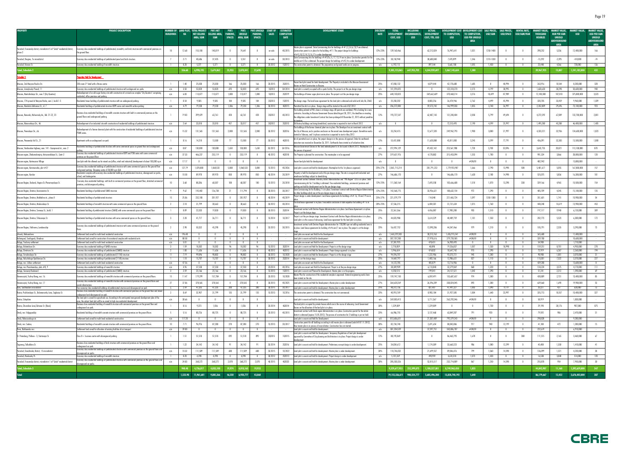| <b>PROPERTY</b>                                                                                 | <b>PROJECT DESCRIPTION</b>                                                                                                                                                                                              | <b>BUILDINGS</b>        | <b>HA</b>       | NUMBER OF LAND PLOT TOTAL PROJECT<br>NET SELLING      | <b>PIK'S NET</b><br>SELLING AREA, PARKING, UNSOLD | <b>PIK'S</b>                   |                                            | PIK'S PIK'S UNSOLD START OF<br><b>PARKING.</b>       | <b>SALES</b>        | <b>ESTIMATED</b><br><b>COMPLETION</b> | <b>DEVELOPMENT STAGE</b>                                                                                                                                                                                                                                                                                     | DISCOUNT<br><b>RATE</b> | <b>TOTAL</b><br>INCLUDING<br><b>ENCUMBRANCES.</b>          | ACTUAL                   | DEVELOPMENT TO COMPLETION.   | DEVELOPMENT COST DEVELOPMENT COST SALE PRICES. SALE PRICES. RENTAL RATE. MARKET VALUE. MARKET VALUE. MARKET VALUE. |                                           |                                  | USD/SQM USD/SPACE USD/SQM/YEAR   | THOUSAND           |                                                                          | <b>USD</b>               | <b>MARKET VALUE</b><br><b>USD PER SQM</b>          |
|-------------------------------------------------------------------------------------------------|-------------------------------------------------------------------------------------------------------------------------------------------------------------------------------------------------------------------------|-------------------------|-----------------|-------------------------------------------------------|---------------------------------------------------|--------------------------------|--------------------------------------------|------------------------------------------------------|---------------------|---------------------------------------|--------------------------------------------------------------------------------------------------------------------------------------------------------------------------------------------------------------------------------------------------------------------------------------------------------------|-------------------------|------------------------------------------------------------|--------------------------|------------------------------|--------------------------------------------------------------------------------------------------------------------|-------------------------------------------|----------------------------------|----------------------------------|--------------------|--------------------------------------------------------------------------|--------------------------|----------------------------------------------------|
|                                                                                                 |                                                                                                                                                                                                                         |                         |                 | <b>AREA, SQM</b>                                      | <b>SQM</b>                                        |                                | SPACES AREA, SQM                           | <b>SPACES</b>                                        |                     | <b>DATE</b>                           |                                                                                                                                                                                                                                                                                                              |                         | <b>DEVELOPMENT</b><br>COST, USD<br><b>USD</b>              | COST, YTD, USD           | <b>USD</b>                   | TO COMPLETION,<br><b>USD PER UNSOLD</b><br><b>AREA</b>                                                             |                                           |                                  |                                  | <b>ROUBLES</b>     | <b>RUR PER SQM</b><br><b>UNSOLD</b><br><b>ABOVEGROUND</b><br><b>APFA</b> |                          | <b>UNSOLD</b><br><b>ABOVEGROUND</b><br><b>AREA</b> |
| Yaroslavl, Frunzensky district, microdistrict 5 of "Sokol" residential district,                | conomy class residential buildings of prefabricated, monolith, and brick structure with commercial premises or<br>the ground floor.                                                                                     |                         | 12.68           | 155,100                                               | 140,819                                           | $\Omega$                       | 74,641                                     |                                                      | on sale             | 40 20 15                              | Master plan is approved. State Comissioning Acts for buildings ##1,2,3,4,6,7,8,9 are obtained.<br>Construction permit is in place for the building $#11$ . The project design for buildings<br>#5.10.12.14.15.16.17 is under development                                                                     | 12%-23%                 | 139,160,466                                                | 62,212,824               | 76,947,641                   | 1,031                                                                                                              | 1250-1400                                 |                                  |                                  | 398,252            | 5,336                                                                    | 12,400,000               | 166                                                |
| Yaroslavl, Bragino, 7a microdistrict                                                            | Economy class residential buildings of prefabricated panel and brick structure                                                                                                                                          |                         | 2.71            | 40,686                                                | 37,435                                            | $\mathbf{0}$                   | 5,551                                      |                                                      | on sale             | 30 20 13                              | State Comissioning Acts for buildings $\# \# 5/5a$ , 6, 17, 13, 14 are in place. Construction permits for the<br>niddle unit 5/5a is obtained. The project desian for buildinas $\# \# 2.4$ is under developmen                                                                                              | 12%-23%                 | 38,150,940                                                 | 30,680,840               | 7,470,099                    | 1,346                                                                                                              | 1210-1330                                 |                                  |                                  | $-13,292$          | $-2,395$                                                                 | $-410,000$               | $-74$                                              |
| Yaroslavl, Krivova St.                                                                          | Economy class residential building of monolith structure.                                                                                                                                                               | $\blacksquare$          | 0.28            | 5,371                                                 | 5,371                                             | $\overline{0}$                 | 5,371                                      | $\overline{\phantom{0}}$                             | 20 20 12            |                                       | 1Q2013 The construction permit is obtained. The preparatory and ground works are in progress                                                                                                                                                                                                                 | n/a                     | 6,192,113                                                  | 897,544                  | 5,665,188                    | 1,055                                                                                                              | 1,430                                     | $\overline{0}$                   | $\overline{0}$                   | 23,448             | 4,366                                                                    | 728,000                  | 136                                                |
| tal, Schedule 2                                                                                 |                                                                                                                                                                                                                         |                         | 556.68          | 6,998,19                                              | 5,674,862                                         |                                | 25,933 2,878,041                           | 22,698                                               |                     |                                       |                                                                                                                                                                                                                                                                                                              |                         | 9,385,123,065<br>647,955,702                               | 4,344,959,697            | 5,067,145,634                | 1,380                                                                                                              |                                           |                                  |                                  | 39,967,925         | 13,887                                                                   | 1,241,182,000            | 431                                                |
|                                                                                                 | roperties Held for Development                                                                                                                                                                                          |                         |                 |                                                       |                                                   |                                |                                            |                                                      |                     |                                       |                                                                                                                                                                                                                                                                                                              |                         |                                                            |                          |                              |                                                                                                                    |                                           |                                  |                                  |                    |                                                                          |                          |                                                    |
| Moscow, 2nd Maryina Roscha Str.                                                                 | 250-room 3* hotel with a fitness centre                                                                                                                                                                                 |                         | 1.40            | 25,030                                                | 25,030                                            | 166                            | 25,030                                     | 166                                                  | 20 20 15            | 202015                                | facant land plot zoned for hotel development. The Property is included in the Moscow Government                                                                                                                                                                                                              | 25%                     | 47,058,132                                                 | 4,879,444                | 42,178,688                   | 1,685                                                                                                              | $\mathbf{0}$                              | 48,994                           | $\overline{\phantom{0}}$         | 263,916            | 10,544                                                                   | 8,200,000                | 328                                                |
| Moscow, Izmaylovsky Proezd, 11                                                                  | Economy class residential buildings of prefabricated structure with undeground car-parks                                                                                                                                | n/a                     | 3.50            | 53,820                                                | 53,820                                            | 693                            | 53,820                                     | 693                                                  | 102013              | 04 20 14                              | ecree on Hotel Construction in Moscow.<br>Land plot is currently occupied with a sports facility. The project is at the pre-design stage                                                                                                                                                                     | n/a                     | 141,594,425                                                | $\overline{0}$           | 122,318,270                  | 2,273                                                                                                              | 4,199                                     | 38,995                           | $\overline{0}$                   | 1,630,630          | 30,298                                                                   | 50,600,000               | 940                                                |
| Moscow, Mantulinskaya Str., own.7 (City Quarters)                                               | Redevelopment of an old sugar factory site with construction of a mixed-use complex "City Quarters" comprising                                                                                                          | n/a                     | 6.83            | 113,077                                               | 113,077                                           | 1,800                          | 113,077                                    | 1,800                                                | 102013              | 202019                                | The buildings of former sugar plant are in place. The project is at the pre-design stage                                                                                                                                                                                                                     | 25%                     | 640,130,823                                                | 269,662,609              | 370,468,214                  | 3,276                                                                                                              | 10,699                                    | 87,989                           | $\overline{\phantom{0}}$         | 12,100,388         | 107,010                                                                  | 375,800,000              | 3,323                                              |
|                                                                                                 | esidential, office premises and parking.                                                                                                                                                                                |                         |                 |                                                       |                                                   |                                |                                            |                                                      |                     |                                       |                                                                                                                                                                                                                                                                                                              |                         |                                                            |                          |                              |                                                                                                                    |                                           |                                  |                                  |                    |                                                                          |                          |                                                    |
| Moscow, 17th proezd of Maryina Rosha, own.1, build.1-5<br>Moscow. Marshala Zakharova St., vl. 7 | Residential tower building of prefabricated structure with an underground parking                                                                                                                                       |                         | 0.54            | 9,585                                                 | 9,585                                             | 184                            | 9,585                                      | 184                                                  | 202013              | 102015<br>402015                      | Pre-design stage. The land lease agreement for the land plot is obtained and valid until July 06, 2060.                                                                                                                                                                                                      | n/a                     | 35,358,202                                                 | 8,883,256                | 26,474,946                   | 2,762                                                                                                              | 4,499                                     | 45,994                           | $\overline{0}$                   | 320,705            | 33,459                                                                   | 9,960,000                | 1,039                                              |
|                                                                                                 | Residential buildings of prefabricated structure KOPE series and monolith surface parking                                                                                                                               | n/a                     | 4.79            | 79,230                                                | 79,230                                            | 1,306                          | 79,230                                     | 1,306                                                | 30 2013             |                                       | Permitted Use Act is in place. Design stage will be started at the end of Q2 2012<br>The building related to PIK's share is at design stage. All permits are outdated, PIK is looking for a new                                                                                                              | n/a                     | 206,572,800                                                | 59,573,742               | 146,999,058                  | 1,855                                                                                                              | 3,740                                     | 26,997                           | $\overline{0}$                   | 2,352,809          | 29,696                                                                   | 73,100,000               | 923                                                |
| Moscow, Ramenki, Michurinsky Av., bld. 21-22, 23                                                | Business class residential buildings of monolith concrete structure with built-in commercial premises on the<br>ground floors and underground parking.                                                                  |                         | 19.03           | 399,429                                               | 63,761                                            | 428                            | 63,761                                     | 428                                                  | 202012              | 40 2013                               | contractor. According to Moscow Government Decree dated August 30, 2011, the deadline on meeting:<br>he obligations under Investment Contract has been prolonged till December 31, 2015 without penalties                                                                                                    | 12%                     | 193,727,547                                                | 62,487,143               | 131,240,404                  | 2,058                                                                                                              | 5,799                                     | 49,694                           |                                  | 4,272,592          | 67,009                                                                   | 132,700,000              | 2,081                                              |
| Moscow, Mironovskaya Str., 46                                                                   | Redevelopment of an industrial site with construction of residential buildings of prefabricated structure.                                                                                                              | n/a                     | 2.64            | 33,018                                                | 33,018                                            | 457                            | 33,017                                     | 457                                                  | 302012              | 202013                                | Old factory buildings are being demolished, construction is expected to start in March 2012.                                                                                                                                                                                                                 | n/a                     | $\mathbf{0}$                                               | $\overline{0}$           | 72,313,493                   | 2,190                                                                                                              | 4,599                                     | 25,997                           | $\overline{0}$                   | 1,495,280          | 45,288                                                                   | 46,400,000               | 1,405                                              |
| Moscow, Perovskaya Str., 66                                                                     | tedevelopment of a former chemical plant with the construction of residential buildings of prefabricated structure<br>P3MK series.                                                                                      | n/a                     | 15.32           | 131,565                                               | 131,565                                           | 2,000                          | 131,565                                    | 2,000                                                | 30 2012             | 302016                                | The buildings of the former chemical plant are in place. The Developer has an investment contract with<br>the City of Moscow, and a positive conclusion on the eneral area development project. Demolition works<br>started in February, and 1st phase construction is expected to start in May 2012.        | n/a                     | 35,254,415                                                 | 12,677,320               | 249, 962, 793                | 1,900                                                                                                              | 3,800                                     | 21,997                           |                                  | 4,333,221          | 32,936                                                                   | 134,600,000              | 1,023                                              |
| Moscow, Presnensky Val St., 21                                                                  | Apartments with an underground car-park                                                                                                                                                                                 |                         | 0.16            | 14,210                                                | 13,500                                            | 77                             | 13,500                                     | - 77                                                 | 30 20 12            | 402013                                | Act of permitted use is in place, the project design is in the process of approval. Order for earthwork<br>ecution was received on December 26, 2011. Earthworks have started as of valuation date.                                                                                                          | 12%                     | 55,431,088                                                 | 11,620,088               | 43,811,000                   | 3,245                                                                                                              | 5,599                                     | 77,791                           | $\sqrt{0}$                       | 436,091            | 32,303                                                                   | 13,500,000               | 1,000                                              |
| Moscow, Varshavskoe highway, own. 141 - Gazoprovod str., own. 2                                 | Residential buildings of prefabricated structure with some commercial space on ground floor and underground                                                                                                             | n/a                     | 8.87            | 130,000                                               | 130,000                                           | 1,650                          | 130,000                                    | 1,650                                                | 30 2013             | Q4 2016                               | Moscow Government Decree on the land redevelopment is to be issued in March 2012. Masterplan is in                                                                                                                                                                                                           | n/a                     | 272,994,129                                                | 49,432,142               | 223,561,988                  | 1,720                                                                                                              | 3,700                                     | 32,896                           | $\overline{\phantom{a}}$         | 3,642,735          | 28,021                                                                   | 113,100,000              | 870                                                |
| Moscow region, Zheleznodorojniy, Avtozavodskaya St., Centr-2                                    | Economy class residential buildings of prefabricated structure KOPE and P3M series with some commercial                                                                                                                 | n/a                     | 37.33           | 466,237                                               | 233,119                                           | $\mathbf{0}$                   | 233,119                                    | $\overline{0}$                                       | 40 20 12            | 402018                                | e process of approval<br>The Property is planned for construction. The masterplan is to be approved                                                                                                                                                                                                          | 27%                     | 319,631,976                                                | 4,178,882                | 315,453,094                  | 1,353                                                                                                              | 1,700                                     | $\overline{0}$                   | $\overline{0}$                   | 901,324            | 3,866                                                                    | 28,000,000               | 120                                                |
| Moscow region, Kartmazovo Village                                                               | <u>emises on the ground floor</u><br>Land plot with the allowed use for mixed use (office, retail and industrial) development of about 180,000 sq m                                                                     | n/a                     | 17.17           | $\overline{0}$                                        |                                                   | $\Omega$                       |                                            |                                                      |                     |                                       | Vacant land plot held for development                                                                                                                                                                                                                                                                        | n/a                     | $\mathbf{0}$                                               |                          | $\overline{0}$               | $\#$ DIV/O!                                                                                                        | $\overline{0}$                            | $\overline{0}$                   | $\overline{0}$                   | 482,942            |                                                                          | 15,000,000               |                                                    |
|                                                                                                 | Economy class residential buildings of prefabricated structure with some commercial space on the ground floor                                                                                                           |                         |                 |                                                       |                                                   |                                |                                            |                                                      |                     |                                       |                                                                                                                                                                                                                                                                                                              |                         |                                                            |                          |                              |                                                                                                                    |                                           |                                  |                                  |                    |                                                                          |                          |                                                    |
| Moscow region, Kommunarka, plot #27                                                             | ind ground parking. Shopping centre of 28,000 sq m GLA                                                                                                                                                                  | n/a                     | 127.79          | 1,078,800                                             | 1,068,533                                         | 5,800                          | 1,068,533                                  | 5,800                                                | 10 2013             | 40 2026                               | Land plot is vacant and held for development. Mastreplan for the 1st phase is approved.                                                                                                                                                                                                                      | 25%-27%                 | 2,061,715,214                                              | 281,791,222              | 1,779,923,98                 | 1,666                                                                                                              | 2,790                                     | 13,998                           | 500                              | 5,401,617          | 5,055                                                                    | 167,800,000              | 157                                                |
| Moscow region, Korolev                                                                          | Residential complex with economy class residential buildings of prefabricated structure, aboveground car parks<br>hool, and kinderaart                                                                                  | n/a                     | 10.58           | 89,970                                                | 89,970                                            | 850                            | 89,970                                     | 850                                                  | 40 20 14            | 20 20 19                              | operty is held for development and at the pre-design stage. The site is occuped with industrial and<br>nuse huildinas subiect to demolishii                                                                                                                                                                  | 27%                     | 146,686,170                                                |                          | 146,686,170                  | 1,630                                                                                                              | 2,100                                     | 14,998                           | $\overline{0}$                   | 525,075            | 5,836                                                                    | 16,300,000               | 181                                                |
| Moscow Region, Dedovsk, Nogina St./Pervomayskaya St.                                            | Economy class residential buildings with built-in commercial premises on the ground floor, detached commercial<br>remises, and aboveground parking                                                                      |                         | 3.68            | 88.286                                                | 68,307                                            | 100                            | 68,307                                     | 100                                                  | 10 2013             | 20 20 18                              | estment contract between Istrinskiy district Administration and "PIK-Region" CISC is in place. State<br>missionning Act for 1 building is obtained. Five residential buildings, commercial premises and<br>king are held for development and at the pre-design stage.                                        | 12%-25%                 | 111,360,164                                                | 7,693,558                | 103,666,608                  | 1,518                                                                                                              | 1,870                                     | 13,298                           | 330                              | 339,166            | 4,965                                                                    | 10,500,000               | 154                                                |
| Moscow Region, Dmitrov, Kosmonavtov St.                                                         | Residential buildings of prefabricated SMKD structure                                                                                                                                                                   |                         | 9.62            | 145,402                                               | 126,738                                           | 21                             | 111,794                                    |                                                      | 30 2013             | 30 20 17                              | State Comissioning Act for Building 1 is in place. Investment contract with Dmitrov Region Administration<br>other buildings which are at the pre-design stage is in place.                                                                                                                                  | 12%-25%                 | 142,568,775                                                | 33,936,621               | 108,632,154                  | 972                                                                                                                | 1,290                                     | $\mathbf{0}$                     | $\overline{0}$                   | 485,709            | 4,345                                                                    | 15,100,000               | 135                                                |
| Moscow Region, Dmitrov, Makhalina str., phase I                                                 | Residential buildings of prefabricated structure                                                                                                                                                                        | - 15                    | 25.06           | 232,100                                               | 201,927                                           | $\mathbf{0}$                   | 201,927                                    |                                                      | 40 20 14            | 40 20 19                              | roject design is under development. Land lease agreements for buildings $\# \#$ 16, 18 and 19 are in                                                                                                                                                                                                         | 25%-27%                 | 221,579,779                                                | 114,048                  | 221,465,724                  | 1,097                                                                                                              | 1350-1380                                 | $\overline{0}$                   | $\overline{\phantom{0}}$         | 351,601            | 1,741                                                                    | 10,900,000               | - 54                                               |
| Moscow Region, Dmitrov, Moskovskaya St.                                                         | Residential buildings of monolith structure with some commercial space on the ground floors                                                                                                                             | $\overline{2}$          | 2.18            | 31,799                                                | 30,663                                            | $\mathbf{0}$                   | 30,663                                     |                                                      | 30 20 12            | 40 20 14                              | he land lease agreement is in place. Favourable conclusion of state expertise for building $\#$ 1 is in $^-$                                                                                                                                                                                                 | 20%-25%                 | 37,536,215                                                 | 6,404,581                | 31,131,634                   | 1,015                                                                                                              | 1,760                                     | $\mathbf{0}$                     | $\sqrt{0}$                       | 448,248            | 14,619                                                                   | 13,900,000               | 453                                                |
| Moscow Region, Dmitrov, Sennaya St., build.                                                     | Residential building of prefabricated structure (SMKD) with some commercial space on the ground floor                                                                                                                   |                         | 0.89            | 22,033                                                | 19,830                                            | $\mathbf{0}$                   | 19,830                                     |                                                      | 30 2013             | 202014                                | estment contract with Dmitrov Region Administartion is in place. Land lease Agreement is in place.                                                                                                                                                                                                           | 25%                     | 22,361,366                                                 | 4,456,087                | 17,905,280                   | 903                                                                                                                | 1,510                                     | $\overline{0}$                   | $\sqrt{0}$                       | 197,117            | 9,940                                                                    | 6,120,000                | 309                                                |
|                                                                                                 |                                                                                                                                                                                                                         |                         |                 |                                                       |                                                   |                                |                                            |                                                      |                     |                                       | ect is at the design stag                                                                                                                                                                                                                                                                                    |                         |                                                            |                          |                              |                                                                                                                    |                                           |                                  |                                  |                    |                                                                          |                          |                                                    |
| Moscow Region, Dmitrov, Shluzovaya St.                                                          | Residential buildings of prefabricated structure with some commercial spaces on the ground floors.                                                                                                                      | $\overline{\mathbf{3}}$ | 2.28            | 41,717                                                | 36,711                                            | $\mathbf{0}$                   | 36,711                                     | $\mathbf{0}$                                         | 10 20 14            | 10 20 17                              | oject is at the pre-design stage. Investment Contract with Dmitrov Region Administration is in place.<br>ind plot is in the course of rehousing. Land lease agreement for the land plot is in place.<br>vestment contract with Dmitrov Region Administration for 150,000 sqm net selling residential area i: | 27%                     | 44,023,988                                                 | 3,614,229                | 40,409,759                   | 1,101                                                                                                              | 1,550                                     | $\overline{\phantom{0}}$         | $\overline{0}$                   | 202,773            | 5,523                                                                    | 6,300,000                | 172                                                |
| Moscow Region, Yakhroma, Levoberezhje                                                           | Economy class residential buildings of prefabricated structure with some commercial premises on the ground                                                                                                              |                         | 2.98            | 50,332                                                | 45,298                                            |                                | 45,298                                     |                                                      | 20 20 13            | 30 2015                               | n place. Land lease agreements for building $##6$ and $7$ are in place. The project is at the design                                                                                                                                                                                                         | 23%                     | 56,437,752                                                 | 12,090,286               | 44,347,466                   | 979                                                                                                                | 1,210                                     | $\overline{0}$                   |                                  | 105,791            | 2,335                                                                    | 3,290,000                | 73                                                 |
| Izhevsk, Aleksandrovo<br>Kaliningrad, Svetlogorsk, Otradnoe                                     | Settlement land zoned for multi-level residential construction<br>Settlement land zoned for construction of recreational complex with residential units                                                                 | n/a<br>n/a              | 196.48<br>88.58 | $\mathbf{0}$<br>$\overline{0}$                        | $\overline{0}$<br>$\overline{0}$                  | $^{\circ}$<br>$\overline{0}$   | $\overline{\phantom{0}}$<br>$\overline{0}$ | $\overline{\phantom{0}}$<br>$\overline{\phantom{0}}$ |                     |                                       | Land plots are vacant and Held for the Development.<br>Land plot is vacant and held for development                                                                                                                                                                                                          | n/a<br>n/a              | 1,465,229,303<br>307,707,200                               | 38,313,763<br>27,978,616 | 1,426,915,541<br>279,728,585 | #DIV/0!<br>#DIV/0!                                                                                                 | $\overline{\mathbf{0}}$<br>$\overline{0}$ | $\mathbf{0}$<br>$\overline{0}$   | $\overline{0}$<br>$\overline{0}$ | 365,600<br>339,700 |                                                                          | 11,400,000<br>10,600,000 |                                                    |
| Kaluga, Trudovoy settlement                                                                     | Settlement land zoned for multi-level residential construction                                                                                                                                                          | n/a                     | 5.01            | $\overline{0}$                                        | $\overline{0}$                                    | $\overline{0}$                 | $\overline{0}$                             | $\overline{0}$                                       |                     |                                       | Land plots are vacant and Held for the Development                                                                                                                                                                                                                                                           | n/a                     | 37,381,925                                                 | 478,431                  | 36,903,493                   | $\mathbf{0}$                                                                                                       | $\overline{0}$                            | $\overline{0}$                   | $\overline{0}$                   | 54,900             |                                                                          | 1,710,000                |                                                    |
| Kaluga, Bolotnikova Str                                                                         | Economy class residential building of SMKD structure                                                                                                                                                                    | $_{3}$                  | 1.59            | 18,302                                                | 18,302                                            | 96                             | 18,302                                     | - 96                                                 | 10 2013             | 302014                                | Land plot is vacant and Held for Development. Project is at the design stage                                                                                                                                                                                                                                 | n/a                     | 2,718,859                                                  | 48,898                   | 19,336,837                   | 1,057                                                                                                              | 1,530                                     | 18,998                           | $\overline{0}$                   | 159,251            | 8,701                                                                    | 4,950,000                | 270                                                |
| Kaluga, Dimitrova Str.<br>Kaluga, Ermolovskaya Str                                              | Economy class residential buildings of prefabricated (SMKD) structure<br>Economy class residential buildinas of prefabricated (111M) structure                                                                          | 2<br>$\Box$             | 1.00<br>7.19    | 11,636<br>99,896                                      | 11,636<br>98,802                                  | $\mathbf{0}$<br>$\overline{0}$ | 11,636<br>98,802                           | $\overline{\mathbf{0}}$<br>$\mathbf{0}$              | 40 20 12<br>30 2013 | 402013<br>10 20 20                    | Land plot is vacant and Held for Development. Project design approval is in place<br>Land plot is vacant and Held for Development. Project is at the design stage                                                                                                                                            | n/a<br>27%              | 5,946,654<br>94,596,707                                    | 474,832<br>1,222,986     | 10,647,742<br>93,373,721     | 915<br>945                                                                                                         | 1,290<br>1,200                            | $\overline{0}$<br>$\overline{0}$ | $\overline{0}$<br>$\overline{0}$ | 72,919<br>98,900   | 6,267<br>1,001                                                           | 2,260,000<br>3,070,000   | 194<br>31                                          |
| Kaluaa, Kaluzhskoao Opolcheniva Str.                                                            | Economy class residential building of prefabricated (111M) structure                                                                                                                                                    |                         | 1.10            | 15,707                                                | 15,707                                            | $\mathbf{0}$                   | 15,707                                     | $\mathbf{0}$                                         | 30 20 12            | 202014                                | Project is at the design stage.                                                                                                                                                                                                                                                                              | 25%                     | 14,469,797                                                 | 1,483,166                | 12,986,631                   | 827                                                                                                                | 1,110                                     | $\mathbf{0}$                     | $\overline{0}$                   | 115,001            | 7,322                                                                    | 3,570,000                | 227                                                |
| Kaluga, mcr. Likhun settlement                                                                  | Settlement land zoned for multi-level residential construction                                                                                                                                                          | n/a                     | 47.56           | $\overline{0}$                                        | $\overline{0}$                                    | $\mathbf{0}$                   | $\overline{\mathbf{0}}$                    | $\overline{0}$                                       |                     |                                       | Land plots are vacant and Held for the Development.                                                                                                                                                                                                                                                          | n/a                     | 14, 122, 785                                               | 405.879                  | 13,716,906                   | $\overline{0}$                                                                                                     | $\overline{0}$                            | $\overline{0}$                   | $\overline{0}$                   | 439,200            |                                                                          | 13.600.000               | $\overline{0}$                                     |
| Kaluga, mcr.Pravoberezhye, plots #8, 9                                                          | Economy class residential buildinas of monolith structure                                                                                                                                                               | n/a                     | 4.96            | 37,550                                                | 37,550                                            |                                | 37,550                                     | $\overline{\phantom{0}}$                             | 20 20 14            | 40 2016                               | Land plots are vacant and Held for Development. Project is at the pre-design stage                                                                                                                                                                                                                           | 27%                     | 38,389,909                                                 | 6,110,840                | 32,279,069                   | 860                                                                                                                | 1,220                                     |                                  |                                  | 134,224            | 3,575                                                                    | 4,170,000                | 111                                                |
| Kaluga, Sireneviy Boulevard                                                                     | Economy class residential buildings of prefabricated (SMKD) structure                                                                                                                                                   | 3 <sup>3</sup><br>-15   | 2.59            | 23,166                                                | 23,166                                            | $\overline{\mathbf{0}}$        | 23,166                                     | $\overline{\phantom{0}}$                             | 10 2013             | 102015                                | Land plot is vacant and Planned for Development. Master plan is in the progress.<br>"Master Plan for construction of the residential complex is approved. External engineering works have                                                                                                                    | n/a<br>25%              | 4,250,515                                                  | 199,041                  | 24,127,521                   | 1,042                                                                                                              | 1,290                                     | $\overline{0}$                   | $\overline{0}$                   | 51,241             | 2,212                                                                    | 1,590,000                | 69                                                 |
| Novorossiysk, Yuzhny Bereg, mcr. 16                                                             | Economy class residential buildings of monolith structure with commercial premises on the ground floors<br>conomy class residential buildings of monolith structure with commercial premises on the ground floors and   |                         | 11.47           | 179,299                                               | 157,784                                           | $\overline{0}$                 | 157,784                                    | $\mathbf{0}$                                         | 20 20 13            | 10 20 20                              | i started on the sit                                                                                                                                                                                                                                                                                         |                         | 159,747,150                                                | 6,059,491                | 153,687,657                  | 974                                                                                                                | 1,300                                     | $\overline{0}$                   | $\overline{0}$                   | 430,889            | 2,731                                                                    | 13,400,000               | 85                                                 |
| Novorossiysk, Yuzhny Bereg, mcr. 17                                                             | ocial infrastructure.                                                                                                                                                                                                   | 27                      | 37.06           | 378,565                                               | 378,565                                           | $\mathbf{0}$                   | 378,565                                    |                                                      | 30 2013             | 40 2025                               | Land plot is vacant and Held for Development. Master plan is under development.                                                                                                                                                                                                                              | 27%                     | 364,620,269                                                | 26,596,209               | 338,024,045                  | 893<br>1,003                                                                                                       | 1,300                                     | $\overline{0}$                   | $\sqrt{0}$                       | 639,660            | 1,690                                                                    | 19,900,000               | 53                                                 |
| Azov, Southeastern microdistrict<br>Rostov, Pushkinskaya St., Dolomanovsky Lane, Soglasiya St.  | <u>Four economy class residential buildings of prefabricated structure and aboveground car park</u><br>Business class residential building of monolith structure with commercial premises on the ground floor and mixed |                         | 2.59<br>0.69    | 47,335<br>32,907                                      | 47,335<br>31,799                                  | 200<br>135                     | 47,335<br>31,799                           | 200<br>135                                           | 30 2015<br>10 2013  | 30 2017<br>10 2016                    | Land plot is vacant and held for development. Master plan is under development.<br>The construction permit is obtained. The construction has not commenced                                                                                                                                                   | 25%<br>23%              | 48,312,736<br>40,910,769                                   | 821,407<br>8,983,184     | 47,491,327<br>31,927,585     | 1,004                                                                                                              | 1,090<br>1,640                            | 9,119<br>23,997                  | $\overline{0}$<br>$\mathbf{0}$   | 20,221<br>335,713  | 427<br>10,557                                                            | 628,000<br>10,400,000    | 13<br>327                                          |
|                                                                                                 | <u>underground and aboveground car park.</u><br>The land plot is zoned for agricultural use. According to the anticipated new general development plan of the                                                           | n/a                     | 30.66           | $\overline{0}$                                        | $\overline{0}$                                    | $\mathbf{0}$                   | $\overline{0}$                             | $\overline{0}$                                       |                     |                                       | Land plot is vacant and held for development.                                                                                                                                                                                                                                                                |                         | 269,003,413                                                | 5,711,367                | 263,292,046                  | $\#$ DIV/0!                                                                                                        | $\overline{0}$                            | $\mathbf{0}$                     | $\overline{\mathbf{0}}$          | 58,919             |                                                                          | 1,830,000                |                                                    |
| Rostov, Schepkino                                                                               | area, the subject land plot will be re-zoned to high-rise residential development.<br>Business class residential building of monolith structure with commercial premises on the ground floor and                        |                         |                 |                                                       |                                                   |                                |                                            |                                                      |                     |                                       | The land plot is occupied by private houses which are in the course of rehousing. Local Government                                                                                                                                                                                                           | n/a                     |                                                            |                          |                              |                                                                                                                    |                                           |                                  |                                  |                    |                                                                          |                          |                                                    |
| Rostov, Zhuravleva Lane,Telmana St. (Bazis)                                                     | nderground car park                                                                                                                                                                                                     |                         | 0.16            | 9,373                                                 | 1,036                                             | $\mathbf{0}$                   | 1,036                                      | $\overline{0}$                                       | 20 20 14            | 402014                                | Decree on the allocation of the land plot is in place.<br>Investment contract with Omsk region Administration is in place. Construction permit for the whole                                                                                                                                                 | 30%                     | 1,229,009                                                  | 1,229,009                | $\overline{\phantom{0}}$     | $\overline{0}$                                                                                                     | 1,730                                     | $\overline{0}$                   | $\overline{\phantom{0}}$         | 29,190             | 28,176                                                                   | 907,000                  | 875                                                |
| Omsk, mcr. Volgogradsky                                                                         | Residential buildings of monolith concrete structure with commercial premises on the ground floors                                                                                                                      | - 5                     | 5.16            | 80,726                                                | 80,725                                            | $\mathbf{0}$                   | 80,725                                     |                                                      | 20 20 13            | 40 2015                               | district is obtained (expires 15.05.2012). The process of construction for 2 buildings is put on hold.                                                                                                                                                                                                       | 23%                     | 66,986,755                                                 | 3,137,468                | 63,849,287                   | 791                                                                                                                | 920                                       | $\mathbf{0}$                     | $\overline{0}$                   | 79,592             | 986                                                                      | 2,470,000                | 31                                                 |
| Omsk, Rokossovskogo str.                                                                        | Settlement land zoned for multi-level residential constcruction                                                                                                                                                         | n/a                     | 117.20          | $\mathbf{0}$                                          | $\mathbf{0}$                                      | $^{\circ}$                     | $\overline{0}$                             | $\mathbf{0}$                                         |                     |                                       | Land plot is vacant and Held for Development.<br>. [2012]. Construction permit for all buildings according to old master plan is obtained (valid till 07.11.                                                                                                                                                 | n/d                     | 813,686,651                                                | 21,307,409               | 792,379,243                  | #DIV/0!                                                                                                            | $\overline{\mathbf{0}}$                   | $\overline{\mathbf{0}}$          | $\overline{0}$                   | 298,828            |                                                                          | 9,280,000                |                                                    |
| Omsk, mcr. Sadovy                                                                               | Residential buildings of monolith concrete structure with commercial premises on the ground floors                                                                                                                      | 10                      | 7.71            | 96,976                                                | 87,280<br>$\mathbf{0}$                            | 270                            | 87,280                                     | 270<br>$\overline{\phantom{0}}$                      | 10 2013             | 20 20 17                              | w master plan is in process of reconciliation. Construction has not started.<br>Land plot is vacant and held for development.                                                                                                                                                                                | 30%                     | 82,734,740                                                 | 2,691,654<br>37,397,751  | 80,043,086<br>343,806,787    | 917                                                                                                                | 940                                       | 12,199                           | $\overline{0}$                   | 41,180             | 472                                                                      | 1,280,000<br>6,910,000   | 15                                                 |
| Perm, Bakharevka mcr.                                                                           | Settlement land zoned for allocation of existing facilities of air transport                                                                                                                                            | n/a                     | 39.00           | $\overline{0}$                                        |                                                   | $\overline{0}$                 | $\overline{\phantom{a}}$                   |                                                      |                     |                                       | Land plot is vacant and Held for Development. Temporary Regulations of land plot development                                                                                                                                                                                                                 | n/a                     | 381,204,539                                                |                          |                              | #DIV/0!                                                                                                            | $\overline{0}$                            | $\overline{0}$                   | $\overline{\phantom{0}}$         | 222,619            |                                                                          |                          |                                                    |
| St. Petersburg, Pulkovo - 3, Startovaya St.                                                     | $\cos B + \text{ business centre with above}$ pusings<br>Business class residential buildings of brick structure with commercial premises on the ground floor and                                                       | -1                      | 1.51            | 51,518                                                | 51,518                                            | 892                            | 51,518                                     | 892                                                  | 202015              | 102015                                | approved by Committee of City planning and Architecture is in place. Project design is under                                                                                                                                                                                                                 | 12%                     | 88,193,069                                                 |                          | 86,463,793                   | 1,678                                                                                                              |                                           |                                  | 380                              | 111,515            | 2,165                                                                    | 3,460,000                | 67                                                 |
| Taganrog, Tolbukhina St.                                                                        | <u>nderground car park.</u>                                                                                                                                                                                             |                         | 1.22            | 34,142                                                | 34,142                                            | 91                             | 34,142                                     | - 91                                                 | 30 20 14            | 202016                                | Land plot is vacant and held for development. Preliminary concept design is under development.                                                                                                                                                                                                               | 25%                     | 34,834,612                                                 | 1,174,389                | 33,660,223                   | 986                                                                                                                | 1,000                                     | 12,299                           | $\overline{\phantom{0}}$         | 45,400             | 1,330                                                                    | 1,410,000                | 41                                                 |
| Yaroslavl, Dzerzhinskiy District, 15 microdistrict                                              | Economy class residential buildings of prefabricated structure with commercial premises on the ground floors and<br>ooveground car parks                                                                                | n/a                     | 10.32           | 111,509                                               | 111,509                                           | 688                            | 111,509                                    | 688                                                  | 30 2015             | 10 2022                               | Land plot is vacant and held for development. Master plan is under development                                                                                                                                                                                                                               | 30%                     | 110,746,032                                                | 21,699,557               | 89,046,476                   | 799                                                                                                                | 1,060                                     | 14,598                           | $\overline{0}$                   | 136,099            | 1,221                                                                    | 4,230,000                | 38                                                 |
| Yaroslavl, Moskovsky Pr.                                                                        | Economy class residential building of monolith structure.                                                                                                                                                               | $\overline{1}$          | 0.20            | 4,298                                                 | 4,298                                             | $\overline{0}$                 | 4,298                                      | $\overline{0}$                                       | 30 20 12            | 202013                                | Land plot is vacant and held for development. Project design is under development.                                                                                                                                                                                                                           | n/a                     | 5,101,269                                                  | 490,959                  | 4,610,310                    | 1,073                                                                                                              | 1,430                                     | $\overline{0}$                   | $\overline{0}$                   | 16,538             | 3,848                                                                    | 514,000                  | 120                                                |
| Yaroslavl, Frunzensky district, microdistrict 1 of "Sokol" residential district                 | conomy class residential buildings of prefabricated structure with commercial premises on the ground floors and<br>ground car parks.                                                                                    | n/a                     | 24.83           | 268,272                                               | 268,272                                           | 2,070                          | 268,272                                    | 2,070                                                | 40 2015             | 402023                                | Land plot is vacant and held for development. Master plan is under development                                                                                                                                                                                                                               | 30%                     | 285,530,326                                                | 52,815,517               | 232,714,809                  | 867                                                                                                                | 1,250                                     | 14,598                           |                                  | 255,878            | 954                                                                      | 7,950,000                | 30                                                 |
| otal, Schedule 3                                                                                |                                                                                                                                                                                                                         |                         | 948.48          | 4,736,817                                             | 4,033,108                                         | 19,974                         | 4,018,163                                  | 19,953                                               |                     |                                       |                                                                                                                                                                                                                                                                                                              |                         | 252,599,075<br>9,529,677,953                               | 1,100,327,081            | 8,749,963,450                | 1,855                                                                                                              |                                           |                                  |                                  | 44,842,907         | 11,160                                                                   | 1,392,659,000            | 347                                                |
| Total                                                                                           |                                                                                                                                                                                                                         |                         |                 | 1,523.98 11,961,601 9,885,266 46,550 6,920,777 43,060 |                                                   |                                |                                            |                                                      |                     |                                       |                                                                                                                                                                                                                                                                                                              |                         | 19,155,336,611  900,554,777  5,685,496,200  13,820,740,192 |                          |                              | 1,640                                                                                                              |                                           |                                  |                                  | 86,179,667         | 12,452                                                                   | 2,676,402,000            | 387                                                |

#### Page 19

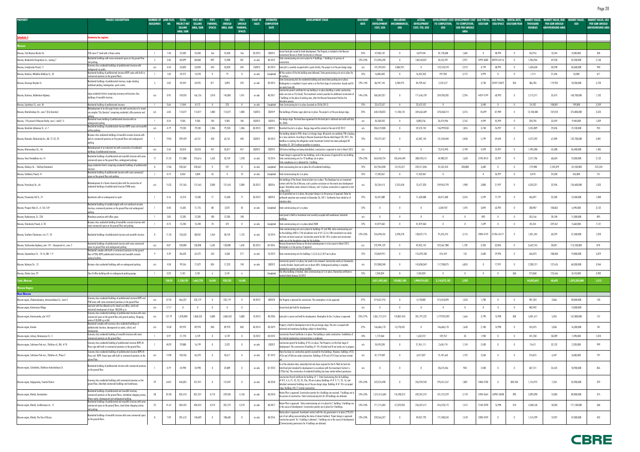| <b>PROPERTY</b>                                                 | <b>PROJECT DESCRIPTION</b>                                                                                                                                                                     | NUMBER OF LAND PLOT,<br><b>BUILDINGS</b> | <b>HA</b> | <b>TOTAL</b><br><b>PROJECT NET</b><br>SELLING | <b>PIK'S NET</b><br><b>SELLING</b><br>AREA, SQM | PIK'S<br>PARKING.<br><b>SPACES</b> | <b>PIK'S</b><br><b>UNSOLD</b><br>AREA, SQM | PIK'S<br><b>UNSOLD</b><br><b>PARKING</b> | <b>START OF</b><br><b>SALES</b> | <b>ESTIMATED</b><br><b>COMPLETION</b><br><b>DATE</b> | <b>DEVELOPMENT STAGE</b>                                                                                                                                                                                                                                                                                                                              | <b>DISCOUNT</b><br><b>RATE</b> | <b>TOTAL</b><br><b>DEVELOPMENT</b><br>COST, USD | <b>INCLUDING</b><br><b>ENCUMBRANCES,</b><br><b>USD</b> | <b>ACTUAL</b><br><b>DEVELOPMENT</b><br>COST, YTD, USD | TO COMPLETION,<br><b>USD</b> | DEVELOPMENT COST DEVELOPMENT COST SALE PRICES, SALE PRICES,<br>TO COMPLETION,<br><b>USD PER UNSOLD</b> | USD/SQM        |                         | RENTAL RATE.<br>USD/SPACE USD/SQM/YEAR | MARKET VALUI<br><b>THOUSAND</b><br><b>ROUBLES</b> | MARKET VALUE, RUR<br><b>PER SQM UNSOLD</b><br><b>ABOVEGROUND AREA</b> | <b>MARKET VALUE</b><br><b>USD</b> | <b>MARKET VALUE, USD</b><br><b>PER SQM UNSOLD</b><br><b>ABOVEGROUND AREA</b> |
|-----------------------------------------------------------------|------------------------------------------------------------------------------------------------------------------------------------------------------------------------------------------------|------------------------------------------|-----------|-----------------------------------------------|-------------------------------------------------|------------------------------------|--------------------------------------------|------------------------------------------|---------------------------------|------------------------------------------------------|-------------------------------------------------------------------------------------------------------------------------------------------------------------------------------------------------------------------------------------------------------------------------------------------------------------------------------------------------------|--------------------------------|-------------------------------------------------|--------------------------------------------------------|-------------------------------------------------------|------------------------------|--------------------------------------------------------------------------------------------------------|----------------|-------------------------|----------------------------------------|---------------------------------------------------|-----------------------------------------------------------------------|-----------------------------------|------------------------------------------------------------------------------|
|                                                                 |                                                                                                                                                                                                |                                          |           | <b>AREA, SQN</b>                              |                                                 |                                    |                                            | <b>SPACES</b>                            |                                 |                                                      |                                                                                                                                                                                                                                                                                                                                                       |                                |                                                 |                                                        |                                                       |                              | <b>AREA</b>                                                                                            |                |                         |                                        |                                                   |                                                                       |                                   |                                                                              |
| <u>Schedule 4</u>                                               | ımary by regions                                                                                                                                                                               |                                          |           |                                               |                                                 |                                    |                                            |                                          |                                 |                                                      |                                                                                                                                                                                                                                                                                                                                                       |                                |                                                 |                                                        |                                                       |                              |                                                                                                        |                |                         |                                        |                                                   |                                                                       |                                   |                                                                              |
|                                                                 |                                                                                                                                                                                                |                                          |           |                                               |                                                 |                                    |                                            |                                          |                                 |                                                      |                                                                                                                                                                                                                                                                                                                                                       |                                |                                                 |                                                        |                                                       |                              |                                                                                                        |                |                         |                                        |                                                   |                                                                       |                                   |                                                                              |
| Moscow, 2nd Maryina Roscha Str.                                 | 250-room 3* hotel with a fitness centre                                                                                                                                                        |                                          | 1.40      | 25,030                                        | 25,030                                          | 166                                | 25,030                                     | 166                                      | 20 20 15                        | 202015                                               | facant land plot zoned for hotel development. The Property is included in the Moscow<br>rnment Decree on Hotel Construction in Moscow.                                                                                                                                                                                                                | 25%                            | 47,058,132                                      | $\mathbf{0}$                                           | 4.879.444                                             | 42,178,688                   | 1,685                                                                                                  |                | 48,994                  |                                        | 263,916                                           | 10,544                                                                | 8,200,000                         | 328                                                                          |
| Moscow, Akademika Vinogradova str., owning 7                    | Residential buildings with some commercial space on the ground floor<br>ıd parking                                                                                                             |                                          | 2.06      | 83,099                                        | 80,868                                          | 892                                | 14,908                                     | 301                                      | on sale                         | 40 2012                                              | State commissioning acts are in place for 4 buildings. 1 building is in process of                                                                                                                                                                                                                                                                    | 12%-23%                        | 212,096,328                                     | $\overline{0}$                                         | 168,543,837                                           | 43,552,491                   | 2,921                                                                                                  | 4299-4600      | 40295-43116             |                                        | 1,036,966                                         | 69,558                                                                | 32,200,000                        | 2,160                                                                        |
| Moscow, Izmaylovsky Proezd, 11                                  | Economy class residential buildings of prefabricated structure with<br>ndeground car-parks                                                                                                     | n/a                                      | 3.50      | 53,820                                        | 53,820                                          | 693                                | 53,820                                     | 693                                      | 102013                          | Q4 2014                                              | Land plot is currently occupied with a sports facility. The project is at the pre-design stage                                                                                                                                                                                                                                                        | n/a                            | 141,594,425                                     | 2,886,957                                              | $\mathbf{0}$                                          | 122,318,270                  | 2,273                                                                                                  | 4,199          | 38,995                  |                                        | 1,630,630                                         | 30,298                                                                | 50,600,000                        | 940                                                                          |
| Moscow, Konkovo, Miklukho-Maklaya St., 33                       | Residential building of prefabricated structure KOPE series with built-in<br>mmercial premises on the ground floors                                                                            |                                          | 1.03      | 24,972                                        | 14,378                                          | $\theta$                           | 79                                         | $\overline{\phantom{0}}$                 | on sale                         | Completed                                            | All five sections of the the building were delivered. State permissioning acts are in place for<br>State Comissioning Acts for residential building and stand alone parking are in place.                                                                                                                                                             | 12%                            | 16,805,002                                      | $\mathbf{0}$                                           | 16,507,052                                            | 297,950                      | 3,772                                                                                                  | 4,999          | $^{\circ}$              |                                        | 1,714                                             | 21,696                                                                | 53,000                            | 671                                                                          |
| Moscow, Krasnogo Mayaka St.                                     | Residential buildings of prefabricated sturcture, single standing<br>nultilevel parking, kindergarten, sports centre.                                                                          |                                          | 5.82      | 49,359                                        | 34,925                                          | 871                                | 4,893                                      | 370                                      | on sale                         | 20 20 12                                             | Kindergarten is completed. A sport centre is at the final stage of construction: façade and fit-<br>ut works have left<br>Construction permit certificate for one building is in place (building is under construction,                                                                                                                               | 12%-14%                        | 86,947,144                                      | 3,200,974                                              | 84,709,467                                            | 2,237,677                    |                                                                                                        | 3,730          | 22497-2587              | 350                                    | 586,785                                           | 119,923                                                               | 18,200,000                        | 3,720                                                                        |
| Moscow, Kuntsevo, Rublevskoe Highway                            | Large residential district comprising economy and business class<br>buildings of monolith structure.                                                                                           | n/a                                      | 0.95      | 169,055                                       | 166,126                                         | 1,818                              | 145,885                                    | 1,451                                    | on sale                         | 40 2017                                              | works are now on 31st level). The investment contract provides for additional construction of<br>buildings on the place of existing ones, after the Moscow Government finishes the                                                                                                                                                                    | 14%-25%                        | 506,587,021                                     | $\overline{0}$                                         | 171,656,739                                           | 334,930,282                  | 2,296                                                                                                  | 4429-5199      | 60,993                  |                                        | 5,175,217                                         | 35,475                                                                | 160,700,000                       | 1,102                                                                        |
| Moscow, Lipetskaya St., own. 46                                 | Residential building of prefabricated structure<br>Redevelopment of an old sugar factory site with construction of a mixed-                                                                    | $\Box$                                   | 0.66      | 11,844                                        | 8,172                                           | $\overline{0}$                     | 223                                        | $\overline{0}$                           | on sale                         |                                                      | Completed State Comissioning Act is in place (received on 30.06.2011)                                                                                                                                                                                                                                                                                 | 12%                            | 22,672,537                                      | $\overline{0}$                                         | 22,672,537                                            | $\overline{0}$               |                                                                                                        | 3,440          | $\overline{0}$          | $\mathbf{0}$                           | 24,102                                            | 108,081                                                               | 749,000                           | 3,359                                                                        |
| Moscow, Mantulinskaya Str., own.7 (City Quarters)               | use complex "City Quarters" comprising residential, office premises and                                                                                                                        | n/a                                      | 6.83      | 113,077                                       | 113,077                                         | 1,800                              | 113,077                                    | 1,800                                    | 102013                          | 202019                                               | The buildings of former sugar plant are in place. The project is at the pre-design stage                                                                                                                                                                                                                                                              | 25%                            | 640,130,823                                     | 11,180,124                                             | 269,662,609                                           | 370,468,214                  | 3,276                                                                                                  | 10,699         | 87,989                  |                                        | 12,100,388                                        | 107,010                                                               | 375,800,000                       | 3,323                                                                        |
| Moscow, 17th proezd of Maryina Rosha, own.1, build.1-5          | Residential tower building of prefabricated structure with an<br><u>underground parking</u>                                                                                                    |                                          | 0.54      | 9,585                                         | 9,585                                           | 184                                | 9,585                                      | 184                                      | 202013                          | 102015                                               | re-design stage. The land lease agreement for the land plot is obtained and valid until July?                                                                                                                                                                                                                                                         | n/a                            | 35,358,202                                      | $^{\circ}$                                             | 8,883,256                                             | 26,474,946                   | 2,762                                                                                                  | 4,499          | 45,994                  |                                        | 320,705                                           | 33,459                                                                | 9,960,000                         | 1,039                                                                        |
| Moscow, Marshala Zakharova St., vl. 7                           | Residential buildings of prefabricated structure KOPE series and monolith<br>urface parking                                                                                                    | n/a                                      | 4.79      | 79,230                                        | 79,230                                          | 1,306                              | 79,230                                     | 1,306                                    | 30 2013                         | 402015                                               | Permitted Use Act is in place. Design stage will be started at the end of Q2 2012                                                                                                                                                                                                                                                                     | n/a                            | 206,572,800                                     | $\mathbf{0}$                                           | 59,573,742                                            | 146,999,058                  | 1,855                                                                                                  | 3,740          | 26,997                  |                                        | 2,352,809                                         | 29,696                                                                | 73,100,000                        | 923                                                                          |
| Moscow, Ramenki, Michurinsky Av., bld. 21-22, 23                | Business class residential buildings of monolith concrete structure with<br>built-in commercial premises on the ground floors and underground                                                  |                                          | 19.03     | 399,429                                       | 63,761                                          | 428                                | 63,761                                     | 428                                      | 202012                          | 40 2013                                              | The building related to PIK's share is at design stage. All permits are outdated, PIK is looking<br>for a new contractor. According to Moscow Government Decree dated August 30, 2011, the<br>deadline on meeting the obligations under Investment Contract has been prolonged till                                                                   | 12%                            | 193,727,547                                     | $\overline{0}$                                         | 62,487,143                                            | 131,240,404                  | 2,058                                                                                                  | 5,799          | 49,694                  |                                        | 4,272,592                                         | 67,009                                                                | 132,700,000                       | 2,081                                                                        |
| Moscow, Mironovskaya Str., 46                                   | Redevelopment of an industrial site with construction of residential                                                                                                                           | n/a                                      | 2.64      | 33,018                                        | 33,018                                          | 457                                | 33,017                                     | 457                                      | 302012                          | 202013                                               | ecember 31, 2015 without penalties to investors.<br>Old factory buildings are being demolished, construction is expected to start in March 2012.                                                                                                                                                                                                      | n/a                            |                                                 |                                                        |                                                       | 72,313,493                   | 2,190                                                                                                  | 4,599          | 25,997                  |                                        | 1,495,280                                         | 45,288                                                                | 46,400,000                        | 1,405                                                                        |
| Moscow. Novo-Peredelkino mcr.14                                 | uildings of prefabricated structure.<br>Residential buildings of prefabricated and monolith structure with some<br>commercial space on the ground floor, underground parkings.                 |                                          | 21.22     | 211,888                                       | 210,616                                         | 1,633                              | 33,769                                     | 1,240                                    | on sale                         |                                                      | roject design is approved for two buildings, and in the process of approval for one building.<br>10 2014 State commissioning acts for 13 buildings are in place.<br>tate compliance act is obtained for 1 buildin                                                                                                                                     | 12%-25%                        | 363,458,734                                     | 103,644,690                                            | 308,478,515                                           | 54,980,221                   | 1,628                                                                                                  | 3190-3413      | 23,997                  |                                        | 2,317,706                                         | 68,634                                                                | 72,000,000                        | 2,132                                                                        |
| Moscow, Okskaya Str. - Volzhsky Boulevard                       | Large residential district comprising reisdential buildings of prefabricated                                                                                                                   |                                          | 17.86     | 228,367                                       | 228,367                                         |                                    | 107                                        |                                          | on sale                         | completed                                            | State comissioning Acts are in place for all residential buildings                                                                                                                                                                                                                                                                                    | 12%                            | 267,964,300                                     | 13,145,527                                             | 242,411,846                                           | 25,552,453                   | 238,808                                                                                                | 3,600          |                         |                                        | $-774,988$                                        | $-7,242,879$                                                          | $-24,100,000$                     | $-225,234$                                                                   |
| Moscow, Orekhoviy Proezd, 41                                    | Residential building of prefabricated structure with some commercial<br>pace on the ground floor and parking                                                                                   |                                          | 0.72      | 8,464                                         | 5,804                                           | 63                                 |                                            | 10                                       | on sale                         | Completed                                            | State Commissioning Act is in place.                                                                                                                                                                                                                                                                                                                  | 12%                            | 17,432,067                                      | $\overline{0}$                                         | 17,432,067                                            | $\overline{0}$               |                                                                                                        | $\overline{0}$ | 26,997                  |                                        | 8,470                                             | 24,200                                                                | 263,000                           | 751                                                                          |
| Moscow, Perovskaya Str., 66                                     | Redevelopment of a former chemical plant with the construction of<br>residential buildings of prefabricated structure P3MK series.                                                             | n/a                                      | 15.32     | 131,565                                       | 131,565                                         | 2,000                              | 131,565                                    | 2,000                                    | 30 2012                         | 302016                                               | The buildings of the former chemical plant are in place. The Developer has an investment<br>contract with the City of Moscow, and a positive conclusion on the eneral area development<br>project. Demolition works started in February, and 1st phase construction is expected to start<br>May 2012.                                                 | n/a                            | 35,254,415                                      | 2,525,450                                              | 12,677,320                                            | 249,962,793                  | 1,900                                                                                                  | 3,800          | 21,997                  |                                        | 4,333,221                                         | 32,936                                                                | 134,600,000                       | 1,023                                                                        |
| Moscow, Presnensky Val St., 21                                  | Apartments with an underground car-park                                                                                                                                                        |                                          | 0.16      | 14,210                                        | 13,500                                          | 77                                 | 13,500                                     | 77                                       | 30 2012                         | 402013                                               | Act of permitted use is in place, the project design is in the process of approval. Order for<br>rthwork execution was received on December 26, 2011. Earthworks have started as of                                                                                                                                                                   | 12%                            | 55,431,088                                      | $\mathbf{0}$                                           | 11,620,088                                            | 43,811,000                   | 3,245                                                                                                  | 5,599          | 77,791                  |                                        | 436,091                                           | 32,303                                                                | 13,500,000                        | 1,000                                                                        |
| Moscow, Prospect Mira St., vl. 165-169                          | Residential building of variable heights with cast reinforced concrete<br>structure, commercial premises on the ground floor and underground                                                   |                                          | 0.40      | 12,605                                        | 11,776                                          | 88                                 | 2,072                                      | 42                                       | on sale                         | Completed                                            | State commissioning act is in place.                                                                                                                                                                                                                                                                                                                  | 12%                            |                                                 | $\mathbf{0}$                                           |                                                       | 3,304,937                    | 1,595                                                                                                  | 3,894          | 63,992                  |                                        | 208,987                                           | 100,862                                                               | 6,490,000                         | 3,132                                                                        |
| Moscow, Ryabinovaya, St., 22A                                   | Warehouse premises with office space.                                                                                                                                                          |                                          | 3.85      | 12,285                                        | 12,285                                          | 100                                | 12,285                                     | 100                                      |                                 |                                                      | Land parcel is Held as Investment and currently occupied with warehouse/ industrial                                                                                                                                                                                                                                                                   | n/a                            |                                                 | $\mathbf{0}$                                           | $\sqrt{2}$                                            |                              | - 0                                                                                                    | 893            |                         |                                        | 353,166                                           | 28,748                                                                | 11,000,000                        | 895                                                                          |
| Moscow, Shmitovsky Proezd, vl. 20                               | Business class residential building of monolithic concrete structure with                                                                                                                      |                                          | 0.73      | 15,240                                        | 15,240                                          | 70                                 | 373                                        |                                          | on sale                         | Completed                                            | State commissioning act is in place dated 2008                                                                                                                                                                                                                                                                                                        | 12%                            | 41,819,460                                      | $\mathbf{0}$                                           | 41,819,460                                            |                              | - 0                                                                                                    | 7,699          |                         |                                        | 85,554                                            | 229,367                                                               | 2,660,000                         | 7,131                                                                        |
| Moscow, Southern Chertanovo, mcr.17, 18                         | some commercial space on the ground floor and parking.<br>Residential buildings of prefabricated structure and monolith structure                                                              |                                          | 11.35     | 133,632                                       | 88,052                                          | 1,264                              | 30,742                                     | 1,132                                    | on sale                         | 10 20 14                                             | State commissioning acts are in place for buildings 41 and 40A, state commissioning acts<br>for the buildings 40B in 17th microdistrict and $##1,2,3$ in 18th microdistrict are ready<br>but have not been issued yet. Construction permit for bld. 40 is in place and construction                                                                   | 12%-23%                        | 226,498,185                                     | 3,298,378                                              | 128,872,715                                           | 97,625,473                   | 3,176                                                                                                  |                | 3900-4129 31596-35171   |                                        | 1,851,545                                         | 60,229                                                                | 57,500,000                        | 1,870                                                                        |
| Moscow, Varshavskoe highway, own. 141 - Gazoprovod str., own. 2 | Residential buildings of prefabricated structure with some commercial                                                                                                                          | n/a                                      | 8.87      | 130,000                                       | 130,000                                         | 1,650                              | 130,000                                    | 1,650                                    | 30 2013                         | Q4 2016                                              | vorks are at the foundation stage for this building<br>Moscow Government Decree on the land redevelopment is to be issued in March 2012                                                                                                                                                                                                               | n/a                            | 272,994,129                                     | $\mathbf{0}$                                           | 49,432,142                                            | 223,561,988                  | 1,720                                                                                                  | 3,700          | 32,896                  |                                        | 3,642,735                                         | 28,021                                                                | 113,100,000                       | 870                                                                          |
|                                                                 | pace on ground floor and underground parking<br>Residential complex with built-in commercial premises on the ground                                                                            |                                          |           |                                               |                                                 |                                    |                                            |                                          |                                 |                                                      | asterplan is in the process of approval                                                                                                                                                                                                                                                                                                               |                                |                                                 |                                                        |                                                       |                              |                                                                                                        |                |                         |                                        |                                                   |                                                                       |                                   |                                                                              |
| Moscow, Zapovednaya St., 14-16, Bld. 1-9                        | floor of P3M, KOPE prefabricated structure and monolith concrete<br>parkina facilities.                                                                                                        |                                          | 4.39      | 86,628                                        | 62,472                                          | 543                                | 3,368                                      | 277                                      | on sale                         |                                                      | 10 2012 State commissioning acts for buildings 1,2,3,4,5,6,7,8,9 are in place.                                                                                                                                                                                                                                                                        | 12%                            | 155,869,951                                     |                                                        | 155,393,180                                           | 476,769                      | 142                                                                                                    | 3,600          | 29,996                  |                                        | 636,073                                           | 188,858                                                               | 19,800,000                        | 5,879                                                                        |
| Moscow, Mytnaya Str., 13                                        | Business-class residential buildings with an underground parking.                                                                                                                              | n/a                                      | 4.58      | 99,556                                        | 71,872                                          | 834                                | 17,232                                     | 740                                      | on sale                         | 302012                                               | onstruction permit is in place, but needs to be renewed. Construction works on frameworks<br>s nearly finished, façade works are at about 60%. Underground parking is complete,<br>ineering systems are being installed.<br>The office building is finished, state commissioning act is in place. Ownership certificate is                            | n/a                            | 257,880,348                                     | $\overline{0}$                                         | 145,858,069                                           | 117,788,075                  | 6,835                                                                                                  | $\overline{0}$ | 77,991                  |                                        | 2,200,121                                         | 127,676                                                               | 68,300,000                        | 3,964                                                                        |
| Moscow, Zhukov Lane, 29                                         | Class B office building with an underground parking garage.                                                                                                                                    |                                          | 0.23      | 2,181                                         | 2,181                                           |                                    | 2,181                                      | - 6                                      |                                 | Completed                                            | eived dated January 26 2012                                                                                                                                                                                                                                                                                                                           | 12%                            | 7,342,824                                       | $\mathbf{0}$                                           | 7,342,824                                             |                              | $\overline{0}$                                                                                         |                | $\mathbf{0}$            | 360                                    | 273,860                                           | 125,566                                                               | 8,510,000                         | 3,902                                                                        |
| tal, Moscow                                                     |                                                                                                                                                                                                |                                          | 138.93    | 2.138.139                                     | 1,665,720                                       | 16,943                             | 920,702                                    | 14,430                                   |                                 |                                                      |                                                                                                                                                                                                                                                                                                                                                       |                                | 3,811,495,462                                   | 139,882,100                                            | 1,990,914,052                                         | 2,110,075,182                | 2,292                                                                                                  |                |                         |                                        | 44.833.645                                        | 48,695                                                                | 1,392,285,000                     | 1,512                                                                        |
| scow Region<br>ear Moscow                                       |                                                                                                                                                                                                |                                          |           |                                               |                                                 |                                    |                                            |                                          |                                 |                                                      |                                                                                                                                                                                                                                                                                                                                                       |                                |                                                 |                                                        |                                                       |                              |                                                                                                        |                |                         |                                        |                                                   |                                                                       |                                   |                                                                              |
| Moscow region, Zheleznodorojniy, Avtozavodskaya St., Centr-2    | Economy class residential buildings of prefabricated structure KOPE and<br>P3M series with some commercial premises on the ground floor                                                        | n/a                                      | 37.33     | 466,237                                       | 233,119                                         |                                    | 233,119                                    |                                          | 40 2012                         | 402018                                               | The Property is planned for construction. The masterplan is to be approved                                                                                                                                                                                                                                                                            | 27%                            | 319,631,976                                     | $\overline{0}$                                         | 4,178,882                                             | 315,453,094                  | 1,353                                                                                                  | 1,700          |                         |                                        | 901,324                                           | 3,866                                                                 | 28,000,000                        | 120                                                                          |
| Moscow region, Kartmazovo Village                               | Land plot with the allowed use for mixed use (office, retail and                                                                                                                               | n/a                                      | 17.17     | $\mathbf{0}$                                  |                                                 | $\overline{0}$                     | $\overline{0}$                             | $\overline{\phantom{0}}$                 | $\sim$                          |                                                      | Vacant land plot held for development                                                                                                                                                                                                                                                                                                                 | n/a                            |                                                 | $\mathbf{0}$                                           | $\overline{0}$                                        | $\overline{0}$               | $\overline{\phantom{0}}$                                                                               | $\mathbf{0}$   | $\mathbf{0}$            | $\mathbf{0}$                           | 482,942                                           |                                                                       | 15,000,000                        |                                                                              |
| Moscow region, Kommunarka, plot #27                             | ndustrial) development of about 180,000 sq m<br>Economy class residential buildings of prefabricated structure with some<br>ommercial space on the ground floor and ground parking. Shopping   | n/a                                      | 127.79    | 1,078,800                                     | 1,068,533                                       | 5,800                              | 1,068,533                                  | 5,800                                    | 10 2013                         | 40 2026                                              | Land plot is vacant and held for development. Mastreplan for the 1st phase is approved.                                                                                                                                                                                                                                                               | 25%-27%                        | 2,061,715,214                                   | 170,807,453                                            | 281,791,222                                           | 1,779,923,987                | 1,666                                                                                                  | 2,790          | 13,998                  | 500                                    | 5,401,617                                         | 5,055                                                                 | 167,800,000                       | 157                                                                          |
| Moscow region, Korolev                                          | entre of 28,000 sq m GLA<br>Residential complex with economy class residential buildings of<br>prefabricated structure, aboveground car parks, school, and                                     | n/a                                      | 10.58     | 89,970                                        | 89,970                                          | 850                                | 89,970                                     | 850                                      | 40 2014                         | 20 20 19                                             | operty is held for development and at the pre-design stage. The site is occuped with<br>dustrial and warehouse buildings subject to demolishing.                                                                                                                                                                                                      | 27%                            | 146,686,170                                     | 15,778,435                                             | $\mathbf{0}$                                          | 146,686,170                  | 1,630                                                                                                  | 2,100          | 14,998                  |                                        | 525,075                                           | 5,836                                                                 | 16,300,000                        | 181                                                                          |
| Moscow region, Lobnya, Batareynaya St., 5                       | Economy class residential building of monolith structure with some<br>ommercial premises on the ground floor                                                                                   |                                          | 0.97      | 21,778                                        | 4,139                                           | $\mathbf{0}$                       | 4,139                                      | $\overline{\phantom{0}}$                 | 10 2012                         | 20 20 12                                             | Construction Permit Certificate is in place. The building is under construction. Installation of<br>he internal engineering communications is underway                                                                                                                                                                                                | 14%                            | 1,772,064                                       | $\overline{0}$                                         | 1,632,312                                             | 139,752                      | 34                                                                                                     | 1,940          | $\mathbf{0}$            | $\theta$                               | 241,258                                           | 58,289                                                                | 7,490,000                         | 1,810                                                                        |
| Moscow region, Solntsevo-Park mcr., Pykhtino vil., Bld. #10     | Economy class residential building of prefabricated structure KOPE-M-<br>Parus type with built-in commercial premises on the ground floor.                                                     |                                          | 40.92     | 29,888                                        | 16,199                                          |                                    | 2,322                                      |                                          | on sale                         | 102012                                               | construction permit for building $\#10$ is in place. The Property is at the final stage of<br>levelopment. The construction of building $#10$ is finished and fit out works are in progress.                                                                                                                                                          |                                | 24,595,285                                      | $\mathbf{0}$                                           | 21,961,111                                            | 2,634,174                    | 1,134                                                                                                  | 2,430          | $\mathbf{0}$            |                                        | 74,611                                            | 32,132                                                                | 2,320,000                         | 999                                                                          |
| Moscow region, Solntsevo-Park mcr., Pykhtino vil., Phase 2      | Economy class residential buildings of prefabricated structure KOPE-M-<br>Parus and KOPE-Tower types with built-in commercial premises on the<br>pround floor.                                 | n/a                                      | 14.98     | 103,426                                       | 46,370                                          |                                    | 43,611                                     |                                          | on sale                         | Q1 2013                                              | There has been no construction permits received for the buildings. However, buildings #23,<br>$#26$ and $#26A$ are under construction. Buildings $#24$ and $#25$ have not been started                                                                                                                                                                | n/a                            | 81,119,489                                      | $\overline{0}$                                         | 6,017,827                                             | 75,101,662                   | 1,722                                                                                                  | 2,260          | $\mathbf{0}$            |                                        | 276,815                                           | 6,347                                                                 | 8,600,000                         | 197                                                                          |
| Moscow region, Scherbinka, Chekhova-Industrialnaya St.          | Residential building of prefabricated structure with commercial premises<br>on the ground floor.                                                                                               |                                          | 0.79      | 24,998                                        | 24,998                                          | $\overline{0}$                     | 22,889                                     |                                          | on sale                         | Q1 2013                                              | is at the valuation date, ownership had only been acquired for the 0.7866 ha land site<br>(total land plot intended for development in accordance with the Investment Contract is<br>0.9266 ha). The construction of residential building has been started without permission.                                                                        | n/a                            |                                                 | $\overline{0}$                                         | $\mathbf{0}$                                          | 20,675,446                   | 903                                                                                                    | 2,500          | $\mathbf{0}$            | $\overline{0}$                         | 607,121                                           | 26,525                                                                | 18,900,000                        | 826                                                                          |
| Moscow region, Dolgoprudny, Tsentral District                   | Economy class residential buildings with commercial premises on the<br>ground floor, detached commercial buildings and townhouses.                                                             | 79                                       | 64.81     | 446,825                                       | 351,941                                         | $\overline{0}$                     | 157,047                                    |                                          | on sale                         | 40 2018                                              | Construction Permit Certificate for building # 1. State Comissioning Acts for buildings<br>$\#$ #2, 4, 6, 31, 32, 33, 35, 35a, 38 are in place; Buildings $\#$ # 9, 11, 52, 16, and<br>letached commercial buildings are at the pre-design stage. Building $##18$ is on project<br>ge. Building #8.17 started construction.                           | 12%-23%                        | 522,376,498                                     | $\overline{0}$                                         | 226,924,943                                           | 295,451,557                  | 1,881                                                                                                  | 2400-2700      | $\overline{0}$          | 300-350                                | 1,154,972                                         | 7,354                                                                 | 35,900,000                        | 229                                                                          |
| Moscow region, Khimki, Novokurkino                              | Residential buildings of prefabricated and monolith structure,<br>commercial premises on the ground floors, standalone shopping centres,<br>tness centre, aboveground and underground parking. | 38                                       | 81.00     | 835,413                                       | 831,237                                         | 4,710                              | 239,305                                    | 4,158                                    | on sale                         | 40 2018                                              | Master Plan is approved. Construction permits for 6 buildings are received. 7 buildings are in<br>the process of construction. State Commissioning Acts for 20 buildings are obtained                                                                                                                                                                 | 12%-23%                        | 1,213,513,604                                   | 110,780,312                                            | 692,201,375                                           | 521,312,229                  | 2,178                                                                                                  | 2490-2664      | 16998-18698             | 390                                    | 2,892,090                                         | 12,085                                                                | 89,800,000                        | 375                                                                          |
| Moscow region, Khimki, Sovkhoznaya str., 11                     | Residential buildings of prefabricated and monolith structure with some<br>commercial space on the ground floors, stand alone shopping centres<br>and parking.                                 | 25                                       | 41.67     | 404,425                                       | 404,425                                         | 4,210                              | 301,272                                    | 4,210                                    | on sale                         | 40 2017                                              | Master Plan is approved. State commissioning act is in place for 1 building. 5 buildings are<br>in the course of development. Construction permits are in place for 4 buildings.                                                                                                                                                                      | 12%-23%                        | 711,715,583                                     | 57,329,203                                             | 256,337,411                                           | 455,378,172                  | 1,512                                                                                                  | 2140-2290      | 16,998                  | 310                                    | 5,508,160                                         | 18,283                                                                | 171,100,000                       | 568                                                                          |
| Moscow region, Khimki, The Star of Russia                       | Residential buildings of monolith structure with some commercial space<br>on the ground floors.                                                                                                |                                          | 7.09      | 201,612                                       | 140,609                                         | $\mathbf{0}$                       | 108,685                                    | $\mathbf{0}$                             | on sale                         | 40 2016                                              | Master plan is approved. Investment contract with the city government is in place (195,351<br>sqm of net selling area excluding the share of interest holders). Project design is approved.<br>Construction permit for 1 building is obtained. 1 buildings are in the course of development<br>Commissioning permissions for 4 buildings are obtained | 12%-23%                        | 220,566,327                                     | $\overline{0}$                                         | 49,057,793                                            | 171,508,534                  | 1,578                                                                                                  | 2280-2439      | $\overline{\mathbf{0}}$ | $\overline{\phantom{0}}$               | 1,514,709                                         | 13,937                                                                | 47,000,000                        | 432                                                                          |

# Page 20

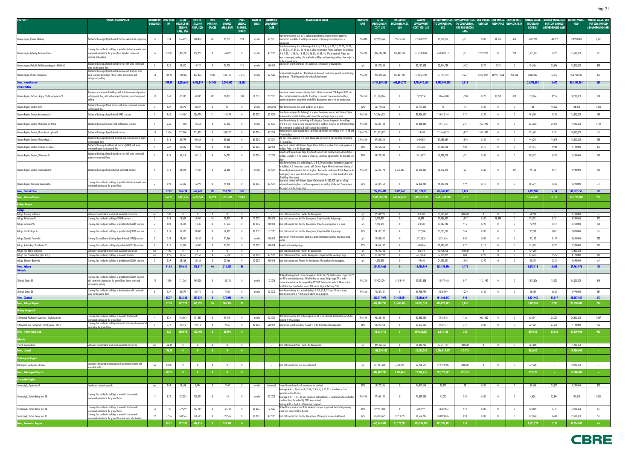| <b>PROPERTY</b>                                            | <b>PROJECT DESCRIPTION</b>                                                                                                                  | <b>BUILDINGS</b>        | <b>NUMBER OF LAND PLOT.</b><br><b>HA</b> | <b>TOTAL</b><br><b>PROJECT NET</b> | <b>PIK'S NET</b><br><b>SELLING</b> | <b>PIK'S</b><br><b>PARKING</b> | PIK'S<br><b>UNSOLD</b>   | PIK'S<br><b>UNSOLD</b> | <b>START OF</b><br><b>SALES</b> | <b>ESTIMATED</b><br><b>COMPLETION</b> | <b>DEVELOPMENT STAGE</b>                                                                                                                                                                         | <b>DISCOUNT</b><br><b>RATE</b> | <b>TOTAL</b><br><b>DEVELOPMENT</b> | INCLUDING<br><b>ENCUMBRANCES,</b> | <b>ACTUAL</b><br><b>DEVELOPMENT</b> | <b>DEVELOPMENT COST</b><br>TO COMPLETION, | EVELOPMENT COST SALE PRICES. SALE PRICES. I<br>TO COMPLETION, | USD/SQM        |                       | <b>RENTAL RATE</b><br>USD/SPACE USD/SQM/YEAR | <b>THOUSAND</b> | KET VALUE, RUR<br><b>PER SQM UNSOLD</b> | <b>MARKET VALUE</b><br><b>USD</b> | MARKET VALUE, USD<br><b>PER SQM UNSOLD</b> |
|------------------------------------------------------------|---------------------------------------------------------------------------------------------------------------------------------------------|-------------------------|------------------------------------------|------------------------------------|------------------------------------|--------------------------------|--------------------------|------------------------|---------------------------------|---------------------------------------|--------------------------------------------------------------------------------------------------------------------------------------------------------------------------------------------------|--------------------------------|------------------------------------|-----------------------------------|-------------------------------------|-------------------------------------------|---------------------------------------------------------------|----------------|-----------------------|----------------------------------------------|-----------------|-----------------------------------------|-----------------------------------|--------------------------------------------|
|                                                            |                                                                                                                                             |                         |                                          | <b>SELLING</b>                     | AREA, SQM                          | <b>SPACES</b>                  | AREA, SQM                | <b>PARKING</b>         |                                 | <b>DATE</b>                           |                                                                                                                                                                                                  |                                | COST, USD                          | <b>USD</b>                        | COST, YTD, USD                      | <b>USD</b>                                | <b>USD PER UNSOLD</b>                                         |                |                       |                                              | <b>ROUBLES</b>  | <b>ABOVEGROUND AREA</b>                 |                                   | <b>ABOVEGROUND AREA</b>                    |
|                                                            |                                                                                                                                             |                         |                                          | <b>AREA, SQM</b>                   |                                    |                                |                          | <b>SPACES</b>          |                                 |                                       | State Commissioning Acts for 12 buildings are obtained. Project design is approved.                                                                                                              |                                |                                    |                                   |                                     |                                           | AREA                                                          |                |                       |                                              |                 |                                         |                                   |                                            |
| Moscow region, Khimki, Ubileiniy                           | Residential buildings of prefabricated structure, retail centre and parking                                                                 |                         | 8.54                                     | 276,429                            | 218,430                            | 930                            | 19,739                   | 550                    | on sale                         | 30 2013                               | Construction permits for 3 buildings are received. 4 buildings are in the process of                                                                                                             | 12%-20%                        | 362,750,946                        | 27,475,540                        | 276,084,942                         | 86,666,002                                | 4,391                                                         | 2,880          | 18,698                | 400                                          | $-801,249$      | $-40,592$                               | $-24,900,000$                     | $-1,261$                                   |
|                                                            |                                                                                                                                             |                         |                                          |                                    |                                    |                                |                          |                        |                                 |                                       | State Commissioning Acts for buildings ##1,1a, 2, 3, 4, 5, 6, 12, 17, 21, 22, 23, 24,                                                                                                            |                                |                                    |                                   |                                     |                                           |                                                               |                |                       |                                              |                 |                                         |                                   |                                            |
| Moscow region, Lubertsy, Krasnaya Gorka                    | Economy class residential buildings of prefabricated structure with some<br>ommercial premises on the ground floor, detached commercial     | 55                      | 29.80                                    | 1,063,683                          | 666,252                            |                                | 359,877                  |                        | on sale                         | 40 2016                               | 25, 31, 31a, 32, 34, 36, 45, 46 are in place; Construction Permit Certificates for buildings<br>$\#H$ 7, 13, 14, 15, 16, 18, 19, 20, 26, 37, 38, 43 ,44, 47 are obtained. Project has            | 12%-23%                        | 1,046,844,648                      | 116,842,044                       | 416,542,038                         | 630,302,612                               | 1,751                                                         | 2120-2270      |                       | 210                                          | 1,215,201       | 3,377                                   | 37,700,000                        | 105                                        |
|                                                            | premises, and parking.                                                                                                                      |                         |                                          |                                    |                                    |                                |                          |                        |                                 |                                       | been re-developed, adding a lot residential buildings and removing parkings. New project i                                                                                                       |                                |                                    |                                   |                                     |                                           |                                                               |                |                       |                                              |                 |                                         |                                   |                                            |
| Moscow region, Mytischi, 3rd Krestyanskaya str., bld.60-62 | Residential buildings of prefabricated structure with some commercial                                                                       |                         | 2.30                                     | 42,820                             | 15,724                             |                                | 15,724                   | 152                    | on sale                         | 402012                                | n the annroval stage.<br>Construction permit is obtained. The building is in the course of development.                                                                                          | n/a                            | 54,672,254                         | $\mathbf{0}$                      | 32,157,533                          | 22,514,720                                | 1,432                                                         | 2,570          | 2,570                 |                                              | 435,486         | 27,696                                  | 13,500,000                        | 859                                        |
|                                                            | pace on the ground floor<br>Residential buildings of prefabricated and monolith structure, stand                                            |                         |                                          |                                    |                                    |                                |                          |                        |                                 |                                       |                                                                                                                                                                                                  |                                |                                    |                                   |                                     |                                           |                                                               |                |                       |                                              |                 |                                         |                                   |                                            |
| Moscow region, Mytishi, Yaroslavsky                        | alone commercial buildings, fitness centre, aboveground and<br>underground parking                                                          | 58                      | 114.25                                   | 1,150,357                          | 833,873                            | 7,603                          | 632,415                  | 7,516                  | on sale                         | 40 2022                               | Sate Commissioning Acts for 14 buildings are obtained. Construction permits for 4 buildings<br>are obtained. 7 buildings are in the course of development.                                       | 12%-23%                        | 1,943,699,247                      | 197,881,783                       | 472,052,780                         | 1,471,646,464                             | 2,327                                                         |                | 2520-2814 16198-18598 | 200-400                                      | 8,168,963       | 12,917                                  | 253,700,000                       | 401                                        |
| <b>Total, Near Moscow</b>                                  |                                                                                                                                             |                         | 599.99                                   | 6.236.661                          | 4,945,819                          | 24,103                         | 3,298,647                | 23,236                 |                                 |                                       |                                                                                                                                                                                                  |                                | 8,711,659,30                       | 696,894,770                       | 2,736,940,169                       | 5,995,394,575                             | 1,818                                                         |                |                       |                                              | 28,599,095      | 8,670                                   | 888,292,984                       | 269                                        |
| <b>Distant Cities</b>                                      |                                                                                                                                             |                         |                                          |                                    |                                    |                                |                          |                        |                                 |                                       |                                                                                                                                                                                                  |                                |                                    |                                   |                                     |                                           |                                                               |                |                       |                                              |                 |                                         |                                   |                                            |
| Moscow Region, Dedovsk, Nogina St./Pervomayskaya St.       | Economy class residential buildings with built-in commercial premises<br>on the ground floor, detached commercial premises, and aboveground | 10                      | 3.68                                     | 88,286                             | 68,307                             | 100                            | 68,307                   | 100                    | 10 2013                         | 20 20 18                              | Investment contract between Istrinskiy district Administration and "PIK-Region" CJSC is in<br>place. State Commissionning Act for 1 building is obtained. Five residential buildings,            | 12%-25%                        | 111,360,164                        | $\overline{0}$                    | 7,693,558                           | 103,666,608                               | 1,518                                                         | 1,870          | 13,298                | 330                                          | 339,166         | 4,965                                   | 10,500,000                        | 154                                        |
|                                                            |                                                                                                                                             |                         |                                          |                                    |                                    |                                |                          |                        |                                 |                                       | ommercial premises and parking are held for development and at the pre-design stage.                                                                                                             |                                |                                    |                                   |                                     |                                           |                                                               |                |                       |                                              |                 |                                         |                                   |                                            |
| Moscow Region, Dmitrov, DZFS                               | Residential buildings of brick structure with some commercial premises<br>on the ground floor                                               |                         | 3.89                                     | 46,599                             | 38,829                             | $\mathbf{0}$                   | 90                       | $\overline{0}$         | on sale                         |                                       | completed State Commissioning Acts for all buildings are in place.                                                                                                                               | 12%                            | 50,777,856                         | $\mathbf{0}$                      | 50,777,856                          | $\mathbf{0}$                              | $\overline{\mathbf{0}}$                                       | 1,440          | $\mathbf{0}$          |                                              | 4,061           | 45,122                                  | 126,000                           | 1,400                                      |
| Moscow Region, Dmitrov, Kosmonavtov St.                    | Residential buildings of prefabricated SMKD structure                                                                                       | - 9                     | 9.62                                     | 145,402                            | 126,738                            |                                | 111,794                  |                        | 30 2013                         | 30 2017                               | State Comissioning Act for Building 1 is in place. Investment contract with Dmitrov Region                                                                                                       | 12%-25%                        | 142,568,77                         | 0                                 | 33,936,621                          | 108,632,154                               | 972                                                           | 1,290          |                       |                                              | 485.709         | 4,345                                   | 15,100,000                        | 135                                        |
|                                                            |                                                                                                                                             |                         |                                          |                                    |                                    |                                |                          |                        |                                 |                                       | Administration for other buildings which are at the pre-design stage is in place.<br>State Commissioning Act for building #3 is in place. Construction permits for buildings                     |                                |                                    |                                   |                                     |                                           |                                                               |                |                       |                                              |                 |                                         |                                   |                                            |
| Moscow Region, Dmitrov, Makhalina, 1st Phase               | Residential builings of monolith and prefabricated structure                                                                                | $-5$                    | 2.66                                     | 111,880                            | 41,664                             |                                | 17,493                   |                        | on sale                         | 40 2013                               | $\#$ # 4, 8, 13, 15 are in place. The construction of buildings 4 and 13 are at the final stage.                                                                                                 | 12%-18%                        | 35,838,118                         | $\mathbf{0}$                      | 31,860,382                          | 3,977,735                                 | 227                                                           | 1350-1490      |                       |                                              | 624,060         | 35,675                                  | 19,400,000                        | 1,109                                      |
| Moscow Region, Dmitrov, Makhalina str., phase II           | Residential buildings of prefabricated structure                                                                                            | 15                      | 25.06                                    | 232,100                            | 201,927                            |                                | 201,927                  |                        | 40 2014                         | 40 2019                               | he construction of buildings 8 and 15 are at the beginning<br>Project design is under development. Land lease agreements for buildings $##16, 18$ and                                            | 25%-27%                        | 221,579,779                        | $\mathbf{0}$                      | 114,048                             | 221,465,724                               | 1,097                                                         | 1350-1380      |                       |                                              | 351,601         | 1,741                                   | 10,900,000                        | 54                                         |
|                                                            | Residential buildings of monolith structure with some commercial space                                                                      |                         |                                          |                                    |                                    |                                |                          |                        |                                 |                                       | 9 are in plac<br>The land lease agreement is in place. Favourable conclusion of state expertise for building                                                                                     |                                |                                    |                                   |                                     |                                           |                                                               |                |                       |                                              |                 |                                         |                                   |                                            |
| Moscow Region, Dmitrov, Moskovskaya St.                    | <u>n the ground floors</u><br>Residential building of prefabricated structure (SMKD) with some                                              | $\overline{2}$          | 2.18                                     | 31,799                             | 30,663                             |                                | 30,663                   |                        | 30 2012                         | 40 20 14                              | #1 is in place<br>Investment contract with Dmitrov Region Administartion is in place. Land lease Agreement i                                                                                     | 20%-25%                        | 37,536,215                         | $\mathbf{0}$                      | 6,404,581                           | 31,131,634                                | 1,015                                                         | 1,760          |                       |                                              | 448,248         | 14,619                                  | 13,900,000                        | 453                                        |
| Moscow Region, Dmitrov, Sennaya St., build.                | ommercial space on the ground floor                                                                                                         | $\overline{1}$          | 0.89                                     | 22,033                             | 19,830                             |                                | 19,830                   |                        | 30 2013                         | 202014                                | place. Project is at the design stage.                                                                                                                                                           | 25%                            | 22,361,366                         | $\overline{0}$                    | 4,456,087                           | 17,905,280                                | 903                                                           | 1,510          |                       |                                              | 197,117         | 9,940                                   | 6,120,000                         | 309                                        |
| Moscow Region, Dmitrov, Shluzovaya St.                     | Residential buildings of prefabricated structure with some commercial                                                                       |                         | 2.28                                     | 41,717                             | 36,711                             |                                | 36,711                   | $\overline{0}$         | 10 20 14                        | 10 2017                               | Project is at the pre-design stage. Investment Contract with Dmitrov Region Administration is<br>in place. Land plot is in the course of rehousing. Land lease agreement for the land plot is in | 27%                            | 44,023,988                         | $\overline{0}$                    | 3,614,229                           | 40,409,759                                | 1,101                                                         | 1,550          |                       |                                              | 202,773         | 5,523                                   | 6,300,000                         | 172                                        |
|                                                            | spaces on the ground floors.                                                                                                                |                         |                                          |                                    |                                    |                                |                          |                        |                                 |                                       | State Commissioning Acts for buildings 1, 2, 3, 9, 10 are in place. Masterplan is approved                                                                                                       |                                |                                    |                                   |                                     |                                           |                                                               |                |                       |                                              |                 |                                         |                                   |                                            |
|                                                            |                                                                                                                                             |                         |                                          |                                    |                                    |                                |                          |                        |                                 |                                       | r buildings 4, 5. Investment contract with Dmitrov Region Administration and Ministry of                                                                                                         |                                |                                    |                                   |                                     |                                           |                                                               |                |                       |                                              |                 |                                         |                                   |                                            |
| Moscow Region, Dmitrov, Vnukovskaya St.                    | Residential buildings of monolith/brick and SMKD structure                                                                                  | 8                       | 3.78                                     | 54,626                             | 47,782                             |                                | 20,666                   |                        | on sale                         | 20 20 14                              | Moscow Region Construction Sector is in place. Favourable conclusions of State Expertise for<br>buildings 4,5 are in place. Construction permit for building 4 is in place. Construction works   | 12%-25%                        | 55,242,478                         | 2,079,647                         | 30,430,403                          | 24,812,075                                | 1,201                                                         | 1,380          |                       | 327                                          | 94.460          | 4,571                                   | 2,930,000                         | 142                                        |
|                                                            |                                                                                                                                             |                         |                                          |                                    |                                    |                                |                          |                        |                                 |                                       | <b>building 4 has started.</b><br>westment contract with Dmitrov Region Administration for 150,000 sqm net selling                                                                               |                                |                                    |                                   |                                     |                                           |                                                               |                |                       |                                              |                 |                                         |                                   |                                            |
| Moscow Region, Yakhroma, Levoberezhje                      | conomy class residential buildings of prefabricated structure with some:<br>ommercial premises on the ground floors                         |                         | 2.98                                     | 50,332                             | 45,298                             |                                | 45,298                   |                        | 20 20 13                        | 30 2015                               | residential area is in place. Land lease agreements for building $##6$ and 7 are in place.                                                                                                       | 23%                            | 56,437,752                         | $\overline{0}$                    | 12,090,286                          | 44,347,466                                | 979                                                           | 1,210          |                       |                                              | 105,791         | 2,335                                   | 3,290,000                         | 73                                         |
| <b>Total, Distant Cities</b>                               |                                                                                                                                             |                         | 57.02                                    | 824,774 657,749                    |                                    | 121                            | 552,779                  | 100                    |                                 |                                       | <u>he project is at the design stage</u>                                                                                                                                                         |                                | 777,726,491                        | 2,079,647                         | 181,378,051                         | 596,348,435                               | 1,079                                                         |                |                       |                                              | 2,852,986       | 5,161                                   | 88,612,755                        | 160                                        |
| <b>Total, Moscow Region</b>                                |                                                                                                                                             |                         | 657.01                                   |                                    | 7,061,435 5,603,568                | 24,224                         | 3,851,426                | 23,336                 |                                 |                                       |                                                                                                                                                                                                  |                                | 9,489,385,79                       | 698,974,417                       | 2,918,318,220                       | 6,591,743,010                             | 1,712                                                         |                |                       |                                              | 31,452,081      | 8,166                                   | 976,776,000                       | 254                                        |
| (aluga Region                                              |                                                                                                                                             |                         |                                          |                                    |                                    |                                |                          |                        |                                 |                                       |                                                                                                                                                                                                  |                                |                                    |                                   |                                     |                                           |                                                               |                |                       |                                              |                 |                                         |                                   |                                            |
|                                                            |                                                                                                                                             |                         |                                          |                                    |                                    |                                |                          |                        |                                 |                                       |                                                                                                                                                                                                  |                                |                                    |                                   |                                     |                                           |                                                               |                |                       |                                              |                 |                                         |                                   |                                            |
| Kaluga, Trudovoy settlement                                | Settlement land zoned for multi-level residential construction                                                                              | n/a                     | 5.01                                     | $\mathbf{0}$                       | $\overline{\phantom{0}}$           | $\mathbf{0}$                   | $\overline{\phantom{0}}$ | $\mathbf{0}$           |                                 |                                       | Land plots are vacant and Held for the Development                                                                                                                                               | n/a                            | 37,381,925                         | $\mathbf{0}$                      | 478,431                             | 36,903,493                                | $\#$ DIV/O!                                                   | $\mathbf{0}$   | $\mathbf{0}$          | $\overline{0}$                               | 54,900          |                                         | 1,710,000                         |                                            |
| Kaluga, Bolotnikova Str.                                   | Economy class residential building of SMKD structure                                                                                        | $\overline{\mathbf{3}}$ | 1.59                                     | 18,302                             | 18,302                             | 96                             | 18,302                   | 96                     | 10 2013                         |                                       | 302014 Land plot is vacant and Held for Development. Project is at the design stage                                                                                                              | n/a                            | 2,718,859                          | $\mathbf{0}$                      | 48,898                              | 19,336,837                                | 1,057                                                         | 1,530          | 18,998                | $\mathbf{0}$                                 | 159,251         | 8,701                                   | 4,950,000                         | 270                                        |
| Kaluga, Dimitrova Str.                                     | Economy class residential buildings of prefabricated (SMKD) structure                                                                       | 2                       | 1.00                                     | 11,636                             | 11,636                             |                                | 11,636                   | $\overline{0}$         | 40 2012                         | 402013                                | Land plot is vacant and Held for Development. Project design approval is in place                                                                                                                | n/a                            | 5,946,654                          | $\mathbf{0}$                      | 474,832                             | 10,647,742                                | 915                                                           | 1,290          |                       |                                              | 72,919          | 6,267                                   | 2,260,000                         | 194                                        |
| Kaluga, Ermolovskaya Str                                   | conomy class residential buildings of prefabricated (111M) structure:                                                                       | $\overline{11}$         | 7.19                                     | 99,896                             | 98,802                             |                                | 98,802                   |                        | 30 2013                         | 10 20 20                              | Land plot is vacant and Held for Development. Project is at the design stage                                                                                                                     | 27%                            | 94,596,707                         | $\overline{0}$                    | 1,222,986                           | 93,373,721                                | 945                                                           | 1,200          |                       |                                              | 98,900          | 1,001                                   | 3,070,000                         | 31                                         |
| Kaluga, Generala Popova Str                                | conomy Class residential building of prefabricated (SMKD) structure                                                                         |                         | 0.93                                     | 13,354                             | 13,354                             |                                | 11,066                   |                        | on sale                         | 402012                                | Consturction Permit is in place. Building is under construction with first two levels being                                                                                                      | n/a                            | 12,908,512                         | $\mathbf{0}$                      | 3,126,836                           | 9,781,676                                 | 884                                                           | 1,300          | $\mathbf{0}$          |                                              | 90,182          | 8,149                                   | 2,800,000                         | 253                                        |
| Kaluga, Kaluzhskogo Opolcheniya Str.                       | conomy class residential building of prefabricated (111M) structure                                                                         |                         | 1.10                                     | 15,707                             | 15,707                             |                                | 15,707                   |                        | 30 2012                         | 202014                                | Project is at the design stage.                                                                                                                                                                  | 25%                            | 14,469,797                         | $\overline{0}$                    | 1,483,166                           | 12,986,631                                | 827                                                           | 1,110          |                       |                                              | 115,001         | 7,322                                   | 3,570,000                         | 227                                        |
| Kaluga, mcr. Likhun settlement                             | Settlement land zoned for multi-level residential construction                                                                              | n/a                     | 47.56                                    | $\mathbf{0}$                       | $\overline{0}$                     |                                | $\overline{\phantom{0}}$ |                        |                                 |                                       | Land plots are vacant and Held for the Development                                                                                                                                               | n/a                            | 14,122,785                         |                                   | 405,879                             | 13,716,906                                | $#$ DIV/0!                                                    | $\mathbf{0}$   | $\mathbf{0}$          |                                              | 439,200         |                                         | 13,600,000                        |                                            |
| Kaluga, mcr.Pravoberezhye, plots #8, 9                     | Economy class residential buildings of monolith structure                                                                                   | n/a                     | 4.96                                     | 37,550                             | 37,550                             |                                | 37,550                   |                        | 20 20 14                        | 40 2016                               | Land plots are vacant and Held for Development. Project is at the pre-design stage                                                                                                               | 27%                            | 38,389,909                         |                                   | 6,110,840                           | 32,279,069                                | 860                                                           | 1,220          | $\mathbf{0}$          |                                              | 134,224         | 3,575                                   | 4,170,000                         | 111                                        |
| Kaluga, Sireneviy Boulevard                                | Economy class residential buildings of prefabricated (SMKD) structure                                                                       |                         | 2.59                                     | 23,166                             | 23,166                             |                                | 23,166                   |                        | 10 2013                         | 102015                                | Land plot is vacant and Planned for Development. Master plan is in the progress.                                                                                                                 | n/a                            | 4,250,515                          |                                   | 199,041                             | 24,127,521                                | 1,042                                                         | 1,290          | $\mathbf{0}$          |                                              | 51,241          | 2,212                                   | 1,590,000                         |                                            |
| Total, Kaluga<br><b>Obninsk</b>                            |                                                                                                                                             |                         |                                          | 71.93 219,611 218,517              |                                    | 96                             | 216,229                  | 96                     |                                 |                                       |                                                                                                                                                                                                  |                                | 224,785,663                        | $\bullet$                         | 13,550,909                          | 253,153,596                               | 1,171                                                         |                |                       |                                              | 1.215.818       | 5,623                                   | 37,762,976                        | 175                                        |
|                                                            | conomy class residential buildings of prefabricated (SMKD) structure                                                                        |                         |                                          |                                    |                                    |                                |                          |                        |                                 |                                       | Master plan is approved. Construction permits for bld. 1A, 2A,1B,2B received. Project for 1V                                                                                                     |                                |                                    |                                   |                                     |                                           |                                                               |                |                       |                                              |                 |                                         |                                   |                                            |
| Obninsk, District 55                                       | with commercial premises on the ground floor, fitness centre and                                                                            | 14                      | 13.50                                    | 171,065                            | 169,208                            |                                | 162,715                  |                        | on sale                         | 10 2016                               | and 2V is on the design stage. Other building are on pre-design stage. 2A is under<br>construction and should be completed in Q2 2012. Construction works of 1A are on the                       | 14%-23%                        | 159,229,294                        | 11,433,494                        | 13,251,838                          | 145,977,458                               | 897                                                           | 1410-1490      | $\overline{0}$        |                                              | 1,810,506       | 11,127                                  | 56,200,000                        | 345                                        |
|                                                            | aboveground parking                                                                                                                         |                         |                                          |                                    |                                    |                                |                          |                        |                                 |                                       | foundation level. Construction works of 1B should begin in February 2012.                                                                                                                        |                                |                                    |                                   |                                     |                                           |                                                               |                |                       |                                              |                 |                                         |                                   |                                            |
| Obninsk, District 38                                       | conomy class residential buildings of brick structure with commercial<br>pace on the ground floors                                          | 8                       | 2.27                                     | 82,297                             | 82,170                             |                                | 7,383                    | $\mathbf{0}$           | on sale                         | 40 2012                               | State Commissioning Acts for the buildings ##4,5,7,8,9,10 and 11 are in place;<br>onstructions works of $7-8$ storeys of bld $\#6$ are in progress.                                              | 12%-16%                        | 70,887,781                         | $\overline{0}$                    | 61,998,791                          | 8,888,989                                 | 1,204                                                         | 1,460          |                       |                                              | 63,534          | 8,605                                   | 1,970,000                         | 267                                        |
| Total, Obninsk                                             |                                                                                                                                             |                         | 15.77                                    | 253,362 251,378                    |                                    | $\bullet$                      | 170,098                  | $\bullet$              |                                 |                                       |                                                                                                                                                                                                  |                                | 230,117,075                        | 11,433,494                        | 75,250,629                          | 154,866,447                               | 910                                                           |                |                       |                                              | 1,874,040       | 11,017                                  | 58,207,037                        | 342                                        |
| Total, Kaluga Region                                       |                                                                                                                                             |                         | 87.70                                    | 472,973                            | 469,895                            |                                | 386,327                  | 96                     |                                 |                                       |                                                                                                                                                                                                  |                                | 454,902,738                        | 11,433,494                        | 88,801,538                          | 408,020,043                               | 1,056                                                         |                |                       |                                              | 3,089,858       | 7,998                                   | 95,890,000                        | 248                                        |
| hny Novgorod                                               |                                                                                                                                             |                         |                                          |                                    |                                    |                                |                          |                        |                                 |                                       |                                                                                                                                                                                                  |                                |                                    |                                   |                                     |                                           |                                                               |                |                       |                                              |                 |                                         |                                   |                                            |
| I.Novgorod, Mezherskoe Ozero mcr., Volzhskaya emb.         | Economy class residential buildings of monolith structure with                                                                              | $\overline{4}$          | 3.71                                     | 106,956                            | 101,395                            |                                | 19,143                   |                        | on sale                         | 20 20 12                              | State Commissioning Acts for buildings #2A, 3A, B are obtained; Construction permits the                                                                                                         | 12%-14%                        | 95,353,450                         | $\mathbf{0}$                      | 92,360,431                          | 2,993,018                                 | 156                                                           | 1300-1360      |                       |                                              | 670,141         | 35,007                                  | 20,800,000                        | 1,087                                      |
| N.Novgorod, mcr. "Sotsgorod", Oktyabrya Ave., bld.         | mercial premises on the ground floor<br>conomy class residential building of monolith structure with commercial:                            |                         | 0.79                                     | 23,919                             | 22,013                             |                                | 9,855                    | $\overline{0}$         | 20 20 12                        | 202012                                | ding #1A is in place.<br>Construction permit is in place. Property is at the final stage of development.                                                                                         | 16%                            | 20,825,263                         | $\mathbf{0}$                      | 17,303,126                          | 3,522,137                                 | 357                                                           | 1,200          |                       |                                              | 229,384         | 23,276                                  | 7,120,000                         | 722                                        |
|                                                            | mises on the ground floor.                                                                                                                  |                         |                                          |                                    |                                    |                                |                          |                        |                                 |                                       |                                                                                                                                                                                                  |                                |                                    |                                   |                                     |                                           |                                                               |                |                       |                                              |                 |                                         |                                   |                                            |
| <b>Total, Nizhny Novgorod</b>                              |                                                                                                                                             |                         | 4.50                                     | 130,875                            | 123,408                            |                                | 28,998                   | - 0                    |                                 |                                       |                                                                                                                                                                                                  |                                | 116,178,713                        | $\bullet$                         | 109,663,557                         | 6,515,155                                 | 225                                                           |                |                       |                                              | 899,525         | 31,020                                  | 27,920,000                        | 963                                        |
| Izhevsk                                                    |                                                                                                                                             |                         |                                          |                                    |                                    |                                |                          |                        |                                 |                                       |                                                                                                                                                                                                  |                                |                                    |                                   |                                     |                                           |                                                               |                |                       |                                              |                 |                                         |                                   |                                            |
| Izhevsk, Aleksandrovo                                      | Settlement land zoned for multi-level residential construction                                                                              | n/a                     | 196.48                                   | $\overline{0}$                     | $\overline{\phantom{a}}$           | $\overline{0}$                 | $\overline{\phantom{0}}$ | $\overline{0}$         |                                 |                                       | Land plots are vacant and Held for the Development.                                                                                                                                              | n/a                            | 1,465,229,303                      | $\overline{0}$                    | 38,313,763                          | 1,426,915,541                             | #DIV/0!                                                       | $\overline{0}$ | $\overline{0}$        | $\overline{\phantom{0}}$                     | 365,600         |                                         | 11,400,000                        |                                            |
| <b>Total, Izhevsk</b>                                      |                                                                                                                                             |                         | 196.48                                   |                                    |                                    |                                |                          |                        |                                 |                                       |                                                                                                                                                                                                  |                                | 1,465,229,303                      |                                   | 38,313,763                          | 1,426,915,541                             | #DIV/0!                                                       |                |                       |                                              | 365,600         |                                         | 11,400,000                        |                                            |
| iningrad Region                                            |                                                                                                                                             |                         |                                          |                                    |                                    |                                |                          |                        |                                 |                                       |                                                                                                                                                                                                  |                                |                                    |                                   |                                     |                                           |                                                               |                |                       |                                              |                 |                                         |                                   |                                            |
| Kaliningrad, Svetlogorsk, Otradnoe                         | Settlement land zoned for construction of recreational complex with<br>sidential units                                                      | n/a                     | 88.58                                    |                                    | $\overline{0}$                     |                                | $\overline{0}$           | $\mathbf{0}$           |                                 |                                       | Land plot is vacant and held for development.                                                                                                                                                    | n/a                            | 307,707,200                        | 7,516,865                         | 27,978,616                          | 279,728,585                               | #DIV/0!                                                       | $\overline{0}$ | $\mathbf{0}$          |                                              | 339,700         |                                         | 10,600,000                        |                                            |
| <b>Total, Kaliningrad Region</b>                           |                                                                                                                                             |                         | 88.58                                    |                                    |                                    |                                |                          | - 0                    |                                 |                                       |                                                                                                                                                                                                  |                                | 307,707,200                        | 7,516,865                         | 27,978,616                          | 279,728,585                               | #DIV/0!                                                       |                |                       |                                              | 339,700         |                                         | 10,600,000                        |                                            |
|                                                            |                                                                                                                                             |                         |                                          |                                    |                                    |                                |                          |                        |                                 |                                       |                                                                                                                                                                                                  |                                |                                    |                                   |                                     |                                           |                                                               |                |                       |                                              |                 |                                         |                                   |                                            |
| rasnodar Region                                            |                                                                                                                                             |                         |                                          |                                    |                                    |                                |                          |                        |                                 |                                       |                                                                                                                                                                                                  |                                |                                    |                                   |                                     |                                           |                                                               |                |                       |                                              |                 |                                         |                                   |                                            |
| Vovorossiysk, Myskhako vill.                               | Townhouses (sandwich panel)                                                                                                                 | n/a                     | 3.89                                     | 12,659                             | 9,494                              | $\overline{0}$                 | 2,107                    | $\overline{0}$         | on sale                         |                                       | Completed    Qwnership certificates for all townhouses are obtained<br>uildings ## 1, 3 (sector 7-8, 9-10), 2, 4, 5, 6, 9, 10, 11 — have been put into                                           | 12%                            | 14,070,366                         | $\overline{0}$                    | 14,042,145                          | 28,221                                    | 13                                                            | 1,040          | $\overline{0}$        | $\overline{0}$                               | 57,584          | 27,330                                  | 1,790,000                         | 850                                        |
| Novorossiysk, Yuzhny Bereg, mcr. 15                        | Economy class residential buildings of monolith structure with                                                                              | $\overline{11}$         | 5.70                                     | 102,239                            | 100,271                            |                                | 141                      |                        | on sale                         |                                       | peration and mostly sold;<br>40 2012 Buildings ## 11, 3 (1-6) were completed and Certificates of compliance with construction                                                                    | 12%-14%                        | 77,106,124                         | $\overline{0}$                    | 77,059,054                          | 47,070                                    | 334                                                           | 1,400          | $\overline{0}$        |                                              | 4,638           | 32,894                                  | 144,000                           | 1,021                                      |
|                                                            | commercial premises on the ground floors                                                                                                    |                         |                                          |                                    |                                    |                                |                          |                        |                                 |                                       | andards dated December 30, 2011 were received;                                                                                                                                                   |                                |                                    |                                   |                                     |                                           |                                                               |                |                       |                                              |                 |                                         |                                   |                                            |
| Novorossiysk, Yuzhny Bereg, mcr. 16                        | Economy class residential buildings of monolith structure with                                                                              | 15                      | 11.47                                    | 179,299                            | 157,784                            |                                | 157,784                  |                        | 20 20 13                        | 10 20 20                              | ilding #13 - 9 out of 16 floors were completed.<br>Master Plan for construction of the residential complex is approved. External engineering                                                     | 25%                            | 159,747,150                        | $\mathbf{0}$                      | 6,059,491                           | 153,687,657                               | 974                                                           | 1,300          |                       |                                              | 430,889         | 2,731                                   | 13,400,000                        | 85                                         |
|                                                            | mmercial premises on the ground floors<br>Economy class residential buildings of monolith structure with                                    |                         |                                          |                                    |                                    |                                |                          |                        |                                 |                                       | works have been started on the site.                                                                                                                                                             |                                |                                    |                                   |                                     |                                           |                                                               |                |                       |                                              |                 |                                         |                                   |                                            |
| Novorossiysk, Yuzhny Bereg, mcr. 17                        | mmercial premises on the ground floors and social infrastructure.                                                                           | 27                      | 37.06                                    | 378,565                            | 378,565                            |                                | 378,565                  |                        | 30 2013                         |                                       | 4Q 2025 Land plot is vacant and Held for Development. Master plan is under development.                                                                                                          | 27%                            | 364,620,269                        | 21,278,791                        | 26,596,209                          | 338,024,045                               | 893                                                           | 1,300          | $\mathbf{0}$          |                                              | 639,660         | 1,690                                   | 19,900,000                        | 53                                         |
| Total, Krasnodar Region                                    |                                                                                                                                             |                         | 58.12                                    | 672,762                            | 646,114                            |                                | 538,597                  |                        |                                 |                                       |                                                                                                                                                                                                  |                                | 615,543,909                        | 21,278,791                        | 123,756,899                         | 491,786,993                               | 913                                                           |                |                       |                                              | 1,132,771       | 2,103                                   | 35,234,000                        | 65                                         |